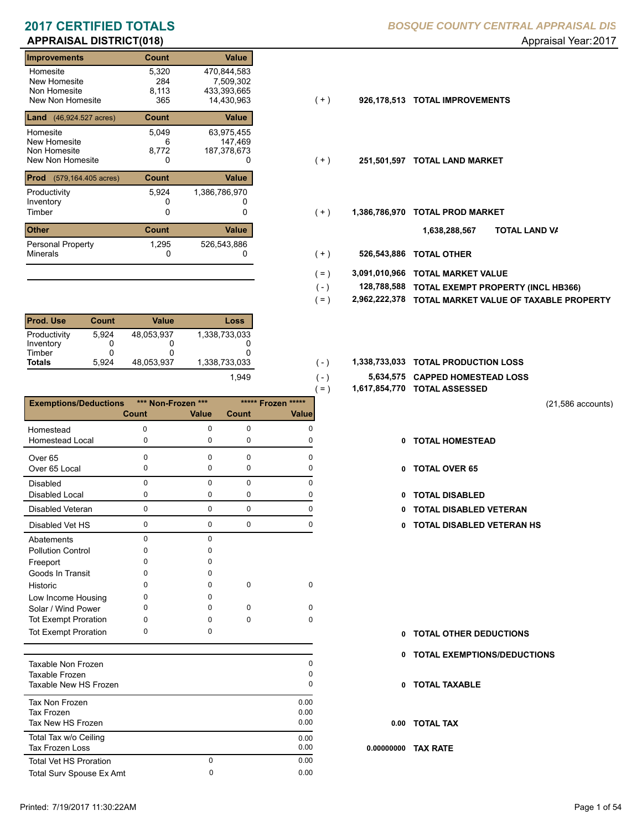|                                 | - 1          |               |       |               |                           |
|---------------------------------|--------------|---------------|-------|---------------|---------------------------|
| Improvements                    | Count        | <b>Value</b>  |       |               |                           |
| Homesite                        | 5,320        | 470,844,583   |       |               |                           |
| New Homesite                    | 284          | 7,509,302     |       |               |                           |
| Non Homesite                    | 8,113        | 433,393,665   |       |               |                           |
| New Non Homesite                | 365          | 14,430,963    | ( + ) | 926,178,513   | <b>TOTAL IMPROVEMENTS</b> |
| <b>Land</b> (46,924.527 acres)  | <b>Count</b> | <b>Value</b>  |       |               |                           |
| Homesite                        | 5,049        | 63,975,455    |       |               |                           |
| New Homesite                    | 6            | 147,469       |       |               |                           |
| Non Homesite                    | 8,772        | 187,378,673   |       |               |                           |
| New Non Homesite                | 0            | 0             | $(+)$ | 251,501,597   | <b>TOTAL LAND MARKET</b>  |
| <b>Prod</b> (579,164.405 acres) | <b>Count</b> | Value         |       |               |                           |
| Productivity                    | 5,924        | 1,386,786,970 |       |               |                           |
| Inventory                       |              |               |       |               |                           |
| Timber                          | 0            | 0             | $(+)$ | 1,386,786,970 | <b>TOTAL PROD MARKET</b>  |
| Other                           | <b>Count</b> | Value         |       |               | וסד<br>1,638,288,567      |
| <b>Personal Property</b>        | 1,295        | 526,543,886   |       |               |                           |
| <b>Minerals</b>                 | 0            | 0             | ( + ) | 526,543,886   | <b>TOTAL OTHER</b>        |
|                                 |              |               |       |               |                           |

| <b>Prod. Use</b>                    | Count      | Value      | Loss          |
|-------------------------------------|------------|------------|---------------|
| Productivity<br>Inventory<br>Timber | 5.924<br>0 | 48.053.937 | 1,338,733,033 |
| <b>Totals</b>                       | 5.924      | 48.053.937 | 1,338,733,033 |
|                                     |            |            | 1.949         |

|                              |              |                    |          | $( = )$            |
|------------------------------|--------------|--------------------|----------|--------------------|
| <b>Exemptions/Deductions</b> |              | *** Non-Frozen *** |          | ***** Frozen ***** |
|                              | <b>Count</b> | <b>Value</b>       | Count    | Value              |
| Homestead                    | n            | 0                  | 0        | O                  |
| Homestead Local              | 0            | 0                  | 0        | O                  |
| Over <sub>65</sub>           | 0            | 0                  | $\Omega$ | n                  |
| Over 65 Local                | 0            | 0                  | 0        | n                  |
| <b>Disabled</b>              | 0            | $\Omega$           | 0        | O                  |
| <b>Disabled Local</b>        | 0            | 0                  | 0        | O                  |
| Disabled Veteran             | $\Omega$     | $\mathbf 0$        | 0        | O                  |
| Disabled Vet HS              | 0            | $\Omega$           | 0        | 0                  |
| Abatements                   | 0            | $\Omega$           |          |                    |
| <b>Pollution Control</b>     | ი            | o                  |          |                    |
| Freeport                     | ი            | o                  |          |                    |
| Goods In Transit             | O            | n                  |          |                    |
| Historic                     | n            | O                  | O        | 0                  |
| Low Income Housing           | ი            | O                  |          |                    |
| Solar / Wind Power           | n            | O                  | n        | O                  |
| <b>Tot Exempt Proration</b>  | o            | O                  | O        | 0                  |
| <b>Tot Exempt Proration</b>  | ი            | o                  |          |                    |

| Taxable Non Frozen<br>Taxable Frozen<br>Taxable New HS Frozen |        | 0<br>0<br>$\Omega$   |
|---------------------------------------------------------------|--------|----------------------|
| Tax Non Frozen<br>Tax Frozen<br>Tax New HS Frozen             |        | 0.00<br>0.00<br>0.00 |
| Total Tax w/o Ceiling<br><b>Tax Frozen Loss</b>               |        | 0.00<br>0.00         |
| <b>Total Vet HS Proration</b><br>Total Surv Spouse Ex Amt     | 0<br>0 | 0.00<br>0.00         |
|                                                               |        |                      |

| $(+)$ | 926,178,513 TOTAL IMPROVEMENTS |
|-------|--------------------------------|
|       |                                |

- $(+)$
- $(+)$ 
	- **TOTAL LAND VA 1,638,288,567**
- 0 0 **526,543,886 TOTAL OTHER**  $(+)$

 $(-)$  $( - )$ 

- **3,091,010,966 TOTAL MARKET VALUE**  $( = )$
- **TOTAL EXEMPT PROPERTY (INCL HB366) 128,788,588**  $( - )$
- **2,962,222,378 TOTAL MARKET VALUE OF TAXABLE PROPERTY**  $( = )$
- 1,338,733,033 **1,338,733,033 TOTAL PRODUCTION LOSS** 
	- **5,634,575 CAPPED HOMESTEAD LOSS**
	- **1,617,854,770 TOTAL ASSESSED**
- (21,586 accounts)
- **TOTAL HOMESTEAD**
- 0 TOTAL OVER 65
- 0 TOTAL DISABLED
- Disabled Veteran **TOTAL DISABLED VETERAN**
- 0 0 0 0 **0 TOTAL DISABLED VETERAN HS**

- **TOTAL OTHER DEDUCTIONS 0**
- **0 TOTAL EXEMPTIONS/DEDUCTIONS**
- **0 TOTAL TAXABLE**
- **0.00 TOTAL TAX**
- **0.00000000 TAX RATE**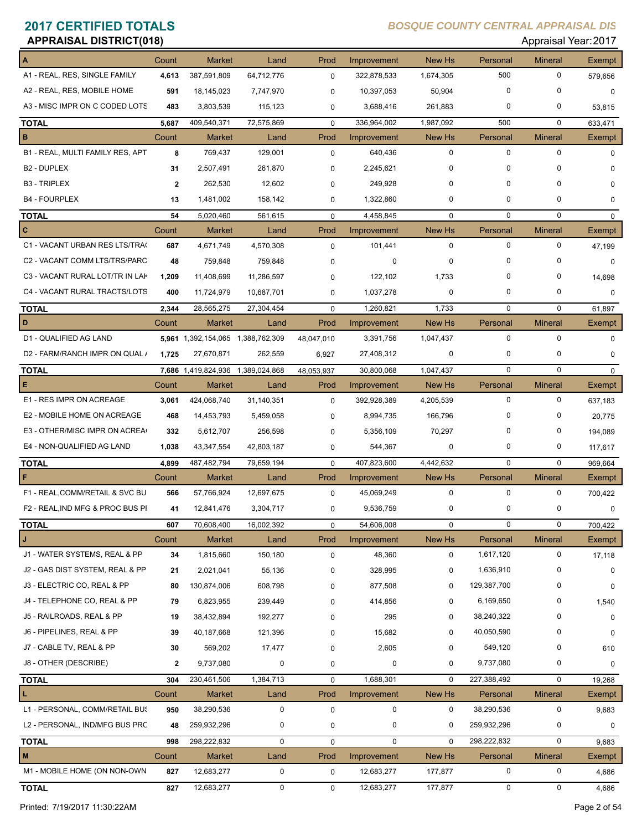| <b>APPRAISAL DISTRICT(018)</b><br>Appraisal Year: 2017 |              |                                   |               |             |             |             |             |                |             |
|--------------------------------------------------------|--------------|-----------------------------------|---------------|-------------|-------------|-------------|-------------|----------------|-------------|
|                                                        | Count        | <b>Market</b>                     | Land          | Prod        | Improvement | New Hs      | Personal    | <b>Mineral</b> | Exempt      |
| A1 - REAL, RES, SINGLE FAMILY                          | 4,613        | 387,591,809                       | 64,712,776    | $\pmb{0}$   | 322,878,533 | 1,674,305   | 500         | $\mathbf 0$    | 579,656     |
| A2 - REAL, RES, MOBILE HOME                            | 591          | 18,145,023                        | 7,747,970     | 0           | 10,397,053  | 50,904      | $\mathbf 0$ | 0              | $\mathbf 0$ |
| A3 - MISC IMPR ON C CODED LOTS                         | 483          | 3,803,539                         | 115,123       | 0           | 3,688,416   | 261,883     | 0           | 0              | 53,815      |
| <b>TOTAL</b>                                           | 5,687        | 409,540,371                       | 72,575,869    | $\mathbf 0$ | 336,964,002 | 1,987,092   | 500         | 0              | 633,471     |
| B                                                      | Count        | <b>Market</b>                     | Land          | Prod        | Improvement | New Hs      | Personal    | <b>Mineral</b> | Exempt      |
| B1 - REAL, MULTI FAMILY RES, APT                       | 8            | 769,437                           | 129,001       | $\mathbf 0$ | 640,436     | $\mathbf 0$ | $\mathbf 0$ | $\mathbf 0$    | $\Omega$    |
| <b>B2 - DUPLEX</b>                                     | 31           | 2,507,491                         | 261,870       | 0           | 2,245,621   | 0           | 0           | 0              | 0           |
| <b>B3 - TRIPLEX</b>                                    | $\mathbf{2}$ | 262,530                           | 12,602        | 0           | 249,928     | $\mathbf 0$ | $\Omega$    | 0              | $\Omega$    |
| <b>B4 - FOURPLEX</b>                                   | 13           | 1,481,002                         | 158,142       | 0           | 1,322,860   | 0           | 0           | 0              | 0           |
| <b>TOTAL</b>                                           | 54           | 5,020,460                         | 561,615       | $\mathbf 0$ | 4,458,845   | $\mathbf 0$ | $\mathbf 0$ | $\mathbf 0$    | $\Omega$    |
| c                                                      | Count        | <b>Market</b>                     | Land          | Prod        | Improvement | New Hs      | Personal    | <b>Mineral</b> | Exempt      |
| C1 - VACANT URBAN RES LTS/TRA(                         | 687          | 4,671,749                         | 4,570,308     | $\mathbf 0$ | 101,441     | $\mathbf 0$ | $\mathbf 0$ | $\mathbf 0$    | 47,199      |
| C2 - VACANT COMM LTS/TRS/PARC                          | 48           | 759,848                           | 759,848       | $\mathbf 0$ | 0           | 0           | 0           | 0              | 0           |
| C3 - VACANT RURAL LOT/TR IN LAK                        | 1,209        | 11,408,699                        | 11,286,597    | 0           | 122,102     | 1,733       | 0           | 0              | 14,698      |
| C4 - VACANT RURAL TRACTS/LOTS                          | 400          | 11,724,979                        | 10,687,701    | 0           | 1,037,278   | 0           | 0           | 0              | 0           |
| <b>TOTAL</b>                                           | 2,344        | 28,565,275                        | 27,304,454    | $\mathbf 0$ | 1,260,821   | 1,733       | $\mathbf 0$ | $\mathbf 0$    | 61,897      |
| D                                                      | Count        | <b>Market</b>                     | Land          | Prod        | Improvement | New Hs      | Personal    | <b>Mineral</b> | Exempt      |
| <b>D1 - QUALIFIED AG LAND</b>                          |              | 5,961 1,392,154,065 1,388,762,309 |               | 48,047,010  | 3,391,756   | 1,047,437   | 0           | 0              | $\mathbf 0$ |
| D2 - FARM/RANCH IMPR ON QUAL /                         | 1,725        | 27,670,871                        | 262,559       | 6,927       | 27,408,312  | $\mathbf 0$ | 0           | 0              | 0           |
| <b>TOTAL</b>                                           |              | 7,686 1,419,824,936               | 1,389,024,868 | 48,053,937  | 30,800,068  | 1,047,437   | $\mathbf 0$ | $\mathbf 0$    | $\mathbf 0$ |
| E                                                      | Count        | <b>Market</b>                     | Land          | Prod        | Improvement | New Hs      | Personal    | <b>Mineral</b> | Exempt      |
| E1 - RES IMPR ON ACREAGE                               | 3,061        | 424,068,740                       | 31,140,351    | $\mathbf 0$ | 392,928,389 | 4,205,539   | 0           | 0              | 637,183     |
| E2 - MOBILE HOME ON ACREAGE                            | 468          | 14,453,793                        | 5,459,058     | 0           | 8,994,735   | 166,796     | 0           | 0              | 20,775      |
| E3 - OTHER/MISC IMPR ON ACREA                          | 332          | 5,612,707                         | 256,598       | 0           | 5,356,109   | 70,297      | 0           | 0              | 194,089     |
| E4 - NON-QUALIFIED AG LAND                             | 1,038        | 43,347,554                        | 42,803,187    | 0           | 544,367     | $\mathbf 0$ | 0           | 0              | 117,617     |
| <b>TOTAL</b>                                           | 4,899        | 487,482,794                       | 79,659,194    | $\mathbf 0$ | 407,823,600 | 4,442,632   | $\mathbf 0$ | $\mathbf 0$    | 969,664     |
| F                                                      | Count        | <b>Market</b>                     | Land          | Prod        | Improvement | New Hs      | Personal    | <b>Mineral</b> | Exempt      |
| F1 - REAL, COMM/RETAIL & SVC BU                        | 566          | 57,766,924                        | 12,697,675    | $\mathbf 0$ | 45,069,249  | $\pmb{0}$   | 0           | $\mathbf 0$    | 700,422     |
| F2 - REAL, IND MFG & PROC BUS PI                       | 41           | 12,841,476                        | 3,304,717     | 0           | 9,536,759   | $\pmb{0}$   | 0           | 0              | 0           |
| <b>TOTAL</b>                                           | 607          | 70,608,400                        | 16,002,392    | $\mathbf 0$ | 54,606,008  | 0           | 0           | 0              | 700,422     |
| J                                                      | Count        | Market                            | Land          | Prod        | Improvement | New Hs      | Personal    | <b>Mineral</b> | Exempt      |
| J1 - WATER SYSTEMS, REAL & PP                          | 34           | 1,815,660                         | 150,180       | $\mathbf 0$ | 48,360      | 0           | 1,617,120   | 0              | 17,118      |
| J2 - GAS DIST SYSTEM, REAL & PP                        | 21           | 2,021,041                         | 55,136        | 0           | 328,995     | 0           | 1,636,910   | 0              | 0           |
| J3 - ELECTRIC CO, REAL & PP                            | 80           | 130,874,006                       | 608,798       | 0           | 877,508     | 0           | 129,387,700 | 0              | 0           |
| J4 - TELEPHONE CO, REAL & PP                           | 79           | 6,823,955                         | 239,449       | 0           | 414,856     | 0           | 6,169,650   | 0              | 1,540       |
| J5 - RAILROADS, REAL & PP                              | 19           | 38,432,894                        | 192,277       | 0           | 295         | 0           | 38,240,322  | 0              | 0           |
| J6 - PIPELINES, REAL & PP                              | 39           | 40,187,668                        | 121,396       | 0           | 15,682      | 0           | 40,050,590  | 0              | 0           |
| J7 - CABLE TV, REAL & PP                               | 30           | 569,202                           | 17,477        | $\mathbf 0$ | 2,605       | 0           | 549,120     | 0              | 610         |
| J8 - OTHER (DESCRIBE)                                  | 2            | 9,737,080                         | 0             | 0           | $\pmb{0}$   | 0           | 9,737,080   | 0              | 0           |
| <b>TOTAL</b>                                           | 304          | 230,461,506                       | 1,384,713     | $\mathbf 0$ | 1,688,301   | $\mathbf 0$ | 227,388,492 | 0              | 19,268      |
| L                                                      | Count        | <b>Market</b>                     | Land          | Prod        | Improvement | New Hs      | Personal    | <b>Mineral</b> | Exempt      |
| L1 - PERSONAL, COMM/RETAIL BU!                         | 950          | 38,290,536                        | $\pmb{0}$     | $\mathbf 0$ | $\pmb{0}$   | 0           | 38,290,536  | 0              | 9,683       |
| L2 - PERSONAL, IND/MFG BUS PRC                         | 48           | 259,932,296                       | 0             | 0           | $\pmb{0}$   | 0           | 259,932,296 | 0              | 0           |
| <b>TOTAL</b>                                           | 998          | 298,222,832                       | 0             | $\mathbf 0$ | $\mathbf 0$ | $\mathbf 0$ | 298,222,832 | $\mathbf 0$    | 9,683       |
| M                                                      | Count        | Market                            | Land          | Prod        | Improvement | New Hs      | Personal    | <b>Mineral</b> | Exempt      |
| M1 - MOBILE HOME (ON NON-OWN                           | 827          | 12,683,277                        | 0             | 0           | 12,683,277  | 177,877     | 0           | 0              | 4,686       |
| <b>TOTAL</b>                                           | 827          | 12,683,277                        | 0             | $\mathbf 0$ | 12,683,277  | 177,877     | 0           | 0              | 4,686       |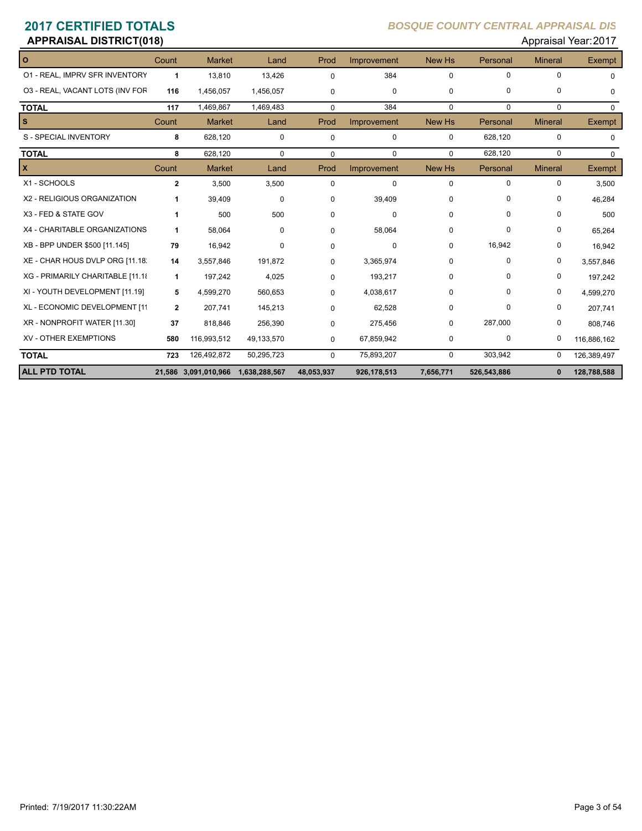| Appraisal Year: 2017<br><b>APPRAISAL DISTRICT(018)</b> |              |                                    |             |             |             |               |             |                |               |
|--------------------------------------------------------|--------------|------------------------------------|-------------|-------------|-------------|---------------|-------------|----------------|---------------|
| $\overline{\mathbf{o}}$                                | Count        | <b>Market</b>                      | Land        | Prod        | Improvement | <b>New Hs</b> | Personal    | <b>Mineral</b> | <b>Exempt</b> |
| 01 - REAL, IMPRV SFR INVENTORY                         | 1            | 13,810                             | 13,426      | $\Omega$    | 384         | $\mathbf 0$   | 0           | $\mathbf 0$    | $\Omega$      |
| 03 - REAL, VACANT LOTS (INV FOR                        | 116          | 1,456,057                          | 1,456,057   | $\mathbf 0$ | 0           | 0             | 0           | 0              | $\mathbf 0$   |
| <b>TOTAL</b>                                           | 117          | 1,469,867                          | 1,469,483   | $\mathbf 0$ | 384         | $\Omega$      | $\Omega$    | $\Omega$       | $\Omega$      |
| $\mathbf{s}$                                           | Count        | <b>Market</b>                      | Land        | Prod        | Improvement | <b>New Hs</b> | Personal    | <b>Mineral</b> | <b>Exempt</b> |
| S - SPECIAL INVENTORY                                  | 8            | 628,120                            | $\mathbf 0$ | $\mathbf 0$ | $\mathbf 0$ | $\mathbf 0$   | 628,120     | 0              | $\mathbf 0$   |
| <b>TOTAL</b>                                           | 8            | 628,120                            | $\mathbf 0$ | $\mathbf 0$ | $\Omega$    | $\Omega$      | 628,120     | $\mathbf 0$    | $\Omega$      |
| $\mathbf x$                                            | Count        | <b>Market</b>                      | Land        | Prod        | Improvement | New Hs        | Personal    | <b>Mineral</b> | <b>Exempt</b> |
| X1 - SCHOOLS                                           | $\mathbf{2}$ | 3,500                              | 3,500       | $\Omega$    | 0           | $\mathbf 0$   | $\mathbf 0$ | $\mathbf 0$    | 3,500         |
| X2 - RELIGIOUS ORGANIZATION                            | 1            | 39,409                             | $\mathbf 0$ | $\Omega$    | 39,409      | 0             | $\Omega$    | $\Omega$       | 46,284        |
| X3 - FED & STATE GOV                                   | 1            | 500                                | 500         | $\Omega$    | $\Omega$    | $\mathbf 0$   | $\Omega$    | 0              | 500           |
| X4 - CHARITABLE ORGANIZATIONS                          | 1            | 58,064                             | $\Omega$    | $\Omega$    | 58,064      | $\Omega$      | 0           | 0              | 65,264        |
| XB - BPP UNDER \$500 [11.145]                          | 79           | 16,942                             | 0           | $\Omega$    | 0           | 0             | 16,942      | 0              | 16,942        |
| XE - CHAR HOUS DVLP ORG [11.18]                        | 14           | 3,557,846                          | 191,872     | $\Omega$    | 3,365,974   | 0             | 0           | 0              | 3,557,846     |
| XG - PRIMARILY CHARITABLE [11.18                       | $\mathbf{1}$ | 197,242                            | 4,025       | $\Omega$    | 193,217     | 0             | 0           | 0              | 197,242       |
| XI - YOUTH DEVELOPMENT [11.19]                         | 5            | 4,599,270                          | 560,653     | $\Omega$    | 4,038,617   | 0             | 0           | 0              | 4,599,270     |
| XL - ECONOMIC DEVELOPMENT [11                          | $\mathbf{2}$ | 207,741                            | 145,213     | $\Omega$    | 62,528      | $\Omega$      | 0           | 0              | 207,741       |
| XR - NONPROFIT WATER [11.30]                           | 37           | 818,846                            | 256,390     | $\Omega$    | 275,456     | $\mathbf 0$   | 287,000     | 0              | 808,746       |
| XV - OTHER EXEMPTIONS                                  | 580          | 116,993,512                        | 49,133,570  | 0           | 67,859,942  | 0             | 0           | 0              | 116,886,162   |
| <b>TOTAL</b>                                           | 723          | 126,492,872                        | 50,295,723  | $\mathbf 0$ | 75,893,207  | $\mathbf 0$   | 303,942     | 0              | 126,389,497   |
| <b>ALL PTD TOTAL</b>                                   |              | 21,586 3,091,010,966 1,638,288,567 |             | 48,053,937  | 926,178,513 | 7,656,771     | 526,543,886 | $\mathbf{0}$   | 128,788,588   |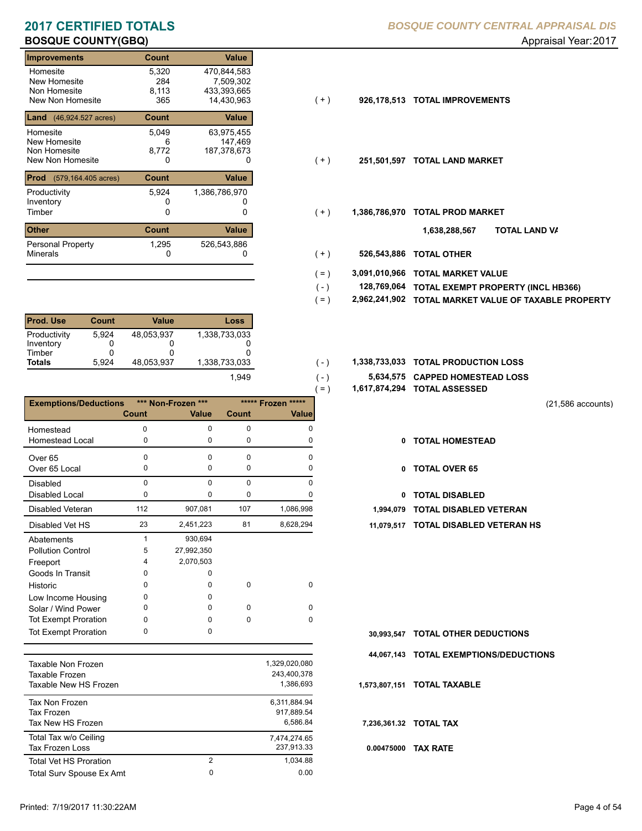| Improvements                                                 | <b>Count</b>                 | <b>Value</b>                                          |       |               |                           |
|--------------------------------------------------------------|------------------------------|-------------------------------------------------------|-------|---------------|---------------------------|
| Homesite<br>New Homesite<br>Non Homesite<br>New Non Homesite | 5,320<br>284<br>8.113<br>365 | 470,844,583<br>7,509,302<br>433,393,665<br>14,430,963 | $(+)$ | 926,178,513   | <b>TOTAL IMPROVEMENTS</b> |
| <b>Land</b> $(46,924.527 \text{ acres})$                     | <b>Count</b>                 | Value                                                 |       |               |                           |
| Homesite<br>New Homesite<br>Non Homesite<br>New Non Homesite | 5,049<br>6<br>8,772<br>0     | 63,975,455<br>147.469<br>187,378,673<br>0             | $(+)$ | 251,501,597   | <b>TOTAL LAND MARKET</b>  |
| <b>Prod</b><br>(579, 164. 405 acres)                         | <b>Count</b>                 | Value                                                 |       |               |                           |
| Productivity<br>Inventory<br>Timber                          | 5,924<br>0                   | 1,386,786,970<br>0                                    | $(+)$ | 1,386,786,970 | <b>TOTAL PROD MARKET</b>  |
| <b>Other</b>                                                 | <b>Count</b>                 | <b>Value</b>                                          |       |               | וסד<br>1,638,288,567      |
| <b>Personal Property</b><br><b>Minerals</b>                  | 1,295<br>0                   | 526,543,886<br>0                                      | $(+)$ | 526,543,886   | <b>TOTAL OTHER</b>        |

| <b>Prod. Use</b>          | Count  | Value      | Loss          |
|---------------------------|--------|------------|---------------|
| Productivity<br>Inventory | 5.924  | 48,053,937 | 1,338,733,033 |
| Timber                    | O<br>O | O          |               |
| <b>Totals</b>             | 5.924  | 48.053.937 | 1,338,733,033 |
|                           |        |            | 1.949         |

|                              |          |                    |                    |              | $=$ )      | 1,617,874,294 TOTAL ASSESSED  |
|------------------------------|----------|--------------------|--------------------|--------------|------------|-------------------------------|
| <b>Exemptions/Deductions</b> |          | *** Non-Frozen *** | ***** Frozen ***** |              |            |                               |
|                              | Count    | <b>Value</b>       | Count              | <b>Value</b> |            |                               |
| Homestead                    | 0        | $\Omega$           | $\Omega$           | $\Omega$     |            |                               |
| <b>Homestead Local</b>       | 0        | 0                  | 0                  | 0            | 0          | <b>TOTAL HOMESTEAD</b>        |
| Over <sub>65</sub>           | 0        | $\Omega$           | $\Omega$           | $\Omega$     |            |                               |
| Over 65 Local                | 0        | 0                  | 0                  | O            | 0          | <b>TOTAL OVER 65</b>          |
| <b>Disabled</b>              | $\Omega$ | $\Omega$           | $\Omega$           | $\Omega$     |            |                               |
| <b>Disabled Local</b>        | 0        | 0                  | 0                  | 0            | 0          | <b>TOTAL DISABLED</b>         |
| <b>Disabled Veteran</b>      | 112      | 907,081            | 107                | 1,086,998    | 1,994,079  | <b>TOTAL DISABLED VETERAN</b> |
| Disabled Vet HS              | 23       | 2,451,223          | 81                 | 8,628,294    | 11,079,517 | <b>TOTAL DISABLED VETERAN</b> |
| Abatements                   |          | 930,694            |                    |              |            |                               |
| <b>Pollution Control</b>     | 5        | 27,992,350         |                    |              |            |                               |
| Freeport                     | 4        | 2,070,503          |                    |              |            |                               |
| Goods In Transit             | 0        | 0                  |                    |              |            |                               |
| Historic                     | 0        | 0                  | 0                  | $\mathbf 0$  |            |                               |
| Low Income Housing           | 0        | 0                  |                    |              |            |                               |
| Solar / Wind Power           | 0        | 0                  | 0                  | 0            |            |                               |
| <b>Tot Exempt Proration</b>  | 0        | $\Omega$           | $\Omega$           | $\Omega$     |            |                               |
| <b>Tot Exempt Proration</b>  | 0        | 0                  |                    |              | 30.993.547 | <b>TOTAL OTHER DEDUCTIONS</b> |

| Taxable Non Frozen<br>Taxable Frozen<br>Taxable New HS Frozen |                     | 1,329,020,080<br>243.400.378<br>1.386.693 |
|---------------------------------------------------------------|---------------------|-------------------------------------------|
| Tax Non Frozen<br>Tax Frozen<br>Tax New HS Frozen             |                     | 6.311.884.94<br>917.889.54<br>6.586.84    |
| Total Tax w/o Ceiling<br><b>Tax Frozen Loss</b>               |                     | 7.474.274.65<br>237,913.33                |
| <b>Total Vet HS Proration</b><br>Total Surv Spouse Ex Amt     | $\overline{2}$<br>0 | 1.034.88<br>0.00                          |
|                                                               |                     |                                           |

### $(+)$

- $(+)$
- $(+)$ 
	- **TOTAL LAND VA 1,638,288,567**
- 0 0 **526,543,886 TOTAL OTHER**  $(+)$
- **3,091,010,966 TOTAL MARKET VALUE**  $( = )$
- **TOTAL EXEMPT PROPERTY (INCL HB366) 128,769,064**  $( - )$
- **2,962,241,902 TOTAL MARKET VALUE OF TAXABLE PROPERTY**  $( = )$
- 1,338,733,033 **1,338,733,033 TOTAL PRODUCTION LOSS**  $(-)$ 
	- **5,634,575 CAPPED HOMESTEAD LOSS**
	- **1,617,874,294 TOTAL ASSESSED**

 $( - )$ 

(21,586 accounts)

- **TOTAL HOMESTEAD**
- 0 TOTAL OVER 65
- 0 TOTAL DISABLED
- 
- 23 81 2,451,223 8,628,294 **11,079,517 TOTAL DISABLED VETERAN HS**

- **TOTAL OTHER DEDUCTIONS 30,993,547**
- **44,067,143 TOTAL EXEMPTIONS/DEDUCTIONS**

**1,573,807,151 TOTAL TAXABLE**

**7,236,361.32 TOTAL TAX**

**0.00475000 TAX RATE**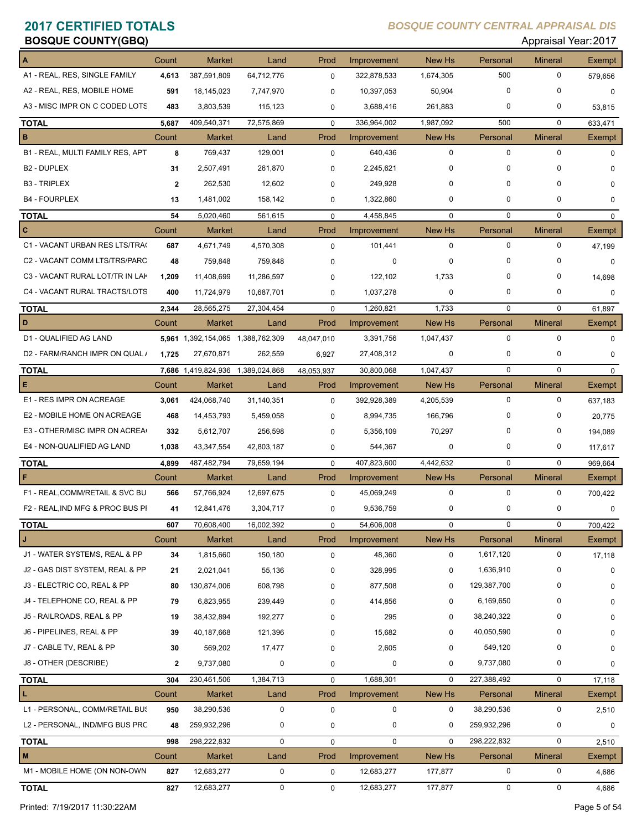## **BOSQUE COUNTY(GBQ) BOSQUE COUNTY(GBQ) Approximately and COUNTY(GBQ) Approximately and COUNTY(GBQ) Approximately and COUNTY(GBQ) Approximately and COUNTY(GBQ) Approximately and COUNTY(GBQ) Approximately and C**

| OOQOL OOONI I (ODQ)              |              |                                   |            |             |             |             |             |                | Applaisal Tual.2011 |
|----------------------------------|--------------|-----------------------------------|------------|-------------|-------------|-------------|-------------|----------------|---------------------|
|                                  | Count        | <b>Market</b>                     | Land       | Prod        | Improvement | New Hs      | Personal    | <b>Mineral</b> | Exempt              |
| A1 - REAL, RES, SINGLE FAMILY    | 4,613        | 387,591,809                       | 64,712,776 | $\mathbf 0$ | 322,878,533 | 1,674,305   | 500         | $\mathbf 0$    | 579,656             |
| A2 - REAL, RES, MOBILE HOME      | 591          | 18,145,023                        | 7,747,970  | $\mathbf 0$ | 10,397,053  | 50,904      | $\Omega$    | 0              | 0                   |
| A3 - MISC IMPR ON C CODED LOTS   | 483          | 3,803,539                         | 115,123    | 0           | 3,688,416   | 261,883     | 0           | 0              | 53,815              |
| <b>TOTAL</b>                     | 5,687        | 409,540,371                       | 72,575,869 | $\mathbf 0$ | 336,964,002 | 1,987,092   | 500         | $\mathbf 0$    | 633,471             |
| в                                | Count        | <b>Market</b>                     | Land       | Prod        | Improvement | New Hs      | Personal    | <b>Mineral</b> | Exempt              |
| B1 - REAL, MULTI FAMILY RES, APT | 8            | 769,437                           | 129,001    | $\mathbf 0$ | 640,436     | $\mathbf 0$ | $\mathbf 0$ | $\mathbf 0$    | $\Omega$            |
| <b>B2 - DUPLEX</b>               | 31           | 2,507,491                         | 261,870    | $\mathbf 0$ | 2,245,621   | 0           | $\mathbf 0$ | 0              | 0                   |
| <b>B3 - TRIPLEX</b>              | $\mathbf{2}$ | 262,530                           | 12,602     | $\mathbf 0$ | 249,928     | 0           | $\Omega$    | 0              | $\Omega$            |
| <b>B4 - FOURPLEX</b>             | 13           | 1,481,002                         | 158,142    | $\mathbf 0$ | 1,322,860   | 0           | $\mathbf 0$ | 0              | 0                   |
| <b>TOTAL</b>                     | 54           | 5,020,460                         | 561,615    | $\mathbf 0$ | 4,458,845   | $\mathbf 0$ | $\mathbf 0$ | 0              | $\mathbf 0$         |
| $\mathbf{C}$                     | Count        | <b>Market</b>                     | Land       | Prod        | Improvement | New Hs      | Personal    | <b>Mineral</b> | Exempt              |
| C1 - VACANT URBAN RES LTS/TRA    | 687          | 4,671,749                         | 4,570,308  | $\mathbf 0$ | 101,441     | $\mathbf 0$ | 0           | 0              | 47,199              |
| C2 - VACANT COMM LTS/TRS/PARC    | 48           | 759,848                           | 759,848    | 0           | 0           | 0           | $\Omega$    | $\mathbf 0$    | $\mathbf 0$         |
| C3 - VACANT RURAL LOT/TR IN LAK  | 1,209        | 11,408,699                        | 11,286,597 | $\mathbf 0$ | 122,102     | 1,733       | 0           | 0              | 14,698              |
| C4 - VACANT RURAL TRACTS/LOTS    | 400          | 11,724,979                        | 10,687,701 | $\mathbf 0$ | 1,037,278   | 0           | 0           | $\mathbf 0$    | 0                   |
| <b>TOTAL</b>                     | 2,344        | 28,565,275                        | 27,304,454 | $\mathbf 0$ | 1,260,821   | 1,733       | $\mathbf 0$ | 0              | 61,897              |
| D                                | Count        | <b>Market</b>                     | Land       | Prod        | Improvement | New Hs      | Personal    | <b>Mineral</b> | Exempt              |
| D1 - QUALIFIED AG LAND           |              | 5,961 1,392,154,065 1,388,762,309 |            | 48,047,010  | 3,391,756   | 1,047,437   | $\mathbf 0$ | $\mathbf 0$    | $\Omega$            |
| D2 - FARM/RANCH IMPR ON QUAL /   | 1,725        | 27,670,871                        | 262,559    | 6,927       | 27,408,312  | 0           | 0           | $\mathbf 0$    | $\Omega$            |
| <b>TOTAL</b>                     |              | 7,686 1,419,824,936 1,389,024,868 |            | 48,053,937  | 30,800,068  | 1,047,437   | $\mathbf 0$ | $\mathbf 0$    | $\mathbf 0$         |
| Е                                | Count        | <b>Market</b>                     | Land       | Prod        | Improvement | New Hs      | Personal    | <b>Mineral</b> | Exempt              |
| E1 - RES IMPR ON ACREAGE         | 3,061        | 424,068,740                       | 31,140,351 | $\mathbf 0$ | 392,928,389 | 4,205,539   | $\mathbf 0$ | $\mathbf 0$    | 637,183             |
| E2 - MOBILE HOME ON ACREAGE      | 468          | 14,453,793                        | 5,459,058  | $\mathbf 0$ | 8,994,735   | 166,796     | $\Omega$    | 0              | 20,775              |
| E3 - OTHER/MISC IMPR ON ACREA    | 332          | 5,612,707                         | 256,598    | $\mathbf 0$ | 5,356,109   | 70,297      | $\Omega$    | $\mathbf 0$    | 194,089             |
| E4 - NON-QUALIFIED AG LAND       | 1,038        | 43,347,554                        | 42,803,187 | $\mathbf 0$ | 544,367     | 0           | 0           | 0              | 117,617             |
| <b>TOTAL</b>                     | 4,899        | 487,482,794                       | 79,659,194 | $\mathbf 0$ | 407,823,600 | 4,442,632   | $\mathbf 0$ | $\mathbf 0$    | 969,664             |
|                                  | Count        | <b>Market</b>                     | Land       | Prod        | Improvement | New Hs      | Personal    | <b>Mineral</b> | Exempt              |
| F1 - REAL, COMM/RETAIL & SVC BU  | 566          | 57,766,924                        | 12,697,675 | $\mathbf 0$ | 45,069,249  | $\mathbf 0$ | $\mathbf 0$ | $\mathbf 0$    | 700,422             |
| F2 - REAL, IND MFG & PROC BUS PI | 41           | 12,841,476                        | 3,304,717  | $\mathbf 0$ | 9,536,759   | 0           | 0           | $\mathbf 0$    | 0                   |
| <b>TOTAL</b>                     | 607          | 70,608,400                        | 16,002,392 | 0           | 54,606,008  | 0           | 0           | 0              | 700,422             |
|                                  | Count        | <b>Market</b>                     | Land       | Prod        | Improvement | New Hs      | Personal    | <b>Mineral</b> | Exempt              |
| J1 - WATER SYSTEMS, REAL & PP    | 34           | 1,815,660                         | 150,180    | 0           | 48,360      | $\pmb{0}$   | 1,617,120   | 0              | 17,118              |
| J2 - GAS DIST SYSTEM, REAL & PP  | 21           | 2,021,041                         | 55,136     | 0           | 328,995     | 0           | 1,636,910   | 0              | 0                   |
| J3 - ELECTRIC CO, REAL & PP      | 80           | 130,874,006                       | 608,798    | 0           | 877,508     | 0           | 129,387,700 | 0              | 0                   |
| J4 - TELEPHONE CO, REAL & PP     | 79           | 6,823,955                         | 239,449    | 0           | 414,856     | 0           | 6,169,650   | 0              | 0                   |
| J5 - RAILROADS, REAL & PP        | 19           | 38,432,894                        | 192,277    | 0           | 295         | 0           | 38,240,322  | 0              | 0                   |
| J6 - PIPELINES, REAL & PP        | 39           | 40,187,668                        | 121,396    | 0           | 15,682      | 0           | 40,050,590  | 0              | 0                   |
| J7 - CABLE TV, REAL & PP         | 30           | 569,202                           | 17,477     | 0           | 2,605       | 0           | 549,120     | 0              | 0                   |
| J8 - OTHER (DESCRIBE)            | 2            | 9,737,080                         | 0          | 0           | 0           | 0           | 9,737,080   | 0              | 0                   |
| <b>TOTAL</b>                     | 304          | 230,461,506                       | 1,384,713  | 0           | 1,688,301   | $\mathbf 0$ | 227,388,492 | 0              | 17,118              |
| ¢                                | Count        | <b>Market</b>                     | Land       | Prod        | Improvement | New Hs      | Personal    | <b>Mineral</b> | Exempt              |
| L1 - PERSONAL, COMM/RETAIL BUS   | 950          | 38,290,536                        | 0          | $\pmb{0}$   | $\mathbf 0$ | $\pmb{0}$   | 38,290,536  | 0              | 2,510               |
| L2 - PERSONAL, IND/MFG BUS PRC   | 48           | 259,932,296                       | 0          | 0           | 0           | 0           | 259,932,296 | 0              | 0                   |
| <b>TOTAL</b>                     | 998          | 298,222,832                       | 0          | 0           | $\mathbf 0$ | $\mathbf 0$ | 298,222,832 | 0              | 2,510               |
| M                                | Count        | <b>Market</b>                     | Land       | Prod        | Improvement | New Hs      | Personal    | <b>Mineral</b> | Exempt              |
| M1 - MOBILE HOME (ON NON-OWN     | 827          | 12,683,277                        | 0          | 0           | 12,683,277  | 177,877     | 0           | 0              | 4,686               |
| <b>TOTAL</b>                     | 827          | 12,683,277                        | 0          | 0           | 12,683,277  | 177,877     | 0           | 0              | 4,686               |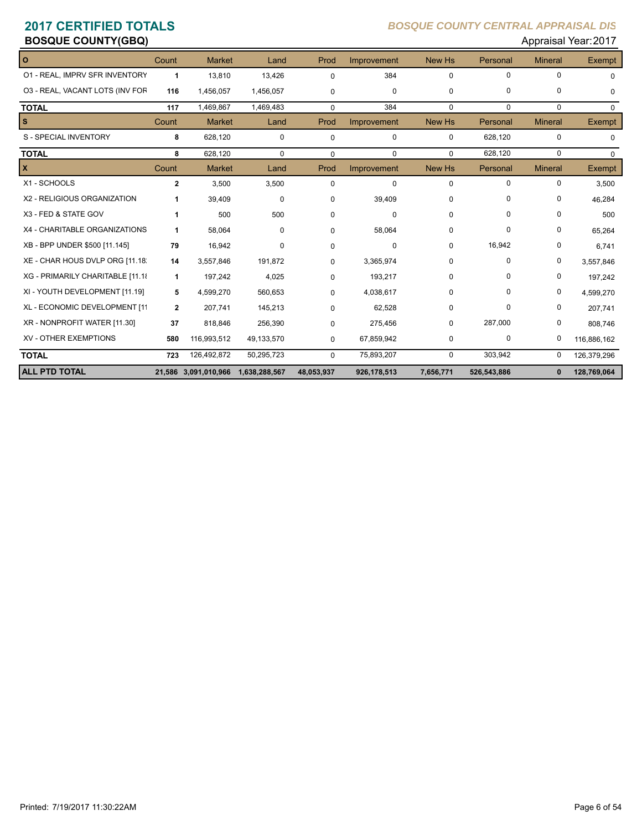| Appraisal Year: 2017<br><b>BOSQUE COUNTY(GBQ)</b> |              |                                    |             |             |             |               |             |                |               |
|---------------------------------------------------|--------------|------------------------------------|-------------|-------------|-------------|---------------|-------------|----------------|---------------|
| O                                                 | Count        | <b>Market</b>                      | Land        | Prod        | Improvement | New Hs        | Personal    | <b>Mineral</b> | Exempt        |
| 01 - REAL, IMPRV SFR INVENTORY                    | 1            | 13,810                             | 13,426      | $\Omega$    | 384         | 0             | $\mathbf 0$ | $\Omega$       | $\Omega$      |
| 03 - REAL, VACANT LOTS (INV FOR                   | 116          | 1,456,057                          | 1,456,057   | 0           | $\mathbf 0$ | 0             | $\mathbf 0$ | 0              | $\Omega$      |
| <b>TOTAL</b>                                      | 117          | 1,469,867                          | 1,469,483   | 0           | 384         | 0             | $\Omega$    | $\Omega$       | $\Omega$      |
| s                                                 | Count        | <b>Market</b>                      | Land        | Prod        | Improvement | New Hs        | Personal    | <b>Mineral</b> | <b>Exempt</b> |
| S - SPECIAL INVENTORY                             | 8            | 628,120                            | $\mathbf 0$ | 0           | $\mathbf 0$ | 0             | 628,120     | 0              | $\Omega$      |
| <b>TOTAL</b>                                      | 8            | 628,120                            | $\Omega$    | $\mathbf 0$ | $\Omega$    | $\mathbf 0$   | 628,120     | $\Omega$       | $\mathbf 0$   |
| X                                                 | Count        | <b>Market</b>                      | Land        | Prod        | Improvement | <b>New Hs</b> | Personal    | <b>Mineral</b> | Exempt        |
| X1 - SCHOOLS                                      | $\mathbf{2}$ | 3,500                              | 3,500       | $\Omega$    | 0           | 0             | 0           | 0              | 3,500         |
| X2 - RELIGIOUS ORGANIZATION                       | 1            | 39,409                             | $\mathbf 0$ | 0           | 39,409      | 0             | 0           | 0              | 46,284        |
| X3 - FED & STATE GOV                              | 1            | 500                                | 500         | 0           | $\Omega$    | $\Omega$      | $\Omega$    | 0              | 500           |
| X4 - CHARITABLE ORGANIZATIONS                     | 1            | 58,064                             | 0           | 0           | 58,064      | $\Omega$      | $\Omega$    | 0              | 65,264        |
| XB - BPP UNDER \$500 [11.145]                     | 79           | 16,942                             | 0           | 0           | 0           | 0             | 16,942      | 0              | 6,741         |
| XE - CHAR HOUS DVLP ORG [11.18]                   | 14           | 3,557,846                          | 191,872     | 0           | 3,365,974   | 0             | $\Omega$    | 0              | 3,557,846     |
| XG - PRIMARILY CHARITABLE [11.18                  | 1            | 197,242                            | 4,025       | 0           | 193,217     | 0             | $\Omega$    | 0              | 197,242       |
| XI - YOUTH DEVELOPMENT [11.19]                    | 5            | 4,599,270                          | 560,653     | 0           | 4,038,617   | 0             | $\Omega$    | 0              | 4,599,270     |
| XL - ECONOMIC DEVELOPMENT [11                     | $\mathbf{2}$ | 207,741                            | 145,213     | 0           | 62,528      | $\Omega$      | $\Omega$    | 0              | 207,741       |
| XR - NONPROFIT WATER [11.30]                      | 37           | 818,846                            | 256,390     | 0           | 275,456     | 0             | 287,000     | 0              | 808,746       |
| <b>XV - OTHER EXEMPTIONS</b>                      | 580          | 116,993,512                        | 49,133,570  | 0           | 67,859,942  | 0             | 0           | 0              | 116,886,162   |
| <b>TOTAL</b>                                      | 723          | 126,492,872                        | 50,295,723  | $\Omega$    | 75,893,207  | 0             | 303,942     | 0              | 126,379,296   |
| <b>ALL PTD TOTAL</b>                              |              | 21,586 3,091,010,966 1,638,288,567 |             | 48,053,937  | 926,178,513 | 7,656,771     | 526,543,886 | $\mathbf{0}$   | 128,769,064   |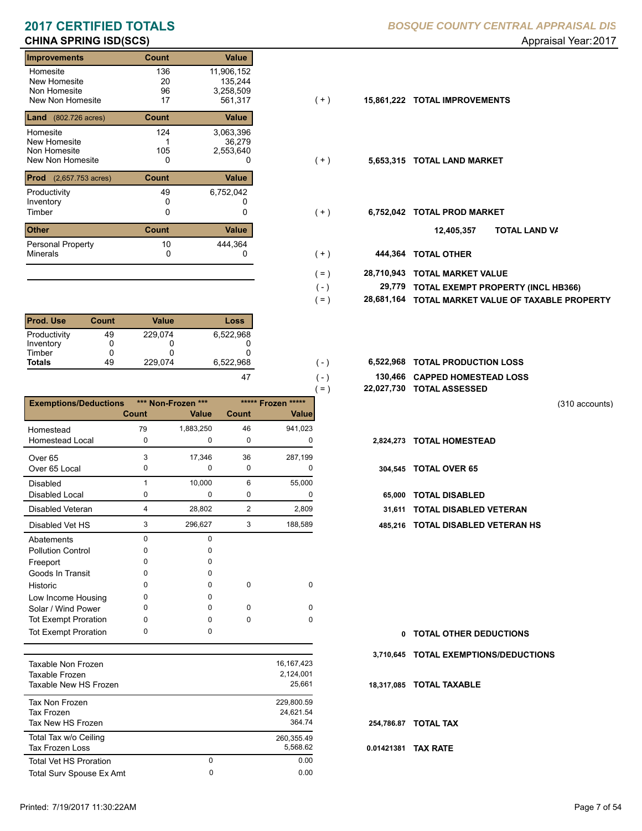### **CHINA SPRING ISD(SCS) CHINA SPRING ISD(SCS) Appraisal Year: 2017**

| <b>Improvements</b>           | <b>Count</b> | Value        |       |            |                           |
|-------------------------------|--------------|--------------|-------|------------|---------------------------|
| Homesite                      | 136          | 11,906,152   |       |            |                           |
| New Homesite                  | 20           | 135,244      |       |            |                           |
| Non Homesite                  | 96           | 3,258,509    |       |            |                           |
| New Non Homesite              | 17           | 561,317      | ( + ) | 15,861,222 | <b>TOTAL IMPROVEMENTS</b> |
| <b>Land</b> (802.726 acres)   | <b>Count</b> | Value        |       |            |                           |
| Homesite                      | 124          | 3,063,396    |       |            |                           |
| New Homesite                  |              | 36.279       |       |            |                           |
| Non Homesite                  | 105          | 2,553,640    |       |            |                           |
| New Non Homesite              | 0            | 0            | $(+)$ | 5,653,315  | <b>TOTAL LAND MARKET</b>  |
| <b>Prod</b> (2,657.753 acres) | <b>Count</b> | <b>Value</b> |       |            |                           |
| Productivity                  | 49           | 6,752,042    |       |            |                           |
| Inventory                     | 0            |              |       |            |                           |
| Timber                        | 0            | 0            | (+)   | 6,752,042  | <b>TOTAL PROD MARKET</b>  |
| <b>Other</b>                  | <b>Count</b> | Value        |       |            | וסד<br>12,405,357         |
| Personal Property             | 10           | 444,364      |       |            |                           |
| <b>Minerals</b>               | 0            | 0            | $(+)$ | 444,364    | <b>TOTAL OTHER</b>        |

| <b>Prod. Use</b> | <b>Count</b> | Value   | Loss      |
|------------------|--------------|---------|-----------|
| Productivity     | 49           | 229.074 | 6,522,968 |
| Inventory        |              |         |           |
| Timber           | 0            |         |           |
| <b>Totals</b>    | 49           | 229,074 | 6,522,968 |
|                  |              |         |           |

|                              |              |                    |                |                    | $=$ )     | 22,027,730 TOTAL ASSESSED |
|------------------------------|--------------|--------------------|----------------|--------------------|-----------|---------------------------|
| <b>Exemptions/Deductions</b> |              | *** Non-Frozen *** |                | ***** Frozen ***** |           |                           |
|                              | <b>Count</b> | Value              | <b>Count</b>   | Value              |           |                           |
| Homestead                    | 79           | 1,883,250          | 46             | 941,023            |           |                           |
| <b>Homestead Local</b>       | 0            | 0                  | 0              | 0                  | 2,824,273 | <b>TOTAL HOMESTEAD</b>    |
| Over <sub>65</sub>           | 3            | 17,346             | 36             | 287,199            |           |                           |
| Over 65 Local                | 0            | 0                  | $\mathbf 0$    | 0                  |           | 304,545 TOTAL OVER 65     |
| <b>Disabled</b>              |              | 10,000             | 6              | 55,000             |           |                           |
| <b>Disabled Local</b>        | 0            | 0                  | 0              | 0                  | 65.000    | <b>TOTAL DISABLED</b>     |
| Disabled Veteran             | 4            | 28,802             | $\overline{2}$ | 2,809              | 31,611    | <b>TOTAL DISABLED VI</b>  |
| Disabled Vet HS              | 3            | 296,627            | 3              | 188,589            | 485.216   | <b>TOTAL DISABLED VI</b>  |
| Abatements                   | $\Omega$     | <sup>0</sup>       |                |                    |           |                           |
| <b>Pollution Control</b>     | 0            | O                  |                |                    |           |                           |
| Freeport                     | 0            | O                  |                |                    |           |                           |
| Goods In Transit             | <sup>0</sup> | <sup>0</sup>       |                |                    |           |                           |
| Historic                     | 0            | 0                  | 0              | 0                  |           |                           |
| Low Income Housing           | 0            | <sup>0</sup>       |                |                    |           |                           |
| Solar / Wind Power           | 0            | <sup>0</sup>       | $\Omega$       | $\Omega$           |           |                           |
| <b>Tot Exempt Proration</b>  | $\Omega$     | 0                  | 0              | $\Omega$           |           |                           |
| <b>Tot Exempt Proration</b>  | 0            | 0                  |                |                    | 0         | <b>TOTAL OTHER DEDL</b>   |

| Taxable Non Frozen<br>Taxable Frozen<br>Taxable New HS Frozen |        | 16.167.423<br>2,124,001<br>25.661 |
|---------------------------------------------------------------|--------|-----------------------------------|
| Tax Non Frozen<br>Tax Frozen<br>Tax New HS Frozen             |        | 229.800.59<br>24.621.54<br>364.74 |
| Total Tax w/o Ceiling<br><b>Tax Frozen Loss</b>               |        | 260.355.49<br>5.568.62            |
| <b>Total Vet HS Proration</b><br>Total Surv Spouse Ex Amt     | 0<br>0 | 0.00<br>0.00                      |
|                                                               |        |                                   |

- $(+)$
- $( + )$
- $(+)$ 
	- **TOTAL LAND VA 12,405,357**
- 0 0 **444,364 TOTAL OTHER**  $(+)$

 $( - )$  $( = )$ 

 $(-)$  $( - )$ 

- **28,710,943 TOTAL MARKET VALUE**  $( = )$ 
	- **TOTAL EXEMPT PROPERTY (INCL HB366) 29,779**
	- **28,681,164 TOTAL MARKET VALUE OF TAXABLE PROPERTY**
- **TOTAL PRODUCTION LOSS** 6,522,968 **6,522,968**
	- **130,466 CAPPED HOMESTEAD LOSS**
	- **22,027,730 TOTAL ASSESSED**

(310 accounts)

- 
- 65,000 TOTAL DISABLED
- **31,611 TOTAL DISABLED VETERAN**
- 3 3 296,627 188,589 **485,216 TOTAL DISABLED VETERAN HS**

**TOTAL OTHER DEDUCTIONS 0 3,710,645 TOTAL EXEMPTIONS/DEDUCTIONS 0.01421381 TAX RATE 18,317,085 TOTAL TAXABLE 254,786.87 TOTAL TAX**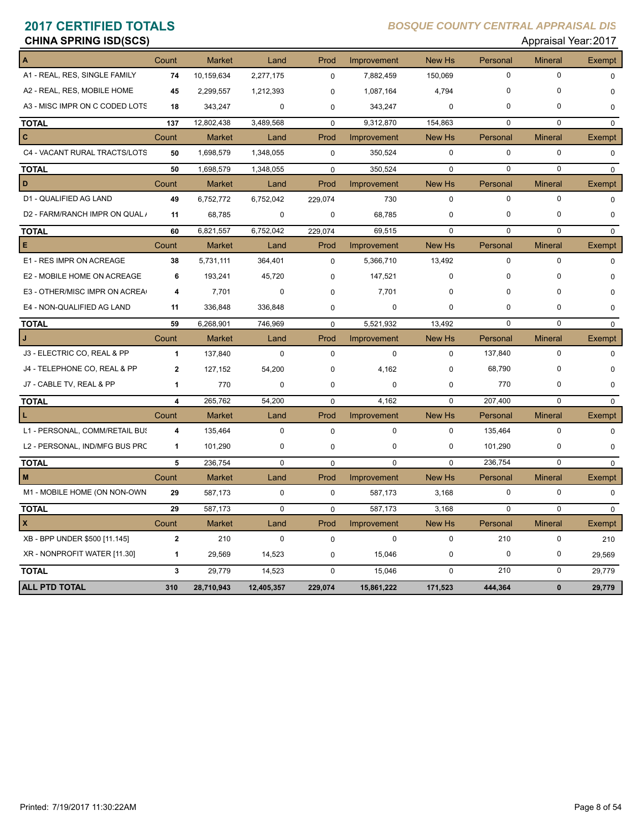### **CHINA SPRING ISD(SCS) CHINA SPRING ISD(SCS) Appraisal Year: 2017**

| A                              | Count                   | <b>Market</b> | Land        | Prod        | Improvement | <b>New Hs</b> | Personal    | <b>Mineral</b> | <b>Exempt</b> |
|--------------------------------|-------------------------|---------------|-------------|-------------|-------------|---------------|-------------|----------------|---------------|
| A1 - REAL, RES, SINGLE FAMILY  | 74                      | 10,159,634    | 2,277,175   | $\mathbf 0$ | 7,882,459   | 150,069       | $\mathbf 0$ | $\Omega$       | $\Omega$      |
| A2 - REAL, RES, MOBILE HOME    | 45                      | 2,299,557     | 1,212,393   | $\mathbf 0$ | 1,087,164   | 4,794         | $\Omega$    | $\Omega$       | $\mathbf 0$   |
| A3 - MISC IMPR ON C CODED LOTS | 18                      | 343,247       | $\mathbf 0$ | $\mathbf 0$ | 343,247     | $\mathbf 0$   | 0           | $\mathbf 0$    | $\mathbf 0$   |
| <b>TOTAL</b>                   | 137                     | 12,802,438    | 3,489,568   | $\mathbf 0$ | 9,312,870   | 154,863       | $\Omega$    | $\Omega$       | $\mathbf 0$   |
| c                              | Count                   | <b>Market</b> | Land        | Prod        | Improvement | New Hs        | Personal    | <b>Mineral</b> | Exempt        |
| C4 - VACANT RURAL TRACTS/LOTS  | 50                      | 1,698,579     | 1,348,055   | $\mathbf 0$ | 350,524     | $\pmb{0}$     | $\mathbf 0$ | $\mathbf 0$    | $\mathbf 0$   |
| <b>TOTAL</b>                   | 50                      | 1,698,579     | 1,348,055   | $\mathbf 0$ | 350,524     | $\pmb{0}$     | $\mathbf 0$ | $\mathbf 0$    | $\mathbf 0$   |
| D                              | Count                   | <b>Market</b> | Land        | Prod        | Improvement | New Hs        | Personal    | <b>Mineral</b> | Exempt        |
| D1 - QUALIFIED AG LAND         | 49                      | 6,752,772     | 6,752,042   | 229,074     | 730         | $\mathbf 0$   | $\mathbf 0$ | $\mathbf 0$    | $\mathbf 0$   |
| D2 - FARM/RANCH IMPR ON QUAL / | 11                      | 68,785        | $\mathbf 0$ | $\mathbf 0$ | 68,785      | $\mathbf 0$   | 0           | 0              | $\mathbf 0$   |
| <b>TOTAL</b>                   | 60                      | 6,821,557     | 6,752,042   | 229,074     | 69,515      | $\mathbf 0$   | $\mathbf 0$ | $\mathbf 0$    | $\mathbf 0$   |
| E                              | Count                   | <b>Market</b> | Land        | Prod        | Improvement | New Hs        | Personal    | <b>Mineral</b> | Exempt        |
| E1 - RES IMPR ON ACREAGE       | 38                      | 5,731,111     | 364,401     | $\mathbf 0$ | 5,366,710   | 13,492        | 0           | $\mathbf 0$    | $\mathbf 0$   |
| E2 - MOBILE HOME ON ACREAGE    | 6                       | 193,241       | 45,720      | $\Omega$    | 147,521     | $\Omega$      | 0           | $\mathbf 0$    | $\Omega$      |
| E3 - OTHER/MISC IMPR ON ACREA  | 4                       | 7,701         | $\mathbf 0$ | $\Omega$    | 7,701       | $\mathbf 0$   | $\Omega$    | 0              | $\mathbf 0$   |
| E4 - NON-QUALIFIED AG LAND     | 11                      | 336,848       | 336,848     | $\Omega$    | $\mathbf 0$ | $\mathbf 0$   | 0           | $\mathbf 0$    | $\mathbf 0$   |
| <b>TOTAL</b>                   | 59                      | 6,268,901     | 746,969     | $\mathbf 0$ | 5,521,932   | 13,492        | 0           | $\mathbf 0$    | $\mathbf 0$   |
|                                | Count                   | <b>Market</b> | Land        | Prod        | Improvement | New Hs        | Personal    | <b>Mineral</b> | <b>Exempt</b> |
| J3 - ELECTRIC CO, REAL & PP    | $\mathbf{1}$            | 137,840       | $\mathbf 0$ | $\mathbf 0$ | $\mathbf 0$ | $\mathbf 0$   | 137,840     | $\mathbf 0$    | $\mathbf 0$   |
| J4 - TELEPHONE CO, REAL & PP   | $\overline{2}$          | 127,152       | 54,200      | $\Omega$    | 4,162       | $\mathbf 0$   | 68,790      | $\mathbf 0$    | $\Omega$      |
| J7 - CABLE TV, REAL & PP       | 1                       | 770           | $\pmb{0}$   | $\mathbf 0$ | $\mathbf 0$ | $\pmb{0}$     | 770         | 0              | $\mathbf 0$   |
| <b>TOTAL</b>                   | 4                       | 265,762       | 54,200      | $\Omega$    | 4,162       | $\Omega$      | 207,400     | $\mathbf 0$    | $\Omega$      |
| L                              | Count                   | <b>Market</b> | Land        | Prod        | Improvement | <b>New Hs</b> | Personal    | <b>Mineral</b> | Exempt        |
| L1 - PERSONAL, COMM/RETAIL BUS | $\overline{\mathbf{4}}$ | 135,464       | $\mathsf 0$ | $\mathbf 0$ | $\pmb{0}$   | $\mathbf 0$   | 135,464     | 0              | $\mathbf 0$   |
| L2 - PERSONAL, IND/MFG BUS PRC | $\mathbf{1}$            | 101,290       | $\mathbf 0$ | $\mathbf 0$ | 0           | $\mathbf 0$   | 101,290     | $\mathbf 0$    | 0             |
| <b>TOTAL</b>                   | 5                       | 236,754       | $\pmb{0}$   | $\mathbf 0$ | $\Omega$    | $\Omega$      | 236,754     | $\Omega$       | $\mathbf 0$   |
| M                              | Count                   | <b>Market</b> | Land        | Prod        | Improvement | New Hs        | Personal    | <b>Mineral</b> | Exempt        |
| M1 - MOBILE HOME (ON NON-OWN   | 29                      | 587,173       | $\mathbf 0$ | $\mathbf 0$ | 587,173     | 3,168         | $\mathbf 0$ | 0              | 0             |
| <b>TOTAL</b>                   | 29                      | 587,173       | $\mathbf 0$ | $\mathbf 0$ | 587,173     | 3,168         | $\Omega$    | $\mathbf 0$    | 0             |
| X                              | Count                   | <b>Market</b> | Land        | Prod        | Improvement | New Hs        | Personal    | <b>Mineral</b> | Exempt        |
| XB - BPP UNDER \$500 [11.145]  | $\mathbf{2}$            | 210           | $\mathbf 0$ | $\mathbf 0$ | $\mathbf 0$ | $\mathbf 0$   | 210         | $\mathbf 0$    | 210           |
| XR - NONPROFIT WATER [11.30]   | $\mathbf{1}$            | 29,569        | 14,523      | $\mathbf 0$ | 15,046      | $\mathbf 0$   | $\mathbf 0$ | 0              | 29.569        |
| <b>TOTAL</b>                   | 3                       | 29,779        | 14,523      | $\mathbf 0$ | 15,046      | $\mathbf 0$   | 210         | 0              | 29.779        |
| <b>ALL PTD TOTAL</b>           | 310                     | 28,710,943    | 12,405,357  | 229,074     | 15,861,222  | 171,523       | 444,364     | $\mathbf{0}$   | 29,779        |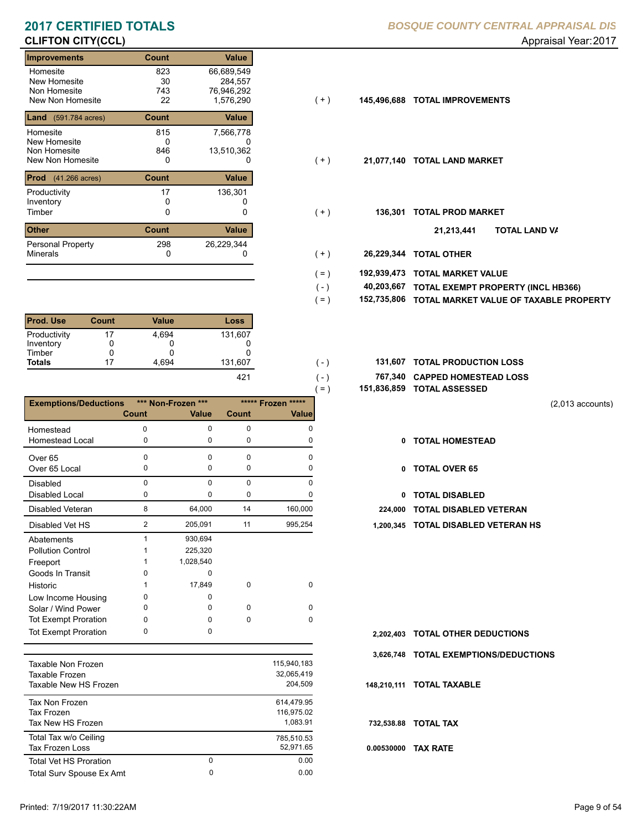# **CLIFTON CITY(CCL) CLIFTON CITY(CCL) Appraisal Year: 2017**

| <b>Improvements</b>                                          | <b>Count</b>           | Value                                            |       |             |                           |     |
|--------------------------------------------------------------|------------------------|--------------------------------------------------|-------|-------------|---------------------------|-----|
| Homesite<br>New Homesite<br>Non Homesite<br>New Non Homesite | 823<br>30<br>743<br>22 | 66,689,549<br>284,557<br>76,946,292<br>1,576,290 | (+)   | 145,496,688 | <b>TOTAL IMPROVEMENTS</b> |     |
| <b>Land</b> (591.784 acres)                                  | <b>Count</b>           | Value                                            |       |             |                           |     |
| Homesite<br>New Homesite<br>Non Homesite<br>New Non Homesite | 815<br>0<br>846<br>0   | 7,566,778<br>U<br>13,510,362<br>0                | $(+)$ | 21,077,140  | <b>TOTAL LAND MARKET</b>  |     |
| <b>Prod</b> (41.266 acres)                                   | <b>Count</b>           | Value                                            |       |             |                           |     |
| Productivity<br>Inventory<br>Timber                          | 17<br>0                | 136,301<br>0                                     | ( + ) | 136.301     | <b>TOTAL PROD MARKET</b>  |     |
| <b>Other</b>                                                 | <b>Count</b>           | Value                                            |       |             | 21,213,441                | וסד |
| <b>Personal Property</b><br>Minerals                         | 298<br>0               | 26,229,344<br>0                                  | $(+)$ | 26,229,344  | <b>TOTAL OTHER</b>        |     |

| <b>Prod. Use</b> | Count | Value | Loss    |
|------------------|-------|-------|---------|
| Productivity     | 17    | 4.694 | 131,607 |
| Inventory        |       |       |         |
| Timber           | O     |       |         |
| <b>Totals</b>    | 17    | 4.694 | 131,607 |
|                  |       |       |         |

|                              |          |                    |              | $( = )$ | 151,836,859 |
|------------------------------|----------|--------------------|--------------|---------|-------------|
| <b>Exemptions/Deductions</b> |          | *** Non-Frozen *** | ***** Frozen | $****$  |             |
|                              | Count    | <b>Value</b>       | <b>Count</b> | Value   |             |
| Homestead                    | O        | 0                  | 0            | O       |             |
| <b>Homestead Local</b>       | 0        | $\mathbf 0$        | 0            | 0       | 0           |
| Over <sub>65</sub>           | O        | $\Omega$           | O            | n       |             |
| Over 65 Local                | 0        | 0                  | 0            | O       | 0           |
| <b>Disabled</b>              | $\Omega$ | $\Omega$           | 0            | 0       |             |
| <b>Disabled Local</b>        | 0        | 0                  | 0            | O       | 0           |
| <b>Disabled Veteran</b>      | 8        | 64,000             | 14           | 160,000 | 224,000     |
| Disabled Vet HS              | 2        | 205,091            | 11           | 995,254 | 1,200,345   |
| Abatements                   | 1        | 930,694            |              |         |             |
| <b>Pollution Control</b>     |          | 225,320            |              |         |             |
| Freeport                     |          | 1,028,540          |              |         |             |
| Goods In Transit             | o        | U                  |              |         |             |
| Historic                     |          | 17,849             | 0            | 0       |             |
| Low Income Housing           | 0        | 0                  |              |         |             |
| Solar / Wind Power           | 0        | 0                  | 0            | 0       |             |
| <b>Tot Exempt Proration</b>  | 0        | 0                  | 0            | 0       |             |
| <b>Tot Exempt Proration</b>  | 0        | 0                  |              |         | 2,202,403   |

| Taxable Non Frozen<br>Taxable Frozen<br>Taxable New HS Frozen |        | 115.940.183<br>32.065.419<br>204.509 |
|---------------------------------------------------------------|--------|--------------------------------------|
| Tax Non Frozen<br>Tax Frozen<br>Tax New HS Frozen             |        | 614.479.95<br>116.975.02<br>1.083.91 |
| Total Tax w/o Ceiling<br>Tax Frozen Loss                      |        | 785,510.53<br>52,971.65              |
| <b>Total Vet HS Proration</b><br>Total Surv Spouse Ex Amt     | 0<br>0 | 0.00<br>0.00                         |
|                                                               |        |                                      |

- 
- $( + )$
- $( + )$
- $(+)$ 
	- **TOTAL LAND VA 21,213,441**
- 0 0 **26,229,344 TOTAL OTHER**  $(+)$

 $( - )$  $( - )$ 

- **192,939,473 TOTAL MARKET VALUE**  $( = )$
- **TOTAL EXEMPT PROPERTY (INCL HB366) 40,203,667**  $( - )$
- **152,735,806 TOTAL MARKET VALUE OF TAXABLE PROPERTY**  $( = )$
- **TOTAL PRODUCTION LOSS** 131,607 **131,607**
	- **767,340 CAPPED HOMESTEAD LOSS**
	- **151,836,859 TOTAL ASSESSED**

(2,013 accounts)

- **TOTAL HOMESTEAD**
- 0 TOTAL OVER 65
- 0 TOTAL DISABLED
- 224,000 TOTAL DISABLED VETERAN
- 2 11 205,091 995,254 **1,200,345 TOTAL DISABLED VETERAN HS**

- **TOTAL OTHER DEDUCTIONS 2,202,403**
- **3,626,748 TOTAL EXEMPTIONS/DEDUCTIONS**
- **148,210,111 TOTAL TAXABLE**
- **732,538.88 TOTAL TAX**
- **0.00530000 TAX RATE**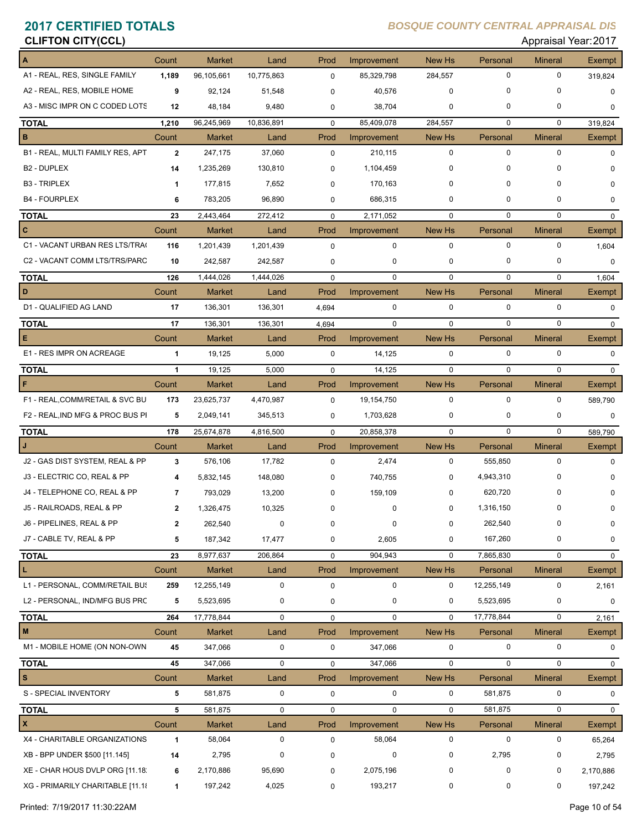# **CLIFTON CITY(CCL) CLIFTON CITY(CCL)**

| A                                                                   | Count        | <b>Market</b> | Land        | Prod        | Improvement | New Hs      | Personal    | <b>Mineral</b> | <b>Exempt</b> |
|---------------------------------------------------------------------|--------------|---------------|-------------|-------------|-------------|-------------|-------------|----------------|---------------|
| A1 - REAL, RES, SINGLE FAMILY                                       | 1,189        | 96,105,661    | 10,775,863  | $\mathbf 0$ | 85,329,798  | 284,557     | $\mathbf 0$ | $\mathbf 0$    | 319,824       |
| A2 - REAL, RES, MOBILE HOME                                         | 9            | 92,124        | 51,548      | $\mathbf 0$ | 40,576      | 0           | 0           | 0              | $\mathbf 0$   |
| A3 - MISC IMPR ON C CODED LOTS                                      | 12           | 48,184        | 9,480       | 0           | 38,704      | 0           | 0           | 0              | $\mathbf 0$   |
| <b>TOTAL</b>                                                        | 1,210        | 96,245,969    | 10,836,891  | $\mathbf 0$ | 85,409,078  | 284,557     | $\mathbf 0$ | 0              | 319,824       |
| B                                                                   | Count        | Market        | Land        | Prod        | Improvement | New Hs      | Personal    | <b>Mineral</b> | Exempt        |
| B1 - REAL, MULTI FAMILY RES, APT                                    | $\mathbf{2}$ | 247,175       | 37,060      | $\mathbf 0$ | 210,115     | 0           | $\mathbf 0$ | $\mathbf 0$    | $\mathbf 0$   |
| B2 - DUPLEX                                                         | 14           | 1,235,269     | 130,810     | $\mathbf 0$ | 1,104,459   | 0           | $\Omega$    | $\Omega$       | $\mathbf 0$   |
| <b>B3 - TRIPLEX</b>                                                 | $\mathbf 1$  | 177,815       | 7,652       | 0           | 170,163     | 0           | 0           | O              | 0             |
| <b>B4 - FOURPLEX</b>                                                | 6            | 783,205       | 96,890      | 0           | 686,315     | 0           | 0           | $\Omega$       | $\mathbf 0$   |
| <b>TOTAL</b>                                                        | 23           | 2,443,464     | 272,412     | $\mathbf 0$ | 2,171,052   | $\mathbf 0$ | $\mathbf 0$ | 0              | $\mathbf 0$   |
| c                                                                   | Count        | <b>Market</b> | Land        | Prod        | Improvement | New Hs      | Personal    | <b>Mineral</b> | <b>Exempt</b> |
| C1 - VACANT URBAN RES LTS/TRA(                                      | 116          | 1,201,439     | 1,201,439   | $\mathbf 0$ | $\mathbf 0$ | $\mathbf 0$ | $\mathbf 0$ | $\mathbf 0$    | 1,604         |
| C2 - VACANT COMM LTS/TRS/PARC                                       | 10           | 242,587       | 242,587     | $\mathbf 0$ | 0           | 0           | 0           | 0              | $\mathbf 0$   |
| <b>TOTAL</b>                                                        | 126          | 1,444,026     | 1,444,026   | $\mathbf 0$ | $\Omega$    | $\mathbf 0$ | $\Omega$    | $\mathbf 0$    | 1,604         |
| D                                                                   | Count        | <b>Market</b> | Land        | Prod        | Improvement | New Hs      | Personal    | <b>Mineral</b> | Exempt        |
| D1 - QUALIFIED AG LAND                                              | 17           | 136,301       | 136,301     | 4,694       | 0           | 0           | $\mathbf 0$ | 0              | $\mathbf 0$   |
| <b>TOTAL</b>                                                        | 17           | 136,301       | 136,301     | 4,694       | $\mathbf 0$ | $\mathbf 0$ | $\mathbf 0$ | $\mathbf 0$    | 0             |
| IЕ.                                                                 | Count        | <b>Market</b> | Land        | Prod        | Improvement | New Hs      | Personal    | <b>Mineral</b> | Exempt        |
| E1 - RES IMPR ON ACREAGE                                            | $\mathbf{1}$ | 19,125        | 5,000       | $\mathbf 0$ | 14,125      | $\mathbf 0$ | $\mathbf 0$ | $\mathbf 0$    | $\mathbf 0$   |
| <b>TOTAL</b>                                                        | $\mathbf{1}$ | 19,125        | 5,000       | $\mathbf 0$ | 14,125      | $\mathbf 0$ | 0           | $\Omega$       | $\Omega$      |
| F                                                                   | Count        | <b>Market</b> | Land        | Prod        | Improvement | New Hs      | Personal    | <b>Mineral</b> | <b>Exempt</b> |
| F1 - REAL, COMM/RETAIL & SVC BU                                     | 173          | 23,625,737    | 4,470,987   | $\mathbf 0$ | 19,154,750  | $\mathbf 0$ | $\mathbf 0$ | $\mathbf 0$    | 589,790       |
| F2 - REAL, IND MFG & PROC BUS PI                                    | 5            | 2,049,141     | 345,513     | $\mathbf 0$ | 1,703,628   | 0           | 0           | 0              | 0             |
| <b>TOTAL</b>                                                        | 178          | 25,674,878    | 4,816,500   | $\mathbf 0$ | 20,858,378  | $\mathbf 0$ | $\mathbf 0$ | 0              | 589,790       |
| IJ                                                                  | Count        | <b>Market</b> | Land        | Prod        | Improvement | New Hs      | Personal    | <b>Mineral</b> | <b>Exempt</b> |
| J2 - GAS DIST SYSTEM, REAL & PP                                     | 3            | 576,106       | 17,782      | $\mathbf 0$ | 2,474       | $\mathbf 0$ | 555,850     | $\mathbf 0$    | 0             |
| J3 - ELECTRIC CO, REAL & PP                                         | 4            | 5,832,145     | 148,080     | 0           | 740,755     | 0           | 4,943,310   | 0              | 0             |
| J4 - TELEPHONE CO, REAL & PP                                        | 7            | 793,029       | 13,200      | 0           | 159,109     | 0           | 620,720     | 0              | 0             |
| J5 - RAILROADS, REAL & PP                                           | $\mathbf{2}$ | 1,326,475     | 10,325      | 0           | 0           | 0           | 1,316,150   | 0              | 0             |
| J6 - PIPELINES, REAL & PP                                           | $\mathbf{2}$ | 262,540       | $\mathbf 0$ |             |             | 0           | 262,540     |                | 0             |
| J7 - CABLE TV, REAL & PP                                            | 5            | 187,342       | 17,477      | $\mathbf 0$ | 2,605       | 0           | 167,260     | 0              | 0             |
| <b>TOTAL</b>                                                        | 23           | 8,977,637     | 206,864     | 0           | 904,943     | $\mathbf 0$ | 7,865,830   | 0              | $\mathbf 0$   |
| L.                                                                  | Count        | <b>Market</b> | Land        | Prod        | Improvement | New Hs      | Personal    | <b>Mineral</b> | Exempt        |
| L1 - PERSONAL, COMM/RETAIL BUS                                      | 259          | 12,255,149    | $\mathbf 0$ | $\mathbf 0$ | 0           | 0           | 12,255,149  | 0              | 2,161         |
| L2 - PERSONAL, IND/MFG BUS PRC                                      | 5            | 5,523,695     | 0           | 0           | 0           | 0           | 5,523,695   | 0              | 0             |
| <b>TOTAL</b>                                                        |              |               |             |             |             |             |             |                |               |
|                                                                     | 264          | 17,778,844    | $\mathbf 0$ | 0           | 0           | $\mathbf 0$ | 17,778,844  | 0              | 2,161         |
| M                                                                   | Count        | <b>Market</b> | Land        | Prod        | Improvement | New Hs      | Personal    | <b>Mineral</b> | Exempt        |
| M1 - MOBILE HOME (ON NON-OWN                                        | 45           | 347,066       | $\mathbf 0$ | $\mathbf 0$ | 347,066     | 0           | $\mathbf 0$ | 0              | 0             |
| <b>TOTAL</b>                                                        | 45           | 347,066       | $\mathbf 0$ | $\mathbf 0$ | 347,066     | $\mathbf 0$ | $\mathbf 0$ | $\mathbf 0$    | 0             |
| $\vert s$                                                           | Count        | <b>Market</b> | Land        | Prod        | Improvement | New Hs      | Personal    | <b>Mineral</b> | Exempt        |
| S - SPECIAL INVENTORY                                               | 5            | 581,875       | $\pmb{0}$   | $\mathbf 0$ | $\mathbf 0$ | 0           | 581,875     | 0              | $\mathbf 0$   |
| <b>TOTAL</b>                                                        | 5            | 581,875       | 0           | 0           | $\mathbf 0$ | $\mathbf 0$ | 581,875     | $\mathbf 0$    | 0             |
| $\mathbf{x}$                                                        | Count        | <b>Market</b> | Land        | Prod        | Improvement | New Hs      | Personal    | <b>Mineral</b> | Exempt        |
| X4 - CHARITABLE ORGANIZATIONS                                       | 1            | 58,064        | $\pmb{0}$   | $\mathbf 0$ | 58,064      | 0           | $\mathbf 0$ | 0              | 65,264        |
| XB - BPP UNDER \$500 [11.145]                                       | 14           | 2,795         | 0           | $\mathbf 0$ | 0           | 0           | 2,795       | 0              | 2,795         |
| XE - CHAR HOUS DVLP ORG [11.18]<br>XG - PRIMARILY CHARITABLE [11.18 | 6            | 2,170,886     | 95,690      | 0           | 2,075,196   | 0           | 0           | 0              | 2,170,886     |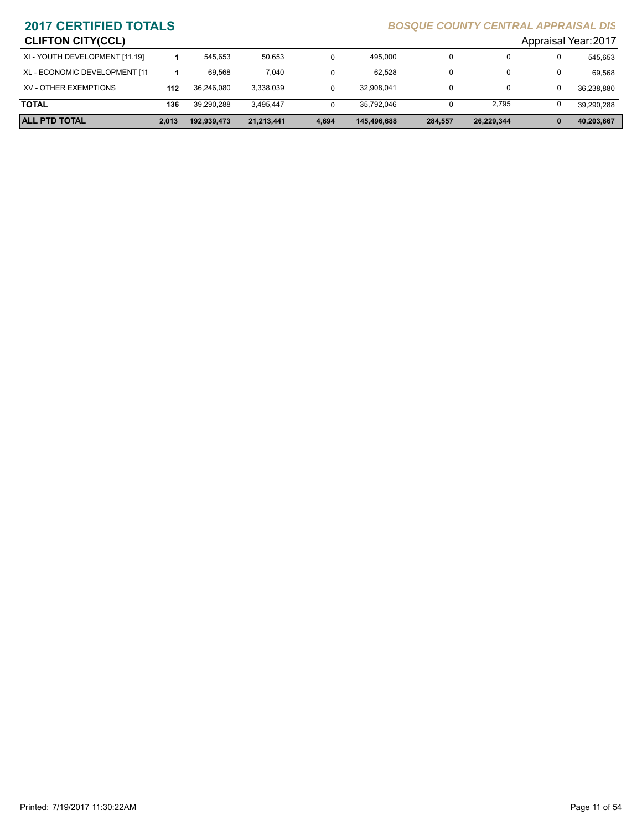| <b>CLIFTON CITY(CCL)</b>       |       |             |            |       |             |          |            |   | Appraisal Year: 2017 |
|--------------------------------|-------|-------------|------------|-------|-------------|----------|------------|---|----------------------|
| XI - YOUTH DEVELOPMENT [11.19] |       | 545.653     | 50.653     |       | 495,000     | 0        |            | 0 | 545.653              |
| XL - ECONOMIC DEVELOPMENT [11  |       | 69.568      | 7,040      |       | 62.528      | $\Omega$ |            | 0 | 69.568               |
| XV - OTHER EXEMPTIONS          | 112   | 36.246.080  | 3,338,039  |       | 32.908.041  | 0        |            | 0 | 36,238,880           |
| <b>TOTAL</b>                   | 136   | 39.290.288  | 3.495.447  |       | 35.792.046  |          | 2.795      | 0 | 39.290.288           |
| <b>ALL PTD TOTAL</b>           | 2.013 | 192.939.473 | 21.213.441 | 4,694 | 145,496,688 | 284,557  | 26,229,344 |   | 40,203,667           |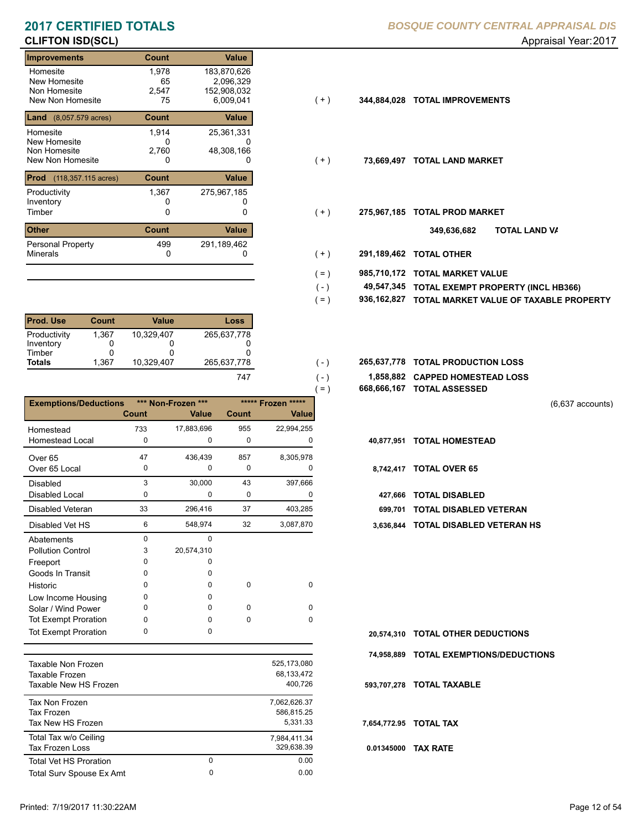# **CLIFTON ISD(SCL)** Approximately and the set of the set of the set of the set of the set of the set of the set of the set of the set of the set of the set of the set of the set of the set of the set of the set of the set o

| <b>Improvements</b>                                          | <b>Count</b>               | Value                                                |       |             |                           |
|--------------------------------------------------------------|----------------------------|------------------------------------------------------|-------|-------------|---------------------------|
| Homesite<br>New Homesite<br>Non Homesite<br>New Non Homesite | 1,978<br>65<br>2,547<br>75 | 183,870,626<br>2,096,329<br>152,908,032<br>6,009,041 | (+)   | 344,884,028 | <b>TOTAL IMPROVEMENTS</b> |
| <b>Land</b> (8,057.579 acres)                                | <b>Count</b>               | Value                                                |       |             |                           |
| Homesite<br>New Homesite<br>Non Homesite<br>New Non Homesite | 1,914<br>0<br>2,760<br>0   | 25,361,331<br>48,308,166<br>0                        | $(+)$ | 73,669,497  | <b>TOTAL LAND MARKET</b>  |
| <b>Prod</b><br>(118,357.115 acres)                           | <b>Count</b>               | Value                                                |       |             |                           |
| Productivity<br>Inventory<br>Timber                          | 1,367<br>0                 | 275,967,185                                          | $(+)$ | 275,967,185 | <b>TOTAL PROD MARKET</b>  |
| <b>Other</b>                                                 | <b>Count</b>               | Value                                                |       |             | וסד<br>349,636,682        |
| <b>Personal Property</b><br><b>Minerals</b>                  | 499<br>0                   | 291,189,462                                          | $+ )$ | 291,189,462 | <b>TOTAL OTHER</b>        |

| <b>Prod. Use</b>                    | Count      | Value      | Loss        |
|-------------------------------------|------------|------------|-------------|
| Productivity<br>Inventory<br>Timber | 1,367<br>0 | 10.329.407 | 265,637,778 |
| <b>Totals</b>                       | 1.367      | 10.329.407 | 265.637.778 |
|                                     |            |            |             |

| *** Non-Frozen ***<br>***** Frozen *****<br><b>Exemptions/Deductions</b><br><b>Count</b><br><b>Value</b><br>Count<br><b>Value</b><br>17,883,696<br>955<br>22,994,255<br>733<br>Homestead<br><b>Homestead Local</b><br>0<br>0<br>0<br>0<br>47<br>857<br>8,305,978<br>436,439<br>Over <sub>65</sub><br>Over 65 Local<br>0<br>$\mathbf 0$<br>0<br>0<br>3<br>30,000<br>43<br>397,666<br>Disabled<br>0<br>0<br>0<br>Disabled Local<br>0<br>33<br>37<br>296,416<br>Disabled Veteran<br>403,285<br>6<br>32<br>Disabled Vet HS<br>548,974<br>3,087,870<br>$\Omega$<br>0<br>Abatements<br>20,574,310<br>3<br><b>Pollution Control</b><br>0<br>Freeport<br>0<br>Goods In Transit<br>O<br>0<br>$\Omega$<br>$\Omega$<br>Historic<br>0<br>0<br>0<br>O<br>Low Income Housing<br>$\Omega$<br>$\Omega$<br>0<br>0<br>Solar / Wind Power<br><b>Tot Exempt Proration</b><br>$\Omega$<br>$\Omega$<br>0<br>0<br>0<br>$\Omega$<br><b>Tot Exempt Proration</b> |  |  | 668,666,167 TOTAL ASSESSED<br>$( = )$ |                        |
|-----------------------------------------------------------------------------------------------------------------------------------------------------------------------------------------------------------------------------------------------------------------------------------------------------------------------------------------------------------------------------------------------------------------------------------------------------------------------------------------------------------------------------------------------------------------------------------------------------------------------------------------------------------------------------------------------------------------------------------------------------------------------------------------------------------------------------------------------------------------------------------------------------------------------------------------|--|--|---------------------------------------|------------------------|
|                                                                                                                                                                                                                                                                                                                                                                                                                                                                                                                                                                                                                                                                                                                                                                                                                                                                                                                                         |  |  |                                       |                        |
|                                                                                                                                                                                                                                                                                                                                                                                                                                                                                                                                                                                                                                                                                                                                                                                                                                                                                                                                         |  |  |                                       |                        |
|                                                                                                                                                                                                                                                                                                                                                                                                                                                                                                                                                                                                                                                                                                                                                                                                                                                                                                                                         |  |  |                                       |                        |
|                                                                                                                                                                                                                                                                                                                                                                                                                                                                                                                                                                                                                                                                                                                                                                                                                                                                                                                                         |  |  | 40,877,951                            | <b>TOTAL HOMESTEAD</b> |
|                                                                                                                                                                                                                                                                                                                                                                                                                                                                                                                                                                                                                                                                                                                                                                                                                                                                                                                                         |  |  |                                       |                        |
|                                                                                                                                                                                                                                                                                                                                                                                                                                                                                                                                                                                                                                                                                                                                                                                                                                                                                                                                         |  |  | 8,742,417                             | <b>TOTAL OVER 65</b>   |
|                                                                                                                                                                                                                                                                                                                                                                                                                                                                                                                                                                                                                                                                                                                                                                                                                                                                                                                                         |  |  |                                       |                        |
|                                                                                                                                                                                                                                                                                                                                                                                                                                                                                                                                                                                                                                                                                                                                                                                                                                                                                                                                         |  |  | 427,666                               | <b>TOTAL DISABLED</b>  |
|                                                                                                                                                                                                                                                                                                                                                                                                                                                                                                                                                                                                                                                                                                                                                                                                                                                                                                                                         |  |  | 699.701                               |                        |
|                                                                                                                                                                                                                                                                                                                                                                                                                                                                                                                                                                                                                                                                                                                                                                                                                                                                                                                                         |  |  | 3,636,844                             |                        |
|                                                                                                                                                                                                                                                                                                                                                                                                                                                                                                                                                                                                                                                                                                                                                                                                                                                                                                                                         |  |  |                                       |                        |
|                                                                                                                                                                                                                                                                                                                                                                                                                                                                                                                                                                                                                                                                                                                                                                                                                                                                                                                                         |  |  |                                       |                        |
|                                                                                                                                                                                                                                                                                                                                                                                                                                                                                                                                                                                                                                                                                                                                                                                                                                                                                                                                         |  |  |                                       |                        |
|                                                                                                                                                                                                                                                                                                                                                                                                                                                                                                                                                                                                                                                                                                                                                                                                                                                                                                                                         |  |  |                                       |                        |
|                                                                                                                                                                                                                                                                                                                                                                                                                                                                                                                                                                                                                                                                                                                                                                                                                                                                                                                                         |  |  |                                       |                        |
|                                                                                                                                                                                                                                                                                                                                                                                                                                                                                                                                                                                                                                                                                                                                                                                                                                                                                                                                         |  |  |                                       |                        |
|                                                                                                                                                                                                                                                                                                                                                                                                                                                                                                                                                                                                                                                                                                                                                                                                                                                                                                                                         |  |  |                                       |                        |
|                                                                                                                                                                                                                                                                                                                                                                                                                                                                                                                                                                                                                                                                                                                                                                                                                                                                                                                                         |  |  |                                       |                        |
|                                                                                                                                                                                                                                                                                                                                                                                                                                                                                                                                                                                                                                                                                                                                                                                                                                                                                                                                         |  |  | 20,574,310                            |                        |

| Taxable Non Frozen<br>Taxable Frozen<br>Taxable New HS Frozen   |   | 525.173.080<br>68.133.472<br>400.726   |
|-----------------------------------------------------------------|---|----------------------------------------|
| <b>Tax Non Frozen</b><br><b>Tax Frozen</b><br>Tax New HS Frozen |   | 7.062.626.37<br>586.815.25<br>5.331.33 |
| Total Tax w/o Ceiling<br>Tax Frozen Loss                        |   | 7.984.411.34<br>329,638.39             |
| <b>Total Vet HS Proration</b>                                   | 0 | 0.00                                   |
| Total Surv Spouse Ex Amt                                        | 0 | 0.00                                   |

**2017 CERTIFIED TOTALS** *BOSQUE COUNTY CENTRAL APPRAISAL DIS*

- $( + )$
- $( + )$
- $( + )$ 
	- **TOTAL LAND VA 349,636,682**
- 0 0 **291,189,462 TOTAL OTHER**  $(+)$

 $( - )$ 

 $\equiv$ 

 $(-)$  $( - )$ 

- **985,710,172 TOTAL MARKET VALUE**  $( = )$ 
	- **TOTAL EXEMPT PROPERTY (INCL HB366) 49,547,345**
- **936,162,827 TOTAL MARKET VALUE OF TAXABLE PROPERTY**  $( = )$
- **TOTAL PRODUCTION LOSS** 265,637,778 **265,637,778**
	- **1,858,882 CAPPED HOMESTEAD LOSS**
	- **668,666,167 TOTAL ASSESSED**

(6,637 accounts)

- -
- Disabled Veteran **TOTAL DISABLED VETERAN**
- 6 32 548,974 3,087,870 **3,636,844 TOTAL DISABLED VETERAN HS**

| 20.574.310 TOTAL OTHER DEDUCTIONS      |
|----------------------------------------|
| 74,958,889 TOTAL EXEMPTIONS/DEDUCTIONS |

**593,707,278 TOTAL TAXABLE**

**7,654,772.95 TOTAL TAX**

**0.01345000 TAX RATE**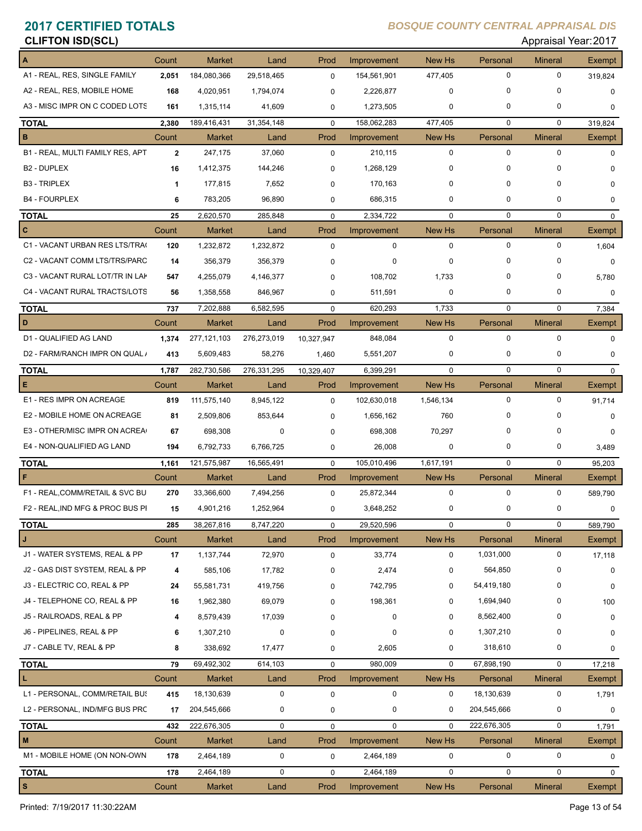# **CLIFTON ISD(SCL)** Appraisal Year: 2017

|                                  | Count        | <b>Market</b> | Land        | Prod        | Improvement | New Hs      | Personal     | <b>Mineral</b> | Exempt        |
|----------------------------------|--------------|---------------|-------------|-------------|-------------|-------------|--------------|----------------|---------------|
| A1 - REAL, RES, SINGLE FAMILY    | 2,051        | 184,080,366   | 29,518,465  | $\mathbf 0$ | 154,561,901 | 477,405     | $\mathbf 0$  | $\mathbf 0$    | 319,824       |
| A2 - REAL, RES, MOBILE HOME      | 168          | 4,020,951     | 1,794,074   | 0           | 2,226,877   | 0           | 0            | 0              | 0             |
| A3 - MISC IMPR ON C CODED LOTS   | 161          | 1,315,114     | 41,609      | 0           | 1,273,505   | 0           | 0            | 0              | 0             |
| <b>TOTAL</b>                     | 2,380        | 189,416,431   | 31,354,148  | $\mathbf 0$ | 158,062,283 | 477,405     | $\mathbf 0$  | $\mathbf 0$    | 319.824       |
| $\mathbf B$                      | Count        | <b>Market</b> | Land        | Prod        | Improvement | New Hs      | Personal     | <b>Mineral</b> | <b>Exempt</b> |
| B1 - REAL, MULTI FAMILY RES, APT | $\mathbf{2}$ | 247,175       | 37,060      | $\mathbf 0$ | 210,115     | $\mathbf 0$ | $\mathbf 0$  | $\mathbf 0$    | $\mathbf 0$   |
| B <sub>2</sub> - DUPLEX          | 16           | 1,412,375     | 144,246     | 0           | 1,268,129   | 0           | $\Omega$     | $\Omega$       | $\Omega$      |
| <b>B3 - TRIPLEX</b>              | $\mathbf{1}$ | 177,815       | 7,652       | 0           | 170,163     | 0           | 0            | 0              | 0             |
| <b>B4 - FOURPLEX</b>             | 6            | 783,205       | 96,890      | 0           | 686,315     | 0           | 0            | 0              | $\Omega$      |
| <b>TOTAL</b>                     | 25           | 2,620,570     | 285,848     | $\mathbf 0$ | 2,334,722   | $\mathbf 0$ | $\mathbf 0$  | $\mathbf 0$    | $\mathbf 0$   |
| $\mathbf{c}$                     | Count        | <b>Market</b> | Land        | Prod        | Improvement | New Hs      | Personal     | <b>Mineral</b> | Exempt        |
| C1 - VACANT URBAN RES LTS/TRA(   | 120          | 1,232,872     | 1,232,872   | $\mathbf 0$ | $\mathbf 0$ | $\mathbf 0$ | $\mathbf 0$  | $\mathbf 0$    | 1,604         |
| C2 - VACANT COMM LTS/TRS/PARC    | 14           | 356,379       | 356,379     | 0           | 0           | $\mathbf 0$ | 0            | 0              | 0             |
| C3 - VACANT RURAL LOT/TR IN LAK  | 547          | 4,255,079     | 4,146,377   | $\Omega$    | 108,702     | 1,733       | 0            | 0              | 5,780         |
| C4 - VACANT RURAL TRACTS/LOTS    | 56           | 1,358,558     | 846,967     | 0           | 511,591     | 0           | 0            | $\mathbf 0$    | 0             |
| <b>TOTAL</b>                     | 737          | 7,202,888     | 6,582,595   | $\mathbf 0$ | 620,293     | 1,733       | $\mathbf 0$  | $\mathbf 0$    | 7,384         |
| D                                | Count        | <b>Market</b> | Land        | Prod        | Improvement | New Hs      | Personal     | <b>Mineral</b> | Exempt        |
| D1 - QUALIFIED AG LAND           | 1,374        | 277, 121, 103 | 276,273,019 | 10,327,947  | 848,084     | $\mathbf 0$ | 0            | $\Omega$       | $\mathbf 0$   |
| D2 - FARM/RANCH IMPR ON QUAL /   | 413          | 5,609,483     | 58,276      | 1,460       | 5,551,207   | $\mathbf 0$ | 0            | $\mathbf 0$    | $\mathbf 0$   |
| <b>TOTAL</b>                     | 1,787        | 282,730,586   | 276,331,295 | 10,329,407  | 6,399,291   | $\Omega$    | 0            | $\Omega$       | $\Omega$      |
| E                                | Count        | Market        | Land        | Prod        | Improvement | New Hs      | Personal     | <b>Mineral</b> | Exempt        |
| E1 - RES IMPR ON ACREAGE         | 819          | 111,575,140   | 8,945,122   | $\Omega$    | 102,630,018 | 1,546,134   | 0            | $\mathbf 0$    | 91,714        |
| E2 - MOBILE HOME ON ACREAGE      | 81           | 2,509,806     | 853,644     | 0           | 1,656,162   | 760         | <sup>0</sup> | $\Omega$       | $\Omega$      |
| E3 - OTHER/MISC IMPR ON ACREA    | 67           | 698,308       | 0           | 0           | 698,308     | 70,297      | 0            | 0              | 0             |
| E4 - NON-QUALIFIED AG LAND       | 194          | 6,792,733     | 6,766,725   | 0           | 26,008      | 0           | 0            | 0              | 3,489         |
| <b>TOTAL</b>                     | 1,161        | 121,575,987   | 16,565,491  | $\mathbf 0$ | 105,010,496 | 1,617,191   | $\Omega$     | $\mathbf 0$    | 95,203        |
| F                                | Count        | <b>Market</b> | Land        | Prod        | Improvement | New Hs      | Personal     | <b>Mineral</b> | Exempt        |
| F1 - REAL, COMM/RETAIL & SVC BU  | 270          | 33,366,600    | 7,494,256   | $\mathbf 0$ | 25,872,344  | $\mathbf 0$ | 0            | 0              | 589,790       |
| F2 - REAL, IND MFG & PROC BUS PI | 15           | 4,901,216     | 1,252,964   | 0           | 3,648,252   | 0           | 0            | 0              | 0             |
| <u>TOTAL</u>                     | 285          | 38,267,816    | 8,747,220   | 0           | 29,520,596  | 0           | U            | U              | 589,790       |
| J                                | Count        | <b>Market</b> | Land        | Prod        | Improvement | New Hs      | Personal     | <b>Mineral</b> | Exempt        |
| J1 - WATER SYSTEMS, REAL & PP    | 17           | 1,137,744     | 72,970      | 0           | 33,774      | $\mathbf 0$ | 1,031,000    | 0              | 17,118        |
| J2 - GAS DIST SYSTEM, REAL & PP  | 4            | 585,106       | 17,782      | 0           | 2,474       | 0           | 564,850      | 0              | 0             |
| J3 - ELECTRIC CO, REAL & PP      | 24           | 55,581,731    | 419,756     | 0           | 742,795     | 0           | 54,419,180   | 0              | 0             |
| J4 - TELEPHONE CO, REAL & PP     | 16           | 1,962,380     | 69,079      | 0           | 198,361     | 0           | 1,694,940    | 0              | 100           |
| J5 - RAILROADS, REAL & PP        | 4            | 8,579,439     | 17,039      | 0           | 0           | 0           | 8,562,400    | 0              | 0             |
| J6 - PIPELINES, REAL & PP        | 6            | 1,307,210     | $\mathbf 0$ | 0           | 0           | 0           | 1,307,210    | 0              | 0             |
| J7 - CABLE TV, REAL & PP         | 8            | 338,692       | 17,477      | 0           | 2,605       | 0           | 318,610      | 0              | 0             |
| <b>TOTAL</b>                     | 79           | 69,492,302    | 614,103     | 0           | 980,009     | $\mathbf 0$ | 67,898,190   | 0              | 17,218        |
| L                                | Count        | Market        | Land        | Prod        | Improvement | New Hs      | Personal     | <b>Mineral</b> | Exempt        |
| L1 - PERSONAL, COMM/RETAIL BUS   | 415          | 18,130,639    | $\pmb{0}$   | 0           | $\mathbf 0$ | 0           | 18,130,639   | 0              | 1,791         |
| L2 - PERSONAL, IND/MFG BUS PRC   | 17           | 204,545,666   | 0           | 0           | 0           | 0           | 204,545,666  | 0              | 0             |
| <b>TOTAL</b>                     | 432          | 222,676,305   | 0           | 0           | $\mathbf 0$ | $\mathbf 0$ | 222,676,305  | 0              | 1,791         |
| $\mathbf M$                      | Count        | Market        | Land        | Prod        | Improvement | New Hs      | Personal     | <b>Mineral</b> | Exempt        |
| M1 - MOBILE HOME (ON NON-OWN     | 178          | 2,464,189     | 0           | $\mathbf 0$ | 2,464,189   | $\pmb{0}$   | 0            | 0              | $\mathbf 0$   |
| <b>TOTAL</b>                     | 178          | 2,464,189     | 0           | 0           | 2,464,189   | $\pmb{0}$   | 0            | 0              | 0             |
| $\mathbf{s}$                     | Count        | Market        | Land        | Prod        | Improvement | New Hs      | Personal     | <b>Mineral</b> | Exempt        |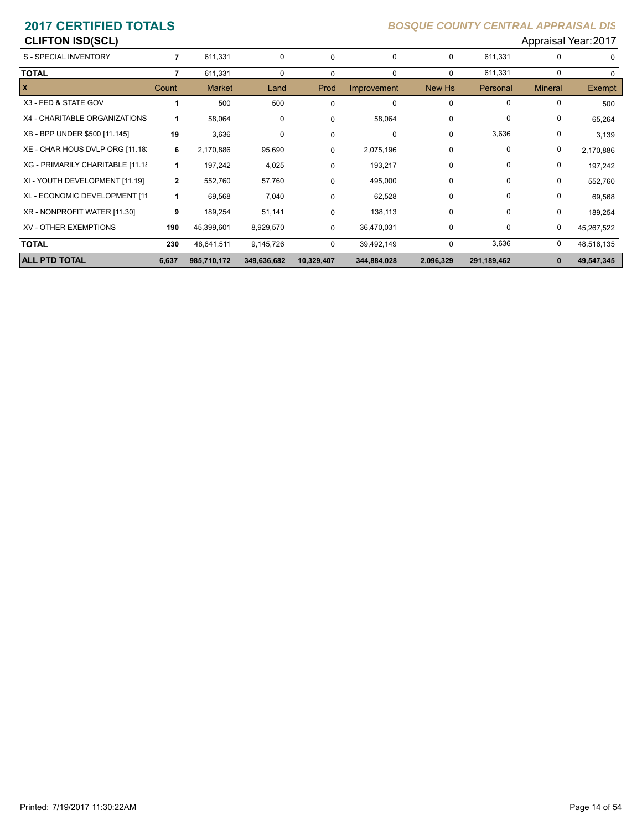**CLIFTON ISD(SCL)** Appraisal Year: 2017

| S - SPECIAL INVENTORY            |              | 611,331       | 0           | $\Omega$   | $\Omega$    | $\Omega$  | 611,331       |                | $\Omega$   |
|----------------------------------|--------------|---------------|-------------|------------|-------------|-----------|---------------|----------------|------------|
| <b>TOTAL</b>                     |              | 611,331       | 0           | $\Omega$   | 0           | 0         | 611,331       | 0              | $\Omega$   |
| $\mathbf{x}$                     | Count        | <b>Market</b> | Land        | Prod       | Improvement | New Hs    | Personal      | <b>Mineral</b> | Exempt     |
| X3 - FED & STATE GOV             |              | 500           | 500         | $\Omega$   | 0           | 0         | $\Omega$      | $\Omega$       | 500        |
| X4 - CHARITABLE ORGANIZATIONS    |              | 58,064        | 0           | $\Omega$   | 58,064      | 0         | $\mathbf 0$   | 0              | 65,264     |
| XB - BPP UNDER \$500 [11.145]    | 19           | 3,636         | 0           | 0          | 0           | 0         | 3,636         | 0              | 3,139      |
| XE - CHAR HOUS DVLP ORG [11.18]  | 6            | 2,170,886     | 95,690      | $\Omega$   | 2,075,196   | 0         | $\Omega$      | 0              | 2,170,886  |
| XG - PRIMARILY CHARITABLE [11.18 | 1            | 197,242       | 4,025       | $\Omega$   | 193,217     | 0         | $\Omega$      | 0              | 197,242    |
| XI - YOUTH DEVELOPMENT [11.19]   | $\mathbf{2}$ | 552,760       | 57,760      | $\Omega$   | 495,000     | 0         | $\mathbf 0$   | 0              | 552,760    |
| XL - ECONOMIC DEVELOPMENT [11    | 1            | 69,568        | 7,040       | $\Omega$   | 62,528      | 0         | $\mathbf 0$   | 0              | 69,568     |
| XR - NONPROFIT WATER [11.30]     | 9            | 189,254       | 51,141      | $\Omega$   | 138,113     | 0         | 0             | 0              | 189,254    |
| <b>XV - OTHER EXEMPTIONS</b>     | 190          | 45,399,601    | 8,929,570   | 0          | 36,470,031  | 0         | 0             | 0              | 45,267,522 |
| <b>TOTAL</b>                     | 230          | 48,641,511    | 9,145,726   | 0          | 39,492,149  | 0         | 3,636         | 0              | 48,516,135 |
| <b>ALL PTD TOTAL</b>             | 6,637        | 985,710,172   | 349,636,682 | 10,329,407 | 344,884,028 | 2,096,329 | 291, 189, 462 | 0              | 49,547,345 |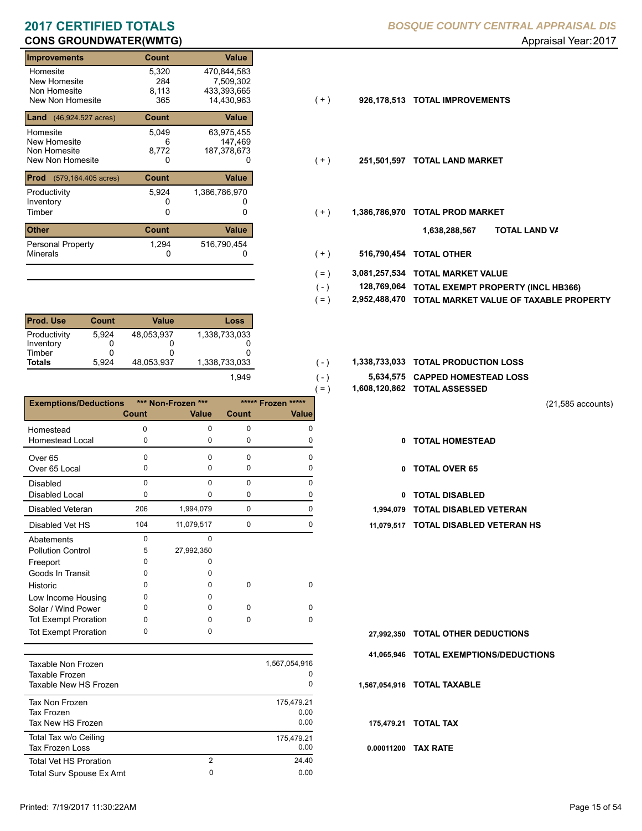# **CONS GROUNDWATER(WMTG) CONS GROUNDWATER(WMTG) Approximately and Approximately Approximately Approximately Approximately Approximately Approximately Approximately Approximately Approximately Approximately Approximately**

| <b>Improvements</b>                                          | Count                        | Value                                                 |       |               |                           |     |
|--------------------------------------------------------------|------------------------------|-------------------------------------------------------|-------|---------------|---------------------------|-----|
| Homesite<br>New Homesite<br>Non Homesite<br>New Non Homesite | 5,320<br>284<br>8,113<br>365 | 470,844,583<br>7,509,302<br>433,393,665<br>14.430.963 | $(+)$ | 926.178.513   | <b>TOTAL IMPROVEMENTS</b> |     |
| <b>Land</b> $(46,924.527 \text{ acres})$                     | <b>Count</b>                 | Value                                                 |       |               |                           |     |
| Homesite<br>New Homesite<br>Non Homesite<br>New Non Homesite | 5,049<br>6<br>8,772<br>0     | 63,975,455<br>147,469<br>187,378,673<br>0             | (+)   | 251,501,597   | <b>TOTAL LAND MARKET</b>  |     |
| <b>Prod</b><br>(579,164.405 acres)                           | <b>Count</b>                 | Value                                                 |       |               |                           |     |
| Productivity<br>Inventory<br>Timber                          | 5,924<br>0                   | 1,386,786,970<br>0                                    | $(+)$ | 1,386,786,970 | <b>TOTAL PROD MARKET</b>  |     |
| <b>Other</b>                                                 | <b>Count</b>                 | Value                                                 |       |               | 1,638,288,567             | וסד |
| Personal Property<br><b>Minerals</b>                         | 1,294<br>0                   | 516,790,454                                           | $(+)$ | 516,790,454   | <b>TOTAL OTHER</b>        |     |
|                                                              |                              |                                                       |       |               |                           |     |

| <b>Prod. Use</b> | <b>Count</b> | Value      | <b>Loss</b>   |
|------------------|--------------|------------|---------------|
| Productivity     | 5.924        | 48.053.937 | 1,338,733,033 |
| Inventory        |              |            |               |
| Timber           | 0            |            | O             |
| <b>Totals</b>    | 5.924        | 48.053.937 | 1.338.733.033 |
|                  |              |            | 1,949         |

|                              |          |                    |          | $=$ )              |              | 1,608,120,862 TOTAL ASSESSED  |
|------------------------------|----------|--------------------|----------|--------------------|--------------|-------------------------------|
| <b>Exemptions/Deductions</b> |          | *** Non-Frozen *** |          | ***** Frozen ***** |              |                               |
|                              | Count    | <b>Value</b>       | Count    | <b>Value</b>       |              |                               |
| Homestead                    | 0        | $\Omega$           | $\Omega$ | $\Omega$           |              |                               |
| <b>Homestead Local</b>       | 0        | 0                  | 0        | 0                  | 0            | <b>TOTAL HOMESTEAD</b>        |
| Over <sub>65</sub>           | $\Omega$ | $\Omega$           | $\Omega$ | $\Omega$           |              |                               |
| Over 65 Local                | 0        | 0                  | 0        | O                  | $\mathbf{0}$ | <b>TOTAL OVER 65</b>          |
| <b>Disabled</b>              | $\Omega$ | $\Omega$           | $\Omega$ | $\Omega$           |              |                               |
| Disabled Local               | 0        | 0                  | 0        | 0                  | 0            | <b>TOTAL DISABLED</b>         |
| <b>Disabled Veteran</b>      | 206      | 1,994,079          | 0        | 0                  | 1,994,079    | <b>TOTAL DISABLED VETERAN</b> |
| Disabled Vet HS              | 104      | 11,079,517         | 0        | 0                  | 11,079,517   | <b>TOTAL DISABLED VETERAN</b> |
| Abatements                   | $\Omega$ | $\Omega$           |          |                    |              |                               |
| <b>Pollution Control</b>     | 5        | 27,992,350         |          |                    |              |                               |
| Freeport                     | 0        | 0                  |          |                    |              |                               |
| Goods In Transit             | $\Omega$ | O                  |          |                    |              |                               |
| Historic                     | $\Omega$ | 0                  | $\Omega$ | $\Omega$           |              |                               |
| Low Income Housing           | $\Omega$ | 0                  |          |                    |              |                               |
| Solar / Wind Power           | $\Omega$ | <sup>0</sup>       | $\Omega$ | $\Omega$           |              |                               |
| <b>Tot Exempt Proration</b>  | 0        | 0                  | $\Omega$ | $\Omega$           |              |                               |
| <b>Tot Exempt Proration</b>  | 0        | $\Omega$           |          |                    | 27,992,350   | <b>TOTAL OTHER DEDUCTIONS</b> |
|                              |          |                    |          |                    |              |                               |

| Taxable Non Frozen<br>Taxable Frozen<br>Taxable New HS Frozen |        | 1,567,054,916<br>0<br>0    |
|---------------------------------------------------------------|--------|----------------------------|
| Tax Non Frozen<br>Tax Frozen<br>Tax New HS Frozen             |        | 175.479.21<br>0.00<br>0.00 |
| Total Tax w/o Ceiling<br><b>Tax Frozen Loss</b>               |        | 175,479.21<br>0.00         |
| <b>Total Vet HS Proration</b><br>Total Surv Spouse Ex Amt     | 2<br>0 | 24.40<br>0.00              |
|                                                               |        |                            |

| $(+)$ | 926,178,513 TOTAL IMPROVEMENTS |
|-------|--------------------------------|
|       |                                |

- $(+)$
- $( + )$ 
	- **TOTAL LAND VA 1,638,288,567**
- 0 0 **516,790,454 TOTAL OTHER**  $(+)$

 $(-)$  $( - )$ 

- **3,081,257,534 TOTAL MARKET VALUE**  $( = )$
- **TOTAL EXEMPT PROPERTY (INCL HB366) 128,769,064**  $( - )$
- **2,952,488,470 TOTAL MARKET VALUE OF TAXABLE PROPERTY**  $( = )$
- 1,338,733,033 **1,338,733,033 TOTAL PRODUCTION LOSS** 
	- **5,634,575 CAPPED HOMESTEAD LOSS**
	- **1,608,120,862 TOTAL ASSESSED**
- (21,585 accounts)
- **TOTAL HOMESTEAD**
- 0 TOTAL OVER 65
- 0 TOTAL DISABLED
- 
- 104 0 11,079,517 0 **11,079,517 TOTAL DISABLED VETERAN HS**

- **TOTAL OTHER DEDUCTIONS 27,992,350**
- **41,065,946 TOTAL EXEMPTIONS/DEDUCTIONS**

**1,567,054,916 TOTAL TAXABLE**

**175,479.21 TOTAL TAX**

**0.00011200 TAX RATE**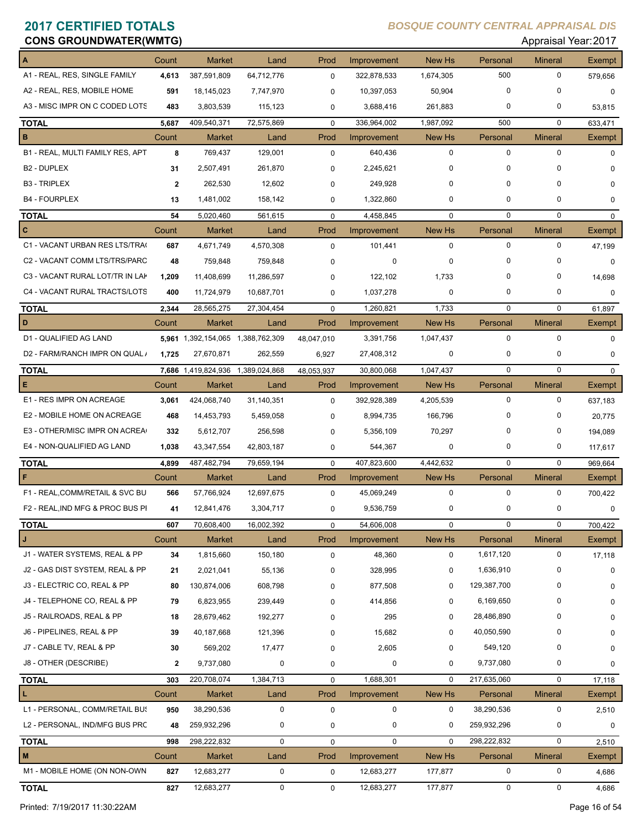# **CONS GROUNDWATER(WMTG)** Approved the construction of the construction of the construction of the construction of the construction of the construction of the construction of the construction of the construction of the cons

|                                  | Count        | <b>Market</b>                     | Land          | Prod        | Improvement | New Hs      | Personal    | <b>Mineral</b> | <b>Exempt</b> |
|----------------------------------|--------------|-----------------------------------|---------------|-------------|-------------|-------------|-------------|----------------|---------------|
| A1 - REAL, RES, SINGLE FAMILY    | 4,613        | 387,591,809                       | 64,712,776    | $\mathbf 0$ | 322,878,533 | 1,674,305   | 500         | $\mathbf 0$    | 579,656       |
| A2 - REAL, RES, MOBILE HOME      | 591          | 18,145,023                        | 7,747,970     | 0           | 10,397,053  | 50,904      | $\Omega$    | $\mathbf 0$    | 0             |
| A3 - MISC IMPR ON C CODED LOTS   | 483          | 3,803,539                         | 115,123       | 0           | 3,688,416   | 261,883     | 0           | 0              | 53,815        |
| <b>TOTAL</b>                     | 5,687        | 409,540,371                       | 72,575,869    | $\mathbf 0$ | 336,964,002 | 1,987,092   | 500         | 0              | 633,471       |
| в                                | Count        | <b>Market</b>                     | Land          | Prod        | Improvement | New Hs      | Personal    | <b>Mineral</b> | Exempt        |
| B1 - REAL, MULTI FAMILY RES, APT | 8            | 769,437                           | 129,001       | $\mathbf 0$ | 640,436     | $\mathbf 0$ | $\mathbf 0$ | $\Omega$       | $\Omega$      |
| B <sub>2</sub> - DUPLEX          | 31           | 2,507,491                         | 261,870       | 0           | 2,245,621   | 0           | 0           | 0              | $\Omega$      |
| <b>B3 - TRIPLEX</b>              | $\mathbf{2}$ | 262,530                           | 12,602        | 0           | 249,928     | 0           | 0           | 0              | $\Omega$      |
| <b>B4 - FOURPLEX</b>             | 13           | 1,481,002                         | 158,142       | 0           | 1,322,860   | 0           | 0           | 0              | 0             |
| <b>TOTAL</b>                     | 54           | 5,020,460                         | 561,615       | $\mathbf 0$ | 4,458,845   | $\mathbf 0$ | $\mathbf 0$ | $\Omega$       | $\Omega$      |
| C                                | Count        | <b>Market</b>                     | Land          | Prod        | Improvement | New Hs      | Personal    | <b>Mineral</b> | Exempt        |
| C1 - VACANT URBAN RES LTS/TRA(   | 687          | 4,671,749                         | 4,570,308     | 0           | 101,441     | $\mathbf 0$ | 0           | 0              | 47,199        |
| C2 - VACANT COMM LTS/TRS/PARC    | 48           | 759,848                           | 759,848       | 0           | 0           | $\mathbf 0$ | $\Omega$    | $\mathbf 0$    | 0             |
| C3 - VACANT RURAL LOT/TR IN LAP  | 1,209        | 11,408,699                        | 11,286,597    | 0           | 122,102     | 1,733       | 0           | 0              | 14,698        |
| C4 - VACANT RURAL TRACTS/LOTS    | 400          | 11,724,979                        | 10,687,701    | 0           | 1,037,278   | $\mathbf 0$ | 0           | 0              | 0             |
| <b>TOTAL</b>                     | 2,344        | 28,565,275                        | 27,304,454    | $\mathbf 0$ | 1,260,821   | 1,733       | $\mathbf 0$ | 0              | 61,897        |
| D                                | Count        | <b>Market</b>                     | Land          | Prod        | Improvement | New Hs      | Personal    | <b>Mineral</b> | Exempt        |
| D1 - QUALIFIED AG LAND           |              | 5,961 1,392,154,065 1,388,762,309 |               | 48,047,010  | 3,391,756   | 1,047,437   | $\mathbf 0$ | 0              | $\Omega$      |
| D2 - FARM/RANCH IMPR ON QUAL /   | 1,725        | 27,670,871                        | 262,559       | 6,927       | 27,408,312  | $\mathbf 0$ | 0           | 0              | $\Omega$      |
| <b>TOTAL</b>                     |              | 7,686 1,419,824,936               | 1,389,024,868 | 48,053,937  | 30,800,068  | 1,047,437   | $\mathbf 0$ | 0              | 0             |
| Е                                | Count        | <b>Market</b>                     | Land          | Prod        | Improvement | New Hs      | Personal    | <b>Mineral</b> | Exempt        |
| E1 - RES IMPR ON ACREAGE         | 3,061        | 424,068,740                       | 31,140,351    | 0           | 392,928,389 | 4,205,539   | $\mathbf 0$ | 0              | 637,183       |
| E2 - MOBILE HOME ON ACREAGE      | 468          | 14,453,793                        | 5,459,058     | 0           | 8,994,735   | 166,796     | 0           | 0              | 20,775        |
| E3 - OTHER/MISC IMPR ON ACREA    | 332          | 5,612,707                         | 256,598       | 0           | 5,356,109   | 70,297      | $\Omega$    | $\mathbf 0$    | 194,089       |
| E4 - NON-QUALIFIED AG LAND       | 1,038        | 43,347,554                        | 42,803,187    | 0           | 544,367     | 0           | 0           | 0              | 117,617       |
| <b>TOTAL</b>                     | 4,899        | 487,482,794                       | 79,659,194    | $\mathbf 0$ | 407,823,600 | 4,442,632   | $\mathbf 0$ | $\mathbf 0$    | 969,664       |
|                                  | Count        | <b>Market</b>                     | Land          | Prod        | Improvement | New Hs      | Personal    | <b>Mineral</b> | Exempt        |
| F1 - REAL, COMM/RETAIL & SVC BU  | 566          | 57,766,924                        | 12,697,675    | $\mathbf 0$ | 45,069,249  | $\mathbf 0$ | $\mathbf 0$ | $\mathbf 0$    | 700,422       |
| F2 - REAL, IND MFG & PROC BUS PI | 41           | 12,841,476                        | 3,304,717     | $\mathbf 0$ | 9,536,759   | 0           | 0           | $\mathbf 0$    | 0             |
| <b>TOTAL</b>                     | 607          | 70,608,400                        | 16,002,392    | 0           | 54,606,008  | 0           | $\mathbf 0$ | $\mathbf 0$    | 700,422       |
| J                                | Count        | Market                            | Land          | Prod        | Improvement | New Hs      | Personal    | <b>Mineral</b> | Exempt        |
| J1 - WATER SYSTEMS, REAL & PP    | 34           | 1,815,660                         | 150,180       | 0           | 48,360      | $\mathbf 0$ | 1,617,120   | 0              | 17,118        |
| J2 - GAS DIST SYSTEM, REAL & PP  | 21           | 2,021,041                         | 55,136        | 0           | 328,995     | 0           | 1,636,910   | 0              | 0             |
| J3 - ELECTRIC CO, REAL & PP      | 80           | 130,874,006                       | 608,798       | 0           | 877,508     | 0           | 129,387,700 | 0              | 0             |
| J4 - TELEPHONE CO, REAL & PP     | 79           | 6,823,955                         | 239,449       | 0           | 414,856     | 0           | 6,169,650   | 0              | 0             |
| J5 - RAILROADS, REAL & PP        | 18           | 28,679,462                        | 192,277       | 0           | 295         | 0           | 28,486,890  | 0              | 0             |
| J6 - PIPELINES, REAL & PP        | 39           | 40,187,668                        | 121,396       | 0           | 15,682      | $\mathbf 0$ | 40,050,590  | 0              | 0             |
| J7 - CABLE TV, REAL & PP         | 30           | 569,202                           | 17,477        | 0           | 2,605       | 0           | 549,120     | 0              | 0             |
| J8 - OTHER (DESCRIBE)            | $\mathbf{2}$ | 9,737,080                         | $\pmb{0}$     | 0           | 0           | 0           | 9,737,080   | 0              | 0             |
| <b>TOTAL</b>                     | 303          | 220,708,074                       | 1,384,713     | 0           | 1,688,301   | $\mathbf 0$ | 217,635,060 | 0              | 17,118        |
| г                                | Count        | Market                            | Land          | Prod        | Improvement | New Hs      | Personal    | <b>Mineral</b> | Exempt        |
| L1 - PERSONAL, COMM/RETAIL BUS   | 950          | 38,290,536                        | $\pmb{0}$     | $\pmb{0}$   | $\mathbf 0$ | $\mathbf 0$ | 38,290,536  | 0              | 2,510         |
| L2 - PERSONAL, IND/MFG BUS PRC   | 48           | 259,932,296                       | 0             | 0           | 0           | 0           | 259,932,296 | 0              | 0             |
| <b>TOTAL</b>                     | 998          | 298,222,832                       | 0             | 0           | $\mathbf 0$ | 0           | 298,222,832 | 0              | 2,510         |
| M                                | Count        | Market                            | Land          | Prod        | Improvement | New Hs      | Personal    | <b>Mineral</b> | Exempt        |
| M1 - MOBILE HOME (ON NON-OWN     | 827          | 12,683,277                        | $\mathbf 0$   | 0           | 12,683,277  | 177,877     | 0           | 0              | 4,686         |
| <b>TOTAL</b>                     | 827          | 12,683,277                        | $\mathbf 0$   | 0           | 12,683,277  | 177,877     | 0           | 0              | 4,686         |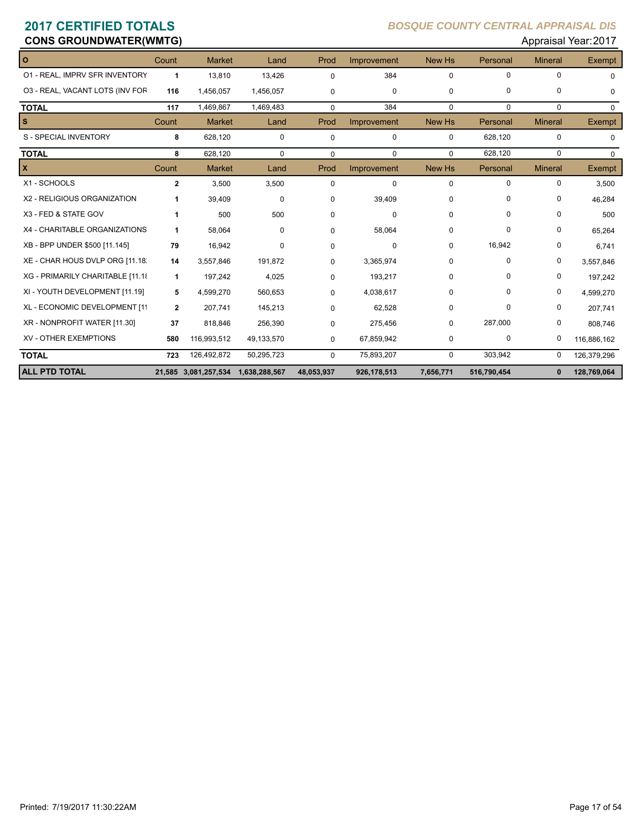## **CONS GROUNDWATER(WMTG)**

| $\Omega$                         | Count        | <b>Market</b>                      | Land        | Prod         | Improvement | New Hs        | Personal    | <b>Mineral</b> | Exempt        |
|----------------------------------|--------------|------------------------------------|-------------|--------------|-------------|---------------|-------------|----------------|---------------|
| 01 - REAL, IMPRV SFR INVENTORY   | 1            | 13,810                             | 13,426      | 0            | 384         | $\mathbf 0$   | 0           | $\Omega$       | $\Omega$      |
| 03 - REAL, VACANT LOTS (INV FOR  | 116          | 1,456,057                          | 1,456,057   | 0            | $\mathbf 0$ | 0             | $\Omega$    | $\mathbf 0$    | $\Omega$      |
| <b>TOTAL</b>                     | 117          | 1,469,867                          | 1,469,483   | 0            | 384         | $\Omega$      | $\mathbf 0$ | $\mathbf 0$    | $\mathbf 0$   |
| $\mathbf{s}$                     | Count        | <b>Market</b>                      | Land        | Prod         | Improvement | New Hs        | Personal    | <b>Mineral</b> | <b>Exempt</b> |
| S - SPECIAL INVENTORY            | 8            | 628,120                            | $\mathbf 0$ | $\Omega$     | $\mathbf 0$ | 0             | 628,120     | $\mathbf 0$    | $\Omega$      |
| <b>TOTAL</b>                     | 8            | 628,120                            | $\mathbf 0$ | $\Omega$     | $\Omega$    | $\Omega$      | 628,120     | $\Omega$       | $\mathbf{0}$  |
| X                                | Count        | <b>Market</b>                      | Land        | Prod         | Improvement | <b>New Hs</b> | Personal    | <b>Mineral</b> | <b>Exempt</b> |
| X1 - SCHOOLS                     | $\mathbf{2}$ | 3,500                              | 3,500       | $\Omega$     | 0           | $\mathbf 0$   | 0           | $\mathbf 0$    | 3,500         |
| X2 - RELIGIOUS ORGANIZATION      | 1            | 39,409                             | $\mathbf 0$ | 0            | 39,409      | $\Omega$      | $\Omega$    | 0              | 46,284        |
| X3 - FED & STATE GOV             | 1            | 500                                | 500         | 0            | $\Omega$    | $\Omega$      | $\Omega$    | 0              | 500           |
| X4 - CHARITABLE ORGANIZATIONS    | 1            | 58,064                             | $\mathbf 0$ | 0            | 58,064      | $\Omega$      | 0           | 0              | 65,264        |
| XB - BPP UNDER \$500 [11.145]    | 79           | 16,942                             | $\Omega$    | <sup>n</sup> | $\Omega$    | $\Omega$      | 16,942      | 0              | 6,741         |
| XE - CHAR HOUS DVLP ORG [11.18]  | 14           | 3,557,846                          | 191,872     | 0            | 3,365,974   | 0             | $\Omega$    | 0              | 3,557,846     |
| XG - PRIMARILY CHARITABLE [11.18 | 1            | 197,242                            | 4,025       | 0            | 193,217     | $\Omega$      | 0           | $\mathbf 0$    | 197,242       |
| XI - YOUTH DEVELOPMENT [11.19]   | 5            | 4,599,270                          | 560,653     | 0            | 4,038,617   | 0             | $\Omega$    | 0              | 4,599,270     |
| XL - ECONOMIC DEVELOPMENT [11    | $\mathbf{2}$ | 207,741                            | 145,213     | 0            | 62,528      | $\Omega$      | $\Omega$    | 0              | 207,741       |
| XR - NONPROFIT WATER [11.30]     | 37           | 818,846                            | 256,390     | 0            | 275,456     | $\Omega$      | 287,000     | $\mathbf 0$    | 808,746       |
| <b>XV - OTHER EXEMPTIONS</b>     | 580          | 116,993,512                        | 49,133,570  | 0            | 67,859,942  | $\Omega$      | 0           | 0              | 116,886,162   |
| <b>TOTAL</b>                     | 723          | 126,492,872                        | 50,295,723  | $\Omega$     | 75,893,207  | $\mathbf 0$   | 303,942     | 0              | 126,379,296   |
| <b>ALL PTD TOTAL</b>             |              | 21,585 3,081,257,534 1,638,288,567 |             | 48,053,937   | 926,178,513 | 7,656,771     | 516,790,454 | $\mathbf{0}$   | 128,769,064   |

|      |          | Appraisal Year: 2017 |               |  |  |  |  |
|------|----------|----------------------|---------------|--|--|--|--|
| / Hs | Personal | <b>Mineral</b>       | <b>Exempt</b> |  |  |  |  |
|      |          |                      |               |  |  |  |  |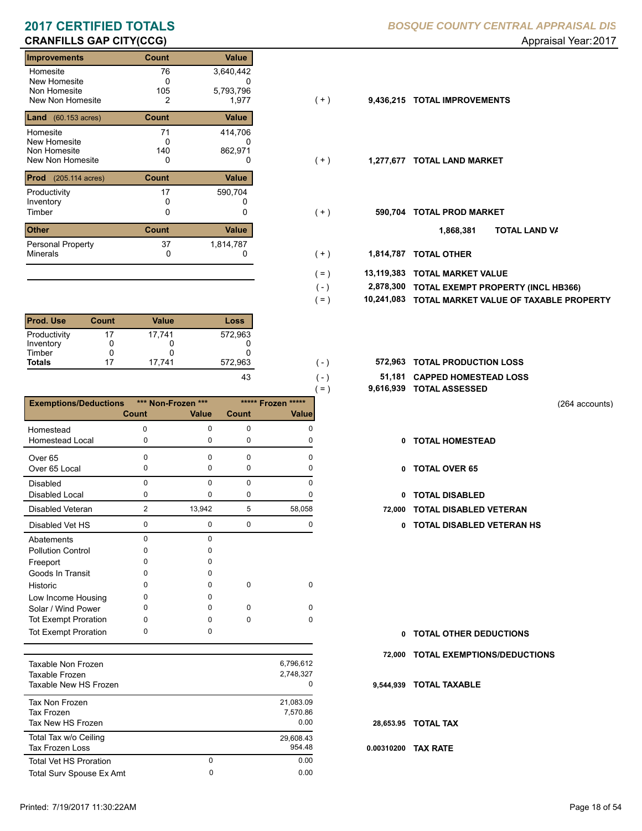| Improvements                         | Count        | Value     |       |           |                              |
|--------------------------------------|--------------|-----------|-------|-----------|------------------------------|
| Homesite                             | 76           | 3,640,442 |       |           |                              |
| New Homesite                         | 0            | U         |       |           |                              |
| Non Homesite                         | 105          | 5,793,796 |       |           |                              |
| New Non Homesite                     | 2            | 1,977     | ( + ) | 9,436,215 | <b>TOTAL IMPROVEMENTS</b>    |
| <b>Land</b> $(60.153 \text{ acres})$ | <b>Count</b> | Value     |       |           |                              |
| Homesite                             | 71           | 414,706   |       |           |                              |
| New Homesite                         | 0            | 0         |       |           |                              |
| Non Homesite                         | 140          | 862,971   |       |           |                              |
| New Non Homesite                     | 0            | 0         | $(+)$ | 1,277,677 | <b>TOTAL LAND MARKET</b>     |
| <b>Prod</b> (205.114 acres)          | <b>Count</b> | Value     |       |           |                              |
| Productivity                         | 17           | 590,704   |       |           |                              |
| Inventory                            |              |           |       |           |                              |
| Timber                               | 0            | 0         | ( + ) | 590.704   | <b>TOTAL PROD MARKET</b>     |
| <b>Other</b>                         | <b>Count</b> | Value     |       |           | TO <sub>1</sub><br>1,868,381 |
| Personal Property                    | 37           | 1,814,787 |       |           |                              |
| <b>Minerals</b>                      | 0            |           | $(+)$ | 1,814,787 | <b>TOTAL OTHER</b>           |

| <b>Prod. Use</b> | <b>Count</b> | Value  | Loss    |
|------------------|--------------|--------|---------|
| Productivity     | 17           | 17.741 | 572,963 |
| Inventory        |              |        |         |
| Timber           | 0            |        |         |
| <b>Totals</b>    | 17           | 17.741 | 572,963 |
|                  |              |        |         |

|                              |                |                    |              | $( = )$  | 9,616,939 |
|------------------------------|----------------|--------------------|--------------|----------|-----------|
| <b>Exemptions/Deductions</b> |                | *** Non-Frozen *** | ***** Frozen | *****    |           |
|                              | Count          | <b>Value</b>       | Count        | Value    |           |
| Homestead                    | U              | 0                  | 0            | O        |           |
| <b>Homestead Local</b>       | 0              | 0                  | 0            | O        |           |
| Over <sub>65</sub>           | U              | 0                  | O            | n        |           |
| Over 65 Local                | 0              | 0                  | 0            | 0        |           |
| <b>Disabled</b>              | 0              | $\Omega$           | 0            | 0        |           |
| <b>Disabled Local</b>        | 0              | 0                  | 0            |          |           |
| Disabled Veteran             | $\overline{2}$ | 13,942             | 5            | 58,058   | 72,000    |
| Disabled Vet HS              | $\mathbf 0$    | $\mathbf 0$        | 0            | 0        |           |
| Abatements                   | 0              | 0                  |              |          |           |
| <b>Pollution Control</b>     | n              | n                  |              |          |           |
| Freeport                     | ი              | 0                  |              |          |           |
| Goods In Transit             | o              | O                  |              |          |           |
| Historic                     | 0              | 0                  | 0            | $\Omega$ |           |
| Low Income Housing           | 0              | 0                  |              |          |           |
| Solar / Wind Power           | O              | 0                  | $\Omega$     | O        |           |
| <b>Tot Exempt Proration</b>  | 0              | 0                  | 0            | 0        |           |
| <b>Tot Exempt Proration</b>  | 0              | 0                  |              |          |           |
|                              |                |                    |              |          |           |

| Taxable Non Frozen<br>Taxable Frozen<br>Taxable New HS Frozen |        | 6.796.612<br>2.748.327<br>0   |
|---------------------------------------------------------------|--------|-------------------------------|
| Tax Non Frozen<br><b>Tax Frozen</b><br>Tax New HS Frozen      |        | 21.083.09<br>7.570.86<br>0.00 |
| Total Tax w/o Ceiling<br>Tax Frozen Loss                      |        | 29,608.43<br>954.48           |
| <b>Total Vet HS Proration</b><br>Total Surv Spouse Ex Amt     | 0<br>0 | 0.00<br>0.00                  |
|                                                               |        |                               |

- $(+)$
- $( + )$
- $(+)$ 
	- **TOTAL LAND VA 1,868,381**
- 0 0 **1,814,787 TOTAL OTHER**  $(+ )$

 $( - )$  $( = )$ 

 $(-)$  $( - )$ 

- **13,119,383 TOTAL MARKET VALUE**  $( = )$ 
	- **TOTAL EXEMPT PROPERTY (INCL HB366) 2,878,300**
	- **10,241,083 TOTAL MARKET VALUE OF TAXABLE PROPERTY**
- **TOTAL PRODUCTION LOSS** 572,963 **572,963**
	- **51,181 CAPPED HOMESTEAD LOSS**
	- **9,616,939 TOTAL ASSESSED**

(264 accounts)

- **TOTAL HOMESTEAD**
- 0 TOTAL OVER 65
- 0 TOTAL DISABLED
- **72,000 TOTAL DISABLED VETERAN** 
	- 0 0 0 0 **0 TOTAL DISABLED VETERAN HS**

- **TOTAL OTHER DEDUCTIONS 0**
- **72,000 TOTAL EXEMPTIONS/DEDUCTIONS**
- **9,544,939 TOTAL TAXABLE**
- **28,653.95 TOTAL TAX**
- **0.00310200 TAX RATE**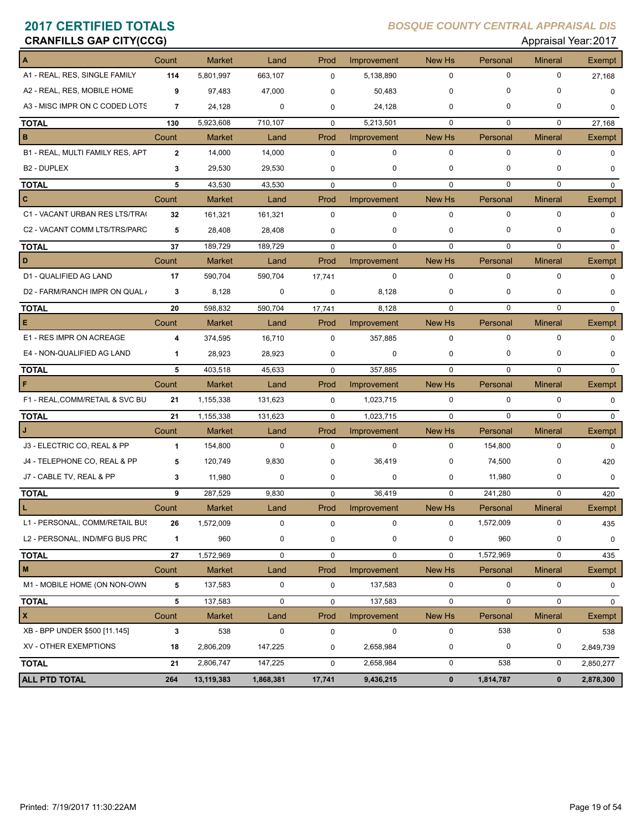| <b>CRANFILLS GAP CITY(CCG)</b>   |                |               |             |             |             |               |             | Appraisal Year: 2017 |             |
|----------------------------------|----------------|---------------|-------------|-------------|-------------|---------------|-------------|----------------------|-------------|
|                                  | Count          | <b>Market</b> | Land        | Prod        | Improvement | <b>New Hs</b> | Personal    | <b>Mineral</b>       | Exempt      |
| A1 - REAL, RES, SINGLE FAMILY    | 114            | 5,801,997     | 663,107     | $\mathbf 0$ | 5,138,890   | $\mathbf 0$   | $\mathbf 0$ | 0                    | 27,168      |
| A2 - REAL, RES, MOBILE HOME      | 9              | 97,483        | 47,000      | $\mathbf 0$ | 50,483      | $\mathbf 0$   | 0           | 0                    | 0           |
| A3 - MISC IMPR ON C CODED LOTS   | $\overline{7}$ | 24,128        | $\mathbf 0$ | 0           | 24,128      | $\mathbf 0$   | 0           | 0                    | 0           |
| <b>TOTAL</b>                     | 130            | 5,923,608     | 710,107     | 0           | 5,213,501   | $\mathbf 0$   | $\mathbf 0$ | 0                    | 27,168      |
| B                                | Count          | <b>Market</b> | Land        | Prod        | Improvement | <b>New Hs</b> | Personal    | <b>Mineral</b>       | Exempt      |
| B1 - REAL, MULTI FAMILY RES, APT | $\mathbf{2}$   | 14,000        | 14,000      | $\mathbf 0$ | 0           | $\mathbf 0$   | $\mathbf 0$ | 0                    | $\mathbf 0$ |
| <b>B2 - DUPLEX</b>               | 3              | 29,530        | 29,530      | 0           | 0           | $\mathbf 0$   | 0           | 0                    | 0           |
| <b>TOTAL</b>                     | 5              | 43,530        | 43,530      | $\mathbf 0$ | $\mathbf 0$ | $\mathbf 0$   | 0           | 0                    | 0           |
| c                                | Count          | <b>Market</b> | Land        | Prod        | Improvement | New Hs        | Personal    | <b>Mineral</b>       | Exempt      |
| C1 - VACANT URBAN RES LTS/TRA(   | 32             | 161,321       | 161,321     | $\mathbf 0$ | 0           | $\mathbf 0$   | $\mathbf 0$ | 0                    | $\mathbf 0$ |
| C2 - VACANT COMM LTS/TRS/PARC    | 5              | 28,408        | 28,408      | $\mathbf 0$ | 0           | $\mathbf 0$   | 0           | 0                    | 0           |
| <b>TOTAL</b>                     | 37             | 189,729       | 189,729     | $\mathbf 0$ | 0           | $\mathbf 0$   | $\Omega$    | 0                    | $\mathbf 0$ |
| D                                | Count          | Market        | Land        | Prod        | Improvement | New Hs        | Personal    | <b>Mineral</b>       | Exempt      |
| D1 - QUALIFIED AG LAND           | 17             | 590,704       | 590,704     | 17,741      | 0           | $\mathbf 0$   | $\mathbf 0$ | $\mathbf 0$          | $\mathbf 0$ |
| D2 - FARM/RANCH IMPR ON QUAL /   | 3              | 8,128         | 0           | $\mathbf 0$ | 8,128       | $\mathbf 0$   | 0           | 0                    | 0           |
| <b>TOTAL</b>                     | 20             | 598,832       | 590,704     | 17,741      | 8,128       | $\Omega$      | $\Omega$    | $\Omega$             | $\mathbf 0$ |
| Е                                | Count          | <b>Market</b> | Land        | Prod        | Improvement | New Hs        | Personal    | <b>Mineral</b>       | Exempt      |
| E1 - RES IMPR ON ACREAGE         | 4              | 374,595       | 16,710      | $\mathbf 0$ | 357,885     | $\mathbf 0$   | $\mathbf 0$ | 0                    | $\mathbf 0$ |
| E4 - NON-QUALIFIED AG LAND       | $\mathbf{1}$   | 28,923        | 28,923      | $\mathbf 0$ | 0           | $\mathbf 0$   | 0           | 0                    | 0           |
| <b>TOTAL</b>                     | 5              | 403,518       | 45,633      | $\mathbf 0$ | 357,885     | $\mathbf 0$   | $\mathbf 0$ | $\mathbf 0$          | 0           |
| F                                | Count          | <b>Market</b> | Land        | Prod        | Improvement | New Hs        | Personal    | <b>Mineral</b>       | Exempt      |
| F1 - REAL, COMM/RETAIL & SVC BU  | 21             | 1,155,338     | 131,623     | 0           | 1,023,715   | 0             | $\mathbf 0$ | 0                    | 0           |
| <b>TOTAL</b>                     | 21             | 1,155,338     | 131,623     | $\mathbf 0$ | 1,023,715   | $\mathbf 0$   | $\Omega$    | $\mathbf 0$          | $\mathbf 0$ |
| J                                | Count          | <b>Market</b> | Land        | Prod        | Improvement | <b>New Hs</b> | Personal    | <b>Mineral</b>       | Exempt      |
| J3 - ELECTRIC CO, REAL & PP      | 1              | 154,800       | 0           | $\mathbf 0$ | 0           | $\mathbf 0$   | 154,800     | $\mathbf 0$          | $\mathbf 0$ |
| J4 - TELEPHONE CO, REAL & PP     | 5              | 120,749       | 9,830       | $\mathbf 0$ | 36,419      | $\mathbf 0$   | 74,500      | 0                    | 420         |
| J7 - CABLE TV, REAL & PP         | 3              | 11,980        | 0           | 0           | 0           | $\mathbf 0$   | 11,980      | 0                    | $\mathbf 0$ |
| <b>TOTAL</b>                     | 9              | 287,529       | 9,830       | $\mathbf 0$ | 36,419      | $\mathbf 0$   | 241,280     | 0                    | 420         |
| L                                | Count          | Market        | Land        | Prod        | Improvement | New Hs        | Personal    | <b>Mineral</b>       | Exempt      |
| L1 - PERSONAL, COMM/RETAIL BUS   | 26             | 1,572,009     | $\mathbf 0$ | $\mathsf 0$ | 0           | $\mathbf 0$   | 1,572,009   | 0                    | 435         |
| L2 - PERSONAL, IND/MFG BUS PRC   | 1              | 960           | 0           | $\mathbf 0$ | 0           | 0             | 960         | 0                    | 0           |
| <b>TOTAL</b>                     | 27             | 1,572,969     | 0           | $\mathbf 0$ | 0           | $\pmb{0}$     | 1,572,969   | 0                    | 435         |
| M                                | Count          | Market        | Land        | Prod        | Improvement | New Hs        | Personal    | <b>Mineral</b>       | Exempt      |
| M1 - MOBILE HOME (ON NON-OWN     | 5              | 137,583       | 0           | $\mathbf 0$ | 137,583     | $\pmb{0}$     | $\pmb{0}$   | 0                    | 0           |
| <b>TOTAL</b>                     | 5              | 137,583       | $\pmb{0}$   | $\mathbf 0$ | 137,583     | $\pmb{0}$     | $\mathbf 0$ | 0                    | 0           |
| $\pmb{\mathsf{x}}$               | Count          | <b>Market</b> | Land        | Prod        | Improvement | New Hs        | Personal    | <b>Mineral</b>       | Exempt      |
| XB - BPP UNDER \$500 [11.145]    | 3              | 538           | $\pmb{0}$   | $\pmb{0}$   | 0           | $\pmb{0}$     | 538         | 0                    | 538         |
| XV - OTHER EXEMPTIONS            | 18             | 2,806,209     | 147,225     | 0           | 2,658,984   | $\pmb{0}$     | 0           | 0                    | 2,849,739   |
| <b>TOTAL</b>                     | 21             | 2,806,747     | 147,225     | 0           | 2,658,984   | 0             | 538         | 0                    | 2,850,277   |
| <b>ALL PTD TOTAL</b>             | 264            | 13,119,383    | 1,868,381   | 17,741      | 9,436,215   | $\pmb{0}$     | 1,814,787   | $\mathbf 0$          | 2,878,300   |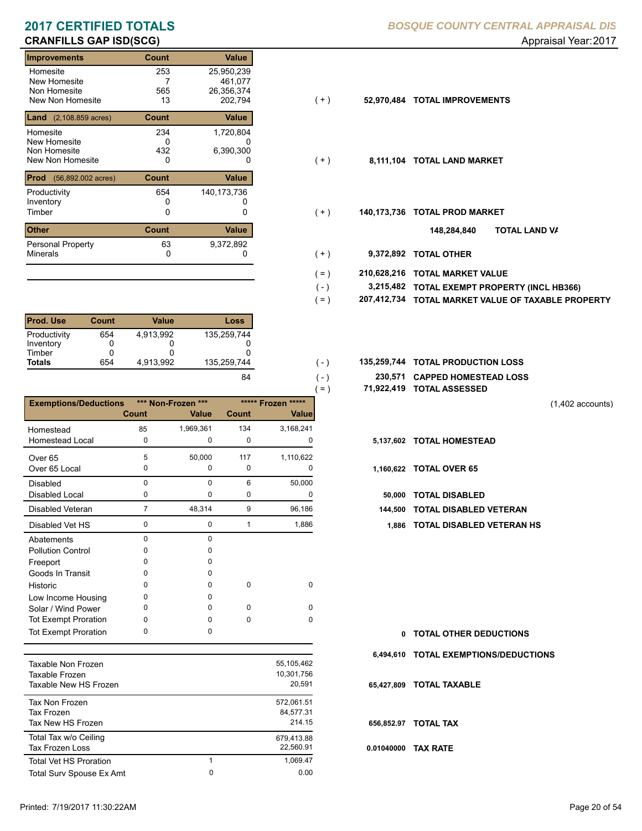| Improvements                                | Count        | Value       |       |             |                             |
|---------------------------------------------|--------------|-------------|-------|-------------|-----------------------------|
| Homesite                                    | 253          | 25,950,239  |       |             |                             |
| New Homesite                                |              | 461,077     |       |             |                             |
| Non Homesite                                | 565          | 26,356,374  |       |             |                             |
| New Non Homesite                            | 13           | 202,794     | ( + ) | 52,970,484  | <b>TOTAL IMPROVEMENTS</b>   |
| <b>Land</b> $(2,108.859 \text{ acres})$     | <b>Count</b> | Value       |       |             |                             |
| Homesite                                    | 234          | 1,720,804   |       |             |                             |
| New Homesite                                | 0            | 0           |       |             |                             |
| Non Homesite                                | 432          | 6,390,300   |       |             |                             |
| New Non Homesite                            | 0            | 0           | $(+)$ |             | 8,111,104 TOTAL LAND MARKET |
| <b>Prod</b><br>$(56,892.002 \text{ acres})$ | <b>Count</b> | Value       |       |             |                             |
| Productivity                                | 654          | 140,173,736 |       |             |                             |
| Inventory                                   |              |             |       |             |                             |
| Timber                                      | 0            | 0           | $(+)$ | 140,173,736 | <b>TOTAL PROD MARKET</b>    |
| <b>Other</b>                                | <b>Count</b> | Value       |       |             | 148,284,840                 |
| Personal Property                           | 63           | 9,372,892   |       |             |                             |
| <b>Minerals</b>                             | 0            |             | $(+)$ | 9,372,892   | <b>TOTAL OTHER</b>          |

| <b>Prod. Use</b> | Count | Value     | Loss        |
|------------------|-------|-----------|-------------|
| Productivity     | 654   | 4.913.992 | 135,259,744 |
| Inventory        |       |           |             |
| Timber           |       |           |             |
| <b>Totals</b>    | 654   | 4.913.992 | 135.259.744 |
|                  |       |           | 84          |

|                              |              |                                    |              |                                    | $=$ )     | 71,922,419 TOTAL ASSESSED |
|------------------------------|--------------|------------------------------------|--------------|------------------------------------|-----------|---------------------------|
| <b>Exemptions/Deductions</b> | <b>Count</b> | *** Non-Frozen ***<br><b>Value</b> | <b>Count</b> | ***** Frozen *****<br><b>Value</b> |           |                           |
| Homestead                    | 85           | 1,969,361                          | 134          | 3,168,241                          |           |                           |
| <b>Homestead Local</b>       | 0            | $\mathbf 0$                        | 0            | 0                                  | 5,137,602 | <b>TOTAL HOMESTEAD</b>    |
| Over <sub>65</sub>           | 5            | 50,000                             | 117          | 1,110,622                          |           |                           |
| Over 65 Local                | 0            | 0                                  | 0            | 0                                  | 1,160,622 | <b>TOTAL OVER 65</b>      |
| <b>Disabled</b>              | $\Omega$     | $\Omega$                           | 6            | 50,000                             |           |                           |
| <b>Disabled Local</b>        | 0            | 0                                  | 0            | 0                                  | 50,000    | <b>TOTAL DISABLED</b>     |
| Disabled Veteran             | 7            | 48,314                             | 9            | 96,186                             | 144,500   | <b>TOTAL DISABLED VI</b>  |
| Disabled Vet HS              | 0            | 0                                  |              | 1,886                              | 1,886     | <b>TOTAL DISABLED VI</b>  |
| Abatements                   | $\Omega$     | $\Omega$                           |              |                                    |           |                           |
| <b>Pollution Control</b>     | 0            | O                                  |              |                                    |           |                           |
| Freeport                     | 0            | <sup>0</sup>                       |              |                                    |           |                           |
| Goods In Transit             | 0            | <sup>0</sup>                       |              |                                    |           |                           |
| Historic                     | $\Omega$     | $\Omega$                           | 0            | $\mathbf 0$                        |           |                           |
| Low Income Housing           | 0            | <sup>0</sup>                       |              |                                    |           |                           |
| Solar / Wind Power           | 0            | <sup>0</sup>                       | 0            | $\Omega$                           |           |                           |
| <b>Tot Exempt Proration</b>  | 0            | $\Omega$                           | 0            | 0                                  |           |                           |
| <b>Tot Exempt Proration</b>  | 0            | 0                                  |              |                                    | 0         | <b>TOTAL OTHER DEDL</b>   |

| Taxable Non Frozen<br>Taxable Frozen<br>Taxable New HS Frozen |        | 55,105,462<br>10,301,756<br>20.591 |
|---------------------------------------------------------------|--------|------------------------------------|
| Tax Non Frozen<br><b>Tax Frozen</b><br>Tax New HS Frozen      |        | 572.061.51<br>84.577.31<br>214.15  |
| Total Tax w/o Ceiling<br>Tax Frozen Loss                      |        | 679.413.88<br>22.560.91            |
| <b>Total Vet HS Proration</b><br>Total Surv Spouse Ex Amt     | 1<br>0 | 1.069.47<br>0.00                   |
|                                                               |        |                                    |

- $(+)$
- $(+)$
- $(+)$ 
	- **TOTAL LAND VA 148,284,840**
- 0 0 **9,372,892 TOTAL OTHER**  $(+ )$

 $( - )$  $( - )$ 

- **210,628,216 TOTAL MARKET VALUE**  $( = )$
- **TOTAL EXEMPT PROPERTY (INCL HB366) 3,215,482**  $( - )$
- **207,412,734 TOTAL MARKET VALUE OF TAXABLE PROPERTY**  $( = )$
- 135,259,744 **135,259,744 <b>10TAL PRODUCTION LOSS** 
	- **230,571 CAPPED HOMESTEAD LOSS**
	- **71,922,419 TOTAL ASSESSED**

(1,402 accounts)

- 
- - Disabled Local **TOTAL DISABLED**
	- **144,500 TOTAL DISABLED VETERAN**
	- 0 1 0 1,886 **1,886 TOTAL DISABLED VETERAN HS**

**TOTAL OTHER DEDUCTIONS 0 6,494,610 TOTAL EXEMPTIONS/DEDUCTIONS 0.01040000 TAX RATE 65,427,809 TOTAL TAXABLE 656,852.97 TOTAL TAX**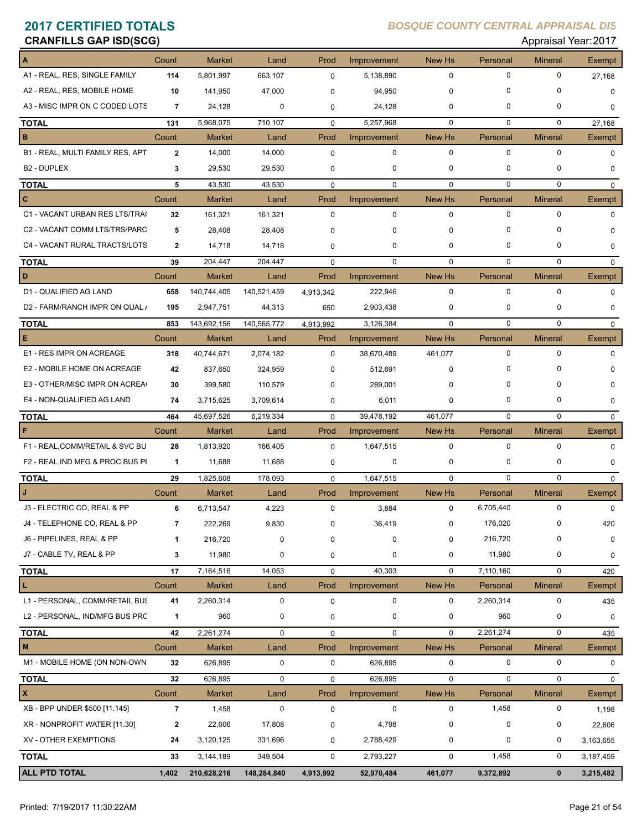## **CRANFILLS GAP ISD(SCG)** Approved a set of the set of the set of the set of the set of the set of the set of the set of the set of the set of the set of the set of the set of the set of the set of the set of the set of the

| טטאוער וסטראני טאר וואטו             |                         |               |             |             |             |               |             | Applaisal IGal.ZUTI |             |
|--------------------------------------|-------------------------|---------------|-------------|-------------|-------------|---------------|-------------|---------------------|-------------|
| $\Lambda$                            | Count                   | <b>Market</b> | Land        | Prod        | Improvement | <b>New Hs</b> | Personal    | <b>Mineral</b>      | Exempt      |
| A1 - REAL, RES, SINGLE FAMILY        | 114                     | 5,801,997     | 663,107     | $\mathbf 0$ | 5,138,890   | 0             | 0           | 0                   | 27,168      |
| A2 - REAL, RES, MOBILE HOME          | 10                      | 141,950       | 47,000      | 0           | 94,950      | $\mathbf 0$   | 0           | $\Omega$            | 0           |
| A3 - MISC IMPR ON C CODED LOTS       | $\overline{7}$          | 24,128        | 0           | 0           | 24,128      | 0             | 0           | 0                   | 0           |
| <b>TOTAL</b>                         | 131                     | 5,968,075     | 710,107     | $\mathbf 0$ | 5,257,968   | $\mathbf 0$   | 0           | 0                   | 27,168      |
| B                                    | Count                   | <b>Market</b> | Land        | Prod        | Improvement | New Hs        | Personal    | <b>Mineral</b>      | Exempt      |
| B1 - REAL, MULTI FAMILY RES, APT     | $\mathbf{2}$            | 14,000        | 14,000      | $\mathbf 0$ | $\mathbf 0$ | $\mathbf 0$   | $\mathbf 0$ | 0                   | $\Omega$    |
| <b>B2 - DUPLEX</b>                   | 3                       | 29,530        | 29,530      | 0           | 0           | $\mathbf 0$   | 0           | 0                   | 0           |
| <b>TOTAL</b>                         | 5                       | 43,530        | 43,530      | $\mathbf 0$ | $\mathbf 0$ | $\mathbf 0$   | $\mathbf 0$ | $\mathbf 0$         | $\mathbf 0$ |
| $\overline{c}$                       | Count                   | <b>Market</b> | Land        | Prod        | Improvement | New Hs        | Personal    | <b>Mineral</b>      | Exempt      |
| C1 - VACANT URBAN RES LTS/TRA(       | 32                      | 161,321       | 161,321     | $\mathbf 0$ | $\mathbf 0$ | $\mathbf 0$   | 0           | 0                   | $\Omega$    |
| C2 - VACANT COMM LTS/TRS/PARC        | 5                       | 28,408        | 28,408      | 0           | $\mathbf 0$ | $\mathbf 0$   | $\mathbf 0$ | $\Omega$            | $\Omega$    |
| C4 - VACANT RURAL TRACTS/LOTS        | $\overline{2}$          | 14,718        | 14,718      | 0           | 0           | 0             | 0           | 0                   | 0           |
| <b>TOTAL</b>                         | 39                      | 204,447       | 204,447     | $\Omega$    | $\mathbf 0$ | $\Omega$      | $\mathbf 0$ | 0                   | 0           |
| D                                    | Count                   | Market        | Land        | Prod        | Improvement | New Hs        | Personal    | <b>Mineral</b>      | Exempt      |
| D1 - QUALIFIED AG LAND               | 658                     | 140,744,405   | 140,521,459 | 4,913,342   | 222,946     | $\mathbf 0$   | $\mathbf 0$ | 0                   | $\mathbf 0$ |
| D2 - FARM/RANCH IMPR ON QUAL /       | 195                     | 2,947,751     | 44,313      | 650         | 2,903,438   | $\mathbf 0$   | 0           | 0                   | 0           |
| <b>TOTAL</b>                         | 853                     | 143,692,156   | 140,565,772 | 4,913,992   | 3,126,384   | $\mathbf 0$   | $\mathbf 0$ | $\mathbf 0$         | $\mathbf 0$ |
| E                                    | Count                   | <b>Market</b> | Land        | Prod        | Improvement | New Hs        | Personal    | <b>Mineral</b>      | Exempt      |
| E1 - RES IMPR ON ACREAGE             | 318                     | 40,744,671    | 2,074,182   | $\mathbf 0$ | 38,670,489  | 461,077       | 0           | 0                   | 0           |
| E2 - MOBILE HOME ON ACREAGE          | 42                      | 837,650       | 324,959     | 0           | 512,691     | $\mathbf 0$   | 0           | 0                   | $\Omega$    |
| E3 - OTHER/MISC IMPR ON ACREA        | 30                      | 399,580       | 110,579     | $\Omega$    | 289,001     | 0             | $\Omega$    | 0                   | $\Omega$    |
| E4 - NON-QUALIFIED AG LAND           | 74                      | 3,715,625     | 3,709,614   | 0           | 6,011       | $\mathbf 0$   | 0           | 0                   | 0           |
| <b>TOTAL</b>                         | 464                     | 45,697,526    | 6,219,334   | 0           | 39,478,192  | 461,077       | $\mathbf 0$ | $\Omega$            | 0           |
| $\mathsf F$                          | Count                   | Market        | Land        | Prod        | Improvement | <b>New Hs</b> | Personal    | <b>Mineral</b>      | Exempt      |
| F1 - REAL, COMM/RETAIL & SVC BU      | 28                      | 1,813,920     | 166,405     | $\mathbf 0$ | 1,647,515   | 0             | $\mathbf 0$ | 0                   | 0           |
| F2 - REAL, IND MFG & PROC BUS PI     | $\mathbf{1}$            | 11,688        | 11,688      | 0           | 0           | $\mathbf 0$   | 0           | 0                   | 0           |
| <b>TOTAL</b>                         | 29                      | 1,825,608     | 178,093     | $\mathbf 0$ | 1,647,515   | $\mathbf 0$   | $\mathbf 0$ | 0                   | $\mathbf 0$ |
| J                                    | Count                   | <b>Market</b> | Land        | Prod        | Improvement | New Hs        | Personal    | <b>Mineral</b>      | Exempt      |
| J3 - ELECTRIC CO, REAL & PP          | 6                       | 6,713,547     | 4,223       | $\mathbf 0$ | 3,884       | 0             | 6,705,440   | 0                   | $\mathbf 0$ |
| J4 - TELEPHONE CO, REAL & PP         | 7                       | 222,269       | 9,830       | $\mathbf 0$ | 36,419      | 0             | 176,020     | 0                   | 420         |
| J6 - PIPELINES, REAL & PP            | $\mathbf 1$             | 216,720       | 0           | 0           | $\pmb{0}$   | $\pmb{0}$     | 216,720     | 0                   | 0           |
| J7 - CABLE TV, REAL & PP             | 3                       | 11,980        | 0           | 0           | $\pmb{0}$   | 0             | 11,980      | 0                   | 0           |
| <b>TOTAL</b>                         | 17                      | 7,164,516     | 14,053      | 0           | 40,303      | $\mathbf 0$   | 7,110,160   | 0                   | 420         |
| L                                    | Count                   | <b>Market</b> | Land        | Prod        | Improvement | New Hs        | Personal    | <b>Mineral</b>      | Exempt      |
| L1 - PERSONAL, COMM/RETAIL BUS       | 41                      | 2,260,314     | $\pmb{0}$   | 0           | 0           | 0             | 2,260,314   | 0                   | 435         |
| L2 - PERSONAL, IND/MFG BUS PRC       | $\mathbf{1}$            | 960           | 0           | 0           | $\pmb{0}$   | $\pmb{0}$     | 960         | 0                   | 0           |
| <b>TOTAL</b>                         | 42                      | 2,261,274     | 0           | $\mathbf 0$ | $\mathbf 0$ | $\mathbf 0$   | 2,261,274   | 0                   | 435         |
| $\mathbf M$                          | Count                   | Market        | Land        | Prod        | Improvement | New Hs        | Personal    | <b>Mineral</b>      | Exempt      |
| M1 - MOBILE HOME (ON NON-OWN         | 32                      | 626,895       | $\pmb{0}$   | $\pmb{0}$   | 626,895     | 0             | $\pmb{0}$   | 0                   | $\mathbf 0$ |
| <b>TOTAL</b>                         | 32                      | 626,895       | $\mathbf 0$ | $\mathbf 0$ | 626,895     | $\pmb{0}$     | $\pmb{0}$   | 0                   | 0           |
| $\vert x \vert$                      | Count                   | Market        | Land        | Prod        | Improvement | New Hs        | Personal    | <b>Mineral</b>      | Exempt      |
| XB - BPP UNDER \$500 [11.145]        | $\overline{\mathbf{r}}$ | 1,458         | 0           | 0           | $\mathbf 0$ | $\pmb{0}$     | 1,458       | 0                   | 1,198       |
| XR - NONPROFIT WATER [11.30]         | $\mathbf{2}$            | 22,606        | 17,808      | 0           | 4,798       | $\pmb{0}$     | $\mathbf 0$ | 0                   | 22,606      |
| XV - OTHER EXEMPTIONS                | 24                      | 3,120,125     | 331,696     | 0           | 2,788,429   | $\pmb{0}$     | 0           | 0                   | 3,163,655   |
|                                      |                         |               |             |             |             |               |             |                     |             |
| <b>TOTAL</b><br><b>ALL PTD TOTAL</b> | 33                      | 3,144,189     | 349,504     | 0           | 2,793,227   | $\mathbf 0$   | 1,458       | 0                   | 3,187,459   |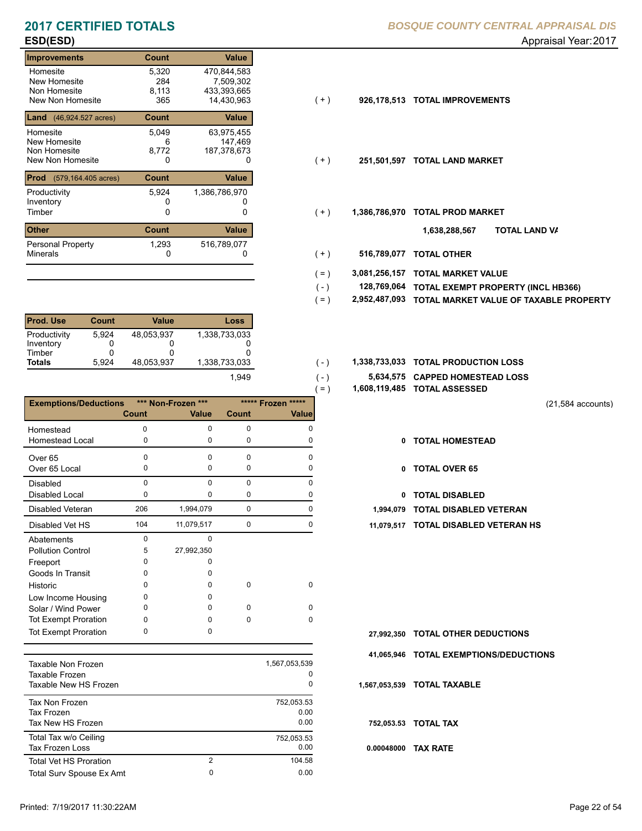### **Improvements Count Value** Homesite New Homesite Non Homesite<br>New Non Homesite New Non Homesite 365 14,430,963 (+ ) **926,178,513 TOTAL IMPROVEMENTS** 5,320 470,844,583 284<br>8,113 147,469 113 433,393,665<br>365 14,430,963 **Land** (46,924.527 acres) **Count Value** Homesite New Homesite Non Homesite<br>New Non Homesite New Non Homesite **TOTAL LAND MARKET** 0 0 **251,501,597** 5,049 63,975,455 6 7,509,302 8,772 187,378,673 **Prod** (579,164.405 acres) **Count Value** Productivity 5,924 1,386,786,970<br>
Inventory 0 0 Inventory<br>Timber 0 0 0 Timber 0 **TOTAL PROD MARKET 1,386,786,970 Other Count Count Value** Minerals Personal Property 5,924 1,293 516,789,077

| <b>Prod. Use</b>                                     | Count                    | Value                         | Loss                           |
|------------------------------------------------------|--------------------------|-------------------------------|--------------------------------|
| Productivity<br>Inventory<br>Timber<br><b>Totals</b> | 5.924<br>O<br>Ω<br>5.924 | 48.053.937<br>O<br>48.053.937 | 1,338,733,033<br>1,338,733,033 |
|                                                      |                          |                               | 1.949                          |

|                                         |                    |             | $=$ )              | 1,608,119,485 TOTAL ASSESSED |
|-----------------------------------------|--------------------|-------------|--------------------|------------------------------|
| <b>Exemptions/Deductions</b>            | *** Non-Frozen *** |             | ***** Frozen ***** |                              |
| <b>Count</b>                            | <b>Value</b>       | Count       | <b>Value</b>       |                              |
| Homestead<br>0                          | $\Omega$           | $\Omega$    | $\Omega$           |                              |
| Homestead Local<br>0                    | 0                  | 0           | 0                  | 0                            |
| $\Omega$<br>Over <sub>65</sub>          | $\Omega$           | $\Omega$    | <sup>n</sup>       |                              |
| Over 65 Local<br>0                      | 0                  | 0           |                    | 0                            |
| $\Omega$<br><b>Disabled</b>             | $\Omega$           | $\Omega$    | $\Omega$           |                              |
| <b>Disabled Local</b><br>0              | 0                  | $\Omega$    | 0                  | 0                            |
| 206<br><b>Disabled Veteran</b>          | 1,994,079          | $\mathbf 0$ | 0                  | 1,994,079                    |
| 104<br>Disabled Vet HS                  | 11,079,517         | $\mathbf 0$ | <sup>0</sup>       | 11,079,517                   |
| $\Omega$<br>Abatements                  | $\Omega$           |             |                    |                              |
| 5<br><b>Pollution Control</b>           | 27,992,350         |             |                    |                              |
| 0<br>Freeport                           | 0                  |             |                    |                              |
| Goods In Transit<br>0                   | U                  |             |                    |                              |
| Historic<br>0                           | 0                  | $\mathbf 0$ | $\Omega$           |                              |
| Low Income Housing<br>0                 | 0                  |             |                    |                              |
| 0<br>Solar / Wind Power                 | <sup>n</sup>       | $\Omega$    | $\Omega$           |                              |
| <b>Tot Exempt Proration</b><br>$\Omega$ | $\Omega$           | $\Omega$    | $\Omega$           |                              |
| <b>Tot Exempt Proration</b><br>$\Omega$ | $\Omega$           |             |                    | 27,992,350                   |

| Taxable Non Frozen<br>Taxable Frozen<br>Taxable New HS Frozen   |   | 1,567,053,539<br>0<br>$\Omega$ |
|-----------------------------------------------------------------|---|--------------------------------|
| <b>Tax Non Frozen</b><br><b>Tax Frozen</b><br>Tax New HS Frozen |   | 752,053.53<br>0.00<br>0.00     |
| Total Tax w/o Ceiling<br><b>Tax Frozen Loss</b>                 |   | 752.053.53<br>0.00             |
| <b>Total Vet HS Proration</b>                                   | 2 | 104.58                         |
| Total Surv Spouse Ex Amt                                        | 0 | 0.00                           |

- $(+)$
- $(+)$
- $(+)$ 
	- **TOTAL LAND VA 1,638,288,567**
- 0 0 **516,789,077 TOTAL OTHER**  $(+)$

 $( - )$  $( - )$ 

- **3,081,256,157 TOTAL MARKET VALUE**  $( = )$
- **TOTAL EXEMPT PROPERTY (INCL HB366) 128,769,064**  $( - )$
- **2,952,487,093 TOTAL MARKET VALUE OF TAXABLE PROPERTY**  $( = )$
- 1,338,733,033 **1,338,733,033 TOTAL PRODUCTION LOSS** 
	- **5,634,575 CAPPED HOMESTEAD LOSS**
	- **1,608,119,485 TOTAL ASSESSED**
- (21,584 accounts)
- **TOTAL HOMESTEAD**
- 0 TOTAL OVER 65
- 0 TOTAL DISABLED
- 
- 104 0 11,079,517 0 **11,079,517 TOTAL DISABLED VETERAN HS**

- **TOTAL OTHER DEDUCTIONS 27,992,350**
- **41,065,946 TOTAL EXEMPTIONS/DEDUCTIONS**

**1,567,053,539 TOTAL TAXABLE**

**752,053.53 TOTAL TAX**

**0.00048000 TAX RATE**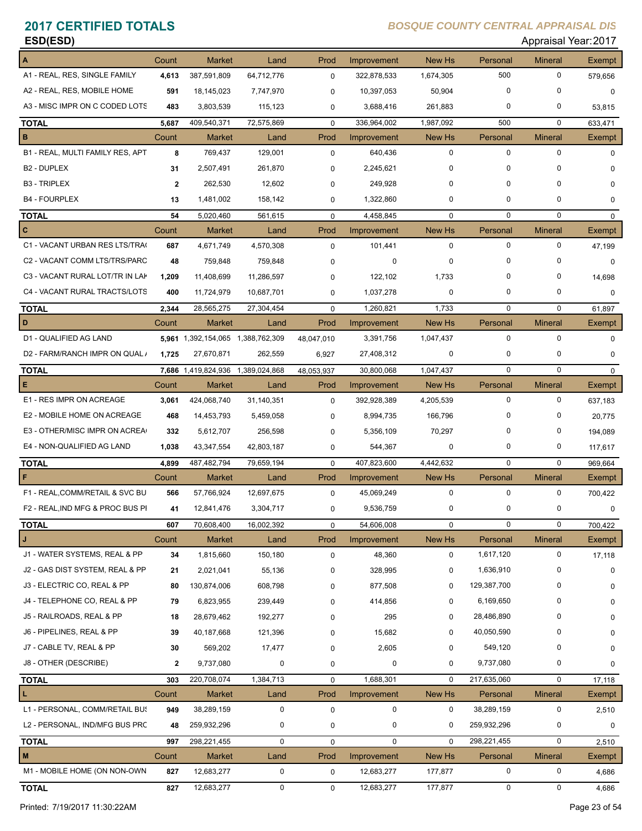| ESD(ESD)                         |                  |               |             |             |             |              |             | Appraisal Year: 2017 |               |
|----------------------------------|------------------|---------------|-------------|-------------|-------------|--------------|-------------|----------------------|---------------|
| A                                | Count            | <b>Market</b> | Land        | Prod        | Improvement | New Hs       | Personal    | <b>Mineral</b>       | <b>Exempt</b> |
| A1 - REAL, RES, SINGLE FAMILY    | 4,613            | 387,591,809   | 64,712,776  | $\Omega$    | 322,878,533 | 1,674,305    | 500         | 0                    | 579,656       |
| A2 - REAL, RES, MOBILE HOME      | 591              | 18,145,023    | 7,747,970   | 0           | 10,397,053  | 50,904       | $\mathbf 0$ | 0                    | 0             |
| A3 - MISC IMPR ON C CODED LOTS   | 483              | 3,803,539     | 115,123     | 0           | 3,688,416   | 261,883      | 0           | 0                    | 53,815        |
| <b>TOTAL</b>                     | 5,687            | 409,540,371   | 72,575,869  | $\mathbf 0$ | 336,964,002 | 1,987,092    | 500         | $\mathbf 0$          | 633,471       |
| в                                | Count            | <b>Market</b> | Land        | Prod        | Improvement | New Hs       | Personal    | <b>Mineral</b>       | Exempt        |
| B1 - REAL, MULTI FAMILY RES, APT | 8                | 769,437       | 129,001     | $\Omega$    | 640,436     | $\Omega$     | $\Omega$    | $\mathbf 0$          | n             |
| <b>B2 - DUPLEX</b>               | 31               | 2,507,491     | 261,870     | 0           | 2,245,621   | $\Omega$     | $\mathbf 0$ | 0                    | n             |
| <b>B3 - TRIPLEX</b>              | $\mathbf{2}$     | 262,530       | 12,602      | 0           | 249,928     | $\Omega$     | $\Omega$    | $\mathbf 0$          | 0             |
| <b>B4 - FOURPLEX</b>             | 13               | 1,481,002     | 158,142     | 0           | 1,322,860   | $\Omega$     | $\mathbf 0$ | $\mathbf 0$          | 0             |
| <b>TOTAL</b>                     | 54               | 5,020,460     | 561,615     | $\Omega$    | 4,458,845   | $\Omega$     | $\Omega$    | $\Omega$             | 0             |
| C                                | Count            | <b>Market</b> | Land        | Prod        | Improvement | New Hs       | Personal    | <b>Mineral</b>       | <b>Exempt</b> |
| C1 - VACANT URBAN RES LTS/TRA    | 687              | 4,671,749     | 4,570,308   | $\Omega$    | 101,441     | $\Omega$     | $\mathbf 0$ | 0                    | 47,199        |
| C2 - VACANT COMM LTS/TRS/PARC    | 48               | 759,848       | 759,848     | 0           | 0           | <sup>0</sup> | $\mathbf 0$ | 0                    | 0             |
| C3 - VACANT RURAL LOT/TR IN LAK  | 1.209            | 11,408,699    | 11,286,597  | $\Omega$    | 122,102     | 1,733        | $\Omega$    | $\mathbf 0$          | 14,698        |
| C4 - VACANT RURAL TRACTS/LOTS    | 400              | 11,724,979    | 10,687,701  | $\Omega$    | 1,037,278   | 0            | $\mathbf 0$ | 0                    | 0             |
| <b>TOTAL</b>                     | 2,344            | 28,565,275    | 27,304,454  | $\Omega$    | 1,260,821   | 1.733        | $\Omega$    | 0                    | 61,897        |
| D.                               | $C$ $\Omega$ unt | Market        | <b>Land</b> | <b>Prod</b> | Improvement | New He       | Personal    | Mineral              | Evemnt        |

| D                                | Count        | <b>Market</b>                     | Land          | Prod        | Improvement | <b>New Hs</b> | Personal    | <b>Mineral</b> | Exempt       |
|----------------------------------|--------------|-----------------------------------|---------------|-------------|-------------|---------------|-------------|----------------|--------------|
| D1 - QUALIFIED AG LAND           |              | 5,961 1,392,154,065 1,388,762,309 |               | 48,047,010  | 3,391,756   | 1,047,437     | $\mathbf 0$ | $\Omega$       | $\Omega$     |
| D2 - FARM/RANCH IMPR ON QUAL /   | 1,725        | 27,670,871                        | 262,559       | 6,927       | 27,408,312  | 0             | 0           | 0              | 0            |
| TOTAL                            |              | 7,686 1,419,824,936               | 1,389,024,868 | 48,053,937  | 30,800,068  | 1,047,437     | $\mathbf 0$ | $\mathbf 0$    | $\Omega$     |
| Е                                | Count        | <b>Market</b>                     | Land          | Prod        | Improvement | New Hs        | Personal    | <b>Mineral</b> | Exempt       |
| E1 - RES IMPR ON ACREAGE         | 3.061        | 424,068,740                       | 31,140,351    | 0           | 392,928,389 | 4,205,539     | $\mathbf 0$ | $\mathbf 0$    | 637,183      |
| E2 - MOBILE HOME ON ACREAGE      | 468          | 14,453,793                        | 5,459,058     | $\Omega$    | 8,994,735   | 166,796       | 0           | 0              | 20.775       |
| E3 - OTHER/MISC IMPR ON ACREA    | 332          | 5,612,707                         | 256,598       | 0           | 5,356,109   | 70,297        | 0           | 0              | 194,089      |
| E4 - NON-QUALIFIED AG LAND       | 1,038        | 43,347,554                        | 42,803,187    | 0           | 544,367     | 0             | 0           | 0              | 117,617      |
| TOTAL                            | 4,899        | 487,482,794                       | 79,659,194    | $\mathbf 0$ | 407,823,600 | 4,442,632     | $\mathbf 0$ | $\mathbf 0$    | 969,664      |
| F                                | Count        | <b>Market</b>                     | Land          | Prod        | Improvement | New Hs        | Personal    | <b>Mineral</b> | Exempt       |
| F1 - REAL, COMM/RETAIL & SVC BU  | 566          | 57,766,924                        | 12,697,675    | 0           | 45,069,249  | $\mathbf 0$   | 0           | 0              | 700,422      |
| F2 - REAL, IND MFG & PROC BUS PI | 41           | 12,841,476                        | 3,304,717     | 0           | 9,536,759   | 0             | $\mathbf 0$ | $\mathbf 0$    | 0            |
| TOTAL                            | 607          | 70,608,400                        | 16,002,392    | $\mathbf 0$ | 54,606,008  | $\Omega$      | $\mathbf 0$ | $\mathbf 0$    | 700,422      |
| J                                | Count        | <b>Market</b>                     | Land          | Prod        | Improvement | New Hs        | Personal    | <b>Mineral</b> | Exempt       |
| J1 - WATER SYSTEMS, REAL & PP    | 34           | 1,815,660                         | 150,180       | 0           | 48,360      | 0             | 1,617,120   | $\mathbf 0$    | 17,118       |
| J2 - GAS DIST SYSTEM, REAL & PP  | 21           | 2,021,041                         | 55,136        | 0           | 328,995     | 0             | 1,636,910   | $\Omega$       | $\Omega$     |
| J3 - ELECTRIC CO, REAL & PP      | 80           | 130,874,006                       | 608,798       | $\Omega$    | 877,508     | $\Omega$      | 129,387,700 | 0              | <sup>0</sup> |
| J4 - TELEPHONE CO, REAL & PP     | 79           | 6,823,955                         | 239,449       | 0           | 414,856     | 0             | 6,169,650   | 0              | 0            |
| J5 - RAILROADS, REAL & PP        | 18           | 28,679,462                        | 192,277       | 0           | 295         | $\Omega$      | 28,486,890  | 0              | 0            |
| J6 - PIPELINES, REAL & PP        | 39           | 40,187,668                        | 121,396       | 0           | 15,682      | $\Omega$      | 40,050,590  | 0              | 0            |
| J7 - CABLE TV, REAL & PP         | 30           | 569,202                           | 17,477        | $\Omega$    | 2,605       | $\Omega$      | 549,120     | 0              |              |
| J8 - OTHER (DESCRIBE)            | $\mathbf{2}$ | 9,737,080                         | 0             | $\mathbf 0$ | 0           | $\Omega$      | 9,737,080   | 0              | $\Omega$     |
| <b>TOTAL</b>                     | 303          | 220,708,074                       | 1,384,713     | $\Omega$    | 1,688,301   | $\Omega$      | 217,635,060 | $\Omega$       | 17,118       |
|                                  | Count        | <b>Market</b>                     | Land          | Prod        | Improvement | New Hs        | Personal    | <b>Mineral</b> | Exempt       |
| L1 - PERSONAL, COMM/RETAIL BUS   | 949          | 38,289,159                        | 0             | $\mathbf 0$ | 0           | $\mathbf 0$   | 38,289,159  | 0              | 2,510        |
| L2 - PERSONAL, IND/MFG BUS PRC   | 48           | 259,932,296                       | 0             | 0           | 0           | $\mathbf 0$   | 259,932,296 | 0              | 0            |
| <b>TOTAL</b>                     | 997          | 298,221,455                       | $\mathbf 0$   | $\mathbf 0$ | $\mathbf 0$ | $\Omega$      | 298,221,455 | $\mathbf 0$    | 2,510        |
| M                                | Count        | <b>Market</b>                     | Land          | Prod        | Improvement | New Hs        | Personal    | <b>Mineral</b> | Exempt       |
| M1 - MOBILE HOME (ON NON-OWN     | 827          | 12,683,277                        | 0             | 0           | 12,683,277  | 177,877       | $\mathbf 0$ | $\pmb{0}$      | 4,686        |
|                                  |              |                                   |               |             |             |               |             |                |              |

**TOTAL 827** 12,683,277 0 12,683,277 177,877 0 0 0 4,686

Printed: 7/19/2017 11:30:22AM Page 23 of 54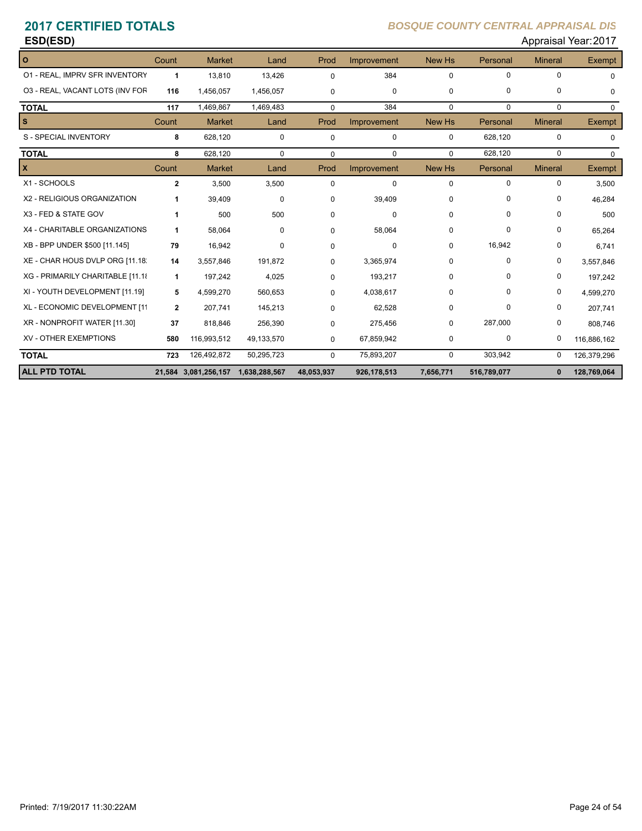# **ESD(ESD)** Appraisal Year: 2017

| $\circ$                          | Count        | <b>Market</b>                      | Land        | Prod        | Improvement | New Hs        | Personal    | <b>Mineral</b> | Exempt        |
|----------------------------------|--------------|------------------------------------|-------------|-------------|-------------|---------------|-------------|----------------|---------------|
| 01 - REAL, IMPRV SFR INVENTORY   | 1            | 13,810                             | 13,426      | $\Omega$    | 384         | $\mathbf 0$   | $\Omega$    | $\Omega$       | $\Omega$      |
| 03 - REAL, VACANT LOTS (INV FOR  | 116          | 1,456,057                          | 1,456,057   | $\Omega$    | 0           | 0             | $\mathbf 0$ | $\Omega$       | $\Omega$      |
| <b>TOTAL</b>                     | 117          | 1,469,867                          | 1,469,483   | $\Omega$    | 384         | $\Omega$      | $\mathbf 0$ | $\mathbf 0$    | $\Omega$      |
| s                                | Count        | <b>Market</b>                      | Land        | Prod        | Improvement | <b>New Hs</b> | Personal    | <b>Mineral</b> | Exempt        |
| S - SPECIAL INVENTORY            | 8            | 628,120                            | 0           | 0           | 0           | $\Omega$      | 628,120     | $\mathbf 0$    | $\Omega$      |
| <b>TOTAL</b>                     | 8            | 628,120                            | $\mathbf 0$ | $\mathbf 0$ | $\mathbf 0$ | $\Omega$      | 628,120     | $\mathbf 0$    | $\Omega$      |
| X                                | Count        | <b>Market</b>                      | Land        | Prod        | Improvement | New Hs        | Personal    | <b>Mineral</b> | <b>Exempt</b> |
| X1 - SCHOOLS                     | $\mathbf{2}$ | 3,500                              | 3,500       | $\Omega$    | $\mathbf 0$ | $\mathbf 0$   | $\Omega$    | 0              | 3,500         |
| X2 - RELIGIOUS ORGANIZATION      | 1            | 39,409                             | 0           | 0           | 39,409      | 0             | 0           | 0              | 46,284        |
| X3 - FED & STATE GOV             | 1            | 500                                | 500         | 0           | $\Omega$    | $\Omega$      | $\Omega$    | 0              | 500           |
| X4 - CHARITABLE ORGANIZATIONS    | 1            | 58,064                             | 0           | 0           | 58,064      | 0             | 0           | 0              | 65,264        |
| XB - BPP UNDER \$500 [11.145]    | 79           | 16,942                             | 0           | $\Omega$    | 0           | $\mathbf 0$   | 16,942      | 0              | 6,741         |
| XE - CHAR HOUS DVLP ORG [11.18]  | 14           | 3,557,846                          | 191,872     | $\Omega$    | 3,365,974   | 0             | 0           | 0              | 3,557,846     |
| XG - PRIMARILY CHARITABLE [11.18 | 1            | 197,242                            | 4,025       | 0           | 193,217     | $\Omega$      | $\Omega$    | 0              | 197,242       |
| XI - YOUTH DEVELOPMENT [11.19]   | 5            | 4,599,270                          | 560,653     | $\Omega$    | 4,038,617   | 0             | $\Omega$    | 0              | 4,599,270     |
| XL - ECONOMIC DEVELOPMENT [11    | $\mathbf{2}$ | 207.741                            | 145,213     | $\Omega$    | 62,528      | $\mathbf 0$   | $\Omega$    | 0              | 207,741       |
| XR - NONPROFIT WATER [11.30]     | 37           | 818,846                            | 256,390     | $\mathbf 0$ | 275,456     | 0             | 287,000     | 0              | 808,746       |
| <b>XV - OTHER EXEMPTIONS</b>     | 580          | 116,993,512                        | 49,133,570  | 0           | 67,859,942  | 0             | 0           | 0              | 116,886,162   |
| <b>TOTAL</b>                     | 723          | 126,492,872                        | 50,295,723  | $\Omega$    | 75,893,207  | $\mathbf 0$   | 303,942     | 0              | 126,379,296   |
| <b>ALL PTD TOTAL</b>             |              | 21,584 3,081,256,157 1,638,288,567 |             | 48,053,937  | 926,178,513 | 7,656,771     | 516,789,077 | $\mathbf{0}$   | 128,769,064   |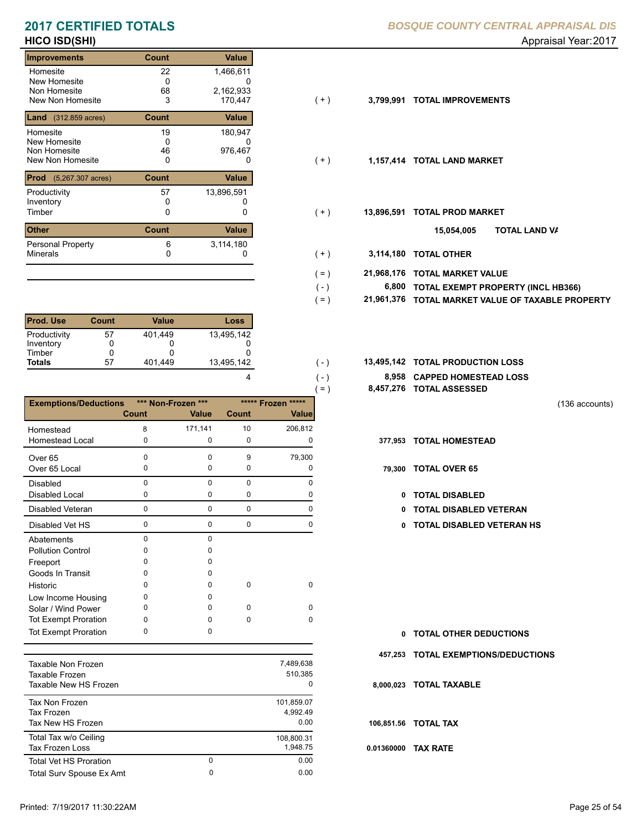# **HICO ISD(SHI)** Appraisal Year: 2017

| <b>Improvements</b>                     | Count        | Value      |       |            |                             |
|-----------------------------------------|--------------|------------|-------|------------|-----------------------------|
| Homesite                                | 22           | 1,466,611  |       |            |                             |
| New Homesite                            | 0            | 0          |       |            |                             |
| Non Homesite                            | 68           | 2,162,933  |       |            |                             |
| New Non Homesite                        | 3            | 170,447    | $(+)$ | 3,799,991  | <b>TOTAL IMPROVEMENTS</b>   |
| <b>Land</b> $(312.859 \text{ acres})$   | <b>Count</b> | Value      |       |            |                             |
| Homesite                                | 19           | 180,947    |       |            |                             |
| New Homesite                            | 0            | 0          |       |            |                             |
| Non Homesite                            | 46           | 976,467    |       |            |                             |
| New Non Homesite                        | 0            | 0          | ( + ) |            | 1,157,414 TOTAL LAND MARKET |
| <b>Prod</b> $(5,267.307 \text{ acres})$ | <b>Count</b> | Value      |       |            |                             |
| Productivity                            | 57           | 13,896,591 |       |            |                             |
| Inventory                               |              |            |       |            |                             |
| Timber                                  | 0            | 0          | (+)   | 13,896,591 | <b>TOTAL PROD MARKET</b>    |
| <b>Other</b>                            | <b>Count</b> | Value      |       |            | 15,054,005<br>וסד           |
| Personal Property                       | 6            | 3,114,180  |       |            |                             |
| <b>Minerals</b>                         | 0            | O          | $(+)$ | 3,114,180  | <b>TOTAL OTHER</b>          |

| <b>Prod. Use</b> | <b>Count</b> | Value   | Loss       |
|------------------|--------------|---------|------------|
| Productivity     | 57           | 401.449 | 13.495.142 |
| Inventory        |              |         |            |
| Timber           | O            |         |            |
| <b>Totals</b>    | 57           | 401.449 | 13,495,142 |
|                  |              |         |            |

| <b>Exemptions/Deductions</b> |          | *** Non-Frozen *** | ***** Frozen | *****   |
|------------------------------|----------|--------------------|--------------|---------|
|                              | Count    | <b>Value</b>       | Count        | Value   |
| Homestead                    | 8        | 171,141            | 10           | 206,812 |
| Homestead Local              | 0        | 0                  | 0            | 0       |
| Over <sub>65</sub>           | 0        | $\Omega$           | 9            | 79,300  |
| Over 65 Local                | 0        | 0                  | 0            | 0       |
| <b>Disabled</b>              | 0        | $\Omega$           | 0            | O       |
| <b>Disabled Local</b>        | 0        | 0                  | 0            | 0       |
| Disabled Veteran             | 0        | $\mathbf{0}$       | 0            | 0       |
| Disabled Vet HS              | $\Omega$ | $\mathbf{0}$       | 0            | 0       |
| Abatements                   | 0        | 0                  |              |         |
| <b>Pollution Control</b>     | ი        | o                  |              |         |
| Freeport                     | o        | O                  |              |         |
| Goods In Transit             |          | O                  |              |         |
| Historic                     | ი        | 0                  | 0            | 0       |
| Low Income Housing           | 0        | 0                  |              |         |
| Solar / Wind Power           | ი        | <sup>0</sup>       | $\Omega$     | O       |
| <b>Tot Exempt Proration</b>  | 0        | O                  | O            | 0       |
| <b>Tot Exempt Proration</b>  | ი        | o                  |              |         |

| Taxable Non Frozen<br>Taxable Frozen<br>Taxable New HS Frozen |        | 7,489,638<br>510.385<br>0      |
|---------------------------------------------------------------|--------|--------------------------------|
| Tax Non Frozen<br>Tax Frozen<br>Tax New HS Frozen             |        | 101,859.07<br>4.992.49<br>0.00 |
| Total Tax w/o Ceiling<br><b>Tax Frozen Loss</b>               |        | 108.800.31<br>1.948.75         |
| <b>Total Vet HS Proration</b><br>Total Surv Spouse Ex Amt     | 0<br>0 | 0.00<br>0.00                   |
|                                                               |        |                                |

- 
- $(+)$ 
	- **TOTAL LAND VA 15,054,005**
- 0 0 **3,114,180 TOTAL OTHER**  $(+ )$

 $( - )$  $( = )$ 

 $(-)$  $( - )$ 

- **21,968,176 TOTAL MARKET VALUE**  $( = )$ 
	- **TOTAL EXEMPT PROPERTY (INCL HB366) 6,800**
	- **21,961,376 TOTAL MARKET VALUE OF TAXABLE PROPERTY**
- **TOTAL PRODUCTION LOSS** 13,495,142 **13,495,142**
	- **8,958 CAPPED HOMESTEAD LOSS**
	- **8,457,276 TOTAL ASSESSED**

(136 accounts)

**377,953 TOTAL HOMESTEAD** 

- **79,300 TOTAL OVER 65** 
	- 0 TOTAL DISABLED
	- Disabled Veteran **TOTAL DISABLED VETERAN**
	- 0 0 0 0 **0 TOTAL DISABLED VETERAN HS**

- **TOTAL OTHER DEDUCTIONS 0**
- **457,253 TOTAL EXEMPTIONS/DEDUCTIONS**

**8,000,023 TOTAL TAXABLE**

**106,851.56 TOTAL TAX**

**0.01360000 TAX RATE**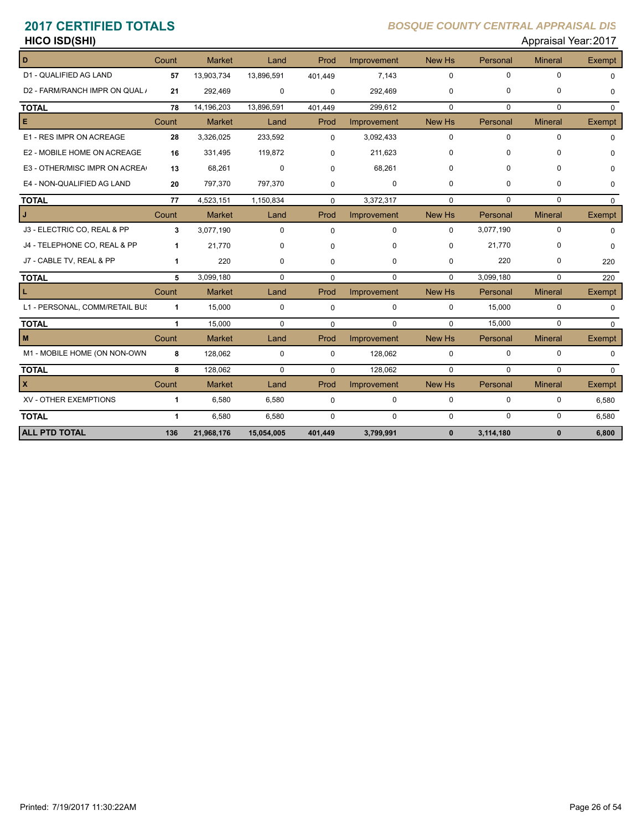# **HICO ISD(SHI)** Appraisal Year: 2017

| D                              | Count        | <b>Market</b> | Land        | Prod        | Improvement | New Hs       | Personal    | <b>Mineral</b> | <b>Exempt</b> |
|--------------------------------|--------------|---------------|-------------|-------------|-------------|--------------|-------------|----------------|---------------|
| D1 - QUALIFIED AG LAND         | 57           | 13,903,734    | 13,896,591  | 401,449     | 7.143       | $\mathbf 0$  | $\mathbf 0$ | 0              | $\Omega$      |
| D2 - FARM/RANCH IMPR ON QUAL / | 21           | 292,469       | 0           | $\Omega$    | 292,469     | $\mathbf 0$  | 0           | 0              | $\Omega$      |
| <b>TOTAL</b>                   | 78           | 14,196,203    | 13,896,591  | 401,449     | 299,612     | $\Omega$     | $\Omega$    | $\Omega$       | $\Omega$      |
| E                              | Count        | <b>Market</b> | Land        | Prod        | Improvement | New Hs       | Personal    | <b>Mineral</b> | Exempt        |
| E1 - RES IMPR ON ACREAGE       | 28           | 3,326,025     | 233,592     | $\Omega$    | 3,092,433   | $\mathbf 0$  | $\mathbf 0$ | 0              | $\Omega$      |
| E2 - MOBILE HOME ON ACREAGE    | 16           | 331,495       | 119,872     | $\Omega$    | 211,623     | $\Omega$     | 0           | $\Omega$       | $\Omega$      |
| E3 - OTHER/MISC IMPR ON ACREA  | 13           | 68,261        | $\mathbf 0$ | $\Omega$    | 68,261      | $\Omega$     | $\Omega$    | $\Omega$       | $\Omega$      |
| E4 - NON-QUALIFIED AG LAND     | 20           | 797,370       | 797,370     | $\Omega$    | $\mathbf 0$ | $\mathbf 0$  | 0           | 0              | $\Omega$      |
| <b>TOTAL</b>                   | 77           | 4,523,151     | 1,150,834   | $\Omega$    | 3,372,317   | $\Omega$     | $\Omega$    | 0              | $\Omega$      |
| J                              | Count        | <b>Market</b> | Land        | Prod        | Improvement | New Hs       | Personal    | <b>Mineral</b> | Exempt        |
| J3 - ELECTRIC CO, REAL & PP    | 3            | 3,077,190     | $\mathbf 0$ | $\Omega$    | $\mathbf 0$ | $\mathbf 0$  | 3,077,190   | $\mathbf 0$    | $\Omega$      |
| J4 - TELEPHONE CO, REAL & PP   | $\mathbf{1}$ | 21,770        | $\Omega$    | $\Omega$    | $\Omega$    | $\Omega$     | 21,770      | $\Omega$       | $\Omega$      |
| J7 - CABLE TV, REAL & PP       | $\mathbf 1$  | 220           | 0           | $\Omega$    | 0           | $\mathbf 0$  | 220         | 0              | 220           |
| <b>TOTAL</b>                   | 5            | 3,099,180     | $\mathbf 0$ | $\Omega$    | $\Omega$    | $\Omega$     | 3,099,180   | 0              | 220           |
| L.                             | Count        | <b>Market</b> | Land        | Prod        | Improvement | New Hs       | Personal    | <b>Mineral</b> | Exempt        |
| L1 - PERSONAL, COMM/RETAIL BUS | $\mathbf{1}$ | 15,000        | $\mathbf 0$ | $\mathbf 0$ | $\mathbf 0$ | $\Omega$     | 15,000      | $\Omega$       | $\Omega$      |
| <b>TOTAL</b>                   | $\mathbf{1}$ | 15,000        | $\Omega$    | $\Omega$    | $\Omega$    | $\Omega$     | 15.000      | $\Omega$       | $\Omega$      |
| M                              | Count        | <b>Market</b> | Land        | Prod        | Improvement | New Hs       | Personal    | <b>Mineral</b> | Exempt        |
| M1 - MOBILE HOME (ON NON-OWN   | 8            | 128,062       | 0           | $\Omega$    | 128,062     | $\mathbf 0$  | 0           | 0              | $\Omega$      |
| <b>TOTAL</b>                   | 8            | 128.062       | $\Omega$    | $\Omega$    | 128.062     | $\Omega$     | $\mathbf 0$ | 0              | $\Omega$      |
| $\mathbf{x}$                   | Count        | <b>Market</b> | Land        | Prod        | Improvement | New Hs       | Personal    | <b>Mineral</b> | Exempt        |
| XV - OTHER EXEMPTIONS          | 1            | 6,580         | 6,580       | $\mathbf 0$ | 0           | 0            | $\mathbf 0$ | 0              | 6,580         |
| <b>TOTAL</b>                   | $\mathbf{1}$ | 6,580         | 6,580       | $\Omega$    | 0           | $\mathbf 0$  | $\mathbf 0$ | 0              | 6,580         |
| <b>ALL PTD TOTAL</b>           | 136          | 21,968,176    | 15,054,005  | 401.449     | 3,799,991   | $\mathbf{0}$ | 3,114,180   | $\mathbf{0}$   | 6,800         |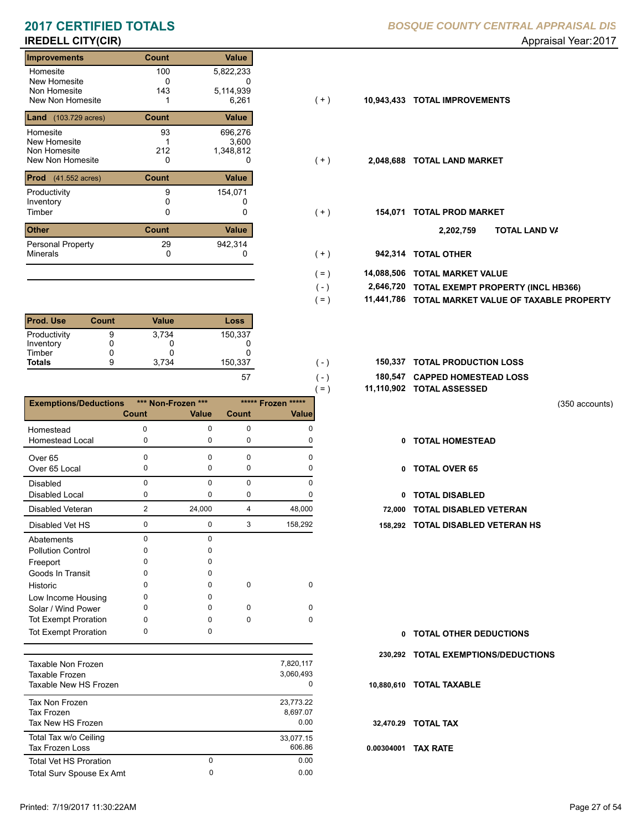# **IREDELL CITY(CIR)** Appraisal Year: 2017

| <b>Improvements</b>                  | Count | Value     |       |            |                           |                 |
|--------------------------------------|-------|-----------|-------|------------|---------------------------|-----------------|
| Homesite                             | 100   | 5,822,233 |       |            |                           |                 |
| New Homesite                         | 0     | 0         |       |            |                           |                 |
| Non Homesite                         | 143   | 5,114,939 |       |            |                           |                 |
| New Non Homesite                     |       | 6,261     | $(+)$ | 10,943,433 | <b>TOTAL IMPROVEMENTS</b> |                 |
| <b>Land</b> (103.729 acres)          | Count | Value     |       |            |                           |                 |
| Homesite                             | 93    | 696,276   |       |            |                           |                 |
| New Homesite                         |       | 3.600     |       |            |                           |                 |
| Non Homesite                         | 212   | 1,348,812 |       |            |                           |                 |
| New Non Homesite                     | 0     | 0         | $(+)$ | 2,048,688  | <b>TOTAL LAND MARKET</b>  |                 |
| <b>Prod</b> $(41.552 \text{ acres})$ | Count | Value     |       |            |                           |                 |
| Productivity                         | 9     | 154,071   |       |            |                           |                 |
| Inventory                            |       |           |       |            |                           |                 |
| Timber                               | 0     | 0         | $(+)$ | 154,071    | <b>TOTAL PROD MARKET</b>  |                 |
| <b>Other</b>                         | Count | Value     |       |            | 2,202,759                 | TO <sub>1</sub> |
| <b>Personal Property</b>             | 29    | 942,314   |       |            |                           |                 |
| <b>Minerals</b>                      | 0     | 0         | (+)   | 942.314    | <b>TOTAL OTHER</b>        |                 |

| <b>Prod. Use</b> | Count | Value | Loss    |
|------------------|-------|-------|---------|
| Productivity     | 9     | 3.734 | 150,337 |
| Inventory        |       |       |         |
| Timber           |       |       |         |
| <b>Totals</b>    | 9     | 3.734 | 150,337 |
|                  |       |       | 5       |

|                              |             |                    |              | $( = )$      | 11,110,902 |
|------------------------------|-------------|--------------------|--------------|--------------|------------|
| <b>Exemptions/Deductions</b> |             | *** Non-Frozen *** | ***** Frozen | *****        |            |
|                              | Count       | <b>Value</b>       | Count        | <b>Value</b> |            |
| Homestead                    | 0           | 0                  | 0            | O            |            |
| <b>Homestead Local</b>       | 0           | 0                  | 0            | O            |            |
| Over <sub>65</sub>           | 0           | $\Omega$           | $\Omega$     | o            |            |
| Over 65 Local                | 0           | 0                  | 0            | O            |            |
| <b>Disabled</b>              | $\Omega$    | $\Omega$           | $\Omega$     | O            |            |
| <b>Disabled Local</b>        | 0           | 0                  | 0            |              |            |
| Disabled Veteran             | 2           | 24,000             | 4            | 48,000       |            |
| Disabled Vet HS              | $\mathbf 0$ | $\mathbf{0}$       | 3            | 158,292      | 158,292    |
| Abatements                   | $\Omega$    | $\Omega$           |              |              |            |
| <b>Pollution Control</b>     | 0           | o                  |              |              |            |
| Freeport                     | 0           | o                  |              |              |            |
| Goods In Transit             | o           | o                  |              |              |            |
| Historic                     | 0           | O                  | 0            | 0            |            |
| Low Income Housing           | 0           | o                  |              |              |            |
| Solar / Wind Power           | 0           | 0                  | 0            | 0            |            |
| <b>Tot Exempt Proration</b>  | 0           | U                  | 0            | $\Omega$     |            |
| <b>Tot Exempt Proration</b>  | 0           | 0                  |              |              |            |
|                              |             |                    |              |              |            |

| Taxable Non Frozen<br>Taxable Frozen<br>Taxable New HS Frozen |        | 7.820.117<br>3.060.493<br>0   |
|---------------------------------------------------------------|--------|-------------------------------|
| Tax Non Frozen<br>Tax Frozen<br>Tax New HS Frozen             |        | 23.773.22<br>8.697.07<br>0.00 |
| Total Tax w/o Ceiling<br>Tax Frozen Loss                      |        | 33,077.15<br>606.86           |
| <b>Total Vet HS Proration</b><br>Total Surv Spouse Ex Amt     | 0<br>0 | 0.00<br>0.00                  |
|                                                               |        |                               |

|  | 10,943,433 TOTAL IMPROVEMENTS |
|--|-------------------------------|
|  |                               |

 $( - )$  $( = )$ 

 $( - )$  $( - )$ 

- $(+)$
- $(+)$ 
	- **TOTAL LAND VA 2,202,759**
- 0 0 **942,314 TOTAL OTHER**  $(+ )$
- **14,088,506 TOTAL MARKET VALUE**  $( = )$ 
	- **TOTAL EXEMPT PROPERTY (INCL HB366) 2,646,720**
	- **11,441,786 TOTAL MARKET VALUE OF TAXABLE PROPERTY**
- **TOTAL PRODUCTION LOSS** 150,337 **150,337**
	- **180,547 CAPPED HOMESTEAD LOSS**
	- **11,110,902 TOTAL ASSESSED**

(350 accounts)

- **TOTAL HOMESTEAD**
- 0 TOTAL OVER 65
- 0 TOTAL DISABLED
- **72,000 TOTAL DISABLED VETERAN**
- 0 3 0 158,292 **158,292 TOTAL DISABLED VETERAN HS**

- **TOTAL OTHER DEDUCTIONS 0**
- **230,292 TOTAL EXEMPTIONS/DEDUCTIONS**
- **10,880,610 TOTAL TAXABLE**
- **32,470.29 TOTAL TAX**
- **0.00304001 TAX RATE**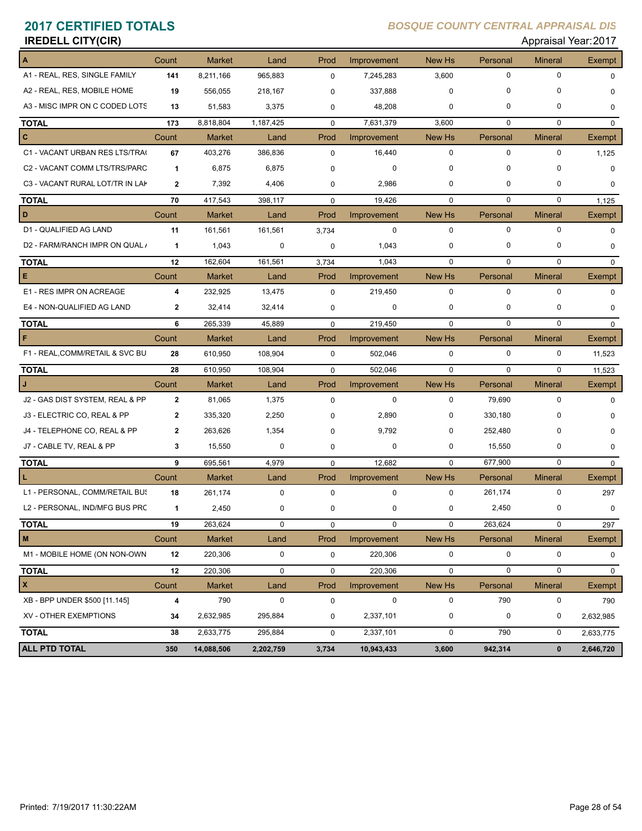# **IREDELL CITY(CIR)** Appraisal Year: 2017

| A                               | Count          | <b>Market</b> | Land        | Prod        | Improvement | New Hs      | Personal    | <b>Mineral</b> | Exempt      |
|---------------------------------|----------------|---------------|-------------|-------------|-------------|-------------|-------------|----------------|-------------|
| A1 - REAL, RES, SINGLE FAMILY   | 141            | 8,211,166     | 965,883     | 0           | 7,245,283   | 3,600       | $\pmb{0}$   | $\mathbf 0$    | $\Omega$    |
| A2 - REAL, RES, MOBILE HOME     | 19             | 556,055       | 218,167     | 0           | 337,888     | 0           | 0           | 0              | 0           |
| A3 - MISC IMPR ON C CODED LOTS  | 13             | 51,583        | 3,375       | 0           | 48,208      | 0           | 0           | 0              | $\mathbf 0$ |
| <b>TOTAL</b>                    | 173            | 8,818,804     | 1,187,425   | $\mathbf 0$ | 7,631,379   | 3,600       | $\mathbf 0$ | $\mathbf 0$    | $\mathbf 0$ |
| $\mathbf{C}$                    | Count          | <b>Market</b> | Land        | Prod        | Improvement | New Hs      | Personal    | <b>Mineral</b> | Exempt      |
| C1 - VACANT URBAN RES LTS/TRA(  | 67             | 403,276       | 386,836     | $\mathbf 0$ | 16,440      | $\mathbf 0$ | $\pmb{0}$   | $\mathbf 0$    | 1,125       |
| C2 - VACANT COMM LTS/TRS/PARC   | 1              | 6,875         | 6,875       | $\Omega$    | 0           | 0           | $\Omega$    | $\mathbf 0$    | $\Omega$    |
| C3 - VACANT RURAL LOT/TR IN LAP | $\overline{2}$ | 7,392         | 4,406       | 0           | 2,986       | 0           | $\mathbf 0$ | $\mathbf 0$    | 0           |
| <b>TOTAL</b>                    | 70             | 417,543       | 398,117     | $\mathbf 0$ | 19,426      | $\mathbf 0$ | $\mathbf 0$ | $\mathbf 0$    | 1,125       |
| D                               | Count          | <b>Market</b> | Land        | Prod        | Improvement | New Hs      | Personal    | <b>Mineral</b> | Exempt      |
| D1 - QUALIFIED AG LAND          | 11             | 161,561       | 161,561     | 3,734       | 0           | $\mathbf 0$ | $\mathbf 0$ | $\mathbf 0$    | $\mathbf 0$ |
| D2 - FARM/RANCH IMPR ON QUAL /  | 1              | 1,043         | 0           | 0           | 1,043       | 0           | $\mathbf 0$ | 0              | $\mathbf 0$ |
| <b>TOTAL</b>                    | 12             | 162,604       | 161,561     | 3,734       | 1,043       | $\mathbf 0$ | $\mathbf 0$ | $\mathbf 0$    | $\mathbf 0$ |
| Е                               | Count          | <b>Market</b> | Land        | Prod        | Improvement | New Hs      | Personal    | <b>Mineral</b> | Exempt      |
| E1 - RES IMPR ON ACREAGE        | 4              | 232,925       | 13,475      | $\mathbf 0$ | 219,450     | $\mathbf 0$ | $\mathbf 0$ | $\mathbf 0$    | $\Omega$    |
| E4 - NON-QUALIFIED AG LAND      | $\mathbf{2}$   | 32,414        | 32,414      | 0           | 0           | 0           | 0           | 0              | $\Omega$    |
| <b>TOTAL</b>                    | 6              | 265,339       | 45,889      | $\mathbf 0$ | 219,450     | $\mathbf 0$ | $\mathbf 0$ | 0              | $\mathbf 0$ |
| F                               | Count          | <b>Market</b> | Land        | Prod        | Improvement | New Hs      | Personal    | <b>Mineral</b> | Exempt      |
| F1 - REAL, COMM/RETAIL & SVC BU | 28             | 610,950       | 108,904     | $\mathbf 0$ | 502,046     | $\mathbf 0$ | $\mathbf 0$ | $\mathbf 0$    | 11,523      |
| <b>TOTAL</b>                    | 28             | 610,950       | 108,904     | $\mathbf 0$ | 502,046     | $\mathbf 0$ | $\mathbf 0$ | $\mathbf 0$    | 11,523      |
|                                 | Count          | <b>Market</b> | Land        | Prod        | Improvement | New Hs      | Personal    | <b>Mineral</b> | Exempt      |
| J2 - GAS DIST SYSTEM, REAL & PP | $\mathbf{2}$   | 81,065        | 1,375       | $\mathbf 0$ | 0           | $\mathbf 0$ | 79,690      | 0              | $\mathbf 0$ |
| J3 - ELECTRIC CO, REAL & PP     | $\mathbf{2}$   | 335,320       | 2,250       | 0           | 2,890       | 0           | 330,180     | 0              | 0           |
| J4 - TELEPHONE CO, REAL & PP    | $\mathbf{2}$   | 263,626       | 1,354       | $\Omega$    | 9,792       | 0           | 252,480     | 0              | 0           |
| J7 - CABLE TV, REAL & PP        | 3              | 15,550        | 0           | 0           | 0           | 0           | 15,550      | 0              | 0           |
| <b>TOTAL</b>                    | 9              | 695,561       | 4,979       | $\mathbf 0$ | 12,682      | $\mathbf 0$ | 677,900     | 0              | 0           |
|                                 | Count          | <b>Market</b> | Land        | Prod        | Improvement | New Hs      | Personal    | <b>Mineral</b> | Exempt      |
| L1 - PERSONAL, COMM/RETAIL BUS  | 18             | 261,174       | $\mathbf 0$ | $\mathbf 0$ | $\mathbf 0$ | $\mathbf 0$ | 261,174     | 0              | 297         |
| L2 - PERSONAL, IND/MFG BUS PRC  | 1              | 2,450         | 0           | 0           | 0           | 0           | 2,450       | 0              | $\mathbf 0$ |
| <b>TOTAL</b>                    | 19             | 263,624       | 0           | 0           | 0           | 0           | 263,624     | 0              | 297         |
| M                               | Count          | Market        | Land        | Prod        | Improvement | New Hs      | Personal    | <b>Mineral</b> | Exempt      |
| M1 - MOBILE HOME (ON NON-OWN    | 12             | 220,306       | 0           | 0           | 220,306     | 0           | 0           | 0              | 0           |
| <b>TOTAL</b>                    | 12             | 220,306       | $\mathbf 0$ | 0           | 220,306     | $\pmb{0}$   | $\mathbf 0$ | 0              | $\mathbf 0$ |
| $\pmb{\mathsf{x}}$              | Count          | <b>Market</b> | Land        | Prod        | Improvement | New Hs      | Personal    | <b>Mineral</b> | Exempt      |
| XB - BPP UNDER \$500 [11.145]   | 4              | 790           | $\pmb{0}$   | 0           | $\mathbf 0$ | 0           | 790         | 0              | 790         |
| XV - OTHER EXEMPTIONS           | 34             | 2,632,985     | 295,884     | 0           | 2,337,101   | $\pmb{0}$   | $\mathbf 0$ | 0              | 2,632,985   |
| <b>TOTAL</b>                    | 38             | 2,633,775     | 295,884     | 0           | 2,337,101   | $\pmb{0}$   | 790         | 0              | 2,633,775   |
| <b>ALL PTD TOTAL</b>            | 350            | 14,088,506    | 2,202,759   | 3,734       | 10,943,433  | 3,600       | 942,314     | $\mathbf 0$    | 2,646,720   |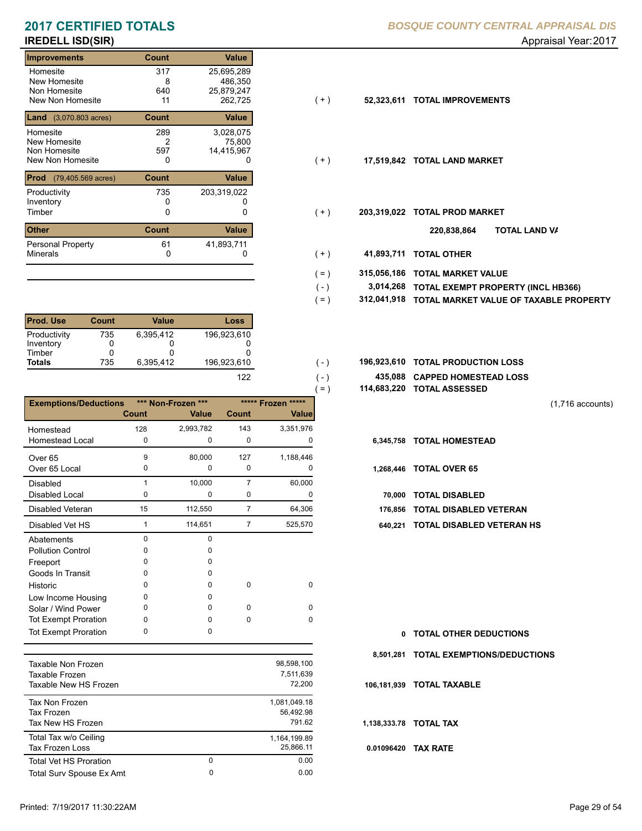| <b>Improvements</b>                                          | Count                 | <b>Value</b>                                   |       |             |                           |
|--------------------------------------------------------------|-----------------------|------------------------------------------------|-------|-------------|---------------------------|
| Homesite<br>New Homesite<br>Non Homesite<br>New Non Homesite | 317<br>8<br>640<br>11 | 25,695,289<br>486,350<br>25,879,247<br>262,725 | $(+)$ | 52,323,611  | <b>TOTAL IMPROVEMENTS</b> |
| <b>Land</b> (3,070.803 acres)                                | Count                 | Value                                          |       |             |                           |
| Homesite<br>New Homesite<br>Non Homesite<br>New Non Homesite | 289<br>2<br>597<br>0  | 3,028,075<br>75,800<br>14,415,967<br>0         | ( + ) | 17,519,842  | <b>TOTAL LAND MARKET</b>  |
| Prod<br>$(79, 405.569 \text{ acres})$                        | Count                 | Value                                          |       |             |                           |
| Productivity<br>Inventory<br>Timber                          | 735<br>0              | 203,319,022<br>0                               | ( + ) | 203,319,022 | <b>TOTAL PROD MARKET</b>  |
| Other                                                        | <b>Count</b>          | Value                                          |       |             | וסד<br>220,838,864        |
| <b>Personal Property</b><br><b>Minerals</b>                  | 61<br>0               | 41,893,711                                     | ( + ) | 41,893,711  | <b>TOTAL OTHER</b>        |

| <b>Prod. Use</b> | Count | Value     | Loss        |
|------------------|-------|-----------|-------------|
| Productivity     | 735   | 6.395.412 | 196,923,610 |
| Inventory        |       |           |             |
| Timber           |       |           |             |
| <b>Totals</b>    | 735   | 6.395.412 | 196,923,610 |
|                  |       |           | 122         |

|                              |              |                             |                |                                    | $=$ )     | 114,683,220 TOTAL ASSESSED |
|------------------------------|--------------|-----------------------------|----------------|------------------------------------|-----------|----------------------------|
| <b>Exemptions/Deductions</b> | Count        | *** Non-Frozen ***<br>Value | <b>Count</b>   | ***** Frozen *****<br><b>Value</b> |           |                            |
| Homestead                    | 128          | 2,993,782                   | 143            | 3,351,976                          |           |                            |
| <b>Homestead Local</b>       | 0            | 0                           | $\mathbf 0$    | 0                                  | 6,345,758 | <b>TOTAL HOMESTEAD</b>     |
| Over <sub>65</sub>           | 9            | 80,000                      | 127            | 1,188,446                          |           |                            |
| Over 65 Local                | 0            | 0                           | $\Omega$       | 0                                  |           | 1,268,446 TOTAL OVER 65    |
| <b>Disabled</b>              |              | 10,000                      | 7              | 60,000                             |           |                            |
| Disabled Local               | 0            | 0                           | 0              | 0                                  | 70.000    | <b>TOTAL DISABLED</b>      |
| Disabled Veteran             | 15           | 112,550                     | $\overline{7}$ | 64,306                             | 176.856   | <b>TOTAL DISABLED VI</b>   |
| Disabled Vet HS              | 1            | 114,651                     | $\overline{7}$ | 525,570                            | 640,221   | <b>TOTAL DISABLED VI</b>   |
| Abatements                   | $\Omega$     | $\Omega$                    |                |                                    |           |                            |
| <b>Pollution Control</b>     | <sup>0</sup> | n                           |                |                                    |           |                            |
| Freeport                     | O            |                             |                |                                    |           |                            |
| Goods In Transit             | <sup>0</sup> | O                           |                |                                    |           |                            |
| Historic                     | $\Omega$     | <sup>0</sup>                | $\Omega$       | $\Omega$                           |           |                            |
| Low Income Housing           | 0            | 0                           |                |                                    |           |                            |
| Solar / Wind Power           | 0            | 0                           | $\Omega$       | $\Omega$                           |           |                            |
| Tot Exempt Proration         | 0            | <sup>0</sup>                | $\Omega$       | $\Omega$                           |           |                            |
| <b>Tot Exempt Proration</b>  | $\Omega$     | 0                           |                |                                    | 0         | <b>TOTAL OTHER DEDL</b>    |

| Taxable Non Frozen<br>Taxable Frozen<br>Taxable New HS Frozen |        | 98.598.100<br>7.511.639<br>72,200   |
|---------------------------------------------------------------|--------|-------------------------------------|
| Tax Non Frozen<br>Tax Frozen<br>Tax New HS Frozen             |        | 1.081.049.18<br>56.492.98<br>791.62 |
| Total Tax w/o Ceiling<br><b>Tax Frozen Loss</b>               |        | 1,164,199.89<br>25.866.11           |
| <b>Total Vet HS Proration</b><br>Total Surv Spouse Ex Amt     | 0<br>0 | 0.00<br>0.00                        |
|                                                               |        |                                     |

| $(+)$ | 52,323,611 TOTAL IMPROVEMENTS |
|-------|-------------------------------|
|       |                               |

- $(+)$
- $(+)$ 
	- **TOTAL LAND VA 220,838,864**
- 0 0 **41,893,711 TOTAL OTHER**  $(+ )$

 $(-)$  $( - )$ 

- **315,056,186 TOTAL MARKET VALUE**  $( = )$
- **TOTAL EXEMPT PROPERTY (INCL HB366) 3,014,268**  $( - )$
- **312,041,918 TOTAL MARKET VALUE OF TAXABLE PROPERTY**  $( = )$
- **TOTAL PRODUCTION LOSS** 196,923,610 **196,923,610**
	- **435,088 CAPPED HOMESTEAD LOSS**
	- **114,683,220 TOTAL ASSESSED**

(1,716 accounts)

- 
- - **70,000 TOTAL DISABLED**
- **176,856 TOTAL DISABLED VETERAN**
- 1 7 114,651 525,570 **640,221 TOTAL DISABLED VETERAN HS**

**TOTAL OTHER DEDUCTIONS 0 8,501,281 TOTAL EXEMPTIONS/DEDUCTIONS 0.01096420 TAX RATE 106,181,939 TOTAL TAXABLE 1,138,333.78 TOTAL TAX**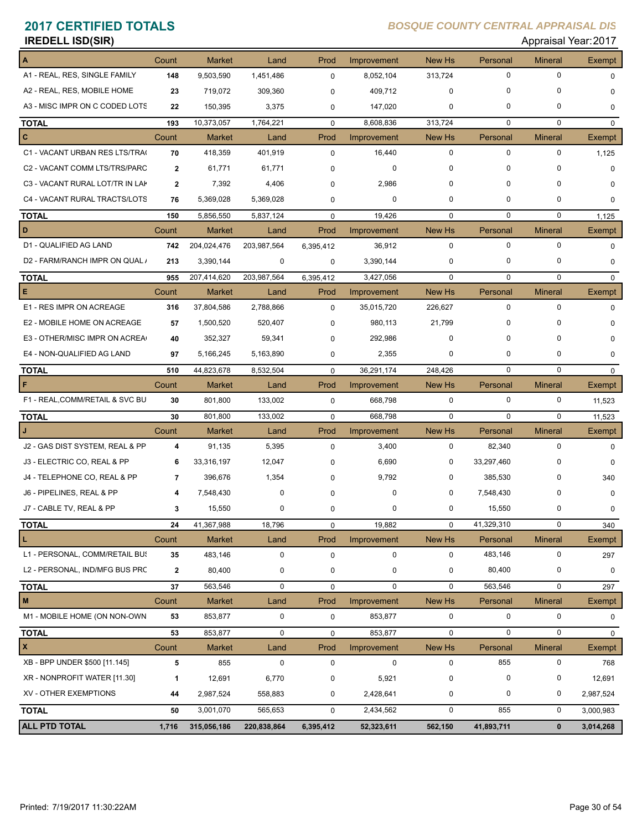| <b>IREDELL ISD(SIR)</b> | Appraisal Year: 2017 |
|-------------------------|----------------------|
|                         |                      |

**A** Count Market Land Prod Improvement New Hs Personal Mineral Exempt A1 - REAL, RES, SINGLE FAMILY **148** 9,503,590 1,451,486 0 8,052,104 313,724 0 0 0 0 A2 - REAL, RES, MOBILE HOME **23** 719,072 309,360 409,712 0 0 0 0 0 A3 - MISC IMPR ON C CODED LOTS **22** 150,395 3,375 0 147,020 0 0 0 0 0 0 0 **TOTAL 193** 10,373,057 1,764,221 0 8,608,836 313,724 0 0 0 **C** Count Market Land Prod Improvement New Hs Personal Mineral Exempt C1 - VACANT URBAN RES LTS/TRAC **70** 418,359 401,919 16,440 0 0 0 0 1,125 C2 - VACANT COMM LTS/TRS/PARC **2** 61,771 61,771 0 0 0 0 0 0 C3 - VACANT RURAL LOT/TR IN LAK **2** 7,392 4,406 2,986 0 0 0 0 0 C4 - VACANT RURAL TRACTS/LOTS **76** 5,369,028 5,369,028 0 0 0 0 0 0 **TOTAL** 150 5,856,550 5,837,124 0 19,426 0 0 0 0 1,125 **D** Count Market Land Prod Improvement New Hs Personal Mineral Exempt D1 - QUALIFIED AG LAND **742** 204,024,476 203,987,564 6,395,412 36,912 0 0 0 0 0 0 D2 - FARM/RANCH IMPR ON QUAL *i* 213 3,390,144 0 0 3,390,144 0 0 0 0 0 0 0 0 0 0 0 **TOTAL 955** 207,414,620 203,987,564 3,427,056 0 6,395,412 0 0 0 **E** Count Market Land Prod Improvement New Hs Personal Mineral Exempt E1 - RES IMPR ON ACREAGE **316** 37,804,586 2,788,866 0 35,015,720 226,627 0 0 0 E2 - MOBILE HOME ON ACREAGE **57** 1.500.520 520.407 0 980.113 21.799 0 0 0 0 E3 - OTHER/MISC IMPR ON ACREAG **40** 352,327 59,341 292,986 0 0 0 0 0 E4 - NON-QUALIFIED AG LAND **97** 5,166,245 5,163,890 2,355 0 0 0 0 0 **TOTAL 510** 44,823,678 8,532,504 0 36,291,174 248,426 0 0 0 **F** Count Market Land Prod Improvement New Hs Personal Mineral Exempt F1 - REAL,COMM/RETAIL & SVC BU **30** 801,800 133,002 668,798 0 0 0 0 11,523 **TOTAL 30** 801,800 133,002 668,798 0 0 0 0 11,523 **J** Count Market Land Prod Improvement New Hs Personal Mineral Exempt  $J2$  - GAS DIST SYSTEM, REAL & PP  $\begin{array}{ccc} 4 & 91,135 & 5,395 \\ 0 & 3,400 & 0 \end{array}$   $\begin{array}{ccc} 3,400 & 0 & 82,340 \\ 0 & 0 & 0 \end{array}$ J3 - ELECTRIC CO, REAL & PP **6** 33,316,197 12,047 6,690 0 0 33,297,460 0 0 J4 - TELEPHONE CO, REAL & PP **7** 396,676 1,354 9,792 0 0 385,530 0 340 J6 - PIPELINES, REAL & PP **4** 7,548,430 0 0 0 0 7,548,430 0 0 J7 - CABLE TV, REAL & PP **3** 15,550 0 0 0 0 15,550 0 0 **TOTAL 24** 41,367,988 18,796 19,882 0 0 41,329,310 0 340 **L** Count Market Land Prod Improvement New Hs Personal Mineral Exempt L1 - PERSONAL, COMM/RETAIL BUS **35** 483,146 0 0 0 0 483,146 0 297 L2 - PERSONAL, IND/MFG BUS PRO **2** 80,400 0 0 0 0 80,400 0 0 **TOTAL 37** 563,546 0 0 0 0 563,546 0 297 **M** Count Market Land Prod Improvement New Hs Personal Mineral Exempt M1 - MOBILE HOME (ON NON-OWN 53 853,877 0 0 853,877 0 0 0 0 0 0 **TOTAL 53** 853,877 0 853,877 0 0 0 0 0 **X** Count Market Land Prod Improvement New Hs Personal Mineral Exempt XB - BPP UNDER \$500 [11.145] **5** 855 0 0 0 0 855 0 768 XR - NONPROFIT WATER [11.30] **1** 12,691 6,770 5,921 0 0 0 0 12,691 XV - OTHER EXEMPTIONS **44** 2,987,524 558,883 2,428,641 0 0 0 0 2,987,524 **TOTAL 50** 3,001,070 565,653 2,434,562 0 0 855 0 3,000,983 **ALL PTD TOTAL 1,716 315,056,186 220,838,864 6,395,412 52,323,611 562,150 41,893,711 0 3,014,268**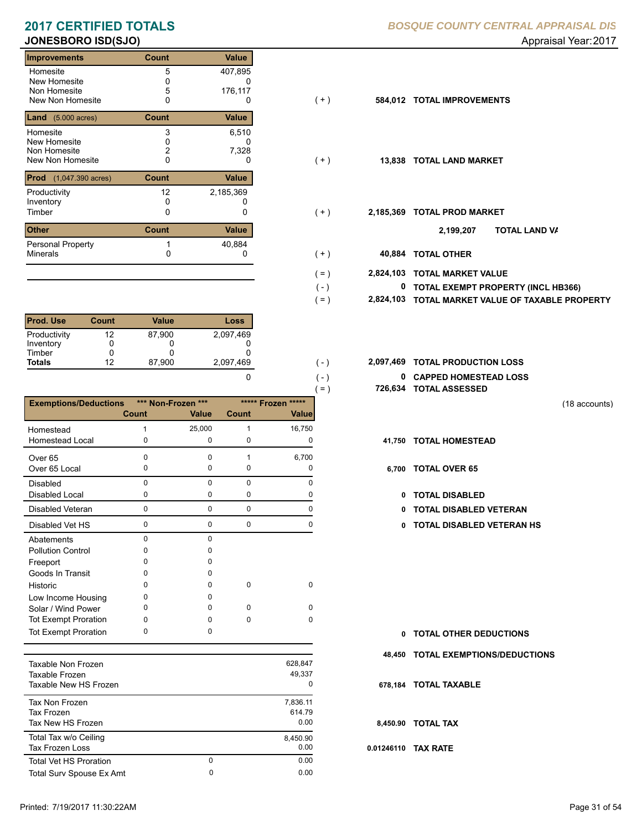### **JONESBORO ISD(SJO)** Approximately and the settlement of the settlement of the settlement of the settlement of the settlement of the settlement of the settlement of the settlement of the settlement of the settlement of the

| <b>Improvements</b>                        | Count        | Value     |       |           |                           |
|--------------------------------------------|--------------|-----------|-------|-----------|---------------------------|
| Homesite                                   | 5            | 407,895   |       |           |                           |
| New Homesite                               |              | U         |       |           |                           |
| Non Homesite                               | 5            | 176,117   |       |           |                           |
| New Non Homesite                           | 0            | U         | $(+)$ | 584,012   | <b>TOTAL IMPROVEMENTS</b> |
| <b>Land</b> $(5.000 \text{ acres})$        | <b>Count</b> | Value     |       |           |                           |
| Homesite                                   | 3            | 6,510     |       |           |                           |
| New Homesite                               |              | 0         |       |           |                           |
| Non Homesite                               |              | 7,328     |       |           |                           |
| New Non Homesite                           | 0            | 0         | $(+)$ | 13.838    | <b>TOTAL LAND MARKET</b>  |
| <b>Prod</b><br>$(1,047.390 \text{ acres})$ | Count        | Value     |       |           |                           |
| Productivity                               | 12           | 2,185,369 |       |           |                           |
| Inventory                                  | 0            |           |       |           |                           |
| Timber                                     | 0            | 0         | $(+)$ | 2,185,369 | <b>TOTAL PROD MARKET</b>  |
| <b>Other</b>                               | <b>Count</b> | Value     |       |           | 2,199,207                 |
| <b>Personal Property</b>                   |              | 40,884    |       |           |                           |
| <b>Minerals</b>                            |              | 0         | ( + ) | 40,884    | <b>TOTAL OTHER</b>        |

| <b>Prod. Use</b> | Count | Value  | Loss      |
|------------------|-------|--------|-----------|
| Productivity     | 12    | 87,900 | 2,097,469 |
| Inventory        |       |        |           |
| Timber           | O     |        |           |
| <b>Totals</b>    | 12    | 87,900 | 2,097,469 |
|                  |       |        |           |

|                              |              |                    |          |                       | 726,634<br>$( = )$ |
|------------------------------|--------------|--------------------|----------|-----------------------|--------------------|
| <b>Exemptions/Deductions</b> |              | *** Non-Frozen *** |          | *****<br>***** Frozen |                    |
|                              | <b>Count</b> | <b>Value</b>       | Count    | Value                 |                    |
| Homestead                    |              | 25,000             | 1        | 16,750                |                    |
| <b>Homestead Local</b>       | 0            | 0                  | 0        | 0                     | 41,750             |
| Over <sub>65</sub>           | 0            | $\Omega$           |          | 6,700                 |                    |
| Over 65 Local                | 0            | 0                  | 0        | 0                     | 6,700              |
| <b>Disabled</b>              | 0            | $\Omega$           | 0        | O                     |                    |
| <b>Disabled Local</b>        | 0            | 0                  | 0        | O                     | 0                  |
| Disabled Veteran             | $\Omega$     | $\mathbf{0}$       | 0        | O                     | 0                  |
| Disabled Vet HS              | 0            | 0                  | 0        | 0                     | o                  |
| Abatements                   | 0            | $\Omega$           |          |                       |                    |
| <b>Pollution Control</b>     | ი            | o                  |          |                       |                    |
| Freeport                     | o            | o                  |          |                       |                    |
| Goods In Transit             | Ω            | O                  |          |                       |                    |
| Historic                     | n            | 0                  | 0        | 0                     |                    |
| Low Income Housing           | ი            | O                  |          |                       |                    |
| Solar / Wind Power           | ი            | <sup>0</sup>       | n        | O                     |                    |
| <b>Tot Exempt Proration</b>  | 0            | O                  | $\Omega$ | 0                     |                    |
| <b>Tot Exempt Proration</b>  | ი            | o                  |          |                       | 0                  |

| Taxable Non Frozen<br>Taxable Frozen<br>Taxable New HS Frozen |        | 628,847<br>49.337<br>0     |
|---------------------------------------------------------------|--------|----------------------------|
| Tax Non Frozen<br>Tax Frozen<br>Tax New HS Frozen             |        | 7.836.11<br>614.79<br>0.00 |
| Total Tax w/o Ceiling<br>Tax Frozen Loss                      |        | 8,450.90<br>0.00           |
| <b>Total Vet HS Proration</b><br>Total Surv Spouse Ex Amt     | 0<br>0 | 0.00<br>0.00               |
|                                                               |        |                            |

## **2017 CERTIFIED TOTALS** *BOSQUE COUNTY CENTRAL APPRAISAL DIS*

- 0 0 **40,884 TOTAL OTHER 2,824,103 TOTAL MARKET VALUE TOTAL EXEMPT PROPERTY (INCL HB366) 0**  $(+)$  $(+)$  $(+)$  $(+)$  $( = )$  $( - )$ **TOTAL LAND VA 2,199,207**
	- **2,824,103 TOTAL MARKET VALUE OF TAXABLE PROPERTY**
- **TOTAL PRODUCTION LOSS** 2,097,469 **2,097,469**

 $( = )$ 

 $(-)$  $( - )$ 

**0 CAPPED HOMESTEAD LOSS 726,634 TOTAL ASSESSED**

(18 accounts)

- **41,750 TOTAL HOMESTEAD**
- 6,700 TOTAL OVER 65
	- 0 TOTAL DISABLED
	- Disabled Veteran **TOTAL DISABLED VETERAN**
	- 0 0 0 0 **0 TOTAL DISABLED VETERAN HS**

- **TOTAL OTHER DEDUCTIONS 0**
- **48,450 TOTAL EXEMPTIONS/DEDUCTIONS**
- **678,184 TOTAL TAXABLE**
- **8,450.90 TOTAL TAX**
- **0.01246110 TAX RATE**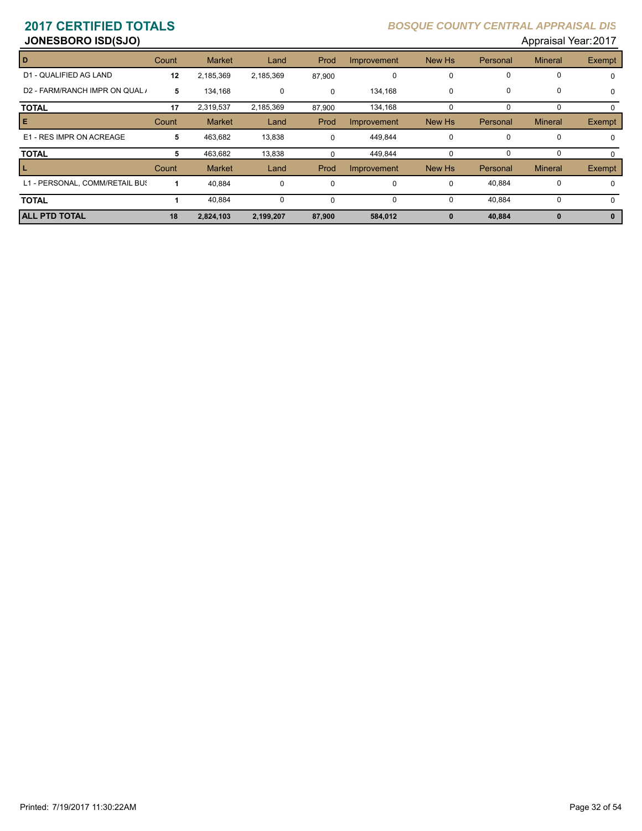**JONESBORO ISD(SJO) Appraisal Year: 2017** 

| D                              | Count | <b>Market</b> | Land        | Prod        | Improvement | New Hs      | Personal    | <b>Mineral</b> | Exempt      |
|--------------------------------|-------|---------------|-------------|-------------|-------------|-------------|-------------|----------------|-------------|
| D1 - QUALIFIED AG LAND         | 12    | 2,185,369     | 2,185,369   | 87,900      | 0           | $\Omega$    | 0           | 0              | 0           |
| D2 - FARM/RANCH IMPR ON QUAL / | 5     | 134,168       | 0           | $\Omega$    | 134,168     | $\mathbf 0$ | $\mathbf 0$ | 0              | $\mathbf 0$ |
| <b>TOTAL</b>                   | 17    | 2,319,537     | 2,185,369   | 87,900      | 134,168     | $\Omega$    | $\Omega$    | 0              | $\Omega$    |
| Е                              | Count | <b>Market</b> | Land        | Prod        | Improvement | New Hs      | Personal    | <b>Mineral</b> | Exempt      |
| E1 - RES IMPR ON ACREAGE       | 5     | 463,682       | 13,838      | $\Omega$    | 449,844     | $\mathbf 0$ | 0           | 0              | $\mathbf 0$ |
| <b>TOTAL</b>                   | 5     | 463,682       | 13,838      |             | 449,844     | $\Omega$    | $\Omega$    | 0              | $\Omega$    |
|                                | Count | <b>Market</b> | Land        | Prod        | Improvement | New Hs      | Personal    | <b>Mineral</b> | Exempt      |
| L1 - PERSONAL, COMM/RETAIL BUS |       | 40,884        | 0           | $\mathbf 0$ | 0           | $\mathbf 0$ | 40,884      | 0              | 0           |
| <b>TOTAL</b>                   |       | 40.884        | $\mathbf 0$ | $\Omega$    | 0           | $\Omega$    | 40,884      | $\Omega$       | $\Omega$    |
| <b>ALL PTD TOTAL</b>           | 18    | 2,824,103     | 2,199,207   | 87,900      | 584,012     | $\bf{0}$    | 40,884      | $\bf{0}$       | 0           |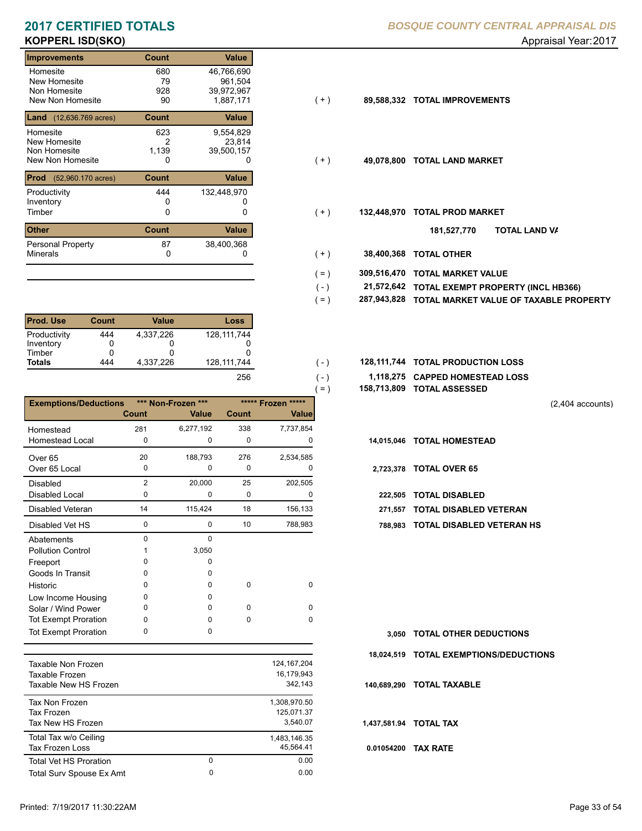# **KOPPERL ISD(SKO)** Appraisal Year: 2017

| <b>Improvements</b>                         | Count | <b>Value</b> |                      |
|---------------------------------------------|-------|--------------|----------------------|
| Homesite                                    | 680   | 46,766,690   |                      |
| New Homesite                                | 79    | 961,504      |                      |
| Non Homesite                                | 928   | 39,972,967   |                      |
| New Non Homesite                            | 90    | 1,887,171    | ( + )<br>89,588,332  |
| <b>Land</b> (12,636.769 acres)              | Count | <b>Value</b> |                      |
| Homesite                                    | 623   | 9,554,829    |                      |
| New Homesite                                | 2     | 23,814       |                      |
| Non Homesite                                | 1,139 | 39,500,157   |                      |
| New Non Homesite                            | 0     | 0            | 49,078,800<br>(+)    |
| <b>Prod</b><br>$(52,960.170 \text{ acres})$ | Count | <b>Value</b> |                      |
| Productivity                                | 444   | 132,448,970  |                      |
| Inventory                                   | 0     |              |                      |
| Timber                                      | 0     | 0            | 132,448,970<br>$(+)$ |
| <b>Other</b>                                | Count | <b>Value</b> |                      |
| Personal Property                           | 87    | 38,400,368   |                      |
| <b>Minerals</b>                             | 0     |              | 38,400,368<br>$(+)$  |

| <b>Prod. Use</b> | Count | Value     | Loss        |
|------------------|-------|-----------|-------------|
| Productivity     | 444   | 4.337.226 | 128.111.744 |
| Inventory        |       |           |             |
| Timber           |       |           |             |
| <b>Totals</b>    | 444   | 4.337.226 | 128.111.744 |
|                  |       |           | 256         |

|                              |          |                    |              |                    | $=$ )      | 158,713,809 TOTAL ASSESSED |
|------------------------------|----------|--------------------|--------------|--------------------|------------|----------------------------|
| <b>Exemptions/Deductions</b> |          | *** Non-Frozen *** |              | ***** Frozen ***** |            |                            |
|                              | Count    | Value              | <b>Count</b> | <b>Value</b>       |            |                            |
| Homestead                    | 281      | 6,277,192          | 338          | 7,737,854          |            |                            |
| <b>Homestead Local</b>       | 0        | 0                  | $\mathbf 0$  | 0                  | 14,015,046 | <b>TOTAL HOMESTEAD</b>     |
| Over <sub>65</sub>           | 20       | 188,793            | 276          | 2,534,585          |            |                            |
| Over 65 Local                | 0        | 0                  | $\mathbf 0$  | 0                  | 2,723,378  | <b>TOTAL OVER 65</b>       |
| <b>Disabled</b>              | 2        | 20,000             | 25           | 202,505            |            |                            |
| <b>Disabled Local</b>        | 0        | 0                  | 0            | 0                  | 222.505    | <b>TOTAL DISABLED</b>      |
| Disabled Veteran             | 14       | 115,424            | 18           | 156,133            | 271,557    | <b>TOTAL DISABLED VI</b>   |
| Disabled Vet HS              | 0        | $\mathbf 0$        | 10           | 788,983            | 788.983    | <b>TOTAL DISABLED VI</b>   |
| Abatements                   | $\Omega$ | $\Omega$           |              |                    |            |                            |
| <b>Pollution Control</b>     |          | 3,050              |              |                    |            |                            |
| Freeport                     | n        | 0                  |              |                    |            |                            |
| Goods In Transit             | 0        | 0                  |              |                    |            |                            |
| Historic                     | $\Omega$ | 0                  | $\mathbf 0$  | $\mathbf 0$        |            |                            |
| Low Income Housing           | 0        | 0                  |              |                    |            |                            |
| Solar / Wind Power           | 0        | 0                  | $\Omega$     | 0                  |            |                            |
| <b>Tot Exempt Proration</b>  | 0        | 0                  | $\Omega$     | 0                  |            |                            |
| <b>Tot Exempt Proration</b>  | 0        | 0                  |              |                    | 3,050      | <b>TOTAL OTHER DEDL</b>    |

| Taxable Non Frozen<br>Taxable Frozen<br>Taxable New HS Frozen |        | 124.167.204<br>16.179.943<br>342.143   |
|---------------------------------------------------------------|--------|----------------------------------------|
| Tax Non Frozen<br>Tax Frozen<br>Tax New HS Frozen             |        | 1,308,970.50<br>125,071.37<br>3.540.07 |
| Total Tax w/o Ceiling<br><b>Tax Frozen Loss</b>               |        | 1,483,146.35<br>45.564.41              |
| <b>Total Vet HS Proration</b><br>Total Surv Spouse Ex Amt     | 0<br>0 | 0.00<br>0.00                           |
|                                                               |        |                                        |

| $(+)$ | 89,588,332 TOTAL IMPROVEMENTS |  |
|-------|-------------------------------|--|

- $( + )$
- $(+)$ 
	- **TOTAL LAND VA 181,527,770**
- 0 0 **38,400,368 TOTAL OTHER**  $(+ )$

 $(-)$  $( - )$ 

- **309,516,470 TOTAL MARKET VALUE**  $( = )$
- **TOTAL EXEMPT PROPERTY (INCL HB366) 21,572,642**  $( - )$
- **287,943,828 TOTAL MARKET VALUE OF TAXABLE PROPERTY**  $( = )$
- 128,111,744 **128,111,744 TOTAL PRODUCTION LOSS** 
	- **1,118,275 CAPPED HOMESTEAD LOSS**
	- **158,713,809 TOTAL ASSESSED**

(2,404 accounts)

- -
- 271,557 TOTAL DISABLED VETERAN
- 0 10 0 788,983 **788,983 TOTAL DISABLED VETERAN HS**

**TOTAL OTHER DEDUCTIONS 3,050 18,024,519 TOTAL EXEMPTIONS/DEDUCTIONS 0.01054200 TAX RATE 140,689,290 TOTAL TAXABLE 1,437,581.94 TOTAL TAX**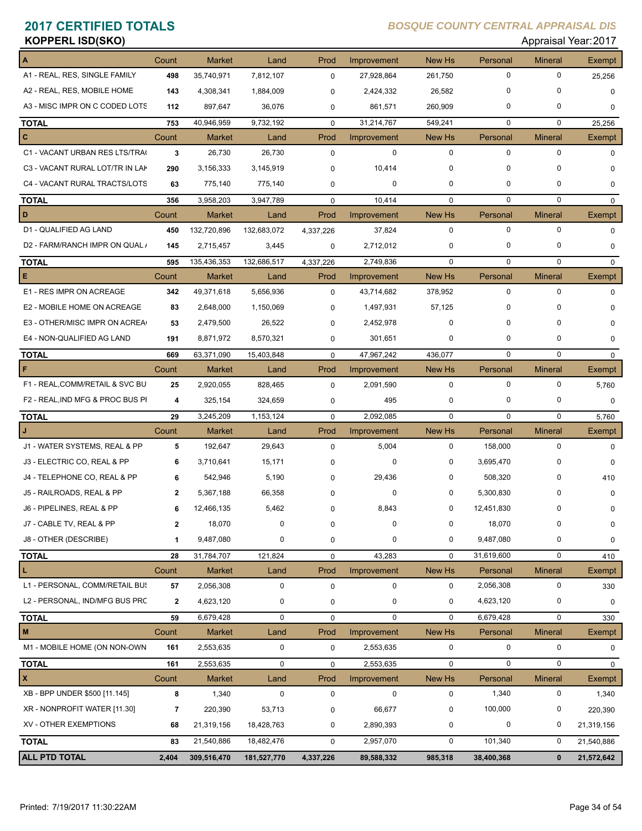| <b>KOPPERL ISD(SKO)</b><br>Appraisal Year: 2017 |              |               |             |             |             |               |             |                |             |
|-------------------------------------------------|--------------|---------------|-------------|-------------|-------------|---------------|-------------|----------------|-------------|
|                                                 | Count        | <b>Market</b> | Land        | Prod        | Improvement | <b>New Hs</b> | Personal    | <b>Mineral</b> | Exempt      |
| A1 - REAL, RES, SINGLE FAMILY                   | 498          | 35,740,971    | 7,812,107   | $\mathbf 0$ | 27,928,864  | 261,750       | $\mathbf 0$ | 0              | 25,256      |
| A2 - REAL, RES, MOBILE HOME                     | 143          | 4,308,341     | 1,884,009   | 0           | 2,424,332   | 26,582        | $\mathbf 0$ | 0              | 0           |
| A3 - MISC IMPR ON C CODED LOTS                  | 112          | 897,647       | 36,076      | 0           | 861,571     | 260,909       | 0           | 0              | 0           |
| <b>TOTAL</b>                                    | 753          | 40,946,959    | 9,732,192   | $\mathbf 0$ | 31,214,767  | 549,241       | $\Omega$    | $\mathbf 0$    | 25,256      |
| c                                               | Count        | <b>Market</b> | Land        | Prod        | Improvement | New Hs        | Personal    | <b>Mineral</b> | Exempt      |
| C1 - VACANT URBAN RES LTS/TRA(                  | 3            | 26,730        | 26,730      | $\mathbf 0$ | $\mathbf 0$ | $\mathbf 0$   | $\mathbf 0$ | $\mathbf 0$    | $\Omega$    |
| C3 - VACANT RURAL LOT/TR IN LAP                 | 290          | 3,156,333     | 3,145,919   | 0           | 10,414      | $\mathbf 0$   | $\mathbf 0$ | 0              | $\Omega$    |
| C4 - VACANT RURAL TRACTS/LOTS                   | 63           | 775,140       | 775,140     | 0           | 0           | $\mathbf 0$   | 0           | 0              | 0           |
| <b>TOTAL</b>                                    | 356          | 3,958,203     | 3,947,789   | $\mathbf 0$ | 10,414      | $\mathbf 0$   | $\mathbf 0$ | $\mathbf 0$    | 0           |
| D                                               | Count        | <b>Market</b> | Land        | Prod        | Improvement | <b>New Hs</b> | Personal    | <b>Mineral</b> | Exempt      |
| D1 - QUALIFIED AG LAND                          | 450          | 132,720,896   | 132,683,072 | 4,337,226   | 37,824      | $\mathbf 0$   | $\mathbf 0$ | 0              | $\mathbf 0$ |
| D2 - FARM/RANCH IMPR ON QUAL /                  | 145          | 2,715,457     | 3,445       | 0           | 2,712,012   | $\mathbf 0$   | 0           | 0              | 0           |
| <b>TOTAL</b>                                    | 595          | 135,436,353   | 132,686,517 | 4,337,226   | 2,749,836   | $\mathbf 0$   | $\mathbf 0$ | 0              | 0           |
| Е                                               | Count        | <b>Market</b> | Land        | Prod        | Improvement | New Hs        | Personal    | <b>Mineral</b> | Exempt      |
| E1 - RES IMPR ON ACREAGE                        | 342          | 49,371,618    | 5,656,936   | $\mathbf 0$ | 43,714,682  | 378,952       | $\mathbf 0$ | 0              | $\Omega$    |
| E2 - MOBILE HOME ON ACREAGE                     | 83           | 2,648,000     | 1,150,069   | 0           | 1,497,931   | 57,125        | 0           | 0              | $\Omega$    |
| E3 - OTHER/MISC IMPR ON ACREA                   | 53           | 2,479,500     | 26,522      | 0           | 2,452,978   | 0             | $\Omega$    | 0              | $\Omega$    |
| E4 - NON-QUALIFIED AG LAND                      | 191          | 8,871,972     | 8,570,321   | 0           | 301,651     | $\mathbf 0$   | 0           | 0              | $\Omega$    |
| <b>TOTAL</b>                                    | 669          | 63,371,090    | 15,403,848  | $\mathbf 0$ | 47,967,242  | 436,077       | $\Omega$    | $\Omega$       | $\mathbf 0$ |
| F                                               | Count        | <b>Market</b> | Land        | Prod        | Improvement | New Hs        | Personal    | <b>Mineral</b> | Exempt      |
| F1 - REAL, COMM/RETAIL & SVC BU                 | 25           | 2,920,055     | 828,465     | $\mathbf 0$ | 2,091,590   | $\mathbf 0$   | $\mathbf 0$ | 0              | 5,760       |
| F2 - REAL, IND MFG & PROC BUS PI                | 4            | 325,154       | 324,659     | 0           | 495         | $\mathbf 0$   | 0           | 0              | 0           |
| <b>TOTAL</b>                                    | 29           | 3,245,209     | 1,153,124   | $\mathbf 0$ | 2,092,085   | $\mathbf 0$   | $\Omega$    | $\Omega$       | 5,760       |
|                                                 | Count        | <b>Market</b> | Land        | Prod        | Improvement | New Hs        | Personal    | <b>Mineral</b> | Exempt      |
| J1 - WATER SYSTEMS, REAL & PP                   | 5            | 192,647       | 29,643      | $\mathbf 0$ | 5,004       | 0             | 158,000     | 0              | $\Omega$    |
| J3 - ELECTRIC CO, REAL & PP                     | 6            | 3,710,641     | 15,171      | 0           | 0           | 0             | 3,695,470   | 0              | $\Omega$    |
| J4 - TELEPHONE CO, REAL & PP                    | 6            | 542,946       | 5,190       | 0           | 29,436      | 0             | 508,320     | 0              | 410         |
| J5 - RAILROADS, REAL & PP                       | $\mathbf{2}$ | 5,367,188     | 66,358      | 0           | 0           | 0             | 5,300,830   | 0              | 0           |
| J6 - PIPELINES, REAL & PP                       | 6            | 12,466,135    | 5,462       | 0           | 8,843       | 0             | 12,451,830  | 0              | 0           |
| J7 - CABLE TV, REAL & PP                        | $\mathbf{2}$ | 18,070        | 0           | 0           | 0           | 0             | 18,070      | 0              | 0           |
| J8 - OTHER (DESCRIBE)                           | 1            | 9,487,080     | 0           | 0           | 0           | 0             | 9,487,080   | 0              | 0           |
| <b>TOTAL</b>                                    | 28           | 31,784,707    | 121,824     | 0           | 43,283      | $\mathbf 0$   | 31,619,600  | 0              | 410         |
| L                                               | Count        | <b>Market</b> | Land        | Prod        | Improvement | <b>New Hs</b> | Personal    | <b>Mineral</b> | Exempt      |
| L1 - PERSONAL, COMM/RETAIL BUS                  | 57           | 2,056,308     | 0           | 0           | 0           | $\mathbf 0$   | 2,056,308   | 0              | 330         |
| L2 - PERSONAL, IND/MFG BUS PRC                  | $\mathbf{2}$ | 4,623,120     | 0           | 0           | 0           | $\mathbf 0$   | 4,623,120   | 0              | 0           |
| <b>TOTAL</b>                                    | 59           | 6,679,428     | 0           | 0           | $\mathbf 0$ | $\mathbf 0$   | 6,679,428   | 0              | 330         |
| M                                               | Count        | Market        | Land        | Prod        | Improvement | New Hs        | Personal    | <b>Mineral</b> | Exempt      |
| M1 - MOBILE HOME (ON NON-OWN                    | 161          | 2,553,635     | 0           | 0           | 2,553,635   | 0             | 0           | 0              | 0           |
| <b>TOTAL</b>                                    | 161          | 2,553,635     | $\pmb{0}$   | $\pmb{0}$   | 2,553,635   | $\mathbf 0$   | $\mathbf 0$ | 0              | $\mathbf 0$ |
| x                                               | Count        | Market        | Land        | Prod        | Improvement | New Hs        | Personal    | <b>Mineral</b> | Exempt      |
| XB - BPP UNDER \$500 [11.145]                   | 8            | 1,340         | $\pmb{0}$   | $\pmb{0}$   | $\pmb{0}$   | $\pmb{0}$     | 1,340       | 0              | 1,340       |
| XR - NONPROFIT WATER [11.30]                    | 7            | 220,390       | 53,713      | 0           | 66,677      | 0             | 100,000     | 0              | 220,390     |
| XV - OTHER EXEMPTIONS                           | 68           | 21,319,156    | 18,428,763  | 0           | 2,890,393   | 0             | 0           | 0              | 21,319,156  |
| <b>TOTAL</b>                                    | 83           | 21,540,886    | 18,482,476  | 0           | 2,957,070   | $\pmb{0}$     | 101,340     | 0              | 21,540,886  |
| ALL PTD TOTAL                                   | 2,404        | 309,516,470   | 181,527,770 | 4,337,226   | 89,588,332  | 985,318       | 38,400,368  | $\mathbf 0$    | 21,572,642  |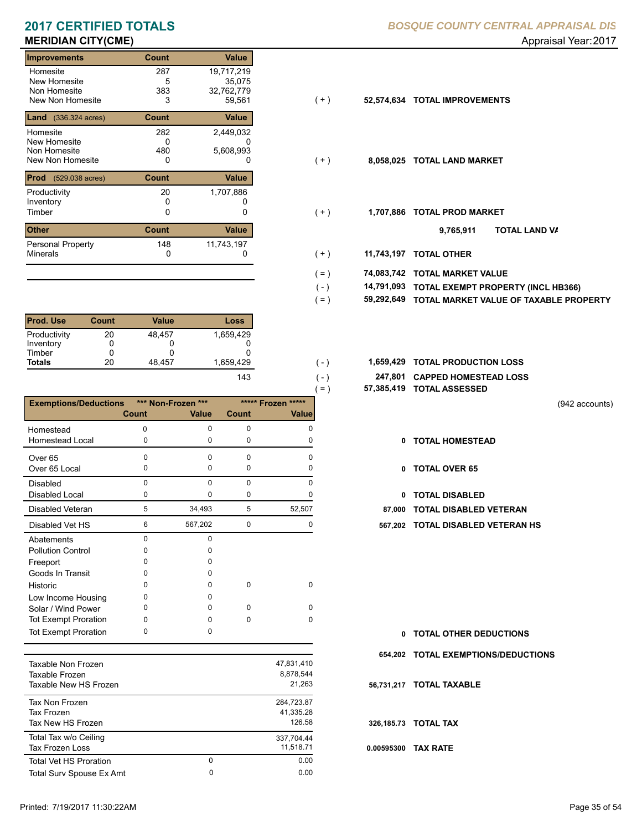| Improvements                             | Count | Value        |       |            |                           |
|------------------------------------------|-------|--------------|-------|------------|---------------------------|
| Homesite                                 | 287   | 19,717,219   |       |            |                           |
| New Homesite                             | 5     | 35.075       |       |            |                           |
| Non Homesite                             | 383   | 32,762,779   |       |            |                           |
| New Non Homesite                         | 3     | 59,561       | ( + ) | 52,574,634 | <b>TOTAL IMPROVEMENTS</b> |
| <b>Land</b> $(336.324 \text{ acres})$    | Count | Value        |       |            |                           |
| Homesite                                 | 282   | 2,449,032    |       |            |                           |
| <b>New Homesite</b>                      | 0     |              |       |            |                           |
| Non Homesite                             | 480   | 5,608,993    |       |            |                           |
| New Non Homesite                         | 0     | 0            | ( + ) | 8,058,025  | <b>TOTAL LAND MARKET</b>  |
| <b>Prod</b><br>$(529.038 \text{ acres})$ | Count | Value        |       |            |                           |
| Productivity                             | 20    | 1,707,886    |       |            |                           |
| Inventory                                | 0     |              |       |            |                           |
| Timber                                   | 0     | 0            | ( + ) | 1,707,886  | <b>TOTAL PROD MARKET</b>  |
| <b>Other</b>                             | Count | <b>Value</b> |       |            | 9,765,911                 |
| <b>Personal Property</b>                 | 148   | 11,743,197   |       |            |                           |
| <b>Minerals</b>                          | 0     | 0            | $(+)$ | 11,743,197 | <b>TOTAL OTHER</b>        |

| <b>Prod. Use</b> | Count | Value  | Loss      |
|------------------|-------|--------|-----------|
| Productivity     | 20    | 48.457 | 1,659,429 |
| Inventory        |       |        |           |
| Timber           |       |        |           |
| <b>Totals</b>    | 20    | 48.457 | 1.659.429 |
|                  |       |        | 143       |

| <b>Exemptions/Deductions</b> |          | *** Non-Frozen *** |          | ***** Frozen ***** |
|------------------------------|----------|--------------------|----------|--------------------|
|                              | Count    | <b>Value</b>       | Count    | <b>Value</b>       |
| Homestead                    | $\Omega$ | 0                  | 0        | n                  |
| Homestead Local              | 0        | $\mathbf 0$        | 0        | O                  |
| Over <sub>65</sub>           | 0        | $\Omega$           | 0        | 0                  |
| Over 65 Local                | 0        | 0                  | 0        | n                  |
| <b>Disabled</b>              | 0        | $\Omega$           | 0        | n                  |
| <b>Disabled Local</b>        | 0        | 0                  | 0        |                    |
| Disabled Veteran             | 5        | 34,493             | 5        | 52,507             |
| Disabled Vet HS              | 6        | 567,202            | 0        | 0                  |
| Abatements                   | $\Omega$ | $\Omega$           |          |                    |
| <b>Pollution Control</b>     | 0        | o                  |          |                    |
| Freeport                     | o        | o                  |          |                    |
| Goods In Transit             | n        | 0                  |          |                    |
| Historic                     | ი        | <sup>0</sup>       | $\Omega$ | 0                  |
| Low Income Housing           | o        | 0                  |          |                    |
| Solar / Wind Power           | ი        | <sup>0</sup>       | O        | O                  |
| <b>Tot Exempt Proration</b>  | O        | O                  | 0        | 0                  |
| <b>Tot Exempt Proration</b>  | 0        | 0                  |          |                    |

| Taxable Non Frozen<br>Taxable Frozen<br>Taxable New HS Frozen |          | 47,831,410<br>8.878.544<br>21.263 |
|---------------------------------------------------------------|----------|-----------------------------------|
| Tax Non Frozen<br>Tax Frozen<br>Tax New HS Frozen             |          | 284,723.87<br>41.335.28<br>126.58 |
| Total Tax w/o Ceiling<br>Tax Frozen Loss                      |          | 337.704.44<br>11.518.71           |
| <b>Total Vet HS Proration</b>                                 | $\Omega$ | 0.00                              |
| Total Surv Spouse Ex Amt                                      | 0        | 0.00                              |
|                                                               |          |                                   |

| 52,574,634 TOTAL IMPROVEMENTS |
|-------------------------------|

 $( - )$  $( = )$ 

 $(-)$  $( - )$ 

- $(+)$ 
	- **TOTAL LAND VA 9,765,911**
- 0 0 **11,743,197 TOTAL OTHER**  $(+ )$
- **74,083,742 TOTAL MARKET VALUE**  $( = )$ 
	- **TOTAL EXEMPT PROPERTY (INCL HB366) 14,791,093**
	- **59,292,649 TOTAL MARKET VALUE OF TAXABLE PROPERTY**
- **TOTAL PRODUCTION LOSS** 1,659,429 **1,659,429**
	- **247,801 CAPPED HOMESTEAD LOSS**
	- **57,385,419 TOTAL ASSESSED**

(942 accounts)

- **TOTAL HOMESTEAD**
- 0 TOTAL OVER 65
- 0 TOTAL DISABLED
- **87,000 TOTAL DISABLED VETERAN**
- 6 0 567,202 0 **567,202 TOTAL DISABLED VETERAN HS**

- **TOTAL OTHER DEDUCTIONS 0**
- **654,202 TOTAL EXEMPTIONS/DEDUCTIONS**
- **56,731,217 TOTAL TAXABLE**

**326,185.73 TOTAL TAX**

**0.00595300 TAX RATE**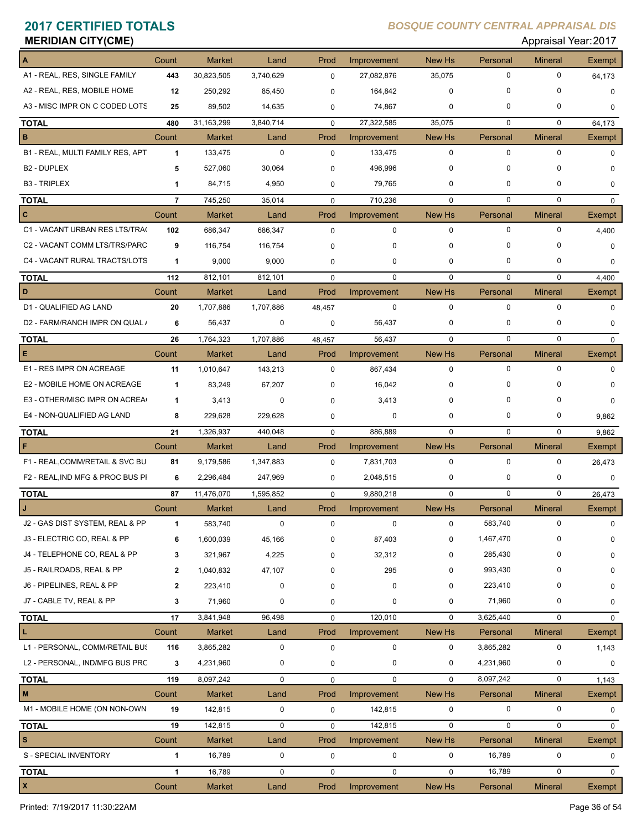| <b>MERIDIAN CITY(CME)</b>        |                |               |           |             |             |             |             | Appraisal Year: 2017 |               |
|----------------------------------|----------------|---------------|-----------|-------------|-------------|-------------|-------------|----------------------|---------------|
|                                  | Count          | <b>Market</b> | Land      | Prod        | Improvement | New Hs      | Personal    | <b>Mineral</b>       | Exempt        |
| A1 - REAL, RES, SINGLE FAMILY    | 443            | 30,823,505    | 3,740,629 | $\mathbf 0$ | 27,082,876  | 35,075      | 0           | $\mathbf 0$          | 64,173        |
| A2 - REAL, RES, MOBILE HOME      | 12             | 250,292       | 85,450    | 0           | 164,842     | 0           | 0           | 0                    | 0             |
| A3 - MISC IMPR ON C CODED LOTS   | 25             | 89,502        | 14,635    | $\mathbf 0$ | 74,867      | 0           | 0           | 0                    | $\Omega$      |
| <b>TOTAL</b>                     | 480            | 31,163,299    | 3,840,714 | $\mathbf 0$ | 27,322,585  | 35,075      | $\mathbf 0$ | 0                    | 64,173        |
| в                                | Count          | <b>Market</b> | Land      | Prod        | Improvement | New Hs      | Personal    | <b>Mineral</b>       | Exempt        |
| B1 - REAL, MULTI FAMILY RES, APT | $\mathbf{1}$   | 133,475       | 0         | $\mathbf 0$ | 133,475     | 0           | $\mathbf 0$ | $\mathbf 0$          | 0             |
| B <sub>2</sub> - DUPLEX          | 5              | 527,060       | 30,064    | 0           | 496,996     | 0           | 0           | 0                    | $\Omega$      |
| <b>B3 - TRIPLEX</b>              | 1              | 84,715        | 4,950     | 0           | 79,765      | 0           | 0           | 0                    | 0             |
| <b>TOTAL</b>                     | $\overline{7}$ | 745,250       | 35,014    | $\mathbf 0$ | 710,236     | $\mathbf 0$ | 0           | $\mathbf 0$          | 0             |
| C                                | Count          | <b>Market</b> | Land      | Prod        | Improvement | New Hs      | Personal    | <b>Mineral</b>       | <b>Exempt</b> |
| C1 - VACANT URBAN RES LTS/TRA(   | 102            | 686,347       | 686,347   | $\mathbf 0$ | 0           | $\mathbf 0$ | 0           | $\mathbf 0$          | 4,400         |
| C2 - VACANT COMM LTS/TRS/PARC    | 9              | 116,754       | 116,754   | 0           | 0           | 0           | 0           | $\Omega$             | 0             |
| C4 - VACANT RURAL TRACTS/LOTS    | $\mathbf{1}$   | 9,000         | 9,000     | 0           | 0           | 0           | 0           | 0                    | 0             |
| <b>TOTAL</b>                     | 112            | 812,101       | 812,101   | $\mathbf 0$ | $\mathbf 0$ | $\Omega$    | $\mathbf 0$ | $\mathbf 0$          | 4,400         |
| D                                | Count          | <b>Market</b> | Land      | Prod        | Improvement | New Hs      | Personal    | <b>Mineral</b>       | Exempt        |
| D1 - QUALIFIED AG LAND           | 20             | 1,707,886     | 1,707,886 | 48,457      | 0           | $\mathbf 0$ | 0           | 0                    | 0             |
| D2 - FARM/RANCH IMPR ON QUAL /   | 6              | 56,437        | 0         | 0           | 56,437      | 0           | 0           | 0                    | 0             |
| <b>TOTAL</b>                     | 26             | 1,764,323     | 1,707,886 | 48,457      | 56,437      | $\mathbf 0$ | $\mathbf 0$ | $\mathbf 0$          | 0             |
| Е                                | Count          | <b>Market</b> | Land      | Prod        | Improvement | New Hs      | Personal    | <b>Mineral</b>       | Exempt        |
| E1 - RES IMPR ON ACREAGE         | 11             | 1,010,647     | 143,213   | 0           | 867,434     | 0           | 0           | $\mathbf 0$          | 0             |
| E2 - MOBILE HOME ON ACREAGE      | $\mathbf{1}$   | 83,249        | 67,207    | $\Omega$    | 16,042      | 0           | 0           | 0                    | 0             |
| E3 - OTHER/MISC IMPR ON ACREA    | $\mathbf{1}$   | 3,413         | 0         | 0           | 3,413       | 0           | 0           | 0                    | 0             |
| E4 - NON-QUALIFIED AG LAND       | 8              | 229,628       | 229,628   | 0           | 0           | 0           | 0           | 0                    | 9,862         |
| <b>TOTAL</b>                     | 21             | 1,326,937     | 440,048   | $\mathbf 0$ | 886,889     | $\mathbf 0$ | $\mathbf 0$ | $\mathbf 0$          | 9,862         |
| F                                | Count          | <b>Market</b> | Land      | Prod        | Improvement | New Hs      | Personal    | <b>Mineral</b>       | Exempt        |
| F1 - REAL, COMM/RETAIL & SVC BU  | 81             | 9,179,586     | 1,347,883 | 0           | 7,831,703   | $\pmb{0}$   | $\mathbf 0$ | 0                    | 26,473        |
| F2 - REAL, IND MFG & PROC BUS PI | 6              | 2,296,484     | 247,969   | 0           | 2,048,515   | 0           | 0           | 0                    | 0             |
| <b>TOTAL</b>                     | 87             | 11,476,070    | 1,595,852 | $\mathbf 0$ | 9,880,218   | $\mathbf 0$ | 0           | $\mathbf 0$          | 26,473        |
| J                                | Count          | <b>Market</b> | Land      | Prod        | Improvement | New Hs      | Personal    | <b>Mineral</b>       | Exempt        |
| J2 - GAS DIST SYSTEM, REAL & PP  | 1              | 583,740       | $\pmb{0}$ | $\pmb{0}$   | 0           | 0           | 583,740     | $\mathbf 0$          | $\mathbf 0$   |
| J3 - ELECTRIC CO, REAL & PP      | 6              | 1,600,039     | 45,166    | 0           | 87,403      | 0           | 1,467,470   | 0                    | 0             |
| J4 - TELEPHONE CO, REAL & PP     | 3              | 321,967       | 4,225     | 0           | 32,312      | 0           | 285,430     | 0                    | 0             |
| J5 - RAILROADS, REAL & PP        | $\mathbf{2}$   | 1,040,832     | 47,107    | 0           | 295         | 0           | 993,430     | 0                    | 0             |
| J6 - PIPELINES, REAL & PP        | $\mathbf{2}$   | 223,410       | 0         | 0           | 0           | 0           | 223,410     | 0                    | 0             |
| J7 - CABLE TV, REAL & PP         | 3              | 71,960        | 0         | 0           | 0           | 0           | 71,960      | 0                    | 0             |
| <b>TOTAL</b>                     | 17             | 3,841,948     | 96,498    | $\mathbf 0$ | 120,010     | $\mathbf 0$ | 3,625,440   | 0                    | $\mathbf 0$   |
|                                  | Count          | <b>Market</b> | Land      | Prod        | Improvement | New Hs      | Personal    | <b>Mineral</b>       | Exempt        |
| L1 - PERSONAL, COMM/RETAIL BUS   | 116            | 3,865,282     | 0         | 0           | 0           | 0           | 3,865,282   | 0                    | 1,143         |
| L2 - PERSONAL, IND/MFG BUS PRC   | 3              | 4,231,960     | 0         | $\mathbf 0$ | 0           | 0           | 4,231,960   | 0                    | 0             |
| <b>TOTAL</b>                     | 119            | 8,097,242     | 0         | $\mathbf 0$ | 0           | $\mathbf 0$ | 8,097,242   | $\mathbf 0$          | 1,143         |
| M                                | Count          | <b>Market</b> | Land      | Prod        | Improvement | New Hs      | Personal    | <b>Mineral</b>       | Exempt        |
| M1 - MOBILE HOME (ON NON-OWN     | 19             | 142,815       | 0         | $\mathbf 0$ | 142,815     | 0           | 0           | 0                    | 0             |
| <b>TOTAL</b>                     | 19             | 142,815       | 0         | $\mathbf 0$ | 142,815     | 0           | 0           | $\mathbf 0$          | $\mathbf 0$   |
| s                                | Count          | <b>Market</b> | Land      | Prod        | Improvement | New Hs      | Personal    | <b>Mineral</b>       | Exempt        |
| S - SPECIAL INVENTORY            | $\mathbf{1}$   | 16,789        | 0         | 0           | 0           | 0           | 16,789      | 0                    | 0             |
| <b>TOTAL</b>                     | $\mathbf{1}$   | 16,789        | 0         | $\mathbf 0$ | 0           | 0           | 16,789      | 0                    | 0             |
| X                                | Count          | <b>Market</b> | Land      | Prod        | Improvement | New Hs      | Personal    | <b>Mineral</b>       | Exempt        |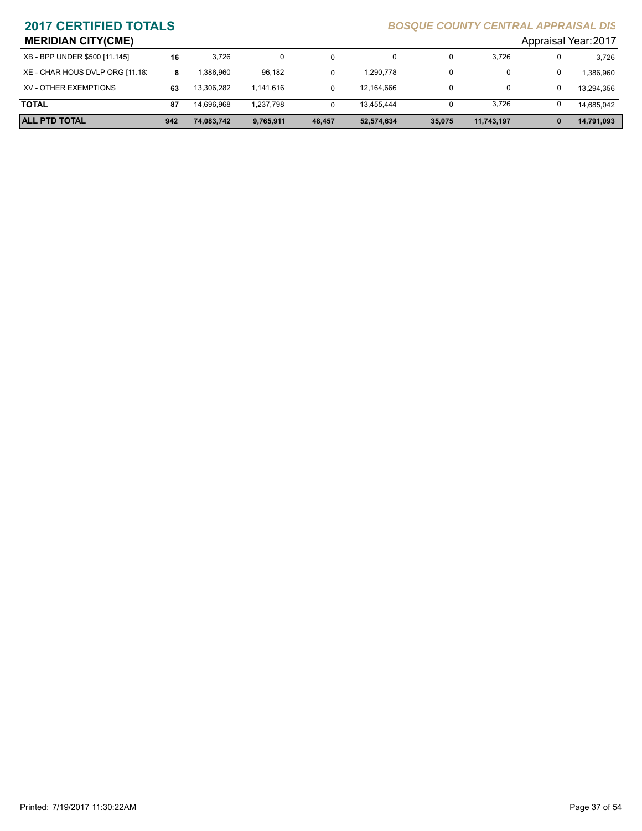| <b>MERIDIAN CITY(CME)</b>       |     |            |           |        |            |        |            | Appraisal Year: 2017 |            |
|---------------------------------|-----|------------|-----------|--------|------------|--------|------------|----------------------|------------|
| XB - BPP UNDER \$500 [11.145]   | 16  | 3.726      | 0         | 0      | 0          | 0      | 3,726      | 0                    | 3,726      |
| XE - CHAR HOUS DVLP ORG [11.18] | 8   | .386.960   | 96,182    | 0      | 1,290,778  | 0      |            | 0                    | 1,386,960  |
| XV - OTHER EXEMPTIONS           | 63  | 13.306.282 | 1.141.616 | 0      | 12,164,666 | 0      | 0          |                      | 13,294,356 |
| <b>TOTAL</b>                    | 87  | 14.696.968 | 1,237,798 | 0      | 13,455,444 | 0      | 3,726      |                      | 14.685.042 |
| <b>ALL PTD TOTAL</b>            | 942 | 74.083.742 | 9,765,911 | 48,457 | 52,574,634 | 35.075 | 11,743,197 | 0                    | 14,791,093 |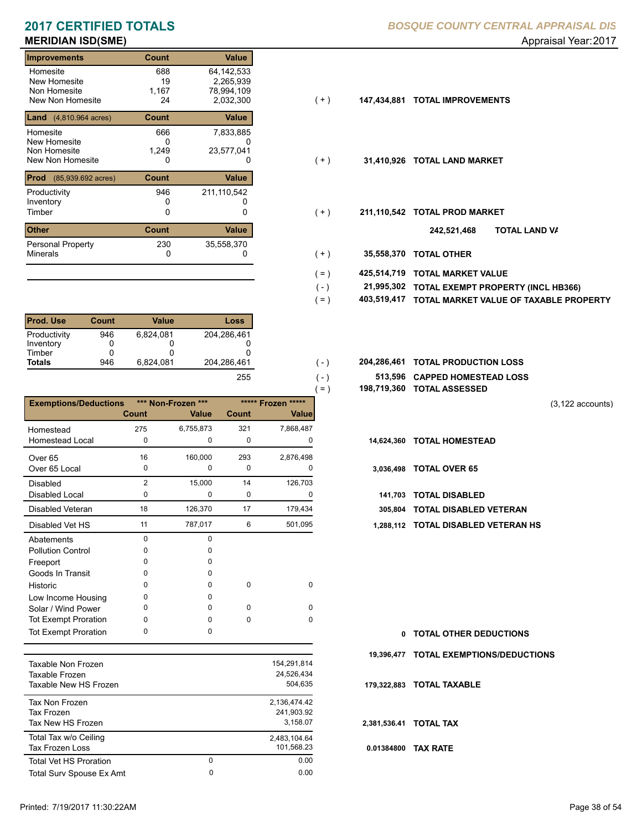| <b>Improvements</b>                     | Count | Value        |       |             |                           |
|-----------------------------------------|-------|--------------|-------|-------------|---------------------------|
| Homesite                                | 688   | 64,142,533   |       |             |                           |
| New Homesite                            | 19    | 2,265,939    |       |             |                           |
| Non Homesite                            | 1,167 | 78,994,109   |       |             |                           |
| New Non Homesite                        | 24    | 2,032,300    | (+)   | 147,434,881 | <b>TOTAL IMPROVEMENTS</b> |
| <b>Land</b> $(4,810.964 \text{ acres})$ | Count | Value        |       |             |                           |
| Homesite                                | 666   | 7,833,885    |       |             |                           |
| New Homesite                            | 0     | 0            |       |             |                           |
| Non Homesite                            | 1,249 | 23,577,041   |       |             |                           |
| New Non Homesite                        | 0     | 0            | $(+)$ | 31,410,926  | <b>TOTAL LAND MARKET</b>  |
| Prod<br>$(85,939.692 \text{ acres})$    | Count | Value        |       |             |                           |
| Productivity                            | 946   | 211,110,542  |       |             |                           |
| Inventory                               | 0     |              |       |             |                           |
| Timber                                  | 0     | 0            | $(+)$ | 211,110,542 | <b>TOTAL PROD MARKET</b>  |
| <b>Other</b>                            | Count | <b>Value</b> |       |             | 242,521,468               |
| <b>Personal Property</b>                | 230   | 35,558,370   |       |             |                           |
| <b>Minerals</b>                         | 0     | O            | $(+)$ | 35,558,370  | <b>TOTAL OTHER</b>        |

| <b>Prod. Use</b> | Count | Value     | Loss        |
|------------------|-------|-----------|-------------|
| Productivity     | 946   | 6.824.081 | 204,286,461 |
| Inventory        | O     |           |             |
| Timber           |       |           |             |
| <b>Totals</b>    | 946   | 6.824.081 | 204,286,461 |
|                  |       |           | 25.         |

|                              |                |                    |       |                    | $=$ )      | 198,719,360 TOTAL ASSESSED  |
|------------------------------|----------------|--------------------|-------|--------------------|------------|-----------------------------|
| <b>Exemptions/Deductions</b> |                | *** Non-Frozen *** |       | ***** Frozen ***** |            |                             |
|                              | Count          | <b>Value</b>       | Count | Value              |            |                             |
| Homestead                    | 275            | 6,755,873          | 321   | 7,868,487          |            |                             |
| <b>Homestead Local</b>       | 0              | 0                  | 0     | 0                  | 14,624,360 | <b>TOTAL HOMESTEAD</b>      |
| Over <sub>65</sub>           | 16             | 160,000            | 293   | 2,876,498          |            |                             |
| Over 65 Local                | 0              | 0                  | 0     | 0                  | 3,036,498  | <b>TOTAL OVER 65</b>        |
| <b>Disabled</b>              | $\overline{2}$ | 15,000             | 14    | 126,703            |            |                             |
| Disabled Local               | 0              | 0                  | 0     | 0                  | 141,703    | <b>TOTAL DISABLED</b>       |
| <b>Disabled Veteran</b>      | 18             | 126,370            | 17    | 179,434            | 305.804    | <b>TOTAL DISABLED VI</b>    |
| Disabled Vet HS              | 11             | 787,017            | 6     | 501,095            |            | 1,288,112 TOTAL DISABLED VE |
| Abatements                   | $\Omega$       | <sup>0</sup>       |       |                    |            |                             |
| <b>Pollution Control</b>     | 0              | O                  |       |                    |            |                             |
| Freeport                     | 0              | O                  |       |                    |            |                             |
| Goods In Transit             | 0              | O                  |       |                    |            |                             |
| Historic                     | 0              | 0                  | 0     | $\Omega$           |            |                             |
| Low Income Housing           | 0              | O                  |       |                    |            |                             |
| Solar / Wind Power           | 0              | <sup>0</sup>       | 0     | $\Omega$           |            |                             |
| <b>Tot Exempt Proration</b>  | 0              | <sup>0</sup>       | 0     | $\Omega$           |            |                             |
| <b>Tot Exempt Proration</b>  | 0              | 0                  |       |                    | 0          | <b>TOTAL OTHER DEDL</b>     |

| Taxable Non Frozen<br>Taxable Frozen<br>Taxable New HS Frozen |        | 154,291,814<br>24.526.434<br>504.635   |
|---------------------------------------------------------------|--------|----------------------------------------|
| Tax Non Frozen<br>Tax Frozen<br>Tax New HS Frozen             |        | 2.136.474.42<br>241.903.92<br>3.158.07 |
| Total Tax w/o Ceiling<br><b>Tax Frozen Loss</b>               |        | 2.483.104.64<br>101.568.23             |
| Total Vet HS Proration<br>Total Surv Spouse Ex Amt            | 0<br>0 | 0.00<br>0.00                           |
|                                                               |        |                                        |

- $(+)$
- $(+)$
- $(+)$ 
	- **TOTAL LAND VA 242,521,468**
- 0 0 **35,558,370 TOTAL OTHER**  $(+ )$

 $(-)$  $( - )$ 

- **425,514,719 TOTAL MARKET VALUE**  $( = )$
- **TOTAL EXEMPT PROPERTY (INCL HB366) 21,995,302**  $( - )$
- **403,519,417 TOTAL MARKET VALUE OF TAXABLE PROPERTY**  $( = )$
- **TOTAL PRODUCTION LOSS** 204,286,461 **204,286,461**
	- **513,596 CAPPED HOMESTEAD LOSS**
	- **198,719,360 TOTAL ASSESSED**

(3,122 accounts)

- 
- -
- 305,804 TOTAL DISABLED VETERAN
- 11 6 787,017 501,095 **1,288,112 TOTAL DISABLED VETERAN HS**

**TOTAL OTHER DEDUCTIONS 0 19,396,477 TOTAL EXEMPTIONS/DEDUCTIONS 0.01384800 TAX RATE 179,322,883 TOTAL TAXABLE 2,381,536.41 TOTAL TAX**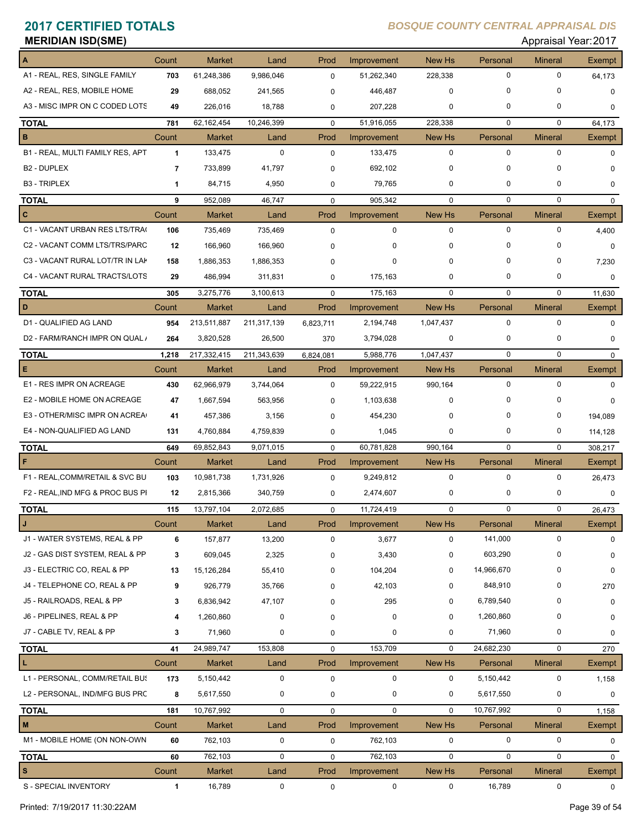| <b>MERIDIAN ISD(SME)</b> |  |
|--------------------------|--|
|--------------------------|--|

## **Appraisal Year: 2017**

|                                  | Count          | <b>Market</b> | Land        | Prod        | Improvement  | New Hs        | Personal    | <b>Mineral</b> | <b>Exempt</b> |
|----------------------------------|----------------|---------------|-------------|-------------|--------------|---------------|-------------|----------------|---------------|
| A1 - REAL, RES, SINGLE FAMILY    | 703            | 61,248,386    | 9,986,046   | 0           | 51,262,340   | 228,338       | $\mathbf 0$ | $\mathbf 0$    | 64,173        |
| A2 - REAL, RES, MOBILE HOME      | 29             | 688,052       | 241,565     | 0           | 446,487      | 0             | 0           | $\mathbf 0$    | $\mathbf 0$   |
| A3 - MISC IMPR ON C CODED LOTS   | 49             | 226.016       | 18,788      | 0           | 207,228      | 0             | $\mathbf 0$ | 0              | $\Omega$      |
| <b>TOTAL</b>                     | 781            | 62,162,454    | 10,246,399  | $\mathbf 0$ | 51,916,055   | 228,338       | $\mathbf 0$ | $\mathbf 0$    | 64,173        |
| $\, {\bf B}$                     | Count          | <b>Market</b> | Land        | Prod        | Improvement  | New Hs        | Personal    | <b>Mineral</b> | Exempt        |
| B1 - REAL, MULTI FAMILY RES, APT | $\mathbf{1}$   | 133,475       | $\mathbf 0$ | $\mathbf 0$ | 133,475      | $\mathbf 0$   | $\mathbf 0$ | 0              | $\Omega$      |
| B <sub>2</sub> - DUPLEX          | $\overline{7}$ | 733,899       | 41,797      | 0           | 692,102      | $\mathbf 0$   | $\mathbf 0$ | 0              | $\Omega$      |
| <b>B3 - TRIPLEX</b>              | $\mathbf{1}$   | 84,715        | 4,950       | 0           | 79,765       | 0             | 0           | 0              | 0             |
| <b>TOTAL</b>                     | 9              | 952,089       | 46,747      | $\mathbf 0$ | 905,342      | $\mathbf 0$   | $\mathbf 0$ | 0              | $\mathbf 0$   |
| $\mathbf{c}$                     | Count          | <b>Market</b> | Land        | Prod        | Improvement  | New Hs        | Personal    | <b>Mineral</b> | Exempt        |
| C1 - VACANT URBAN RES LTS/TRA    | 106            | 735,469       | 735,469     | $\mathbf 0$ | $\mathbf 0$  | $\mathbf 0$   | 0           | 0              | 4,400         |
| C2 - VACANT COMM LTS/TRS/PARC    | 12             | 166,960       | 166,960     | 0           | <sup>0</sup> | $\mathbf 0$   | $\Omega$    | 0              | $\mathbf 0$   |
| C3 - VACANT RURAL LOT/TR IN LAK  | 158            | 1,886,353     | 1,886,353   | 0           | 0            | $\Omega$      | $\Omega$    | 0              | 7,230         |
| C4 - VACANT RURAL TRACTS/LOTS    | 29             | 486,994       | 311,831     | 0           | 175,163      | $\Omega$      | 0           | 0              | $\mathbf 0$   |
| <b>TOTAL</b>                     | 305            | 3,275,776     | 3,100,613   | 0           | 175,163      | $\mathbf 0$   | $\mathbf 0$ | $\mathbf 0$    | 11,630        |
| D                                | Count          | <b>Market</b> | Land        | Prod        | Improvement  | <b>New Hs</b> | Personal    | <b>Mineral</b> | Exempt        |
| D1 - QUALIFIED AG LAND           | 954            | 213,511,887   | 211,317,139 | 6,823,711   | 2,194,748    | 1,047,437     | $\mathbf 0$ | $\Omega$       | $\Omega$      |
| D2 - FARM/RANCH IMPR ON QUAL /   | 264            | 3,820,528     | 26,500      | 370         | 3,794,028    | $\mathbf 0$   | 0           | 0              | $\Omega$      |
| <b>TOTAL</b>                     | 1,218          | 217,332,415   | 211,343,639 | 6,824,081   | 5,988,776    | 1,047,437     | 0           | $\mathbf 0$    | $\mathbf 0$   |
| $\mathsf E$                      | Count          | <b>Market</b> | Land        | Prod        | Improvement  | New Hs        | Personal    | <b>Mineral</b> | Exempt        |
| E1 - RES IMPR ON ACREAGE         | 430            | 62,966,979    | 3,744,064   | $\Omega$    | 59,222,915   | 990,164       | $\mathbf 0$ | $\mathbf 0$    | $\Omega$      |
| E2 - MOBILE HOME ON ACREAGE      | 47             | 1,667,594     | 563,956     | 0           | 1,103,638    | 0             | $\Omega$    | 0              | $\Omega$      |
| E3 - OTHER/MISC IMPR ON ACREA    | 41             | 457,386       | 3,156       | 0           | 454,230      | $\Omega$      | $\Omega$    | 0              | 194,089       |
| E4 - NON-QUALIFIED AG LAND       | 131            | 4,760,884     | 4,759,839   | 0           | 1,045        | 0             | 0           | 0              | 114,128       |
| <b>TOTAL</b>                     | 649            | 69,852,843    | 9,071,015   | $\Omega$    | 60,781,828   | 990,164       | 0           | $\mathbf 0$    | 308,217       |
| F                                | Count          | <b>Market</b> | Land        | Prod        | Improvement  | New Hs        | Personal    | <b>Mineral</b> | Exempt        |
| F1 - REAL, COMM/RETAIL & SVC BU  | 103            | 10,981,738    | 1,731,926   | $\mathbf 0$ | 9,249,812    | $\mathbf 0$   | $\mathbf 0$ | $\mathbf 0$    | 26,473        |
| F2 - REAL, IND MFG & PROC BUS PI | 12             | 2,815,366     | 340,759     | 0           | 2,474,607    | 0             | 0           | 0              | 0             |
| <b>TOTAL</b>                     | 115            | 13,797,104    | 2,072,685   | $\mathbf 0$ | 11,724,419   | $\mathbf 0$   | $\mathbf 0$ | $\mathbf 0$    | 26,473        |
|                                  | Count          | Market        | Land        | Prod        | Improvement  | New Hs        | Personal    | Mineral        | Exempt        |
| J1 - WATER SYSTEMS, REAL & PP    | 6              | 157,877       | 13,200      | 0           | 3,677        | 0             | 141,000     | 0              | $\mathbf 0$   |
| J2 - GAS DIST SYSTEM, REAL & PP  | 3              | 609,045       | 2,325       | 0           | 3,430        | 0             | 603,290     | 0              | 0             |
| J3 - ELECTRIC CO, REAL & PP      | 13             | 15,126,284    | 55,410      | 0           | 104,204      | 0             | 14,966,670  | 0              | $\mathbf 0$   |
| J4 - TELEPHONE CO, REAL & PP     | 9              | 926,779       | 35,766      | 0           | 42,103       | 0             | 848,910     | 0              | 270           |
| J5 - RAILROADS, REAL & PP        | 3              | 6,836,942     | 47,107      | 0           | 295          | 0             | 6,789,540   | 0              | 0             |
| J6 - PIPELINES, REAL & PP        | 4              | 1,260,860     | 0           | 0           | 0            | 0             | 1,260,860   | 0              | 0             |
| J7 - CABLE TV, REAL & PP         | 3              | 71,960        | 0           | 0           | 0            | 0             | 71,960      | 0              | 0             |
| <b>TOTAL</b>                     | 41             | 24,989,747    | 153,808     | 0           | 153,709      | $\mathbf 0$   | 24,682,230  | 0              | 270           |
| L                                | Count          | Market        | Land        | Prod        | Improvement  | New Hs        | Personal    | <b>Mineral</b> | Exempt        |
| L1 - PERSONAL, COMM/RETAIL BUS   | 173            | 5,150,442     | $\pmb{0}$   | 0           | 0            | 0             | 5,150,442   | 0              | 1,158         |
| L2 - PERSONAL, IND/MFG BUS PRC   | 8              | 5,617,550     | 0           | 0           | 0            | 0             | 5,617,550   | 0              | 0             |
| <b>TOTAL</b>                     | 181            | 10,767,992    | 0           | $\mathbf 0$ | 0            | $\mathbf 0$   | 10,767,992  | 0              | 1,158         |
| M                                | Count          | Market        | Land        | Prod        | Improvement  | New Hs        | Personal    | <b>Mineral</b> | Exempt        |
| M1 - MOBILE HOME (ON NON-OWN     | 60             | 762,103       | $\pmb{0}$   | 0           | 762,103      | 0             | $\pmb{0}$   | 0              | 0             |
| <b>TOTAL</b>                     | 60             | 762,103       | 0           | 0           | 762,103      | 0             | $\mathbf 0$ | 0              | 0             |
| $\boldsymbol{\mathsf{s}}$        | Count          | Market        | Land        | Prod        | Improvement  | New Hs        | Personal    | <b>Mineral</b> | Exempt        |
| S - SPECIAL INVENTORY            | 1              | 16,789        | 0           | 0           | 0            | 0             | 16,789      | 0              | 0             |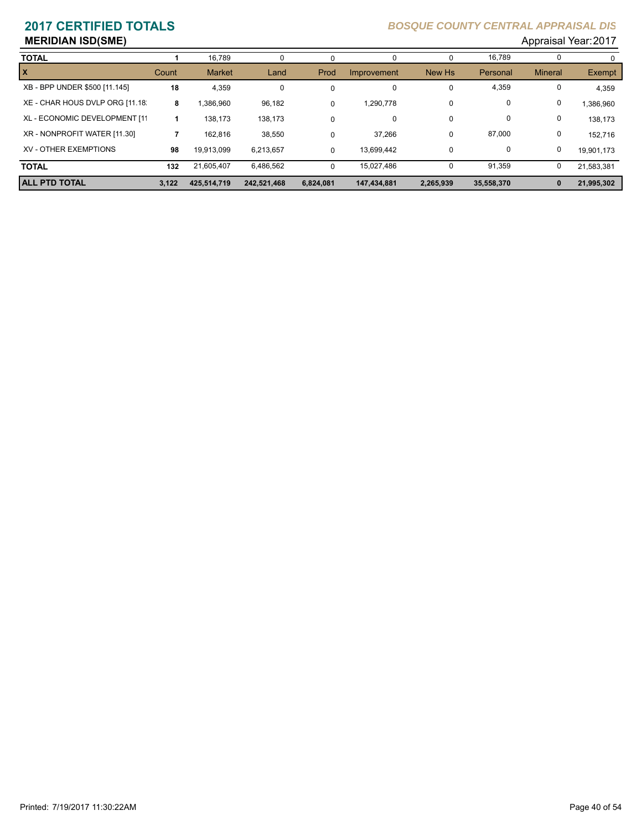### **MERIDIAN ISD(SME)** Appraisal Year: 2017

| <b>TOTAL</b>                    |       | 16,789        | 0           |             | 0           | 0         | 16,789     |                |            |
|---------------------------------|-------|---------------|-------------|-------------|-------------|-----------|------------|----------------|------------|
| $\vert x \vert$                 | Count | <b>Market</b> | Land        | Prod        | Improvement | New Hs    | Personal   | <b>Mineral</b> | Exempt     |
| XB - BPP UNDER \$500 [11.145]   | 18    | 4,359         | 0           | 0           | 0           | 0         | 4,359      |                | 4,359      |
| XE - CHAR HOUS DVLP ORG [11.18] | 8     | .386,960      | 96,182      | 0           | 1,290,778   | 0         | 0          | 0              | 1.386.960  |
| XL - ECONOMIC DEVELOPMENT [11   |       | 138.173       | 138,173     | $\mathbf 0$ | 0           | 0         | 0          | 0              | 138.173    |
| XR - NONPROFIT WATER [11.30]    |       | 162,816       | 38,550      | 0           | 37,266      | 0         | 87,000     | 0              | 152.716    |
| XV - OTHER EXEMPTIONS           | 98    | 19.913.099    | 6.213.657   | 0           | 13.699.442  | 0         | 0          | 0              | 19.901.173 |
| <b>TOTAL</b>                    | 132   | 21.605.407    | 6,486,562   | 0           | 15,027,486  | 0         | 91,359     | 0              | 21.583.381 |
| <b>ALL PTD TOTAL</b>            | 3.122 | 425.514.719   | 242.521.468 | 6.824.081   | 147.434.881 | 2,265,939 | 35,558,370 | 0              | 21,995,302 |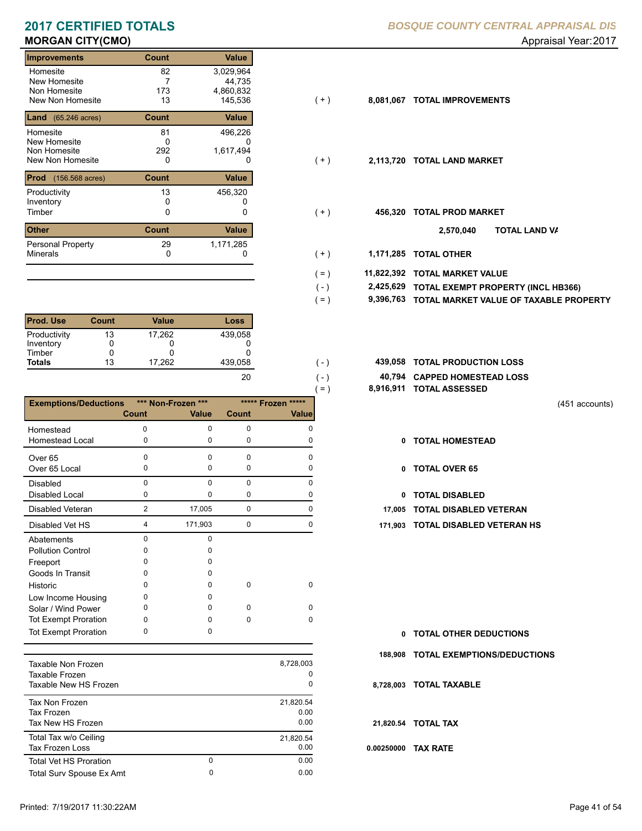| <b>Improvements</b>                      | Count        | <b>Value</b>         |       |           |                              |
|------------------------------------------|--------------|----------------------|-------|-----------|------------------------------|
| Homesite                                 | 82           | 3,029,964            |       |           |                              |
| New Homesite                             |              | 44,735               |       |           |                              |
| Non Homesite<br>New Non Homesite         | 173<br>13    | 4,860,832<br>145,536 | (+)   | 8,081,067 | <b>TOTAL IMPROVEMENTS</b>    |
| <b>Land</b> (65.246 acres)               | Count        | Value                |       |           |                              |
| Homesite                                 | 81           | 496,226              |       |           |                              |
| New Homesite                             | 0            | 0                    |       |           |                              |
| Non Homesite                             | 292          | 1,617,494            |       |           |                              |
| New Non Homesite                         | 0            | 0                    | ( + ) | 2,113,720 | <b>TOTAL LAND MARKET</b>     |
| <b>Prod</b><br>$(156.568 \text{ acres})$ | <b>Count</b> | Value                |       |           |                              |
| Productivity                             | 13           | 456,320              |       |           |                              |
| Inventory                                | 0            |                      |       |           |                              |
| Timber                                   | 0            | 0                    | ( + ) | 456,320   | <b>TOTAL PROD MARKET</b>     |
| Other                                    | <b>Count</b> | Value                |       |           | TO <sub>1</sub><br>2,570,040 |
| <b>Personal Property</b>                 | 29           | 1,171,285            |       |           |                              |
| <b>Minerals</b>                          | 0            | 0                    | ( + ) | 1,171,285 | <b>TOTAL OTHER</b>           |

| <b>Prod. Use</b> | Count | Value  | Loss    |
|------------------|-------|--------|---------|
| Productivity     | 13    | 17.262 | 439,058 |
| Inventory        |       |        |         |
| Timber           |       |        |         |
| <b>Totals</b>    | 13    | 17,262 | 439,058 |
|                  |       |        |         |

|                              |       |                    |              | $( = )$            | 8,916,911 |
|------------------------------|-------|--------------------|--------------|--------------------|-----------|
| <b>Exemptions/Deductions</b> |       | *** Non-Frozen *** |              | ***** Frozen ***** |           |
|                              | Count | <b>Value</b>       | <b>Count</b> | Value              |           |
| Homestead                    | ი     | 0                  | 0            | O                  |           |
| Homestead Local              | 0     | 0                  | 0            | 0                  | 0         |
| Over <sub>65</sub>           | 0     | 0                  | $\Omega$     | O                  |           |
| Over 65 Local                | 0     | 0                  | 0            | 0                  | 0         |
| <b>Disabled</b>              | 0     | $\Omega$           | 0            | 0                  |           |
| <b>Disabled Local</b>        | 0     | 0                  | 0            | O                  | 0         |
| Disabled Veteran             | 2     | 17,005             | 0            | 0                  | 17,005    |
| Disabled Vet HS              | 4     | 171,903            | 0            | 0                  | 171,903   |
| Abatements                   | 0     | $\Omega$           |              |                    |           |
| <b>Pollution Control</b>     | ი     | o                  |              |                    |           |
| Freeport                     | ი     | O                  |              |                    |           |
| Goods In Transit             | ი     | <sup>0</sup>       |              |                    |           |
| Historic                     | ი     | 0                  | 0            | $\Omega$           |           |
| Low Income Housing           | 0     | <sup>0</sup>       |              |                    |           |
| Solar / Wind Power           | ი     | <sup>0</sup>       | O            | 0                  |           |
| <b>Tot Exempt Proration</b>  | ი     | O                  | 0            | 0                  |           |
| <b>Tot Exempt Proration</b>  | 0     | 0                  |              |                    | 0         |

| Taxable Non Frozen<br>Taxable Frozen<br>Taxable New HS Frozen |               | 8,728,003<br>0<br>0       |
|---------------------------------------------------------------|---------------|---------------------------|
| Tax Non Frozen<br>Tax Frozen<br>Tax New HS Frozen             |               | 21.820.54<br>0.00<br>0.00 |
| Total Tax w/o Ceiling<br><b>Tax Frozen Loss</b>               |               | 21,820.54<br>0.00         |
| <b>Total Vet HS Proration</b>                                 | $\Omega$<br>0 | 0.00<br>0.00              |
| Total Surv Spouse Ex Amt                                      |               |                           |

| $(+)$ | 8,081,067 TOTAL IMPROVEMENTS |  |
|-------|------------------------------|--|

- $( + )$
- $(+)$ 
	- **TOTAL LAND VA 2,570,040**
- 0 0 **1,171,285 TOTAL OTHER**  $(+)$

 $( - )$  $( = )$ 

 $( - )$  $( - )$ 

- **11,822,392 TOTAL MARKET VALUE**  $( = )$ 
	- **TOTAL EXEMPT PROPERTY (INCL HB366) 2,425,629**
	- **9,396,763 TOTAL MARKET VALUE OF TAXABLE PROPERTY**
- **TOTAL PRODUCTION LOSS** 439,058 **439,058**
	- **40,794 CAPPED HOMESTEAD LOSS**
	- **8,916,911 TOTAL ASSESSED**

(451 accounts)

- **TOTAL HOMESTEAD**
- 0 TOTAL OVER 65
- 0 TOTAL DISABLED
- **17,005 TOTAL DISABLED VETERAN**
- 4 0 171,903 0 **171,903 TOTAL DISABLED VETERAN HS**

- **TOTAL OTHER DEDUCTIONS 0**
- **188,908 TOTAL EXEMPTIONS/DEDUCTIONS**
- **8,728,003 TOTAL TAXABLE**
- **21,820.54 TOTAL TAX**
- **0.00250000 TAX RATE**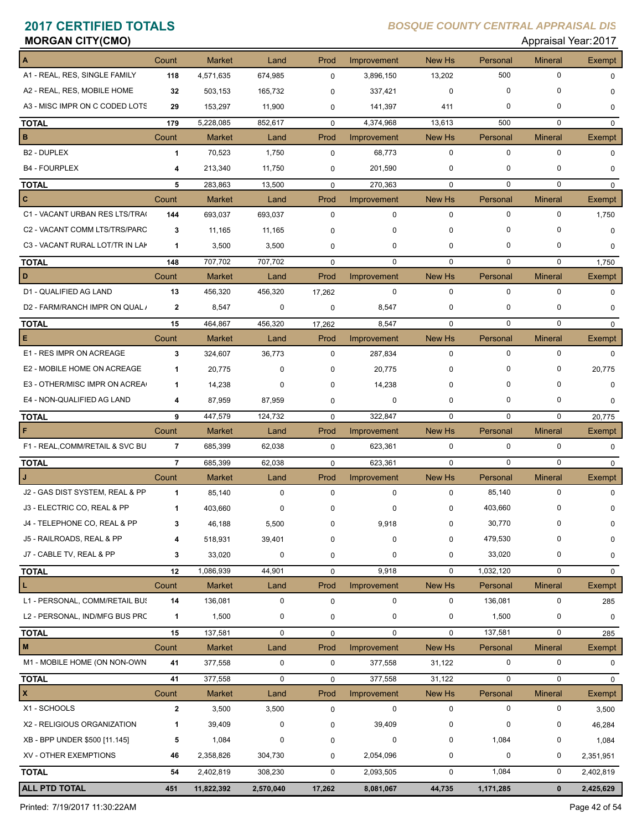# **MORGAN CITY(CMO)** Appraisal Year: 2017

| A                               | Count          | <b>Market</b> | Land        | Prod        | Improvement | New Hs           | Personal    | <b>Mineral</b> | <b>Exempt</b> |
|---------------------------------|----------------|---------------|-------------|-------------|-------------|------------------|-------------|----------------|---------------|
| A1 - REAL, RES, SINGLE FAMILY   | 118            | 4,571,635     | 674,985     | $\mathbf 0$ | 3,896,150   | 13,202           | 500         | $\mathbf 0$    | $\Omega$      |
| A2 - REAL, RES, MOBILE HOME     | 32             | 503,153       | 165,732     | $\Omega$    | 337,421     | $\mathbf 0$      | $\mathbf 0$ | 0              | $\Omega$      |
| A3 - MISC IMPR ON C CODED LOTS  | 29             | 153,297       | 11,900      | $\mathbf 0$ | 141,397     | 411              | 0           | $\mathbf 0$    | 0             |
| <b>TOTAL</b>                    | 179            | 5,228,085     | 852,617     | $\Omega$    | 4,374,968   | 13,613           | 500         | $\mathbf 0$    | $\Omega$      |
| B                               | Count          | <b>Market</b> | Land        | Prod        | Improvement | New Hs           | Personal    | <b>Mineral</b> | Exempt        |
| B2 - DUPLEX                     | 1              | 70,523        | 1,750       | $\mathbf 0$ | 68,773      | $\mathbf 0$      | $\mathbf 0$ | $\mathbf 0$    | $\Omega$      |
| <b>B4 - FOURPLEX</b>            | 4              | 213,340       | 11,750      | 0           | 201,590     | $\mathbf 0$      | $\mathbf 0$ | 0              | $\mathbf 0$   |
| <b>TOTAL</b>                    | 5              | 283,863       | 13,500      | $\mathbf 0$ | 270,363     | $\mathbf 0$      | $\mathbf 0$ | $\mathbf 0$    | $\mathbf 0$   |
| C                               | Count          | <b>Market</b> | Land        | Prod        | Improvement | New Hs           | Personal    | <b>Mineral</b> | <b>Exempt</b> |
| C1 - VACANT URBAN RES LTS/TRA(  | 144            | 693,037       | 693,037     | $\mathbf 0$ | $\mathbf 0$ | $\mathbf 0$      | $\mathbf 0$ | $\mathbf 0$    | 1,750         |
| C2 - VACANT COMM LTS/TRS/PARC   | 3              | 11,165        | 11,165      | $\mathbf 0$ | $\Omega$    | $\mathbf 0$      | $\Omega$    | $\mathbf 0$    | $\mathbf 0$   |
| C3 - VACANT RURAL LOT/TR IN LAK | $\mathbf{1}$   | 3,500         | 3,500       | $\mathbf 0$ | 0           | $\mathbf 0$      | 0           | $\mathbf 0$    | 0             |
| <b>TOTAL</b>                    | 148            | 707,702       | 707,702     | $\mathbf 0$ | $\mathbf 0$ | $\mathbf 0$      | 0           | 0              | 1,750         |
| D                               | Count          | <b>Market</b> | Land        | Prod        | Improvement | New Hs           | Personal    | <b>Mineral</b> | <b>Exempt</b> |
| D1 - QUALIFIED AG LAND          | 13             | 456,320       | 456,320     | 17,262      | $\mathbf 0$ | $\mathbf 0$      | 0           | $\mathbf 0$    | 0             |
| D2 - FARM/RANCH IMPR ON QUAL /  | $\mathbf{2}$   | 8,547         | 0           | 0           | 8,547       | $\mathbf 0$      | 0           | 0              | $\mathbf 0$   |
| <b>TOTAL</b>                    | 15             | 464,867       | 456,320     | 17,262      | 8,547       | $\mathbf 0$      | 0           | $\mathbf 0$    | $\mathbf 0$   |
| Е                               | Count          | <b>Market</b> | Land        | Prod        | Improvement | New Hs           | Personal    | <b>Mineral</b> | <b>Exempt</b> |
| E1 - RES IMPR ON ACREAGE        | 3              | 324,607       | 36,773      | $\Omega$    | 287,834     | $\mathbf 0$      | 0           | $\mathbf 0$    | $\Omega$      |
| E2 - MOBILE HOME ON ACREAGE     | $\mathbf 1$    | 20,775        | $\Omega$    | $\mathbf 0$ | 20,775      | $\mathbf 0$      | 0           | 0              | 20,775        |
| E3 - OTHER/MISC IMPR ON ACREA   | $\mathbf 1$    | 14,238        | 0           | $\mathbf 0$ | 14,238      | 0                | 0           | $\mathbf 0$    | $\mathbf 0$   |
| E4 - NON-QUALIFIED AG LAND      | 4              | 87,959        | 87,959      | 0           | 0           | $\mathbf 0$      | 0           | 0              | $\mathbf 0$   |
| <b>TOTAL</b>                    | 9              | 447,579       | 124,732     | $\mathbf 0$ | 322,847     | $\mathbf 0$      | $\mathbf 0$ | $\mathbf 0$    | 20,775        |
|                                 | Count          | <b>Market</b> | Land        | Prod        | Improvement | New Hs           | Personal    | <b>Mineral</b> | <b>Exempt</b> |
| F1 - REAL, COMM/RETAIL & SVC BU | $\overline{7}$ | 685,399       | 62,038      | $\mathbf 0$ | 623,361     | $\pmb{0}$        | $\mathbf 0$ | $\mathbf 0$    | $\mathbf 0$   |
| <b>TOTAL</b>                    | $\overline{7}$ | 685,399       | 62,038      | $\mathbf 0$ | 623,361     | $\mathbf 0$      | $\mathbf 0$ | $\mathbf 0$    | $\mathbf 0$   |
|                                 | Count          | <b>Market</b> | Land        | Prod        | Improvement | New Hs           | Personal    | <b>Mineral</b> | Exempt        |
| J2 - GAS DIST SYSTEM, REAL & PP | $\mathbf{1}$   | 85,140        | $\mathbf 0$ | $\mathbf 0$ | 0           | $\mathbf 0$      | 85,140      | $\mathbf 0$    | $\mathbf 0$   |
| J3 - ELECTRIC CO, REAL & PP     | 1              | 403,660       | 0           | $\mathbf 0$ | 0           | $\mathbf 0$      | 403,660     | 0              | 0             |
| J4 - TELEPHONE CO, REAL & PP    | 3              | 46,188        | 5,500       | 0           | 9,918       | $\pmb{0}$        | 30,770      | 0              | 0             |
| J5 - RAILROADS, REAL & PP       | 4              | 518,931       | 39,401      | 0           | 0           | $\mathbf 0$      | 479,530     | 0              | $\mathbf 0$   |
| J7 - CABLE TV, REAL & PP        | 3              | 33,020        | $\pmb{0}$   | 0           | 0           | $\pmb{0}$        | 33,020      | 0              | 0             |
| <b>TOTAL</b>                    | 12             | 1,086,939     | 44,901      | $\mathsf 0$ | 9,918       | $\mathbf 0$      | 1,032,120   | 0              | $\mathbf 0$   |
| L                               | Count          | Market        | Land        | Prod        | Improvement | New Hs           | Personal    | <b>Mineral</b> | <b>Exempt</b> |
| L1 - PERSONAL, COMM/RETAIL BUS  | 14             | 136,081       | 0           | $\mathbf 0$ | 0           | $\mathbf 0$      | 136,081     | 0              | 285           |
| L2 - PERSONAL, IND/MFG BUS PRC  | 1              | 1,500         | 0           | 0           | $\mathbf 0$ | $\pmb{0}$        | 1,500       | 0              | $\mathbf 0$   |
| <b>TOTAL</b>                    | 15             | 137,581       | $\pmb{0}$   | 0           | 0           | $\pmb{0}$        | 137,581     | 0              | 285           |
| M                               | Count          | Market        | Land        | Prod        | Improvement | New Hs           | Personal    | <b>Mineral</b> | <b>Exempt</b> |
| M1 - MOBILE HOME (ON NON-OWN    | 41             | 377,558       | 0           | 0           | 377,558     | 31,122           | 0           | 0              | 0             |
| <b>TOTAL</b>                    | 41             | 377,558       | $\pmb{0}$   | $\mathbf 0$ | 377,558     | 31,122           | 0           | 0              | $\mathbf 0$   |
| X                               | Count          | Market        | Land        | Prod        | Improvement | New Hs           | Personal    | <b>Mineral</b> | <b>Exempt</b> |
| X1 - SCHOOLS                    | $\mathbf 2$    | 3,500         | 3,500       | $\mathbf 0$ | $\pmb{0}$   | $\pmb{0}$        | 0           | 0              | 3,500         |
| X2 - RELIGIOUS ORGANIZATION     | 1              | 39,409        | 0           | 0           | 39,409      | $\pmb{0}$        | 0           | 0              | 46,284        |
| XB - BPP UNDER \$500 [11.145]   | 5              | 1,084         | 0           | 0           | 0           | $\mathbf 0$      | 1,084       | 0              | 1,084         |
| XV - OTHER EXEMPTIONS           | 46             | 2,358,826     | 304,730     | 0           | 2,054,096   | $\pmb{0}$        | 0           | 0              | 2,351,951     |
| <b>TOTAL</b>                    | 54             | 2,402,819     | 308,230     | $\mathbf 0$ | 2,093,505   | $\boldsymbol{0}$ | 1,084       | 0              | 2,402,819     |
| <b>ALL PTD TOTAL</b>            | 451            | 11,822,392    | 2,570,040   | 17,262      | 8,081,067   | 44,735           | 1,171,285   | $\mathbf{0}$   | 2,425,629     |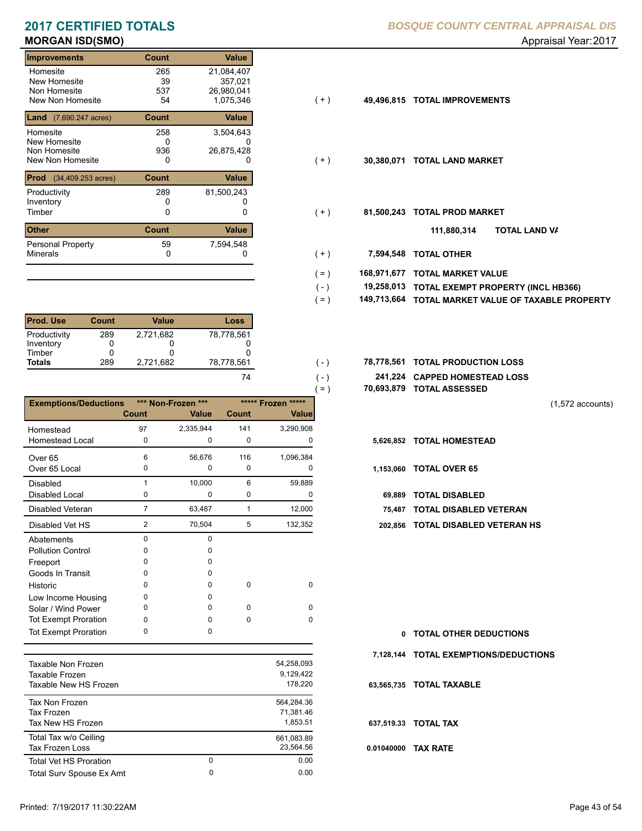| Count        | Value      |                         |            |                           |
|--------------|------------|-------------------------|------------|---------------------------|
| 265          | 21,084,407 |                         |            |                           |
| 39           | 357,021    |                         |            |                           |
| 537          |            |                         |            |                           |
|              |            |                         |            | <b>TOTAL IMPROVEMENTS</b> |
| Count        | Value      |                         |            |                           |
| 258          | 3,504,643  |                         |            |                           |
| 0            |            |                         |            |                           |
| 936          | 26,875,428 |                         |            |                           |
| 0            | 0          | ( + )                   | 30,380,071 | <b>TOTAL LAND MARKET</b>  |
| Count        | Value      |                         |            |                           |
| 289          | 81,500,243 |                         |            |                           |
|              |            |                         |            |                           |
| 0            |            | $(+)$                   | 81,500,243 | <b>TOTAL PROD MARKET</b>  |
| <b>Count</b> | Value      |                         |            | 111,880,314               |
| 59           | 7,594,548  |                         |            |                           |
| 0            |            | ( + )                   | 7,594,548  | <b>TOTAL OTHER</b>        |
|              | 54         | 26,980,041<br>1,075,346 | $(+)$      | 49,496,815                |

| <b>Prod. Use</b> | Count | Value     | Loss       |
|------------------|-------|-----------|------------|
| Productivity     | 289   | 2.721.682 | 78,778,561 |
| Inventory        |       |           |            |
| Timber           |       |           |            |
| <b>Totals</b>    | 289   | 2,721,682 | 78.778.561 |
|                  |       |           |            |

|                              |                |                             |              |                                    | $=$ )     | 70,693,879 TOTAL ASSESSED |
|------------------------------|----------------|-----------------------------|--------------|------------------------------------|-----------|---------------------------|
| <b>Exemptions/Deductions</b> | Count          | *** Non-Frozen ***<br>Value | <b>Count</b> | ***** Frozen *****<br><b>Value</b> |           |                           |
| Homestead                    | 97             | 2,335,944                   | 141          | 3,290,908                          |           |                           |
| <b>Homestead Local</b>       | 0              | 0                           | $\mathbf 0$  | 0                                  |           | 5,626,852 TOTAL HOMESTEAD |
| Over <sub>65</sub>           | 6              | 56,676                      | 116          | 1,096,384                          |           |                           |
| Over 65 Local                | 0              | 0                           | $\Omega$     | O                                  | 1,153,060 | <b>TOTAL OVER 65</b>      |
| <b>Disabled</b>              |                | 10,000                      | 6            | 59,889                             |           |                           |
| Disabled Local               | 0              | 0                           | 0            | 0                                  | 69.889    | <b>TOTAL DISABLED</b>     |
| Disabled Veteran             | $\overline{7}$ | 63,487                      | 1            | 12,000                             | 75.487    | <b>TOTAL DISABLED VI</b>  |
| Disabled Vet HS              | $\overline{2}$ | 70,504                      | 5            | 132,352                            | 202,856   | <b>TOTAL DISABLED VE</b>  |
| Abatements                   | $\Omega$       | $\Omega$                    |              |                                    |           |                           |
| <b>Pollution Control</b>     | <sup>0</sup>   | n                           |              |                                    |           |                           |
| Freeport                     | O              |                             |              |                                    |           |                           |
| Goods In Transit             | O              | <sup>0</sup>                |              |                                    |           |                           |
| Historic                     | <sup>0</sup>   | <sup>0</sup>                | $\Omega$     | $\Omega$                           |           |                           |
| Low Income Housing           | 0              | 0                           |              |                                    |           |                           |
| Solar / Wind Power           | 0              | 0                           | $\Omega$     | $\Omega$                           |           |                           |
| Tot Exempt Proration         | 0              | <sup>0</sup>                | $\Omega$     | $\Omega$                           |           |                           |
| <b>Tot Exempt Proration</b>  | $\Omega$       | 0                           |              |                                    | 0         | <b>TOTAL OTHER DEDL</b>   |

| Taxable Non Frozen<br>Taxable Frozen<br>Taxable New HS Frozen |               | 54,258,093<br>9.129.422<br>178.220  |
|---------------------------------------------------------------|---------------|-------------------------------------|
| Tax Non Frozen<br>Tax Frozen<br>Tax New HS Frozen             |               | 564.284.36<br>71.381.46<br>1.853.51 |
| Total Tax w/o Ceiling<br>Tax Frozen Loss                      |               | 661.083.89<br>23.564.56             |
| <b>Total Vet HS Proration</b><br>Total Surv Spouse Ex Amt     | 0<br>$\Omega$ | 0.00<br>0.00                        |
|                                                               |               |                                     |

|  | 49,496,815 TOTAL IMPROVEMENTS |  |
|--|-------------------------------|--|
|  |                               |  |

 $(-)$  $( - )$ 

- $( + )$
- $(+)$ 
	- **TOTAL LAND VA 111,880,314**
- 0 0 **7,594,548 TOTAL OTHER**  $(+ )$
- **168,971,677 TOTAL MARKET VALUE**  $( = )$
- **TOTAL EXEMPT PROPERTY (INCL HB366) 19,258,013**  $( - )$
- **149,713,664 TOTAL MARKET VALUE OF TAXABLE PROPERTY**  $( = )$
- **TOTAL PRODUCTION LOSS** 78,778,561 **78,778,561**
	- **241,224 CAPPED HOMESTEAD LOSS**
	- **70,693,879 TOTAL ASSESSED**

(1,572 accounts)

- - Disabled Local **TOTAL DISABLED**
	- **75,487 TOTAL DISABLED VETERAN**
	- 2 5 70,504 132,352 **202,856 TOTAL DISABLED VETERAN HS**

**TOTAL OTHER DEDUCTIONS 0 7,128,144 TOTAL EXEMPTIONS/DEDUCTIONS 0.01040000 TAX RATE 63,565,735 TOTAL TAXABLE 637,519.33 TOTAL TAX**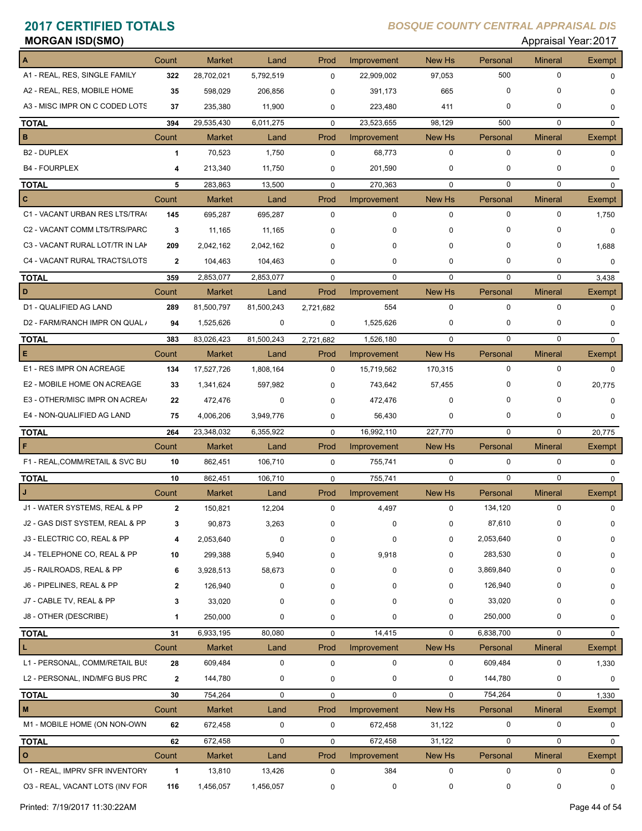# **MORGAN ISD(SMO)** Appraisal Year: 2017

| A                               | Count        | <b>Market</b>     | Land        | Prod                | Improvement            | New Hs           | Personal    | <b>Mineral</b> | <b>Exempt</b>          |
|---------------------------------|--------------|-------------------|-------------|---------------------|------------------------|------------------|-------------|----------------|------------------------|
| A1 - REAL, RES, SINGLE FAMILY   | 322          | 28,702,021        | 5,792,519   | $\mathbf 0$         | 22,909,002             | 97,053           | 500         | 0              | $\Omega$               |
| A2 - REAL, RES, MOBILE HOME     | 35           | 598,029           | 206,856     | 0                   | 391,173                | 665              | $\mathbf 0$ | 0              | $\Omega$               |
| A3 - MISC IMPR ON C CODED LOTS  | 37           | 235,380           | 11,900      | 0                   | 223,480                | 411              | 0           | 0              | 0                      |
| <b>TOTAL</b>                    | 394          | 29,535,430        | 6,011,275   | $\mathbf 0$         | 23,523,655             | 98,129           | 500         | $\Omega$       | $\mathbf 0$            |
| B                               | Count        | <b>Market</b>     | Land        | Prod                | Improvement            | New Hs           | Personal    | <b>Mineral</b> | Exempt                 |
| <b>B2 - DUPLEX</b>              | 1            | 70,523            | 1,750       | $\mathbf 0$         | 68,773                 | $\mathbf 0$      | $\mathbf 0$ | 0              | $\Omega$               |
| <b>B4 - FOURPLEX</b>            | 4            | 213,340           | 11,750      | 0                   | 201,590                | 0                | 0           | 0              | $\Omega$               |
| <b>TOTAL</b>                    | 5            | 283,863           | 13,500      | $\mathbf 0$         | 270,363                | $\mathbf 0$      | $\mathbf 0$ | 0              | $\mathbf 0$            |
| c                               | Count        | <b>Market</b>     | Land        | Prod                | Improvement            | New Hs           | Personal    | <b>Mineral</b> | <b>Exempt</b>          |
| C1 - VACANT URBAN RES LTS/TRA(  | 145          | 695,287           | 695,287     | 0                   | $\mathbf 0$            | $\mathbf 0$      | $\mathbf 0$ | 0              | 1,750                  |
| C2 - VACANT COMM LTS/TRS/PARC   | 3            | 11,165            | 11,165      | $\Omega$            | 0                      | $\Omega$         | $\Omega$    | 0              | $\Omega$               |
| C3 - VACANT RURAL LOT/TR IN LAP | 209          | 2,042,162         | 2,042,162   | $\Omega$            |                        | $\Omega$         | 0           | 0              | 1,688                  |
| C4 - VACANT RURAL TRACTS/LOTS   | $\mathbf{2}$ | 104,463           | 104,463     | 0                   | 0                      | 0                | 0           | 0              | $\mathbf 0$            |
| <b>TOTAL</b>                    | 359          | 2,853,077         | 2,853,077   | $\mathbf 0$         | 0                      | $\mathbf 0$      | 0           | 0              | 3,438                  |
| D                               | Count        | <b>Market</b>     | Land        | Prod                | Improvement            | New Hs           | Personal    | <b>Mineral</b> | <b>Exempt</b>          |
| D1 - QUALIFIED AG LAND          | 289          | 81,500,797        | 81,500,243  | 2,721,682           | 554                    | $\mathbf 0$      | $\mathbf 0$ | 0              | $\Omega$               |
| D2 - FARM/RANCH IMPR ON QUAL /  | 94           | 1,525,626         | 0           | 0                   | 1,525,626              | 0                | 0           | 0              | $\Omega$               |
| <b>TOTAL</b>                    | 383          | 83,026,423        | 81,500,243  | 2,721,682           | 1,526,180              | $\Omega$         | $\Omega$    | 0              | $\Omega$               |
| Е                               | Count        | <b>Market</b>     | Land        | Prod                | Improvement            | New Hs           | Personal    | <b>Mineral</b> | Exempt                 |
| E1 - RES IMPR ON ACREAGE        | 134          | 17,527,726        | 1,808,164   | $\mathbf 0$         | 15,719,562             | 170,315          | $\mathbf 0$ | 0              | $\Omega$               |
| E2 - MOBILE HOME ON ACREAGE     | 33           | 1,341,624         | 597,982     | $\mathbf 0$         | 743,642                | 57,455           | 0           | 0              | 20,775                 |
| E3 - OTHER/MISC IMPR ON ACREA   | 22           | 472,476           | 0           | $\Omega$            | 472,476                | $\Omega$         | 0           | 0              | $\Omega$               |
| E4 - NON-QUALIFIED AG LAND      | 75           | 4,006,206         | 3,949,776   | 0                   | 56,430                 | 0                | 0           | 0              | 0                      |
| <b>TOTAL</b>                    | 264          | 23,348,032        | 6,355,922   | $\Omega$            | 16,992,110             | 227,770          | $\Omega$    | $\Omega$       | 20,775                 |
|                                 | Count        | <b>Market</b>     | Land        | Prod                | Improvement            | New Hs           | Personal    | <b>Mineral</b> | Exempt                 |
| F1 - REAL, COMM/RETAIL & SVC BU | 10           | 862,451           | 106,710     | $\mathbf 0$         | 755,741                | 0                | $\mathbf 0$ | $\mathbf 0$    | 0                      |
| <b>TOTAL</b>                    | 10           | 862,451           | 106,710     | $\mathbf 0$         | 755,741                | $\mathbf 0$      | $\mathbf 0$ | $\mathbf 0$    | $\mathbf 0$            |
|                                 | Count        | Market            | Land        | Prod                | Improvement            | New Hs           | Personal    | <b>Mineral</b> | Exempt                 |
| J1 - WATER SYSTEMS, REAL & PP   | $\mathbf{2}$ | 150,821           | 12,204      | 0                   | 4,497                  | 0                | 134,120     | 0              | 0                      |
| J2 - GAS DIST SYSTEM, REAL & PP | 3            | 90,873            | 3,263       | 0                   | 0                      | 0                | 87,610      | 0              | 0                      |
| J3 - ELECTRIC CO, REAL & PP     | 4            | 2,053,640         | 0           | 0                   | 0                      | 0                | 2,053,640   | 0              | 0                      |
| J4 - TELEPHONE CO, REAL & PP    | 10           | 299,388           | 5,940       | 0                   | 9,918                  | 0                | 283,530     | 0              | 0                      |
| J5 - RAILROADS, REAL & PP       | 6            | 3,928,513         | 58,673      | $\Omega$            | 0                      | 0                | 3,869,840   | 0              | 0                      |
| J6 - PIPELINES, REAL & PP       | $\mathbf{2}$ | 126,940           | 0           | 0                   | 0                      | 0                | 126,940     | 0              | 0                      |
| J7 - CABLE TV, REAL & PP        | 3            | 33,020            | 0           | $\Omega$            | O                      | 0                | 33,020      | 0              | 0                      |
| J8 - OTHER (DESCRIBE)           | $\mathbf 1$  | 250,000           | 0           | 0                   | 0                      | 0                | 250,000     | 0              | 0                      |
| <b>TOTAL</b>                    | 31           | 6,933,195         | 80,080      | 0                   | 14,415                 | 0                | 6,838,700   | 0              | $\mathbf 0$            |
| L                               | Count        | <b>Market</b>     | Land        | Prod                | Improvement            | New Hs           | Personal    | <b>Mineral</b> | Exempt                 |
| L1 - PERSONAL, COMM/RETAIL BUS  | 28           | 609,484           | 0           | 0                   | 0                      | 0                | 609,484     | 0              | 1,330                  |
| L2 - PERSONAL, IND/MFG BUS PRC  | $\mathbf{2}$ | 144,780           | 0           | 0                   | 0                      | 0                | 144,780     | 0              | 0                      |
|                                 |              | 754,264           | $\mathbf 0$ |                     | $\mathbf 0$            | $\mathbf 0$      | 754,264     | 0              |                        |
| <b>TOTAL</b><br>M               | 30<br>Count  | <b>Market</b>     | Land        | 0<br>Prod           | Improvement            | New Hs           | Personal    | <b>Mineral</b> | 1,330<br><b>Exempt</b> |
| M1 - MOBILE HOME (ON NON-OWN    | 62           | 672,458           | 0           | $\mathbf 0$         | 672,458                | 31,122           | 0           | 0              | 0                      |
|                                 | 62           |                   | $\pmb{0}$   |                     |                        |                  | $\mathbf 0$ | 0              |                        |
| <b>TOTAL</b><br>O               | Count        | 672,458<br>Market | Land        | $\mathbf 0$<br>Prod | 672,458<br>Improvement | 31,122<br>New Hs | Personal    | <b>Mineral</b> | 0<br>Exempt            |
| 01 - REAL, IMPRV SFR INVENTORY  | 1            | 13,810            | 13,426      | $\mathbf 0$         | 384                    | $\pmb{0}$        | $\mathbf 0$ | 0              | 0                      |
| 03 - REAL, VACANT LOTS (INV FOR | 116          | 1,456,057         | 1,456,057   | 0                   | $\pmb{0}$              | 0                | 0           | 0              | 0                      |
|                                 |              |                   |             |                     |                        |                  |             |                |                        |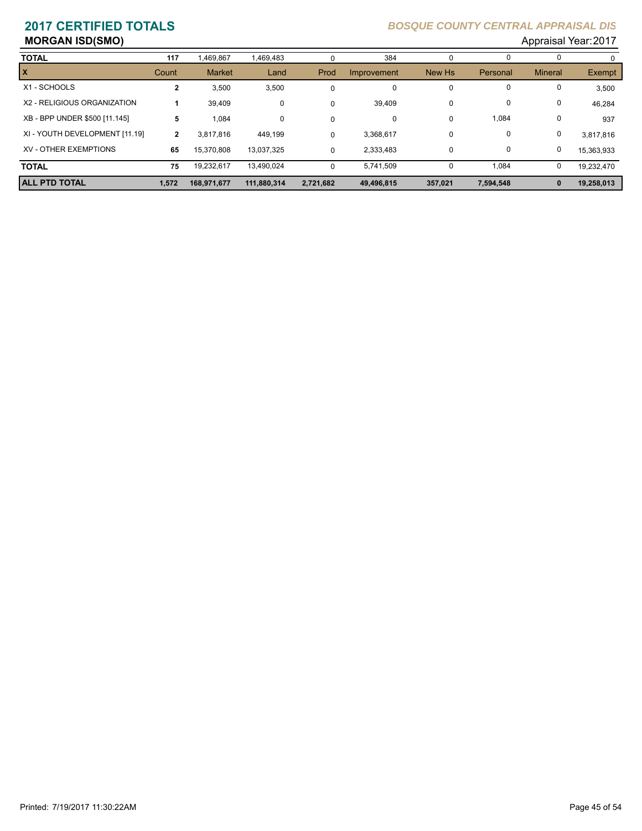# **MORGAN ISD(SMO)** Appraisal Year: 2017

| <b>TOTAL</b>                   | 117          | ,469,867      | 1,469,483   | 0           | 384         | O       |           |                |            |
|--------------------------------|--------------|---------------|-------------|-------------|-------------|---------|-----------|----------------|------------|
| <b>x</b>                       | Count        | <b>Market</b> | Land        | Prod        | Improvement | New Hs  | Personal  | <b>Mineral</b> | Exempt     |
| X1 - SCHOOLS                   | 2            | 3,500         | 3,500       | $\mathbf 0$ | 0           | 0       | 0         |                | 3,500      |
| X2 - RELIGIOUS ORGANIZATION    |              | 39,409        | 0           | 0           | 39,409      | 0       | 0         | 0              | 46,284     |
| XB - BPP UNDER \$500 [11.145]  | 5            | 1,084         | 0           | $\mathbf 0$ | 0           | 0       | 1,084     | 0              | 937        |
| XI - YOUTH DEVELOPMENT [11.19] | $\mathbf{2}$ | 3,817,816     | 449,199     | 0           | 3,368,617   | 0       | 0         | 0              | 3,817,816  |
| XV - OTHER EXEMPTIONS          | 65           | 15,370,808    | 13,037,325  | 0           | 2,333,483   | 0       | 0         | 0              | 15,363,933 |
| <b>TOTAL</b>                   | 75           | 19,232,617    | 13.490.024  | 0           | 5,741,509   | 0       | 1,084     | 0              | 19.232.470 |
| <b>ALL PTD TOTAL</b>           | 1,572        | 168,971,677   | 111,880,314 | 2,721,682   | 49,496,815  | 357,021 | 7,594,548 | $\bf{0}$       | 19,258,013 |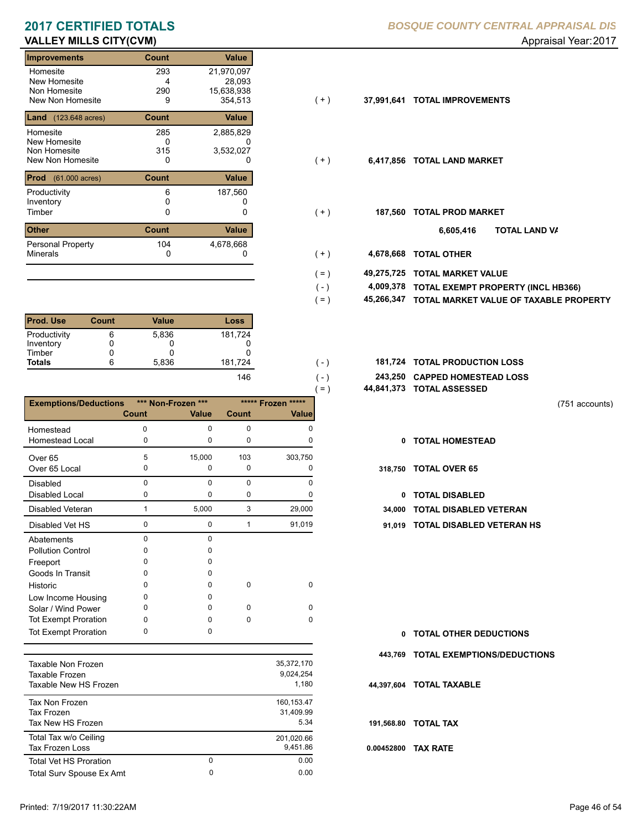### **VALLEY MILLS CITY(CVM)** and the control of the control of the control of the control of the control of the control of the control of the control of the control of the control of the control of the control of the control o

| Count<br><b>Value</b><br>Improvements                          |
|----------------------------------------------------------------|
| 293<br>21,970,097<br>Homesite                                  |
| New Homesite<br>28,093<br>4                                    |
| Non Homesite<br>290<br>15,638,938                              |
| New Non Homesite<br>354.513<br>9                               |
| Value<br><b>Land</b> $(123.648 \text{ acres})$<br><b>Count</b> |
| 285<br>2,885,829<br>Homesite                                   |
| <b>New Homesite</b><br>0                                       |
| Non Homesite<br>315<br>3,532,027                               |
| New Non Homesite<br>0<br>0                                     |
| Value<br><b>Prod</b> (61.000 acres)<br><b>Count</b>            |
| 187,560<br>Productivity<br>6                                   |
| Inventory                                                      |
| Timber<br>0<br>0                                               |
| <b>Other</b><br><b>Count</b><br>Value                          |
| 104<br>Personal Property<br>4,678,668                          |
| <b>Minerals</b><br>0                                           |

| <b>Prod. Use</b> | Count | Value | Loss    |
|------------------|-------|-------|---------|
| Productivity     |       | 5,836 | 181,724 |
| Inventory        |       |       |         |
| Timber           |       |       |         |
| <b>Totals</b>    |       | 5,836 | 181,724 |
|                  |       |       | 146     |

|                              |             |                    |          |                    | $( = )$      | 44,841,373 TOTAL ASSESSI |
|------------------------------|-------------|--------------------|----------|--------------------|--------------|--------------------------|
| <b>Exemptions/Deductions</b> |             | *** Non-Frozen *** |          | ***** Frozen ***** |              |                          |
|                              | Count       | Value              | Count    | Value              |              |                          |
| Homestead                    | 0           | $\Omega$           | 0        | O                  |              |                          |
| <b>Homestead Local</b>       | 0           | 0                  | 0        | 0                  | 0            | <b>TOTAL HOMEST</b>      |
| Over <sub>65</sub>           | 5           | 15,000             | 103      | 303,750            |              |                          |
| Over 65 Local                | 0           | 0                  | 0        | 0                  | 318,750      | <b>TOTAL OVER 65</b>     |
| <b>Disabled</b>              | $\Omega$    | $\Omega$           | $\Omega$ | U                  |              |                          |
| <b>Disabled Local</b>        | 0           | 0                  | 0        | o                  | $\mathbf{0}$ | <b>TOTAL DISABLE</b>     |
| Disabled Veteran             | 1           | 5,000              | 3        | 29,000             | 34,000       | <b>TOTAL DISABLE</b>     |
| Disabled Vet HS              | $\mathbf 0$ | $\mathbf 0$        |          | 91,019             | 91,019       | <b>TOTAL DISABLE</b>     |
| Abatements                   | $\Omega$    | $\Omega$           |          |                    |              |                          |
| <b>Pollution Control</b>     | $\Omega$    | n                  |          |                    |              |                          |
| Freeport                     | 0           | 0                  |          |                    |              |                          |
| Goods In Transit             | $\Omega$    |                    |          |                    |              |                          |
| Historic                     | $\Omega$    | <sup>n</sup>       | $\Omega$ | $\Omega$           |              |                          |
| Low Income Housing           | 0           | <sup>0</sup>       |          |                    |              |                          |
| Solar / Wind Power           | 0           | <sup>0</sup>       | 0        | $\Omega$           |              |                          |
| <b>Tot Exempt Proration</b>  | 0           | <sup>0</sup>       | 0        | $\Omega$           |              |                          |
| <b>Tot Exempt Proration</b>  | 0           | <sup>0</sup>       |          |                    | 0            | <b>TOTAL OTHER D</b>     |

| Taxable Non Frozen<br>Taxable Frozen<br>Taxable New HS Frozen |        | 35,372,170<br>9,024,254<br>1.180 |
|---------------------------------------------------------------|--------|----------------------------------|
| Tax Non Frozen<br>Tax Frozen<br>Tax New HS Frozen             |        | 160.153.47<br>31.409.99<br>5.34  |
| Total Tax w/o Ceiling<br>Tax Frozen Loss                      |        | 201.020.66<br>9,451.86           |
| <b>Total Vet HS Proration</b><br>Total Surv Spouse Ex Amt     | 0<br>0 | 0.00<br>0.00                     |
|                                                               |        |                                  |

- 
- $( + )$

 $( - )$  $( = )$ 

 $( - )$  $( - )$ 

- $(+)$ 
	- **TOTAL LAND VA 6,605,416**
- 0 0 **4,678,668 TOTAL OTHER**  $(+)$
- **49,275,725 TOTAL MARKET VALUE**  $( = )$ 
	- **TOTAL EXEMPT PROPERTY (INCL HB366) 4,009,378**
	- **45,266,347 TOTAL MARKET VALUE OF TAXABLE PROPERTY**
- **TOTAL PRODUCTION LOSS** 181,724 **181,724**
	- **243,250 CAPPED HOMESTEAD LOSS**
	- **44,841,373 TOTAL ASSESSED**

(751 accounts)

- **TOTAL HOMESTEAD**
- - 0 TOTAL DISABLED
- **34,000 TOTAL DISABLED VETERAN**
- 0 1 0 91,019 **91,019 TOTAL DISABLED VETERAN HS**

| 0 TOTAL OTHER DEDUCTIONS            |
|-------------------------------------|
| 443,769 TOTAL EXEMPTIONS/DEDUCTIONS |
| 44.397.604 TOTAL TAXABLE            |
| 191,568.80 TOTAL TAX                |
| 0.00452800 TAX RATE                 |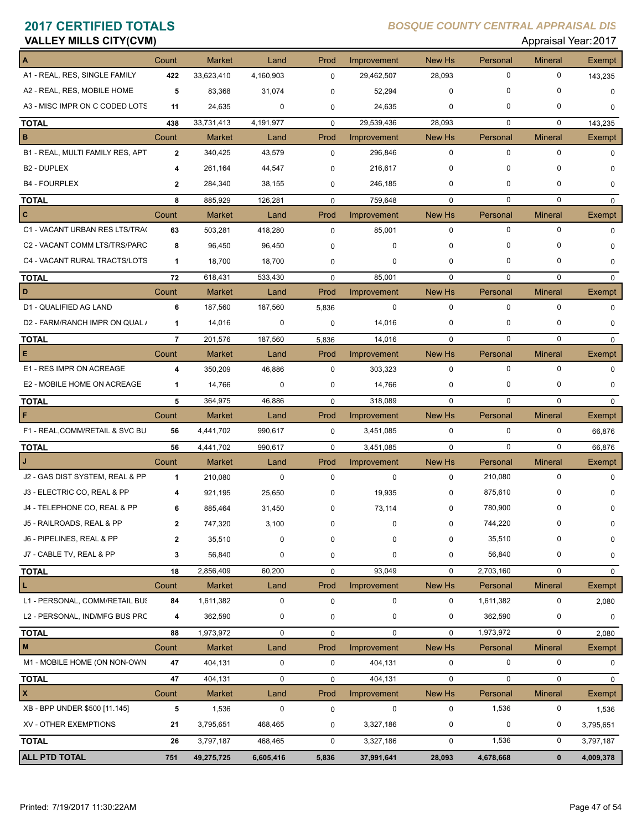|  | <b>VALLEY MILLS CITY(CVM)</b> |
|--|-------------------------------|
|  |                               |

### Appraisal Year: 2017

|                                  | Count          | <b>Market</b> | Land        | Prod        | Improvement | New Hs      | Personal    | <b>Mineral</b> | Exempt        |
|----------------------------------|----------------|---------------|-------------|-------------|-------------|-------------|-------------|----------------|---------------|
| A1 - REAL, RES, SINGLE FAMILY    | 422            | 33,623,410    | 4,160,903   | $\mathbf 0$ | 29,462,507  | 28,093      | $\mathbf 0$ | $\mathbf 0$    | 143,235       |
| A2 - REAL, RES, MOBILE HOME      | 5              | 83,368        | 31,074      | $\mathbf 0$ | 52,294      | 0           | $\mathbf 0$ | $\mathbf 0$    | 0             |
| A3 - MISC IMPR ON C CODED LOTS   | 11             | 24,635        | 0           | 0           | 24,635      | $\mathbf 0$ | $\mathbf 0$ | 0              | $\Omega$      |
| <b>TOTAL</b>                     | 438            | 33,731,413    | 4,191,977   | $\mathbf 0$ | 29,539,436  | 28.093      | $\mathbf 0$ | $\mathbf 0$    | 143,235       |
| в                                | Count          | <b>Market</b> | Land        | Prod        | Improvement | New Hs      | Personal    | <b>Mineral</b> | Exempt        |
| B1 - REAL, MULTI FAMILY RES, APT | $\overline{2}$ | 340,425       | 43,579      | $\mathbf 0$ | 296,846     | $\mathbf 0$ | $\mathbf 0$ | $\mathbf 0$    | 0             |
| B <sub>2</sub> - DUPLEX          | 4              | 261,164       | 44,547      | $\mathbf 0$ | 216,617     | 0           | $\mathbf 0$ | 0              | $\Omega$      |
| <b>B4 - FOURPLEX</b>             | $\mathbf{2}$   | 284,340       | 38,155      | 0           | 246,185     | 0           | $\mathbf 0$ | 0              | 0             |
| <b>TOTAL</b>                     | 8              | 885,929       | 126,281     | $\Omega$    | 759,648     | $\Omega$    | $\mathbf 0$ | $\mathbf 0$    | $\Omega$      |
| $\mathbf{C}$                     | Count          | <b>Market</b> | Land        | Prod        | Improvement | New Hs      | Personal    | <b>Mineral</b> | <b>Exempt</b> |
| C1 - VACANT URBAN RES LTS/TRA(   | 63             | 503,281       | 418,280     | $\mathbf 0$ | 85,001      | 0           | 0           | $\mathbf 0$    | 0             |
| C2 - VACANT COMM LTS/TRS/PARC    | 8              | 96,450        | 96,450      | $\mathbf 0$ | $\mathbf 0$ | $\mathbf 0$ | $\mathbf 0$ | 0              | $\Omega$      |
| C4 - VACANT RURAL TRACTS/LOTS    | $\mathbf 1$    | 18,700        | 18,700      | 0           | 0           | 0           | 0           | 0              | 0             |
| <b>TOTAL</b>                     | 72             | 618,431       | 533,430     | $\mathbf 0$ | 85,001      | $\Omega$    | $\Omega$    | $\Omega$       | $\mathbf 0$   |
| D                                | Count          | <b>Market</b> | Land        | Prod        | Improvement | New Hs      | Personal    | <b>Mineral</b> | <b>Exempt</b> |
| D1 - QUALIFIED AG LAND           | 6              | 187,560       | 187,560     | 5,836       | $\mathbf 0$ | $\mathbf 0$ | $\mathbf 0$ | $\mathbf 0$    | $\Omega$      |
| D2 - FARM/RANCH IMPR ON QUAL /   | 1              | 14,016        | $\mathbf 0$ | 0           | 14,016      | $\mathbf 0$ | $\mathbf 0$ | 0              | $\Omega$      |
| <b>TOTAL</b>                     | $\overline{7}$ | 201,576       | 187,560     | 5,836       | 14,016      | $\Omega$    | $\mathbf 0$ | $\mathbf 0$    | $\mathbf 0$   |
| E                                | Count          | <b>Market</b> | Land        | Prod        | Improvement | New Hs      | Personal    | <b>Mineral</b> | Exempt        |
| E1 - RES IMPR ON ACREAGE         | 4              | 350,209       | 46,886      | $\mathbf 0$ | 303,323     | $\mathbf 0$ | 0           | 0              | 0             |
| E2 - MOBILE HOME ON ACREAGE      | 1              | 14,766        | $\mathbf 0$ | 0           | 14,766      | 0           | 0           | 0              | $\Omega$      |
| <b>TOTAL</b>                     | 5              | 364,975       | 46,886      | $\mathbf 0$ | 318,089     | $\Omega$    | $\Omega$    | $\mathbf 0$    | $\mathbf 0$   |
| F                                | Count          | <b>Market</b> | Land        | Prod        | Improvement | New Hs      | Personal    | <b>Mineral</b> | Exempt        |
| F1 - REAL, COMM/RETAIL & SVC BU  | 56             | 4,441,702     | 990,617     | $\mathbf 0$ | 3,451,085   | $\mathbf 0$ | 0           | 0              | 66,876        |
| <b>TOTAL</b>                     | 56             | 4,441,702     | 990,617     | $\mathbf 0$ | 3,451,085   | $\mathbf 0$ | $\mathbf 0$ | $\mathbf 0$    | 66,876        |
|                                  | Count          | <b>Market</b> | Land        | Prod        | Improvement | New Hs      | Personal    | <b>Mineral</b> | Exempt        |
| J2 - GAS DIST SYSTEM, REAL & PP  | $\mathbf{1}$   | 210,080       | $\mathbf 0$ | $\mathbf 0$ | 0           | $\mathbf 0$ | 210,080     | $\mathbf 0$    | 0             |
| J3 - ELECTRIC CO, REAL & PP      | 4              | 921,195       | 25,650      | $\mathbf 0$ | 19,935      | 0           | 875,610     | 0              |               |
| J4 - TELEPHONE CO, REAL & PP     | 6              | 885,464       | 31,450      | $\mathbf 0$ | 73,114      | 0           | 780,900     | 0              | 0             |
| J5 - RAILROADS, REAL & PP        | 2              | 747,320       | 3,100       | $\Omega$    | $\Omega$    | 0           | 744,220     | 0              |               |
| J6 - PIPELINES, REAL & PP        | $\mathbf{2}$   | 35,510        | $\pmb{0}$   | 0           | 0           | 0           | 35,510      | 0              | 0             |
| J7 - CABLE TV, REAL & PP         | 3              | 56,840        | $\mathbf 0$ | 0           | 0           | 0           | 56,840      | 0              | 0             |
| <b>TOTAL</b>                     | 18             | 2,856,409     | 60,200      | $\mathbf 0$ | 93,049      | 0           | 2,703,160   | 0              | 0             |
| L                                | Count          | Market        | Land        | Prod        | Improvement | New Hs      | Personal    | <b>Mineral</b> | Exempt        |
| L1 - PERSONAL, COMM/RETAIL BUS   | 84             | 1,611,382     | $\pmb{0}$   | $\mathbf 0$ | 0           | $\pmb{0}$   | 1,611,382   | 0              | 2,080         |
| L2 - PERSONAL, IND/MFG BUS PRC   | 4              | 362,590       | $\pmb{0}$   | 0           | 0           | 0           | 362,590     | 0              | 0             |
| <b>TOTAL</b>                     | 88             | 1,973,972     | $\pmb{0}$   | $\mathbf 0$ | 0           | 0           | 1,973,972   | 0              | 2,080         |
| M                                | Count          | Market        | Land        | Prod        | Improvement | New Hs      | Personal    | <b>Mineral</b> | Exempt        |
| M1 - MOBILE HOME (ON NON-OWN     | 47             | 404,131       | $\pmb{0}$   | $\mathbf 0$ | 404,131     | 0           | $\mathbf 0$ | 0              | 0             |
| <b>TOTAL</b>                     | 47             | 404,131       | $\pmb{0}$   | 0           | 404,131     | $\pmb{0}$   | $\mathbf 0$ | 0              | 0             |
| $\pmb{\mathsf{x}}$               | Count          | Market        | Land        | Prod        | Improvement | New Hs      | Personal    | <b>Mineral</b> | Exempt        |
| XB - BPP UNDER \$500 [11.145]    | 5              | 1,536         | $\mathbf 0$ | $\pmb{0}$   | $\mathbf 0$ | 0           | 1,536       | 0              | 1,536         |
| XV - OTHER EXEMPTIONS            | 21             | 3,795,651     | 468,465     | 0           | 3,327,186   | $\mathbf 0$ | $\mathbf 0$ | 0              | 3,795,651     |
| <b>TOTAL</b>                     | 26             | 3,797,187     | 468,465     | 0           | 3,327,186   | 0           | 1,536       | 0              | 3,797,187     |
| <b>ALL PTD TOTAL</b>             | 751            | 49,275,725    | 6,605,416   | 5,836       | 37,991,641  | 28,093      | 4,678,668   | $\mathbf 0$    | 4,009,378     |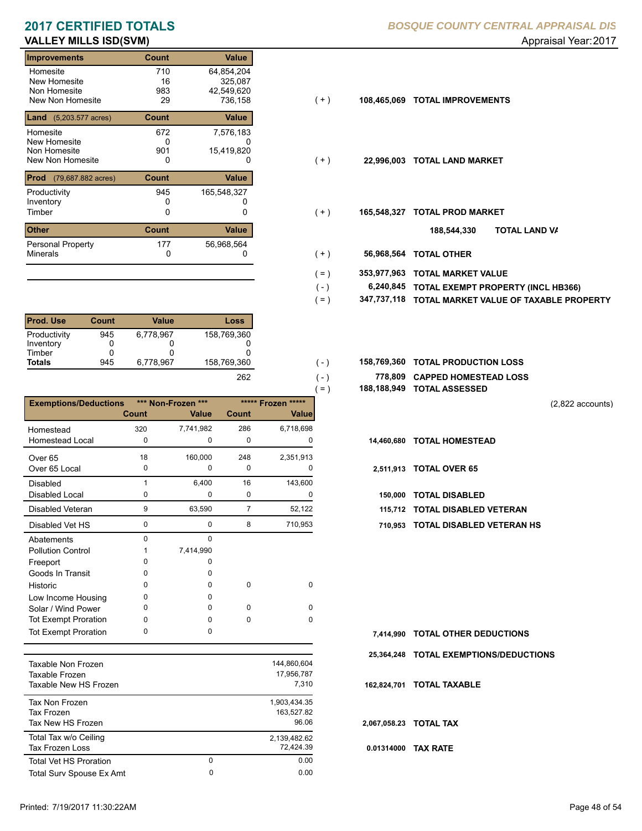### **VALLEY MILLS ISD(SVM)** Approximately and the settlement of the settlement of the settlement of the settlement of the settlement of the settlement of the settlement of the settlement of the settlement of the settlement of

| <b>Improvements</b>                     | <b>Count</b> | Value       |       |             |                           |
|-----------------------------------------|--------------|-------------|-------|-------------|---------------------------|
| Homesite                                | 710          | 64,854,204  |       |             |                           |
| New Homesite                            | 16           | 325,087     |       |             |                           |
| Non Homesite                            | 983          | 42,549,620  |       |             |                           |
| New Non Homesite                        | 29           | 736.158     | $(+)$ | 108,465,069 | <b>TOTAL IMPROVEMENTS</b> |
| <b>Land</b> $(5,203.577 \text{ acres})$ | Count        | Value       |       |             |                           |
| Homesite                                | 672          | 7,576,183   |       |             |                           |
| New Homesite                            | 0            |             |       |             |                           |
| Non Homesite                            | 901          | 15,419,820  |       |             |                           |
| New Non Homesite                        | 0            | 0           | ( + ) | 22,996,003  | <b>TOTAL LAND MARKET</b>  |
| <b>Prod</b><br>(79,687.882 acres)       | Count        | Value       |       |             |                           |
| Productivity                            | 945          | 165,548,327 |       |             |                           |
| Inventory                               |              |             |       |             |                           |
| Timber                                  | 0            | 0           | ( + ) | 165,548,327 | <b>TOTAL PROD MARKET</b>  |
| <b>Other</b>                            | Count        | Value       |       |             | 188,544,330               |
| <b>Personal Property</b>                | 177          | 56,968,564  |       |             |                           |
| <b>Minerals</b>                         | $\Omega$     | ი           | (+)   | 56,968,564  | <b>TOTAL OTHER</b>        |

| <b>Prod. Use</b> | Count | Value     | Loss        |
|------------------|-------|-----------|-------------|
| Productivity     | 945   | 6.778.967 | 158,769,360 |
| Inventory        |       |           |             |
| Timber           | 0     |           | 0           |
| <b>Totals</b>    | 945   | 6.778.967 | 158.769.360 |
|                  |       |           | 26.         |

|                              |              |                                    |                |                                    | $=$ )      | 188,188,949 TOTAL ASSESSED |
|------------------------------|--------------|------------------------------------|----------------|------------------------------------|------------|----------------------------|
| <b>Exemptions/Deductions</b> | <b>Count</b> | *** Non-Frozen ***<br><b>Value</b> | Count          | ***** Frozen *****<br><b>Value</b> |            |                            |
| Homestead                    | 320          | 7,741,982                          | 286            | 6,718,698                          |            |                            |
| <b>Homestead Local</b>       | 0            | $\mathbf 0$                        | 0              | 0                                  | 14.460.680 | <b>TOTAL HOMESTEAD</b>     |
| Over <sub>65</sub>           | 18           | 160,000                            | 248            | 2,351,913                          |            |                            |
| Over 65 Local                | 0            | 0                                  | 0              | 0                                  | 2,511,913  | <b>TOTAL OVER 65</b>       |
| <b>Disabled</b>              |              | 6,400                              | 16             | 143,600                            |            |                            |
| Disabled Local               | 0            | 0                                  | 0              | 0                                  | 150,000    | <b>TOTAL DISABLED</b>      |
| Disabled Veteran             | 9            | 63,590                             | $\overline{7}$ | 52,122                             | 115,712    | <b>TOTAL DISABLED VI</b>   |
| Disabled Vet HS              | 0            | 0                                  | 8              | 710,953                            | 710,953    | <b>TOTAL DISABLED VI</b>   |
| Abatements                   | 0            | $\Omega$                           |                |                                    |            |                            |
| <b>Pollution Control</b>     |              | 7,414,990                          |                |                                    |            |                            |
| Freeport                     | 0            | <sup>0</sup>                       |                |                                    |            |                            |
| Goods In Transit             | 0            | <sup>0</sup>                       |                |                                    |            |                            |
| Historic                     | 0            | 0                                  | 0              | $\mathbf 0$                        |            |                            |
| Low Income Housing           | 0            | 0                                  |                |                                    |            |                            |
| Solar / Wind Power           | 0            | 0                                  | 0              | $\Omega$                           |            |                            |
| <b>Tot Exempt Proration</b>  | 0            | 0                                  | $\Omega$       | $\Omega$                           |            |                            |
| <b>Tot Exempt Proration</b>  | 0            | 0                                  |                |                                    | 7.414.990  | <b>TOTAL OTHER DEDU</b>    |

| Taxable Non Frozen<br>Taxable Frozen<br>Taxable New HS Frozen |        | 144,860,604<br>17.956.787<br>7.310  |
|---------------------------------------------------------------|--------|-------------------------------------|
| Tax Non Frozen<br><b>Tax Frozen</b><br>Tax New HS Frozen      |        | 1.903.434.35<br>163.527.82<br>96.06 |
| Total Tax w/o Ceiling<br>Tax Frozen Loss                      |        | 2,139,482.62<br>72.424.39           |
| <b>Total Vet HS Proration</b><br>Total Surv Spouse Ex Amt     | 0<br>0 | 0.00<br>0.00                        |
|                                                               |        |                                     |

- $(+)$
- $( + )$
- $(+)$ 
	- **TOTAL LAND VA 188,544,330**
- 0 0 **56,968,564 TOTAL OTHER**  $(+ )$

 $( - )$ 

 $(-)$  $( - )$ 

- **353,977,963 TOTAL MARKET VALUE**  $( = )$ 
	- **TOTAL EXEMPT PROPERTY (INCL HB366) 6,240,845**
- **347,737,118 TOTAL MARKET VALUE OF TAXABLE PROPERTY**  $( = )$
- **TOTAL PRODUCTION LOSS** 158,769,360 **158,769,360**
	- **778,809 CAPPED HOMESTEAD LOSS**
	- **188,188,949 TOTAL ASSESSED**

(2,822 accounts)

- -
- **115,712 TOTAL DISABLED VETERAN**
- 0 8 0 710,953 **710,953 TOTAL DISABLED VETERAN HS**

**7,414,990 TOTAL OTHER DEDUCTIONS 25,364,248 TOTAL EXEMPTIONS/DEDUCTIONS 0.01314000 TAX RATE 162,824,701 TOTAL TAXABLE 2,067,058.23 TOTAL TAX**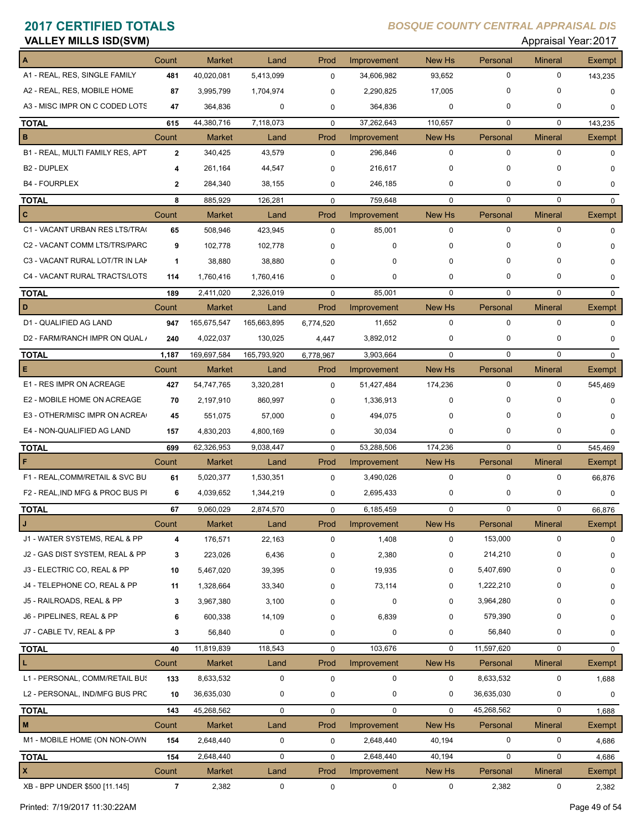| <b>VALLEY MILLS ISD(SVM)</b>     |                |               |             |             |             |             |             | Appraisal Year: 2017 |               |
|----------------------------------|----------------|---------------|-------------|-------------|-------------|-------------|-------------|----------------------|---------------|
| $\mathbf{A}$                     | Count          | <b>Market</b> | Land        | Prod        | Improvement | New Hs      | Personal    | <b>Mineral</b>       | <b>Exempt</b> |
| A1 - REAL, RES, SINGLE FAMILY    | 481            | 40,020,081    | 5,413,099   | $\mathbf 0$ | 34,606,982  | 93,652      | 0           | $\mathbf 0$          | 143,235       |
| A2 - REAL, RES, MOBILE HOME      | 87             | 3,995,799     | 1,704,974   | $\mathbf 0$ | 2,290,825   | 17,005      | 0           | 0                    | $\Omega$      |
| A3 - MISC IMPR ON C CODED LOTS   | 47             | 364,836       | 0           | $\mathbf 0$ | 364,836     | 0           | 0           | 0                    | 0             |
| <b>TOTAL</b>                     | 615            | 44,380,716    | 7,118,073   | $\mathbf 0$ | 37,262,643  | 110,657     | 0           | $\mathbf 0$          | 143,235       |
| B                                | Count          | <b>Market</b> | Land        | Prod        | Improvement | New Hs      | Personal    | <b>Mineral</b>       | Exempt        |
| B1 - REAL, MULTI FAMILY RES, APT | $\mathbf{2}$   | 340,425       | 43,579      | $\mathbf 0$ | 296,846     | $\mathbf 0$ | 0           | 0                    | $\Omega$      |
| B <sub>2</sub> - DUPLEX          | 4              | 261.164       | 44,547      | $\mathbf 0$ | 216,617     | 0           | 0           | 0                    | 0             |
| <b>B4 - FOURPLEX</b>             | $\mathbf{2}$   | 284,340       | 38,155      | 0           | 246,185     | 0           | 0           | 0                    | 0             |
| <b>TOTAL</b>                     | 8              | 885,929       | 126,281     | $\mathbf 0$ | 759,648     | $\mathbf 0$ | 0           | 0                    | 0             |
| c                                | Count          | <b>Market</b> | Land        | Prod        | Improvement | New Hs      | Personal    | <b>Mineral</b>       | Exempt        |
| C1 - VACANT URBAN RES LTS/TRA(   | 65             | 508,946       | 423,945     | $\mathbf 0$ | 85,001      | 0           | 0           | $\mathbf 0$          | $\Omega$      |
| C2 - VACANT COMM LTS/TRS/PARC    | 9              | 102,778       | 102,778     | 0           | 0           | 0           | 0           | 0                    | 0             |
| C3 - VACANT RURAL LOT/TR IN LAK  | 1              | 38,880        | 38,880      | 0           | 0           | 0           | 0           | $\Omega$             | 0             |
| C4 - VACANT RURAL TRACTS/LOTS    | 114            | 1,760,416     | 1,760,416   | $\mathbf 0$ | 0           | 0           | 0           | 0                    | 0             |
| <b>TOTAL</b>                     | 189            | 2.411.020     | 2,326,019   | $\mathbf 0$ | 85,001      | $\Omega$    | 0           | $\mathbf 0$          | 0             |
| D                                | Count          | <b>Market</b> | Land        | Prod        | Improvement | New Hs      | Personal    | <b>Mineral</b>       | Exempt        |
| D1 - QUALIFIED AG LAND           | 947            | 165,675,547   | 165,663,895 | 6,774,520   | 11,652      | $\mathbf 0$ | 0           | $\mathbf 0$          | 0             |
| D2 - FARM/RANCH IMPR ON QUAL /   | 240            | 4,022,037     | 130,025     | 4,447       | 3,892,012   | $\mathbf 0$ | 0           | 0                    | 0             |
| <b>TOTAL</b>                     | 1,187          | 169,697,584   | 165,793,920 | 6,778,967   | 3,903,664   | $\Omega$    | 0           | $\mathbf 0$          | 0             |
| Е                                | Count          | <b>Market</b> | Land        | Prod        | Improvement | New Hs      | Personal    | <b>Mineral</b>       | <b>Exempt</b> |
| E1 - RES IMPR ON ACREAGE         | 427            | 54,747,765    | 3,320,281   | $\mathbf 0$ | 51,427,484  | 174,236     | 0           | $\mathbf 0$          | 545,469       |
| E2 - MOBILE HOME ON ACREAGE      | 70             | 2,197,910     | 860,997     | 0           | 1,336,913   | $\mathbf 0$ | 0           | 0                    | 0             |
| E3 - OTHER/MISC IMPR ON ACREA    | 45             | 551,075       | 57,000      | 0           | 494,075     | 0           | 0           | 0                    | 0             |
| E4 - NON-QUALIFIED AG LAND       | 157            | 4,830,203     | 4,800,169   | $\mathbf 0$ | 30,034      | 0           | 0           | 0                    | 0             |
| <b>TOTAL</b>                     | 699            | 62,326,953    | 9,038,447   | $\mathbf 0$ | 53,288,506  | 174,236     | $\mathbf 0$ | $\mathbf 0$          | 545,469       |
| F                                | Count          | <b>Market</b> | Land        | Prod        | Improvement | New Hs      | Personal    | <b>Mineral</b>       | Exempt        |
| F1 - REAL, COMM/RETAIL & SVC BU  | 61             | 5,020,377     | 1,530,351   | $\mathbf 0$ | 3,490,026   | $\mathbf 0$ | 0           | $\mathbf 0$          | 66,876        |
| F2 - REAL, IND MFG & PROC BUS PI | 6              | 4.039.652     | 1,344,219   | $\mathbf 0$ | 2,695,433   | 0           | 0           | 0                    | 0             |
| <b>TOTAL</b>                     | 67             | 9,060,029     | 2,874,570   | $\mathbf 0$ | 6,185,459   | $\mathbf 0$ | 0           | 0                    | 66,876        |
| J                                | Count          | Market        | Land        | Prod        | Improvement | New Hs      | Personal    | <b>Mineral</b>       | Exempt        |
| J1 - WATER SYSTEMS, REAL & PP    | 4              | 176,571       | 22,163      | $\pmb{0}$   | 1,408       | 0           | 153,000     | $\mathbf 0$          | $\Omega$      |
| J2 - GAS DIST SYSTEM, REAL & PP  | 3              | 223,026       | 6,436       | 0           | 2,380       | 0           | 214,210     | 0                    | 0             |
| J3 - ELECTRIC CO, REAL & PP      | 10             | 5,467,020     | 39,395      | 0           | 19,935      | $\mathbf 0$ | 5,407,690   | 0                    | 0             |
| J4 - TELEPHONE CO, REAL & PP     | 11             | 1,328,664     | 33,340      | 0           | 73,114      | $\mathbf 0$ | 1,222,210   | 0                    | 0             |
| J5 - RAILROADS, REAL & PP        | 3              | 3,967,380     | 3,100       | $\Omega$    | 0           | 0           | 3,964,280   | 0                    | 0             |
| J6 - PIPELINES, REAL & PP        | 6              | 600,338       | 14,109      | $\mathbf 0$ | 6,839       | 0           | 579,390     | 0                    | 0             |
| J7 - CABLE TV, REAL & PP         | 3              | 56,840        | 0           | $\mathbf 0$ | 0           | 0           | 56,840      | 0                    | 0             |
| <b>TOTAL</b>                     | 40             | 11,819,839    | 118,543     | $\pmb{0}$   | 103,676     | $\mathbf 0$ | 11,597,620  | 0                    | 0             |
| L                                | Count          | Market        | Land        | Prod        | Improvement | New Hs      | Personal    | <b>Mineral</b>       | Exempt        |
| L1 - PERSONAL, COMM/RETAIL BUS   | 133            | 8,633,532     | $\pmb{0}$   | $\pmb{0}$   | 0           | 0           | 8,633,532   | $\mathbf 0$          | 1,688         |
| L2 - PERSONAL, IND/MFG BUS PRC   | 10             | 36,635,030    | 0           | 0           | 0           | $\mathbf 0$ | 36,635,030  | 0                    | 0             |
| <b>TOTAL</b>                     | 143            | 45,268,562    | $\pmb{0}$   | $\mathbf 0$ | 0           | $\mathbf 0$ | 45,268,562  | $\mathbf 0$          | 1,688         |
| M                                | Count          | Market        | Land        | Prod        | Improvement | New Hs      | Personal    | <b>Mineral</b>       | Exempt        |
| M1 - MOBILE HOME (ON NON-OWN     | 154            | 2,648,440     | 0           | $\pmb{0}$   | 2,648,440   | 40,194      | 0           | 0                    | 4,686         |
| <b>TOTAL</b>                     | 154            | 2,648,440     | 0           | $\pmb{0}$   | 2,648,440   | 40,194      | 0           | 0                    | 4,686         |
| $\mathbf{x}$                     | Count          | <b>Market</b> | Land        | Prod        | Improvement | New Hs      | Personal    | <b>Mineral</b>       | Exempt        |
| XB - BPP UNDER \$500 [11.145]    | $\overline{7}$ | 2,382         | 0           | 0           | 0           | 0           | 2,382       | $\mathbf 0$          | 2,382         |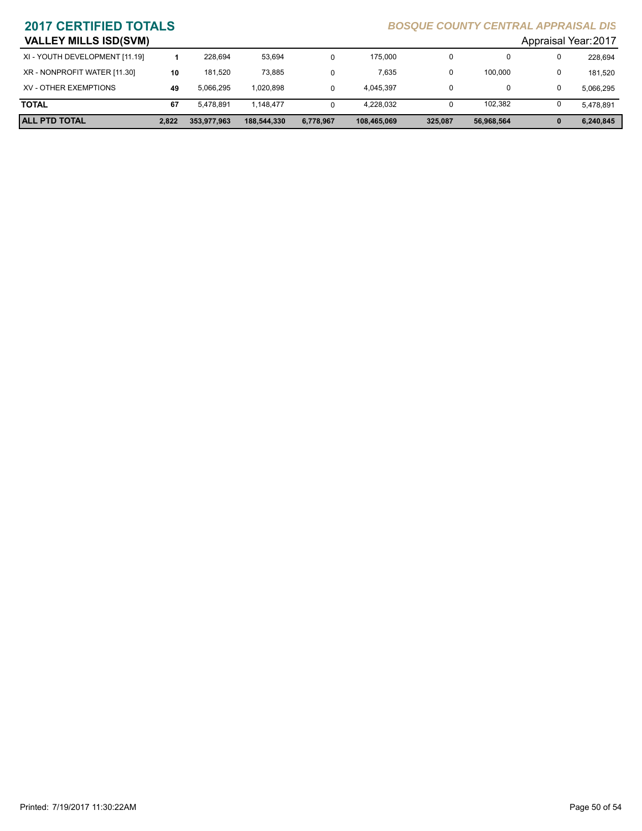| <b>VALLEY MILLS ISD(SVM)</b>   |       |             |             |           |             |         |            | Appraisal Year: 2017 |
|--------------------------------|-------|-------------|-------------|-----------|-------------|---------|------------|----------------------|
| XI - YOUTH DEVELOPMENT [11.19] |       | 228.694     | 53.694      |           | 175,000     | 0       |            | 228,694              |
| XR - NONPROFIT WATER [11.30]   | 10    | 181.520     | 73.885      |           | 7.635       | 0       | 100.000    | 181.520              |
| XV - OTHER EXEMPTIONS          | 49    | 5.066.295   | 1.020.898   |           | 4.045.397   |         | 0          | 5.066.295            |
| <b>TOTAL</b>                   | 67    | 5.478.891   | 1.148.477   |           | 4.228.032   | 0       | 102.382    | 5.478.891            |
| <b>ALL PTD TOTAL</b>           | 2.822 | 353,977,963 | 188.544.330 | 6,778,967 | 108,465,069 | 325,087 | 56.968.564 | 6.240.845            |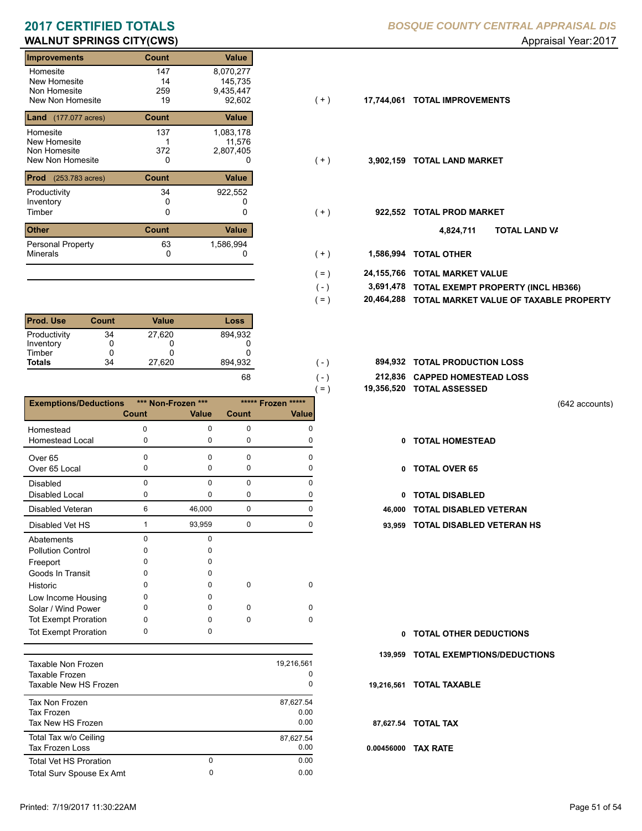### **WALNUT SPRINGS CITY(CWS)** Approximately and the set of the set of the set of the set of the set of the set of the set of the set of the set of the set of the set of the set of the set of the set of the set of the set of t

| Count        | <b>Value</b> |       |            |                           |
|--------------|--------------|-------|------------|---------------------------|
| 147          | 8,070,277    |       |            |                           |
| 14           | 145,735      |       |            |                           |
| 259          | 9,435,447    |       |            |                           |
| 19           | 92,602       | (+)   | 17,744,061 | <b>TOTAL IMPROVEMENTS</b> |
| Count        | Value        |       |            |                           |
| 137          | 1,083,178    |       |            |                           |
|              | 11,576       |       |            |                           |
| 372          | 2,807,405    |       |            |                           |
| 0            | 0            | (+)   | 3,902,159  | <b>TOTAL LAND MARKET</b>  |
| <b>Count</b> | Value        |       |            |                           |
| 34           | 922,552      |       |            |                           |
| 0            |              |       |            |                           |
| 0            | 0            | $(+)$ | 922,552    | <b>TOTAL PROD MARKET</b>  |
| <b>Count</b> | <b>Value</b> |       |            | וסד<br>4,824,711          |
| 63           | 1,586,994    |       |            |                           |
| 0            | 0            | $(+)$ | 1,586,994  | <b>TOTAL OTHER</b>        |
|              |              |       |            |                           |

| <b>Prod. Use</b> | Count | Value  | Loss    |
|------------------|-------|--------|---------|
| Productivity     | 34    | 27.620 | 894.932 |
| Inventory        | 0     |        |         |
| Timber           | O     |        |         |
| <b>Totals</b>    | 34    | 27,620 | 894,932 |
|                  |       |        |         |

|                              |       |                    |              | $( = )$  |
|------------------------------|-------|--------------------|--------------|----------|
| <b>Exemptions/Deductions</b> |       | *** Non-Frozen *** | ***** Frozen | *****    |
|                              | Count | <b>Value</b>       | <b>Count</b> | Value    |
| Homestead                    | O     | 0                  | 0            | ŋ        |
| Homestead Local              | 0     | $\mathbf 0$        | 0            | 0        |
| Over 65                      | 0     | $\Omega$           | 0            | 0        |
| Over 65 Local                | 0     | 0                  | 0            | O        |
| <b>Disabled</b>              | 0     | $\Omega$           | 0            | O        |
| <b>Disabled Local</b>        | 0     | 0                  | 0            | O        |
| Disabled Veteran             | 6     | 46,000             | 0            | 0        |
| Disabled Vet HS              | 1     | 93,959             | 0            | 0        |
| Abatements                   | 0     | $\Omega$           |              |          |
| <b>Pollution Control</b>     | ი     | n                  |              |          |
| Freeport                     | ი     | o                  |              |          |
| Goods In Transit             | n     | 0                  |              |          |
| Historic                     | o     | 0                  | 0            | 0        |
| Low Income Housing           | o     | <sup>0</sup>       |              |          |
| Solar / Wind Power           | o     | <sup>0</sup>       | O            | O        |
| <b>Tot Exempt Proration</b>  | ი     | O                  | 0            | $\Omega$ |
| <b>Tot Exempt Proration</b>  | 0     | 0                  |              |          |

| Taxable Non Frozen<br>Taxable Frozen<br>Taxable New HS Frozen |        | 19,216,561<br>0<br>0      |
|---------------------------------------------------------------|--------|---------------------------|
| Tax Non Frozen<br>Tax Frozen<br>Tax New HS Frozen             |        | 87,627.54<br>0.00<br>0.00 |
| Total Tax w/o Ceiling<br><b>Tax Frozen Loss</b>               |        | 87,627.54<br>0.00         |
| <b>Total Vet HS Proration</b><br>Total Surv Spouse Ex Amt     | 0<br>0 | 0.00<br>0.00              |
|                                                               |        |                           |

- $(+)$
- $( + )$
- $( + )$ 
	- **TOTAL LAND VA 4,824,711**
- 0 0 **1,586,994 TOTAL OTHER**  $(+ )$

 $( - )$  $( = )$ 

 $(-)$  $( - )$ 

- **24,155,766 TOTAL MARKET VALUE**  $( = )$ 
	- **TOTAL EXEMPT PROPERTY (INCL HB366) 3,691,478**
	- **20,464,288 TOTAL MARKET VALUE OF TAXABLE PROPERTY**
- **TOTAL PRODUCTION LOSS** 894,932 **894,932**
	- **212,836 CAPPED HOMESTEAD LOSS**
	- **19,356,520 TOTAL ASSESSED**

(642 accounts)

- **TOTAL HOMESTEAD**
- 0 TOTAL OVER 65
- 0 TOTAL DISABLED
- **46,000 TOTAL DISABLED VETERAN**
- 1 0 93,959 0 **93,959 TOTAL DISABLED VETERAN HS**

- **TOTAL OTHER DEDUCTIONS 0**
- **139,959 TOTAL EXEMPTIONS/DEDUCTIONS**
- **19,216,561 TOTAL TAXABLE**
- **87,627.54 TOTAL TAX**
- **0.00456000 TAX RATE**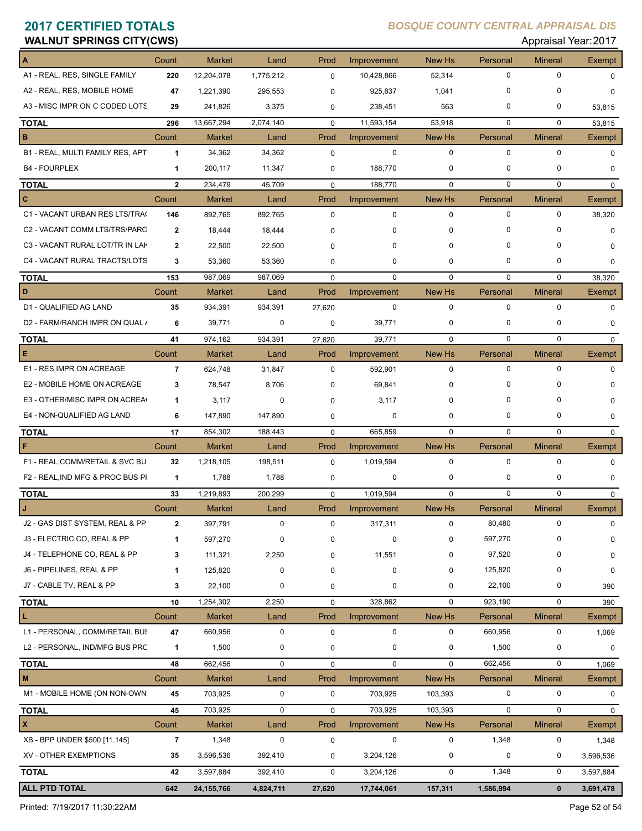# **2017 CERTIFIED TOTALS**<br>WALNUT SPRINGS CITY(CWS) Approximately approximately approximately approximately approximately approximately approximately approximately approximately approximately approximately approximately appro

### **2017 CERTIFIED TOTALS** *BOSQUE COUNTY CENTRAL APPRAISAL DIS*

| WALNUT SPRINGS UITT(UWS)         |                |               |             |                |             |               |               | Applaisal real. ZUTI |               |
|----------------------------------|----------------|---------------|-------------|----------------|-------------|---------------|---------------|----------------------|---------------|
| A                                | Count          | <b>Market</b> | Land        | Prod           | Improvement | <b>New Hs</b> | Personal      | <b>Mineral</b>       | Exempt        |
| A1 - REAL, RES, SINGLE FAMILY    | 220            | 12,204,078    | 1,775,212   | $\mathbf 0$    | 10,428,866  | 52,314        | $\mathbf 0$   | $\Omega$             | $\Omega$      |
| A2 - REAL, RES, MOBILE HOME      | 47             | 1,221,390     | 295,553     | $\mathbf 0$    | 925,837     | 1,041         | $\mathbf 0$   | 0                    | $\Omega$      |
| A3 - MISC IMPR ON C CODED LOTS   | 29             | 241,826       | 3,375       | 0              | 238,451     | 563           | $\mathbf 0$   | 0                    | 53,815        |
| <b>TOTAL</b>                     | 296            | 13,667,294    | 2,074,140   | $\mathbf 0$    | 11,593,154  | 53,918        | $\mathbf 0$   | $\mathbf 0$          | 53,815        |
| в                                | Count          | <b>Market</b> | Land        | Prod           | Improvement | New Hs        | Personal      | <b>Mineral</b>       | Exempt        |
| B1 - REAL, MULTI FAMILY RES, APT | $\mathbf{1}$   | 34,362        | 34,362      | $\mathbf 0$    | $\mathbf 0$ | $\mathbf 0$   | $\mathbf 0$   | 0                    | $\Omega$      |
| <b>B4 - FOURPLEX</b>             | 1              | 200,117       | 11,347      | 0              | 188,770     | 0             | $\mathbf 0$   | 0                    | $\mathbf 0$   |
| <b>TOTAL</b>                     | $\mathbf{2}$   | 234,479       | 45,709      | $\mathbf 0$    | 188,770     | $\mathbf 0$   | $\mathbf 0$   | $\mathbf 0$          | $\Omega$      |
| c                                | Count          | <b>Market</b> | Land        | Prod           | Improvement | New Hs        | Personal      | <b>Mineral</b>       | Exempt        |
| C1 - VACANT URBAN RES LTS/TRA(   | 146            | 892,765       | 892,765     | $\mathbf 0$    | $\mathbf 0$ | $\mathbf 0$   | $\mathbf 0$   | $\mathbf 0$          | 38,320        |
| C2 - VACANT COMM LTS/TRS/PARC    | $\overline{2}$ | 18,444        | 18,444      | 0              | 0           | 0             | $\mathbf 0$   | 0                    | 0             |
| C3 - VACANT RURAL LOT/TR IN LAK  | $\mathbf{2}$   | 22,500        | 22,500      | $\Omega$       | 0           | 0             | $\Omega$      | 0                    | 0             |
| C4 - VACANT RURAL TRACTS/LOTS    | 3              | 53,360        | 53,360      | 0              | 0           | 0             | $\mathbf 0$   | 0                    | 0             |
| <b>TOTAL</b>                     | 153            | 987,069       | 987.069     | $\Omega$       | $\Omega$    | $\Omega$      | $\Omega$      | $\mathbf 0$          | 38,320        |
| D                                | Count          | <b>Market</b> | Land        | Prod           | Improvement | New Hs        | Personal      | <b>Mineral</b>       | Exempt        |
| D1 - QUALIFIED AG LAND           | 35             | 934,391       | 934,391     | 27,620         | $\mathbf 0$ | $\mathbf 0$   | $\mathbf 0$   | 0                    | $\Omega$      |
| D2 - FARM/RANCH IMPR ON QUAL /   | 6              | 39,771        | $\mathbf 0$ | 0              | 39,771      | 0             | 0             | 0                    | 0             |
|                                  |                |               |             |                |             |               | $\mathbf 0$   | $\mathbf 0$          |               |
| <b>TOTAL</b><br>Е                | 41             | 974,162       | 934,391     | 27,620<br>Prod | 39,771      | $\mathbf 0$   |               |                      | $\mathbf 0$   |
| E1 - RES IMPR ON ACREAGE         | Count<br>7     | <b>Market</b> | Land        |                | Improvement | New Hs<br>0   | Personal<br>0 | <b>Mineral</b><br>0  | <b>Exempt</b> |
|                                  |                | 624,748       | 31,847      | $\mathbf 0$    | 592,901     |               | $\Omega$      |                      | 0             |
| E2 - MOBILE HOME ON ACREAGE      | 3              | 78,547        | 8,706       | $\Omega$       | 69,841      | 0             |               | 0                    | <sup>0</sup>  |
| E3 - OTHER/MISC IMPR ON ACREA    | $\mathbf{1}$   | 3,117         | 0           | 0              | 3,117       | 0             | $\mathbf 0$   | 0                    | 0             |
| E4 - NON-QUALIFIED AG LAND       | 6              | 147,890       | 147,890     | 0              | $\mathbf 0$ | 0             | $\mathbf 0$   | 0                    | 0             |
| <b>TOTAL</b>                     | 17             | 854,302       | 188,443     | $\mathbf 0$    | 665,859     | $\mathbf 0$   | $\mathbf 0$   | $\mathbf 0$          | $\mathbf 0$   |
| F                                | Count          | <b>Market</b> | Land        | Prod           | Improvement | New Hs        | Personal      | <b>Mineral</b>       | Exempt        |
| F1 - REAL, COMM/RETAIL & SVC BU  | 32             | 1,218,105     | 198,511     | $\mathbf 0$    | 1,019,594   | $\mathbf 0$   | $\mathbf 0$   | 0                    | $\Omega$      |
| F2 - REAL, IND MFG & PROC BUS PI | 1              | 1,788         | 1,788       | 0              | 0           | 0             | $\mathbf 0$   | 0                    | 0             |
| <b>TOTAL</b>                     | 33             | 1,219,893     | 200,299     | $\mathbf 0$    | 1,019,594   | 0             | $\mathbf 0$   | 0                    | $\mathbf 0$   |
|                                  | Count          | Market        | Land        | Prod           | Improvement | New Hs        | Personal      | <b>Mineral</b>       | Exempt        |
| J2 - GAS DIST SYSTEM, REAL & PP  | $\mathbf{2}$   | 397,791       | $\mathbf 0$ | 0              | 317,311     | $\mathbf 0$   | 80,480        | 0                    | 0             |
| J3 - ELECTRIC CO, REAL & PP      | $\mathbf 1$    | 597,270       | 0           | 0              | $\pmb{0}$   | 0             | 597,270       | 0                    | 0             |
| J4 - TELEPHONE CO, REAL & PP     | 3              | 111,321       | 2,250       | 0              | 11,551      | 0             | 97,520        | 0                    | 0             |
| J6 - PIPELINES, REAL & PP        | $\mathbf 1$    | 125,820       | 0           | 0              | $\pmb{0}$   | 0             | 125,820       | 0                    | 0             |
| J7 - CABLE TV, REAL & PP         | 3              | 22,100        | 0           | 0              | 0           | 0             | 22,100        | 0                    | 390           |
| <b>TOTAL</b>                     | 10             | 1,254,302     | 2,250       | 0              | 328,862     | $\mathbf 0$   | 923,190       | 0                    | 390           |
| L                                | Count          | <b>Market</b> | Land        | Prod           | Improvement | New Hs        | Personal      | <b>Mineral</b>       | Exempt        |
| L1 - PERSONAL, COMM/RETAIL BUS   | 47             | 660,956       | $\pmb{0}$   | 0              | $\mathbf 0$ | $\mathbf 0$   | 660,956       | 0                    | 1,069         |
| L2 - PERSONAL, IND/MFG BUS PRC   | 1              | 1,500         | 0           | 0              | 0           | 0             | 1,500         | 0                    | 0             |
| <b>TOTAL</b>                     | 48             | 662,456       | $\mathbf 0$ | 0              | $\mathbf 0$ | $\mathbf 0$   | 662,456       | 0                    | 1,069         |
| M                                | Count          | Market        | Land        | Prod           | Improvement | New Hs        | Personal      | <b>Mineral</b>       | Exempt        |
| M1 - MOBILE HOME (ON NON-OWN     | 45             | 703,925       | $\pmb{0}$   | 0              | 703,925     | 103,393       | $\pmb{0}$     | 0                    | 0             |
| <b>TOTAL</b>                     | 45             | 703,925       | $\mathbf 0$ | 0              | 703,925     | 103,393       | $\mathbf 0$   | 0                    | 0             |
| X                                | Count          | Market        | Land        | Prod           | Improvement | New Hs        | Personal      | <b>Mineral</b>       | Exempt        |
| XB - BPP UNDER \$500 [11.145]    | $\overline{7}$ | 1,348         | $\pmb{0}$   | 0              | $\mathsf 0$ | 0             | 1,348         | 0                    | 1,348         |
| XV - OTHER EXEMPTIONS            | 35             | 3,596,536     | 392,410     | 0              | 3,204,126   | 0             | $\pmb{0}$     | 0                    | 3,596,536     |
| <b>TOTAL</b>                     | 42             | 3,597,884     | 392,410     | $\mathbf 0$    | 3,204,126   | $\mathbf 0$   | 1,348         | 0                    | 3,597,884     |
| <b>ALL PTD TOTAL</b>             | 642            | 24, 155, 766  | 4,824,711   | 27,620         | 17,744,061  | 157,311       | 1,586,994     | $\mathbf 0$          | 3,691,478     |

Printed: 7/19/2017 11:30:22AM Page 52 of 54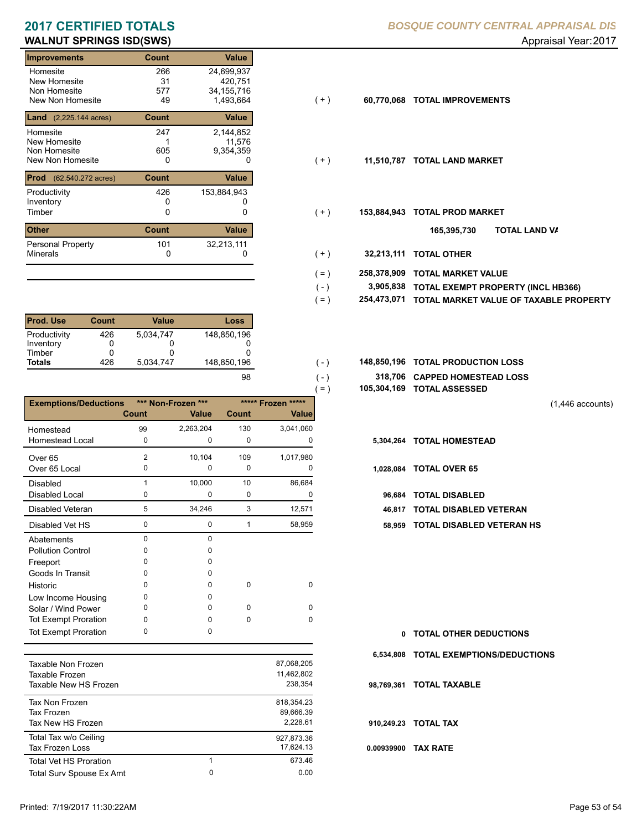## **WALNUT SPRINGS ISD(SWS)** Appraisal Year: 2017

| Improvements                            | Count        | <b>Value</b> |       |             |                           |
|-----------------------------------------|--------------|--------------|-------|-------------|---------------------------|
| Homesite                                | 266          | 24,699,937   |       |             |                           |
| New Homesite                            | 31           | 420,751      |       |             |                           |
| Non Homesite                            | 577          | 34, 155, 716 |       |             |                           |
| New Non Homesite                        | 49           | 1,493,664    | ( + ) | 60,770,068  | <b>TOTAL IMPROVEMENTS</b> |
| <b>Land</b> $(2,225.144 \text{ acres})$ | Count        | Value        |       |             |                           |
| Homesite                                | 247          | 2,144,852    |       |             |                           |
| New Homesite                            |              | 11,576       |       |             |                           |
| Non Homesite                            | 605          | 9,354,359    |       |             |                           |
| New Non Homesite                        | 0            | 0            | $(+)$ | 11,510,787  | <b>TOTAL LAND MARKET</b>  |
| <b>Prod</b><br>(62,540.272 acres)       | <b>Count</b> | Value        |       |             |                           |
| Productivity                            | 426          | 153,884,943  |       |             |                           |
| Inventory                               | Ω            |              |       |             |                           |
| Timber                                  | 0            | 0            | $(+)$ | 153,884,943 | <b>TOTAL PROD MARKET</b>  |
| <b>Other</b>                            | <b>Count</b> | Value        |       |             | וסד<br>165,395,730        |
| <b>Personal Property</b>                | 101          | 32,213,111   |       |             |                           |
| <b>Minerals</b>                         | 0            | 0            | $+ )$ | 32,213,111  | <b>TOTAL OTHER</b>        |
|                                         |              |              |       |             |                           |

| <b>Prod. Use</b> | <b>Count</b> | Value     | Loss        |
|------------------|--------------|-----------|-------------|
| Productivity     | 426          | 5.034.747 | 148,850,196 |
| Inventory        | O            |           |             |
| Timber           | Ω            |           |             |
| <b>Totals</b>    | 426          | 5.034.747 | 148,850,196 |
|                  |              |           | 98          |

|                              |                |                             |             |                                    | $=$ )     | 105,304,169 TOTAL ASSESSED |
|------------------------------|----------------|-----------------------------|-------------|------------------------------------|-----------|----------------------------|
| <b>Exemptions/Deductions</b> | Count          | *** Non-Frozen ***<br>Value | Count       | ***** Frozen *****<br><b>Value</b> |           |                            |
| Homestead                    | 99             | 2,263,204                   | 130         | 3,041,060                          |           |                            |
| <b>Homestead Local</b>       | 0              | 0                           | 0           | 0                                  | 5,304,264 | <b>TOTAL HOMESTEAD</b>     |
| Over <sub>65</sub>           | $\overline{2}$ | 10,104                      | 109         | 1,017,980                          |           |                            |
| Over 65 Local                | $\Omega$       | 0                           | $\mathbf 0$ | $\Omega$                           | 1,028,084 | <b>TOTAL OVER 65</b>       |
| <b>Disabled</b>              |                | 10,000                      | 10          | 86,684                             |           |                            |
| Disabled Local               | 0              | 0                           | $\mathbf 0$ | 0                                  | 96,684    | <b>TOTAL DISABLED</b>      |
| Disabled Veteran             | 5              | 34,246                      | 3           | 12,571                             | 46.817    | <b>TOTAL DISABLED VI</b>   |
| Disabled Vet HS              | 0              | 0                           | 1           | 58,959                             | 58,959    | <b>TOTAL DISABLED VI</b>   |
| Abatements                   | $\Omega$       | $\Omega$                    |             |                                    |           |                            |
| <b>Pollution Control</b>     | <sup>0</sup>   | U                           |             |                                    |           |                            |
| Freeport                     | O              | n                           |             |                                    |           |                            |
| Goods In Transit             | O              | O                           |             |                                    |           |                            |
| Historic                     | <sup>0</sup>   | <sup>0</sup>                | $\Omega$    | $\Omega$                           |           |                            |
| Low Income Housing           | 0              | O                           |             |                                    |           |                            |
| Solar / Wind Power           | 0              | O                           | 0           | $\Omega$                           |           |                            |
| <b>Tot Exempt Proration</b>  | 0              | <sup>0</sup>                | $\Omega$    | $\Omega$                           |           |                            |
| <b>Tot Exempt Proration</b>  | $\Omega$       | 0                           |             |                                    | 0         | <b>TOTAL OTHER DEDL</b>    |

| Taxable Non Frozen<br>Taxable Frozen<br>Taxable New HS Frozen |        | 87,068,205<br>11.462.802<br>238.354 |
|---------------------------------------------------------------|--------|-------------------------------------|
| Tax Non Frozen<br>Tax Frozen<br>Tax New HS Frozen             |        | 818.354.23<br>89.666.39<br>2.228.61 |
| Total Tax w/o Ceiling<br>Tax Frozen Loss                      |        | 927.873.36<br>17.624.13             |
| <b>Total Vet HS Proration</b><br>Total Surv Spouse Ex Amt     | 1<br>0 | 673.46<br>0.00                      |
|                                                               |        |                                     |

- 
- $( + )$

 $(-)$  $( - )$ 

- $(+)$ 
	- **TOTAL LAND VA 165,395,730**
- 0 0 **32,213,111 TOTAL OTHER**  $(+ )$
- **258,378,909 TOTAL MARKET VALUE**  $( = )$
- **TOTAL EXEMPT PROPERTY (INCL HB366) 3,905,838**  $( - )$
- **254,473,071 TOTAL MARKET VALUE OF TAXABLE PROPERTY**  $( = )$
- **TOTAL PRODUCTION LOSS** 148,850,196 **148,850,196**
	- **318,706 CAPPED HOMESTEAD LOSS**
	- **105,304,169 TOTAL ASSESSED**

(1,446 accounts)

- 
- - 96,684 TOTAL DISABLED
	- **46,817 TOTAL DISABLED VETERAN**
	- 0 1 0 58,959 **58,959 TOTAL DISABLED VETERAN HS**

| 0 TOTAL OTHER DEDUCTIONS              |
|---------------------------------------|
| 6,534,808 TOTAL EXEMPTIONS/DEDUCTIONS |
| 98,769,361 TOTAL TAXABLE              |
| 910.249.23 TOTAL TAX                  |
| 0.00939900 TAX RATE                   |